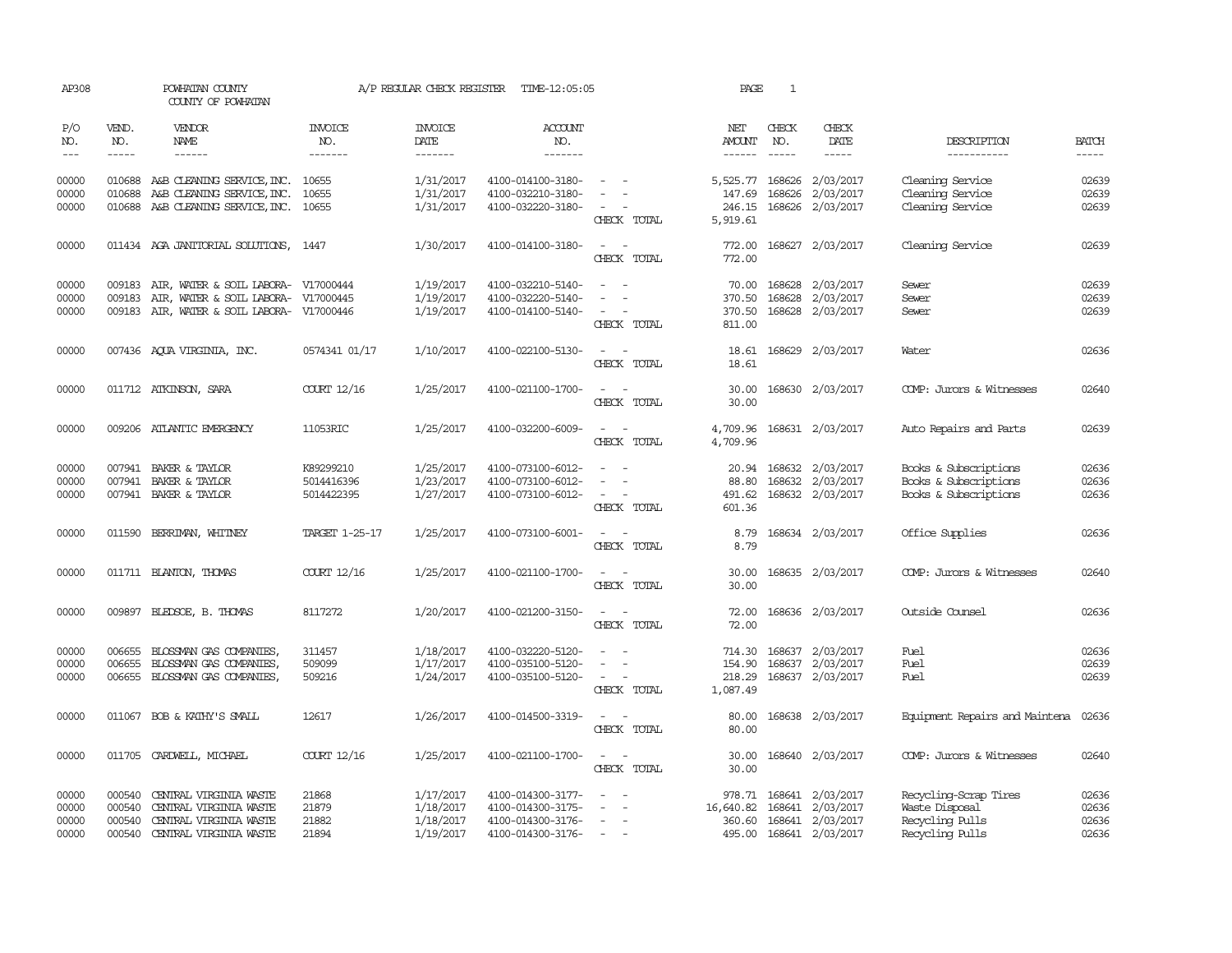| AP308      |                                                                                                                                                                                                                                                                                                                                                                                                                                                         | POWHATAN COUNTY<br>COUNTY OF POWHATAN      |                       | A/P REGULAR CHECK REGISTER    | TIME-12:05:05         |                                                                                                              | PAGE                 | $\mathbf{1}$  |                         |                                |                                                                                                                                                                                                                                                                                                                                                                                                                                                         |
|------------|---------------------------------------------------------------------------------------------------------------------------------------------------------------------------------------------------------------------------------------------------------------------------------------------------------------------------------------------------------------------------------------------------------------------------------------------------------|--------------------------------------------|-----------------------|-------------------------------|-----------------------|--------------------------------------------------------------------------------------------------------------|----------------------|---------------|-------------------------|--------------------------------|---------------------------------------------------------------------------------------------------------------------------------------------------------------------------------------------------------------------------------------------------------------------------------------------------------------------------------------------------------------------------------------------------------------------------------------------------------|
| P/O<br>NO. | VEND.<br>NO.                                                                                                                                                                                                                                                                                                                                                                                                                                            | <b>VENDOR</b><br>NAME                      | <b>INVOICE</b><br>NO. | <b>INVOICE</b><br><b>DATE</b> | <b>ACCOUNT</b><br>NO. |                                                                                                              | NET<br><b>AMOUNT</b> | CHECK<br>NO.  | CHECK<br>DATE           | DESCRIPTION                    | <b>BATCH</b>                                                                                                                                                                                                                                                                                                                                                                                                                                            |
| $---$      | $\begin{tabular}{ccccc} \multicolumn{2}{c }{\multicolumn{2}{c }{\multicolumn{2}{c }{\multicolumn{2}{c}}{\hspace{-2.2cm}}}} \multicolumn{2}{c }{\multicolumn{2}{c }{\hspace{-2.2cm}}\hline} \multicolumn{2}{c }{\hspace{-2.2cm}}\hline \multicolumn{2}{c }{\hspace{-2.2cm}}\hline \multicolumn{2}{c }{\hspace{-2.2cm}}\hline \multicolumn{2}{c }{\hspace{-2.2cm}}\hline \multicolumn{2}{c }{\hspace{-2.2cm}}\hline \multicolumn{2}{c }{\hspace{-2.2cm}}$ | ------                                     | -------               | -------                       | -------               |                                                                                                              | $- - - - - -$        | $\frac{1}{2}$ | -----                   | -----------                    | $\begin{tabular}{ccccc} \multicolumn{2}{c }{\multicolumn{2}{c }{\multicolumn{2}{c }{\multicolumn{2}{c}}{\hspace{-2.2cm}}}} \multicolumn{2}{c }{\multicolumn{2}{c }{\hspace{-2.2cm}}\hline} \multicolumn{2}{c }{\hspace{-2.2cm}}\hline \multicolumn{2}{c }{\hspace{-2.2cm}}\hline \multicolumn{2}{c }{\hspace{-2.2cm}}\hline \multicolumn{2}{c }{\hspace{-2.2cm}}\hline \multicolumn{2}{c }{\hspace{-2.2cm}}\hline \multicolumn{2}{c }{\hspace{-2.2cm}}$ |
| 00000      |                                                                                                                                                                                                                                                                                                                                                                                                                                                         | 010688 A&B CLEANING SERVICE, INC. 10655    |                       | 1/31/2017                     | 4100-014100-3180-     |                                                                                                              | 5,525.77             | 168626        | 2/03/2017               | Cleaning Service               | 02639                                                                                                                                                                                                                                                                                                                                                                                                                                                   |
| 00000      | 010688                                                                                                                                                                                                                                                                                                                                                                                                                                                  | A&B CLEANING SERVICE, INC.                 | 10655                 | 1/31/2017                     | 4100-032210-3180-     |                                                                                                              | 147.69               | 168626        | 2/03/2017               | Cleaning Service               | 02639                                                                                                                                                                                                                                                                                                                                                                                                                                                   |
| 00000      |                                                                                                                                                                                                                                                                                                                                                                                                                                                         | 010688 A&B CLEANING SERVICE, INC. 10655    |                       | 1/31/2017                     | 4100-032220-3180-     |                                                                                                              | 246.15               |               | 168626 2/03/2017        | Cleaning Service               | 02639                                                                                                                                                                                                                                                                                                                                                                                                                                                   |
|            |                                                                                                                                                                                                                                                                                                                                                                                                                                                         |                                            |                       |                               |                       | CHECK TOTAL                                                                                                  | 5,919.61             |               |                         |                                |                                                                                                                                                                                                                                                                                                                                                                                                                                                         |
| 00000      |                                                                                                                                                                                                                                                                                                                                                                                                                                                         | 011434 AGA JANITORIAL SOLUTIONS, 1447      |                       | 1/30/2017                     | 4100-014100-3180-     | $\equiv$                                                                                                     | 772.00               |               | 168627 2/03/2017        | Cleaning Service               | 02639                                                                                                                                                                                                                                                                                                                                                                                                                                                   |
|            |                                                                                                                                                                                                                                                                                                                                                                                                                                                         |                                            |                       |                               |                       | CHECK TOTAL                                                                                                  | 772.00               |               |                         |                                |                                                                                                                                                                                                                                                                                                                                                                                                                                                         |
| 00000      |                                                                                                                                                                                                                                                                                                                                                                                                                                                         | 009183 AIR, WATER & SOIL LABORA- V17000444 |                       | 1/19/2017                     | 4100-032210-5140-     |                                                                                                              | 70.00                |               | 168628 2/03/2017        | Sewer                          | 02639                                                                                                                                                                                                                                                                                                                                                                                                                                                   |
| 00000      | 009183                                                                                                                                                                                                                                                                                                                                                                                                                                                  | AIR, WATER & SOIL LABORA- V17000445        |                       | 1/19/2017                     | 4100-032220-5140-     |                                                                                                              | 370.50               | 168628        | 2/03/2017               | Sewer                          | 02639                                                                                                                                                                                                                                                                                                                                                                                                                                                   |
| 00000      |                                                                                                                                                                                                                                                                                                                                                                                                                                                         | 009183 AIR, WATER & SOIL LABORA- V17000446 |                       | 1/19/2017                     | 4100-014100-5140-     | $\overline{\phantom{a}}$                                                                                     | 370.50               |               | 168628 2/03/2017        | Sewer                          | 02639                                                                                                                                                                                                                                                                                                                                                                                                                                                   |
|            |                                                                                                                                                                                                                                                                                                                                                                                                                                                         |                                            |                       |                               |                       | CHECK TOTAL                                                                                                  | 811.00               |               |                         |                                |                                                                                                                                                                                                                                                                                                                                                                                                                                                         |
| 00000      |                                                                                                                                                                                                                                                                                                                                                                                                                                                         | 007436 AQUA VIRGINIA, INC.                 | 0574341 01/17         | 1/10/2017                     | 4100-022100-5130-     | $\sim$                                                                                                       | 18.61                |               | 168629 2/03/2017        | Water                          | 02636                                                                                                                                                                                                                                                                                                                                                                                                                                                   |
|            |                                                                                                                                                                                                                                                                                                                                                                                                                                                         |                                            |                       |                               |                       | CHECK TOTAL                                                                                                  | 18.61                |               |                         |                                |                                                                                                                                                                                                                                                                                                                                                                                                                                                         |
| 00000      |                                                                                                                                                                                                                                                                                                                                                                                                                                                         | 011712 ATKINSON, SARA                      | COURT 12/16           | 1/25/2017                     | 4100-021100-1700-     | $\frac{1}{2} \left( \frac{1}{2} \right) \left( \frac{1}{2} \right) = \frac{1}{2} \left( \frac{1}{2} \right)$ | 30.00                |               | 168630 2/03/2017        | COMP: Jurors & Witnesses       | 02640                                                                                                                                                                                                                                                                                                                                                                                                                                                   |
|            |                                                                                                                                                                                                                                                                                                                                                                                                                                                         |                                            |                       |                               |                       | CHECK TOTAL                                                                                                  | 30.00                |               |                         |                                |                                                                                                                                                                                                                                                                                                                                                                                                                                                         |
| 00000      |                                                                                                                                                                                                                                                                                                                                                                                                                                                         | 009206 ATLANTIC EMERGENCY                  | 11053RIC              | 1/25/2017                     | 4100-032200-6009-     | $\sim$                                                                                                       | 4,709.96             |               | 168631 2/03/2017        | Auto Repairs and Parts         | 02639                                                                                                                                                                                                                                                                                                                                                                                                                                                   |
|            |                                                                                                                                                                                                                                                                                                                                                                                                                                                         |                                            |                       |                               |                       | CHECK TOTAL                                                                                                  | 4,709.96             |               |                         |                                |                                                                                                                                                                                                                                                                                                                                                                                                                                                         |
|            |                                                                                                                                                                                                                                                                                                                                                                                                                                                         |                                            |                       |                               |                       |                                                                                                              |                      |               |                         |                                |                                                                                                                                                                                                                                                                                                                                                                                                                                                         |
| 00000      | 007941                                                                                                                                                                                                                                                                                                                                                                                                                                                  | BAKER & TAYLOR                             | K89299210             | 1/25/2017                     | 4100-073100-6012-     |                                                                                                              | 20.94                |               | 168632 2/03/2017        | Books & Subscriptions          | 02636                                                                                                                                                                                                                                                                                                                                                                                                                                                   |
| 00000      | 007941                                                                                                                                                                                                                                                                                                                                                                                                                                                  | BAKER & TAYLOR                             | 5014416396            | 1/23/2017                     | 4100-073100-6012-     |                                                                                                              | 88.80                | 168632        | 2/03/2017               | Books & Subscriptions          | 02636                                                                                                                                                                                                                                                                                                                                                                                                                                                   |
| 00000      |                                                                                                                                                                                                                                                                                                                                                                                                                                                         | 007941 BAKER & TAYLOR                      | 5014422395            | 1/27/2017                     | 4100-073100-6012-     | $\overline{\phantom{a}}$                                                                                     | 491.62               |               | 168632 2/03/2017        | Books & Subscriptions          | 02636                                                                                                                                                                                                                                                                                                                                                                                                                                                   |
|            |                                                                                                                                                                                                                                                                                                                                                                                                                                                         |                                            |                       |                               |                       | CHECK TOTAL                                                                                                  | 601.36               |               |                         |                                |                                                                                                                                                                                                                                                                                                                                                                                                                                                         |
| 00000      |                                                                                                                                                                                                                                                                                                                                                                                                                                                         | 011590 BERRIMAN, WHITNEY                   | TARGET 1-25-17        | 1/25/2017                     | 4100-073100-6001-     | $\sim$                                                                                                       | 8.79                 |               | 168634 2/03/2017        | Office Supplies                | 02636                                                                                                                                                                                                                                                                                                                                                                                                                                                   |
|            |                                                                                                                                                                                                                                                                                                                                                                                                                                                         |                                            |                       |                               |                       | CHECK TOTAL                                                                                                  | 8.79                 |               |                         |                                |                                                                                                                                                                                                                                                                                                                                                                                                                                                         |
| 00000      |                                                                                                                                                                                                                                                                                                                                                                                                                                                         | 011711 BLANTON, THOMAS                     | COURT 12/16           | 1/25/2017                     | 4100-021100-1700-     | $\sim$<br>$\sim$                                                                                             | 30.00                |               | 168635 2/03/2017        | COMP: Jurors & Witnesses       | 02640                                                                                                                                                                                                                                                                                                                                                                                                                                                   |
|            |                                                                                                                                                                                                                                                                                                                                                                                                                                                         |                                            |                       |                               |                       | CHECK TOTAL                                                                                                  | 30.00                |               |                         |                                |                                                                                                                                                                                                                                                                                                                                                                                                                                                         |
|            |                                                                                                                                                                                                                                                                                                                                                                                                                                                         |                                            |                       |                               |                       |                                                                                                              |                      |               |                         |                                |                                                                                                                                                                                                                                                                                                                                                                                                                                                         |
| 00000      |                                                                                                                                                                                                                                                                                                                                                                                                                                                         | 009897 BLEDSOE, B. THOMAS                  | 8117272               | 1/20/2017                     | 4100-021200-3150-     |                                                                                                              | 72.00                |               | 168636 2/03/2017        | Outside Counsel                | 02636                                                                                                                                                                                                                                                                                                                                                                                                                                                   |
|            |                                                                                                                                                                                                                                                                                                                                                                                                                                                         |                                            |                       |                               |                       | CHECK TOTAL                                                                                                  | 72.00                |               |                         |                                |                                                                                                                                                                                                                                                                                                                                                                                                                                                         |
| 00000      | 006655                                                                                                                                                                                                                                                                                                                                                                                                                                                  | BLOSSMAN GAS COMPANIES,                    | 311457                | 1/18/2017                     | 4100-032220-5120-     |                                                                                                              | 714.30               |               | 168637 2/03/2017        | Fuel                           | 02636                                                                                                                                                                                                                                                                                                                                                                                                                                                   |
| 00000      | 006655                                                                                                                                                                                                                                                                                                                                                                                                                                                  | BLOSSMAN GAS COMPANIES,                    | 509099                | 1/17/2017                     | 4100-035100-5120-     | $\overline{\phantom{a}}$                                                                                     | 154.90               | 168637        | 2/03/2017               | Fuel                           | 02639                                                                                                                                                                                                                                                                                                                                                                                                                                                   |
| 00000      |                                                                                                                                                                                                                                                                                                                                                                                                                                                         | 006655 BLOSSMAN GAS COMPANIES,             | 509216                | 1/24/2017                     | 4100-035100-5120-     | $\overline{\phantom{a}}$                                                                                     | 218.29               |               | 168637 2/03/2017        | Fuel                           | 02639                                                                                                                                                                                                                                                                                                                                                                                                                                                   |
|            |                                                                                                                                                                                                                                                                                                                                                                                                                                                         |                                            |                       |                               |                       | CHECK TOTAL                                                                                                  | 1,087.49             |               |                         |                                |                                                                                                                                                                                                                                                                                                                                                                                                                                                         |
| 00000      |                                                                                                                                                                                                                                                                                                                                                                                                                                                         | 011067 BOB & KATHY'S SMALL                 | 12617                 | 1/26/2017                     | 4100-014500-3319-     | $\sim$ 100 $\sim$                                                                                            | 80.00                |               | 168638 2/03/2017        | Equipment Repairs and Maintena | 02636                                                                                                                                                                                                                                                                                                                                                                                                                                                   |
|            |                                                                                                                                                                                                                                                                                                                                                                                                                                                         |                                            |                       |                               |                       | CHECK TOTAL                                                                                                  | 80.00                |               |                         |                                |                                                                                                                                                                                                                                                                                                                                                                                                                                                         |
|            |                                                                                                                                                                                                                                                                                                                                                                                                                                                         |                                            |                       |                               |                       |                                                                                                              |                      |               |                         |                                |                                                                                                                                                                                                                                                                                                                                                                                                                                                         |
| 00000      |                                                                                                                                                                                                                                                                                                                                                                                                                                                         | 011705 CARDWELL, MICHAEL                   | COURT 12/16           | 1/25/2017                     | 4100-021100-1700-     | $\overline{\phantom{a}}$                                                                                     | 30.00                |               | 168640 2/03/2017        | COMP: Jurors & Witnesses       | 02640                                                                                                                                                                                                                                                                                                                                                                                                                                                   |
|            |                                                                                                                                                                                                                                                                                                                                                                                                                                                         |                                            |                       |                               |                       | CHECK TOTAL                                                                                                  | 30.00                |               |                         |                                |                                                                                                                                                                                                                                                                                                                                                                                                                                                         |
| 00000      | 000540                                                                                                                                                                                                                                                                                                                                                                                                                                                  | CENTRAL VIRGINIA WASTE                     | 21868                 | 1/17/2017                     | 4100-014300-3177-     |                                                                                                              | 978.71               | 168641        | 2/03/2017               | Recycling-Scrap Tires          | 02636                                                                                                                                                                                                                                                                                                                                                                                                                                                   |
| 00000      | 000540                                                                                                                                                                                                                                                                                                                                                                                                                                                  | CENTRAL VIRGINIA WASTE                     | 21879                 | 1/18/2017                     | 4100-014300-3175-     | $\overline{\phantom{a}}$                                                                                     | 16,640.82            | 168641        | 2/03/2017               | Waste Disposal                 | 02636                                                                                                                                                                                                                                                                                                                                                                                                                                                   |
| 00000      | 000540                                                                                                                                                                                                                                                                                                                                                                                                                                                  | CENTRAL VIRGINIA WASTE                     | 21882                 | 1/18/2017                     | 4100-014300-3176-     | $\overline{\phantom{a}}$                                                                                     | 360.60               |               | 168641 2/03/2017        | Recycling Pulls                | 02636                                                                                                                                                                                                                                                                                                                                                                                                                                                   |
| 00000      | 000540                                                                                                                                                                                                                                                                                                                                                                                                                                                  | CENTRAL VIRGINIA WASTE                     | 21894                 | 1/19/2017                     | 4100-014300-3176-     | $\sim$                                                                                                       |                      |               | 495.00 168641 2/03/2017 | Recycling Pulls                | 02636                                                                                                                                                                                                                                                                                                                                                                                                                                                   |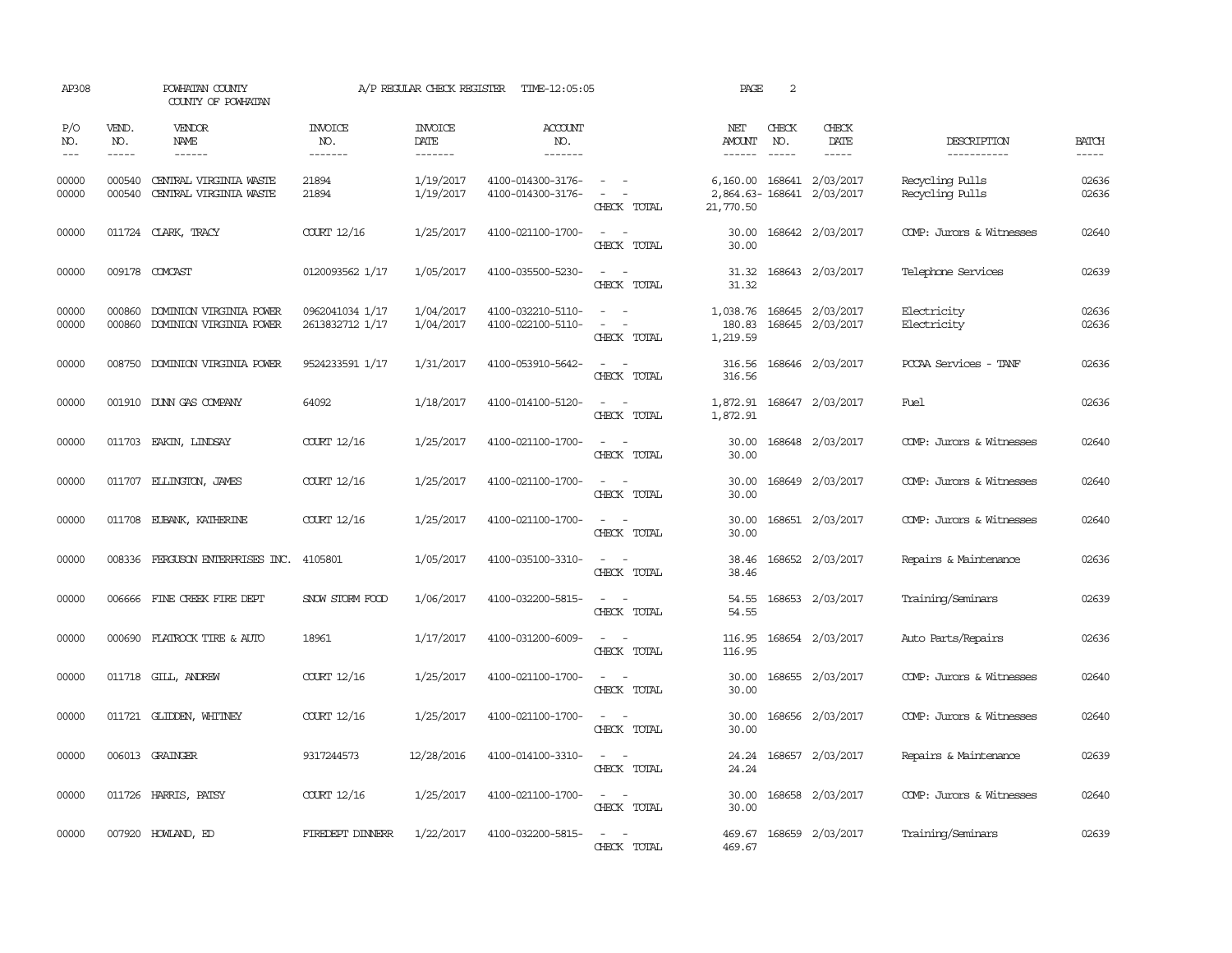| AP308               |                             | POWHATAN COUNTY<br>COUNTY OF POWHATAN              |                                    | A/P REGULAR CHECK REGISTER                | TIME-12:05:05                          |                                                                                                                             | PAGE                           | 2                             |                                        |                                    |                             |
|---------------------|-----------------------------|----------------------------------------------------|------------------------------------|-------------------------------------------|----------------------------------------|-----------------------------------------------------------------------------------------------------------------------------|--------------------------------|-------------------------------|----------------------------------------|------------------------------------|-----------------------------|
| P/O<br>NO.<br>$---$ | VEND.<br>NO.<br>$- - - - -$ | <b>VENDOR</b><br>NAME<br>$- - - - - -$             | <b>INVOICE</b><br>NO.<br>-------   | <b>INVOICE</b><br>DATE<br>$- - - - - - -$ | <b>ACCOUNT</b><br>NO.<br>-------       |                                                                                                                             | NET<br>AMOUNT<br>$- - - - - -$ | CHECK<br>NO.<br>$\frac{1}{2}$ | CHECK<br>DATE<br>$- - - - -$           | DESCRIPTION<br>-----------         | <b>BATCH</b><br>$- - - - -$ |
| 00000<br>00000      | 000540<br>000540            | CENTRAL VIRGINIA WASTE<br>CENIRAL VIRGINIA WASTE   | 21894<br>21894                     | 1/19/2017<br>1/19/2017                    | 4100-014300-3176-<br>4100-014300-3176- | $\sim$ $ -$<br>$\sim$ $-$<br>CHECK TOTAL                                                                                    | 2,864.63-168641<br>21,770.50   |                               | 6,160.00 168641 2/03/2017<br>2/03/2017 | Recycling Pulls<br>Recycling Pulls | 02636<br>02636              |
| 00000               |                             | 011724 CLARK, TRACY                                | COURT 12/16                        | 1/25/2017                                 | 4100-021100-1700-                      | $\sim$ $ -$<br>CHECK TOTAL                                                                                                  | 30.00<br>30.00                 |                               | 168642 2/03/2017                       | COMP: Jurors & Witnesses           | 02640                       |
| 00000               |                             | 009178 COMCAST                                     | 0120093562 1/17                    | 1/05/2017                                 | 4100-035500-5230-                      | $\frac{1}{2} \left( \frac{1}{2} \right) \left( \frac{1}{2} \right) = \frac{1}{2} \left( \frac{1}{2} \right)$<br>CHECK TOTAL | 31.32                          |                               | 31.32 168643 2/03/2017                 | Telephone Services                 | 02639                       |
| 00000<br>00000      | 000860<br>000860            | DOMINION VIRGINIA POWER<br>DOMINION VIRGINIA POWER | 0962041034 1/17<br>2613832712 1/17 | 1/04/2017<br>1/04/2017                    | 4100-032210-5110-<br>4100-022100-5110- | $\sim$<br>$\sim$<br>$\sim$<br>$\overline{\phantom{a}}$<br>CHECK TOTAL                                                       | 1,038.76<br>180.83<br>1,219.59 |                               | 168645 2/03/2017<br>168645 2/03/2017   | Electricity<br>Electricity         | 02636<br>02636              |
| 00000               |                             | 008750 DOMINION VIRGINIA POWER                     | 9524233591 1/17                    | 1/31/2017                                 | 4100-053910-5642-                      | $\frac{1}{2} \left( \frac{1}{2} \right) \left( \frac{1}{2} \right) = \frac{1}{2} \left( \frac{1}{2} \right)$<br>CHECK TOTAL | 316.56<br>316.56               |                               | 168646 2/03/2017                       | PCCAA Services - TANF              | 02636                       |
| 00000               |                             | 001910 DUNN GAS COMPANY                            | 64092                              | 1/18/2017                                 | 4100-014100-5120-                      | $\frac{1}{2} \left( \frac{1}{2} \right) \left( \frac{1}{2} \right) = \frac{1}{2} \left( \frac{1}{2} \right)$<br>CHECK TOTAL | 1,872.91                       |                               | 1,872.91 168647 2/03/2017              | Fuel                               | 02636                       |
| 00000               |                             | 011703 EAKIN, LINDSAY                              | COURT 12/16                        | 1/25/2017                                 | 4100-021100-1700-                      | $\sim$ 100 $\sim$<br>CHECK TOTAL                                                                                            | 30.00<br>30.00                 |                               | 168648 2/03/2017                       | COMP: Jurors & Witnesses           | 02640                       |
| 00000               |                             | 011707 ELLINGTON, JAMES                            | COURT 12/16                        | 1/25/2017                                 | 4100-021100-1700-                      | $\sim$<br>$\sim$<br>CHECK TOTAL                                                                                             | 30.00<br>30.00                 |                               | 168649 2/03/2017                       | COMP: Jurors & Witnesses           | 02640                       |
| 00000               |                             | 011708 EUBANK, KATHERINE                           | COURT 12/16                        | 1/25/2017                                 | 4100-021100-1700-                      | $\sim$<br>$\sim$<br>CHECK TOTAL                                                                                             | 30.00<br>30.00                 |                               | 168651 2/03/2017                       | COMP: Jurors & Witnesses           | 02640                       |
| 00000               |                             | 008336 FERGUSON ENTERPRISES INC.                   | 4105801                            | 1/05/2017                                 | 4100-035100-3310-                      | $ -$<br>CHECK TOTAL                                                                                                         | 38.46<br>38.46                 |                               | 168652 2/03/2017                       | Repairs & Maintenance              | 02636                       |
| 00000               |                             | 006666 FINE CREEK FIRE DEPT                        | SNOW STORM FOOD                    | 1/06/2017                                 | 4100-032200-5815-                      | $\frac{1}{2} \left( \frac{1}{2} \right) \left( \frac{1}{2} \right) = \frac{1}{2} \left( \frac{1}{2} \right)$<br>CHECK TOTAL | 54.55<br>54.55                 |                               | 168653 2/03/2017                       | Training/Seminars                  | 02639                       |
| 00000               | 000690                      | FLATROCK TIRE & AUTO                               | 18961                              | 1/17/2017                                 | 4100-031200-6009-                      | $\sim$<br>CHECK TOTAL                                                                                                       | 116.95<br>116.95               |                               | 168654 2/03/2017                       | Auto Parts/Repairs                 | 02636                       |
| 00000               |                             | 011718 GILL, ANDREW                                | COURT 12/16                        | 1/25/2017                                 | 4100-021100-1700-                      | $\equiv$<br>CHECK TOTAL                                                                                                     | 30.00<br>30.00                 |                               | 168655 2/03/2017                       | COMP: Jurors & Witnesses           | 02640                       |
| 00000               | 011721                      | GLIDDEN, WHITNEY                                   | COURT 12/16                        | 1/25/2017                                 | 4100-021100-1700-                      | $\sim$<br>CHECK TOTAL                                                                                                       | 30.00<br>30.00                 |                               | 168656 2/03/2017                       | COMP: Jurors & Witnesses           | 02640                       |
| 00000               |                             | 006013 GRAINGER                                    | 9317244573                         | 12/28/2016                                | 4100-014100-3310-                      | $\frac{1}{2} \left( \frac{1}{2} \right) \left( \frac{1}{2} \right) \left( \frac{1}{2} \right)$<br>CHECK TOTAL               | 24.24<br>24.24                 |                               | 168657 2/03/2017                       | Repairs & Maintenance              | 02639                       |
| 00000               |                             | 011726 HARRIS, PATSY                               | COURT 12/16                        | 1/25/2017                                 | 4100-021100-1700-                      | $\overline{\phantom{a}}$<br>$\sim$<br>CHECK TOTAL                                                                           | 30.00<br>30.00                 |                               | 168658 2/03/2017                       | COMP: Jurors & Witnesses           | 02640                       |
| 00000               |                             | 007920 HOWLAND, ED                                 | FIREDEPT DINNERR                   | 1/22/2017                                 | 4100-032200-5815-                      | $\sim$<br>CHECK TOTAL                                                                                                       | 469.67                         |                               | 469.67 168659 2/03/2017                | Training/Seminars                  | 02639                       |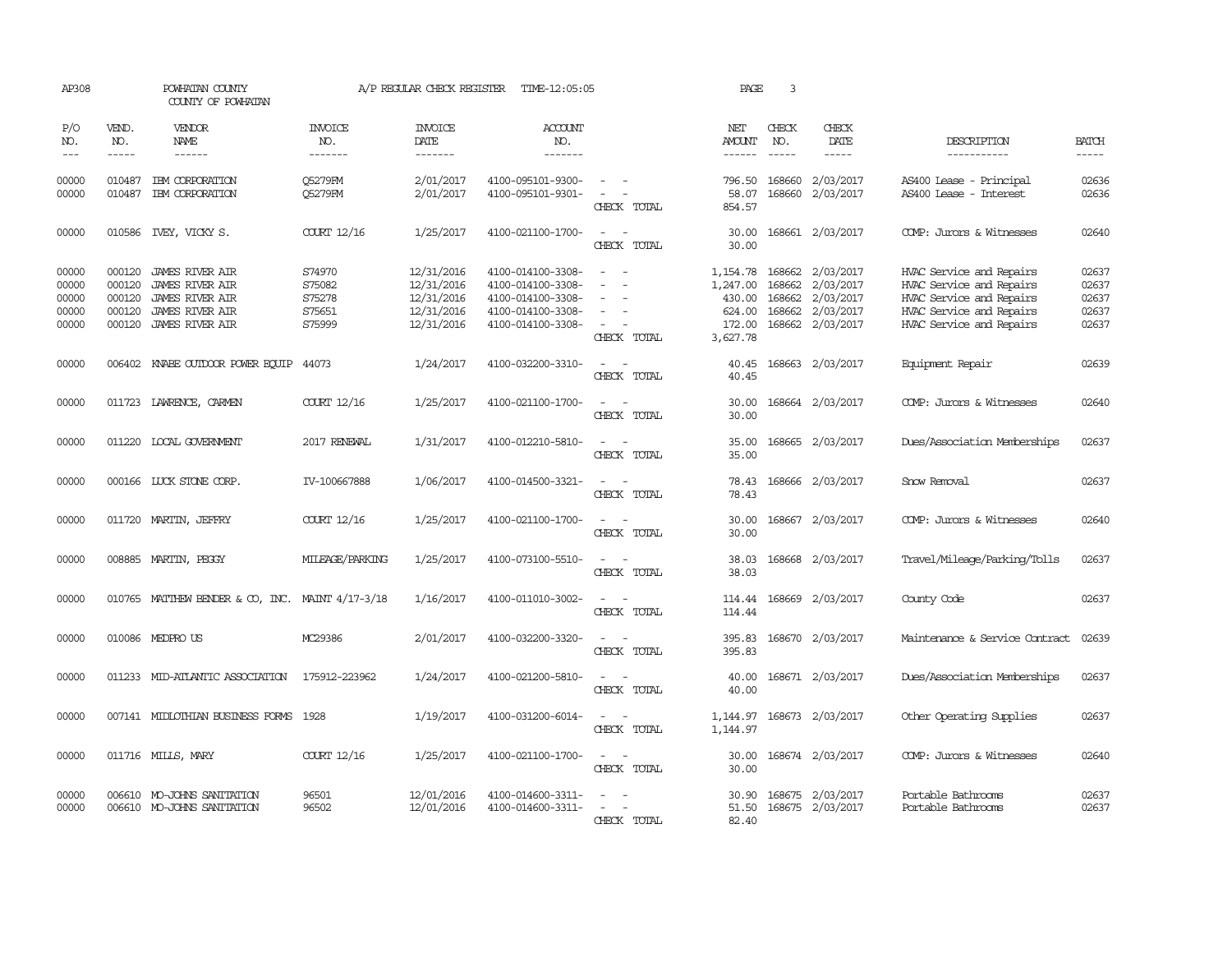| AP308                                     |                                                | POWHATAN COUNTY<br>COUNTY OF POWHATAN                                                                                          |                                                | A/P REGULAR CHECK REGISTER                                         | TIME-12:05:05                                                                                         |                                                     | PAGE                                                           | 3                                    |                                                                      |                                                                                                                                          |                                           |
|-------------------------------------------|------------------------------------------------|--------------------------------------------------------------------------------------------------------------------------------|------------------------------------------------|--------------------------------------------------------------------|-------------------------------------------------------------------------------------------------------|-----------------------------------------------------|----------------------------------------------------------------|--------------------------------------|----------------------------------------------------------------------|------------------------------------------------------------------------------------------------------------------------------------------|-------------------------------------------|
| P/O<br>NO.<br>$- - -$                     | VEND.<br>NO.<br>$- - - - -$                    | VENDOR<br>NAME                                                                                                                 | <b>INVOICE</b><br>NO.<br>-------               | <b>INVOICE</b><br>DATE<br>-------                                  | ACCOUNT<br>NO.<br>--------                                                                            |                                                     | NET<br><b>AMOUNT</b><br>$- - - - - -$                          | CHECK<br>NO.<br>$- - - - -$          | CHECK<br>DATE                                                        | DESCRIPTION<br>-----------                                                                                                               | <b>BATCH</b><br>$- - - - -$               |
| 00000<br>00000                            | 010487<br>010487                               | IBM CORPORATION<br>IBM CORPORATION                                                                                             | Q5279FM<br><b>O5279FM</b>                      | 2/01/2017<br>2/01/2017                                             | 4100-095101-9300-<br>4100-095101-9301-                                                                | $\equiv$<br>$\sim$<br>CHECK TOTAL                   | 796.50<br>58.07<br>854.57                                      | 168660<br>168660                     | 2/03/2017<br>2/03/2017                                               | AS400 Lease - Principal<br>AS400 Lease - Interest                                                                                        | 02636<br>02636                            |
| 00000                                     |                                                | 010586 IVEY, VICKY S.                                                                                                          | COURT 12/16                                    | 1/25/2017                                                          | 4100-021100-1700-                                                                                     | $\sim$<br>CHECK TOTAL                               | 30.00<br>30.00                                                 |                                      | 168661 2/03/2017                                                     | COMP: Jurors & Witnesses                                                                                                                 | 02640                                     |
| 00000<br>00000<br>00000<br>00000<br>00000 | 000120<br>000120<br>000120<br>000120<br>000120 | <b>JAMES RIVER AIR</b><br><b>JAMES RIVER AIR</b><br><b>JAMES RIVER AIR</b><br><b>JAMES RIVER AIR</b><br><b>JAMES RIVER AIR</b> | S74970<br>S75082<br>S75278<br>S75651<br>S75999 | 12/31/2016<br>12/31/2016<br>12/31/2016<br>12/31/2016<br>12/31/2016 | 4100-014100-3308-<br>4100-014100-3308-<br>4100-014100-3308-<br>4100-014100-3308-<br>4100-014100-3308- | $\equiv$<br>$\overline{\phantom{a}}$<br>CHECK TOTAL | 1,154.78<br>1,247.00<br>430.00<br>624.00<br>172.00<br>3,627.78 | 168662<br>168662<br>168662<br>168662 | 2/03/2017<br>2/03/2017<br>2/03/2017<br>2/03/2017<br>168662 2/03/2017 | HVAC Service and Repairs<br>HVAC Service and Repairs<br>HVAC Service and Repairs<br>HVAC Service and Repairs<br>HVAC Service and Repairs | 02637<br>02637<br>02637<br>02637<br>02637 |
| 00000                                     | 006402                                         | KNABE OUTDOOR POWER EQUIP                                                                                                      | 44073                                          | 1/24/2017                                                          | 4100-032200-3310-                                                                                     | $\sim$<br>CHECK TOTAL                               | 40.45<br>40.45                                                 |                                      | 168663 2/03/2017                                                     | Equipment Repair                                                                                                                         | 02639                                     |
| 00000                                     |                                                | 011723 LAWRENCE, CARMEN                                                                                                        | COURT 12/16                                    | 1/25/2017                                                          | 4100-021100-1700-                                                                                     | $\overline{\phantom{a}}$<br>CHECK TOTAL             | 30.00<br>30.00                                                 |                                      | 168664 2/03/2017                                                     | COMP: Jurors & Witnesses                                                                                                                 | 02640                                     |
| 00000                                     | 011220                                         | LOCAL GOVERNMENT                                                                                                               | 2017 RENEWAL                                   | 1/31/2017                                                          | 4100-012210-5810-                                                                                     | $ -$<br>CHECK TOTAL                                 | 35.00<br>35.00                                                 |                                      | 168665 2/03/2017                                                     | Dues/Association Memberships                                                                                                             | 02637                                     |
| 00000                                     |                                                | 000166 LUCK STONE CORP.                                                                                                        | IV-100667888                                   | 1/06/2017                                                          | 4100-014500-3321-                                                                                     | CHECK TOTAL                                         | 78.43<br>78.43                                                 |                                      | 168666 2/03/2017                                                     | Snow Removal                                                                                                                             | 02637                                     |
| 00000                                     |                                                | 011720 MARTIN, JEFFRY                                                                                                          | COURT 12/16                                    | 1/25/2017                                                          | 4100-021100-1700-                                                                                     | $\sim$<br>CHECK TOTAL                               | 30.00<br>30.00                                                 |                                      | 168667 2/03/2017                                                     | COMP: Jurors & Witnesses                                                                                                                 | 02640                                     |
| 00000                                     |                                                | 008885 MARTIN, PEGGY                                                                                                           | MILEAGE/PARKING                                | 1/25/2017                                                          | 4100-073100-5510-                                                                                     | CHECK TOTAL                                         | 38.03<br>38.03                                                 |                                      | 168668 2/03/2017                                                     | Travel/Mileage/Parking/Tolls                                                                                                             | 02637                                     |
| 00000                                     |                                                | 010765 MATTHEW BENDER & CO, INC.                                                                                               | MAINT 4/17-3/18                                | 1/16/2017                                                          | 4100-011010-3002-                                                                                     | CHECK TOTAL                                         | 114.44<br>114.44                                               |                                      | 168669 2/03/2017                                                     | County Code                                                                                                                              | 02637                                     |
| 00000                                     |                                                | 010086 MEDPROUS                                                                                                                | MC29386                                        | 2/01/2017                                                          | 4100-032200-3320-                                                                                     | CHECK TOTAL                                         | 395.83<br>395.83                                               |                                      | 168670 2/03/2017                                                     | Maintenance & Service Contract                                                                                                           | 02639                                     |
| 00000                                     | 011233                                         | MID-ATLANTIC ASSOCIATION                                                                                                       | 175912-223962                                  | 1/24/2017                                                          | 4100-021200-5810-                                                                                     | CHECK TOTAL                                         | 40.00<br>40.00                                                 |                                      | 168671 2/03/2017                                                     | Dues/Association Memberships                                                                                                             | 02637                                     |
| 00000                                     |                                                | 007141 MIDIOTHIAN BUSINESS FORMS                                                                                               | 1928                                           | 1/19/2017                                                          | 4100-031200-6014-                                                                                     | CHECK TOTAL                                         | 1,144.97<br>1,144.97                                           |                                      | 168673 2/03/2017                                                     | Other Operating Supplies                                                                                                                 | 02637                                     |
| 00000                                     |                                                | 011716 MILLS, MARY                                                                                                             | COURT 12/16                                    | 1/25/2017                                                          | 4100-021100-1700-                                                                                     | CHECK TOTAL                                         | 30.00<br>30.00                                                 |                                      | 168674 2/03/2017                                                     | COMP: Jurors & Witnesses                                                                                                                 | 02640                                     |
| 00000<br>00000                            | 006610                                         | MO-JOHNS SANITATION<br>006610 MO-JOHNS SANITATION                                                                              | 96501<br>96502                                 | 12/01/2016<br>12/01/2016                                           | 4100-014600-3311-<br>4100-014600-3311-                                                                | CHECK TOTAL                                         | 30.90<br>51.50<br>82.40                                        |                                      | 168675 2/03/2017<br>168675 2/03/2017                                 | Portable Bathrooms<br>Portable Bathrooms                                                                                                 | 02637<br>02637                            |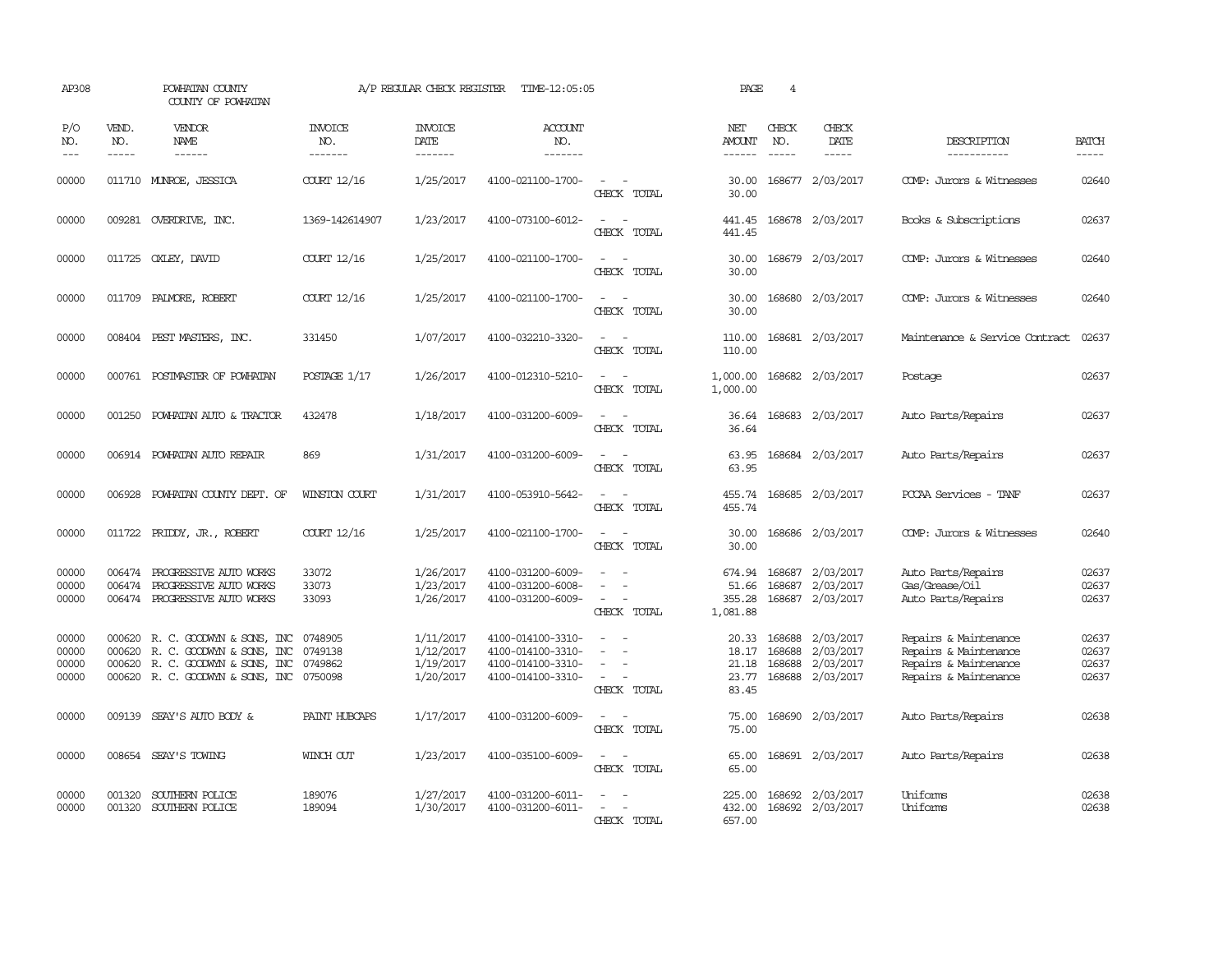| AP308                            |                               | POWHATAN COUNTY<br>COUNTY OF POWHATAN                                                                                                                                                                                                                                                                                                                                                                                                                                                               |                                   | A/P REGULAR CHECK REGISTER                       | TIME-12:05:05                                                                    |                                                   | PAGE                                  | $\overline{4}$                   |                                                         |                                                                                                  |                                  |
|----------------------------------|-------------------------------|-----------------------------------------------------------------------------------------------------------------------------------------------------------------------------------------------------------------------------------------------------------------------------------------------------------------------------------------------------------------------------------------------------------------------------------------------------------------------------------------------------|-----------------------------------|--------------------------------------------------|----------------------------------------------------------------------------------|---------------------------------------------------|---------------------------------------|----------------------------------|---------------------------------------------------------|--------------------------------------------------------------------------------------------------|----------------------------------|
| P/O<br>NO.<br>$- - -$            | VEND.<br>NO.<br>$\frac{1}{2}$ | VENDOR<br><b>NAME</b><br>$\frac{1}{2} \left( \frac{1}{2} \right) \left( \frac{1}{2} \right) \left( \frac{1}{2} \right) \left( \frac{1}{2} \right) \left( \frac{1}{2} \right) \left( \frac{1}{2} \right) \left( \frac{1}{2} \right) \left( \frac{1}{2} \right) \left( \frac{1}{2} \right) \left( \frac{1}{2} \right) \left( \frac{1}{2} \right) \left( \frac{1}{2} \right) \left( \frac{1}{2} \right) \left( \frac{1}{2} \right) \left( \frac{1}{2} \right) \left( \frac{1}{2} \right) \left( \frac$ | <b>INVOICE</b><br>NO.<br>-------- | <b>INVOICE</b><br>DATE<br>-------                | <b>ACCOUNT</b><br>NO.<br>-------                                                 |                                                   | NET<br>AMOUNT<br>------               | CHECK<br>NO.<br>$- - - - -$      | CHECK<br>DATE<br>$- - - - -$                            | DESCRIPTION<br>-----------                                                                       | <b>BATCH</b>                     |
| 00000                            |                               | 011710 MUNROE, JESSICA                                                                                                                                                                                                                                                                                                                                                                                                                                                                              | COURT 12/16                       | 1/25/2017                                        | 4100-021100-1700-                                                                | $\sim$<br>CHECK TOTAL                             | 30.00<br>30.00                        |                                  | 168677 2/03/2017                                        | COMP: Jurors & Witnesses                                                                         | 02640                            |
| 00000                            |                               | 009281 OVERDRIVE, INC.                                                                                                                                                                                                                                                                                                                                                                                                                                                                              | 1369-142614907                    | 1/23/2017                                        | 4100-073100-6012-                                                                | CHECK TOTAL                                       | 441.45<br>441.45                      |                                  | 168678 2/03/2017                                        | Books & Subscriptions                                                                            | 02637                            |
| 00000                            | 011725                        | OXLEY, DAVID                                                                                                                                                                                                                                                                                                                                                                                                                                                                                        | COURT 12/16                       | 1/25/2017                                        | 4100-021100-1700-                                                                | $\sim$<br>CHECK TOTAL                             | 30.00<br>30.00                        |                                  | 168679 2/03/2017                                        | COMP: Jurors & Witnesses                                                                         | 02640                            |
| 00000                            | 011709                        | PALMORE, ROBERT                                                                                                                                                                                                                                                                                                                                                                                                                                                                                     | COURT 12/16                       | 1/25/2017                                        | 4100-021100-1700-                                                                | $\sim$<br>CHECK TOTAL                             | 30.00<br>30.00                        |                                  | 168680 2/03/2017                                        | COMP: Jurors & Witnesses                                                                         | 02640                            |
| 00000                            |                               | 008404 PEST MASTERS, INC.                                                                                                                                                                                                                                                                                                                                                                                                                                                                           | 331450                            | 1/07/2017                                        | 4100-032210-3320-                                                                | $\equiv$<br>$\sim$<br>CHECK TOTAL                 | 110.00<br>110.00                      |                                  | 168681 2/03/2017                                        | Maintenance & Service Contract                                                                   | 02637                            |
| 00000                            | 000761                        | POSTMASTER OF POWHATAN                                                                                                                                                                                                                                                                                                                                                                                                                                                                              | POSTAGE 1/17                      | 1/26/2017                                        | 4100-012310-5210-                                                                | $\equiv$<br>CHECK TOTAL                           | 1,000.00<br>1,000.00                  |                                  | 168682 2/03/2017                                        | Postage                                                                                          | 02637                            |
| 00000                            | 001250                        | POWHATAN AUTO & TRACTOR                                                                                                                                                                                                                                                                                                                                                                                                                                                                             | 432478                            | 1/18/2017                                        | 4100-031200-6009-                                                                | $\equiv$<br>CHECK TOTAL                           | 36.64<br>36.64                        |                                  | 168683 2/03/2017                                        | Auto Parts/Repairs                                                                               | 02637                            |
| 00000                            |                               | 006914 POWHATAN AUTO REPAIR                                                                                                                                                                                                                                                                                                                                                                                                                                                                         | 869                               | 1/31/2017                                        | 4100-031200-6009-                                                                | $\sim$<br>$\overline{\phantom{a}}$<br>CHECK TOTAL | 63.95<br>63.95                        |                                  | 168684 2/03/2017                                        | Auto Parts/Repairs                                                                               | 02637                            |
| 00000                            |                               | 006928 POWHATAN COUNTY DEPT. OF                                                                                                                                                                                                                                                                                                                                                                                                                                                                     | WINSTON COURT                     | 1/31/2017                                        | 4100-053910-5642-                                                                | $\sim$<br>CHECK TOTAL                             | 455.74<br>455.74                      |                                  | 168685 2/03/2017                                        | PCCAA Services - TANF                                                                            | 02637                            |
| 00000                            |                               | 011722 PRIDDY, JR., ROBERT                                                                                                                                                                                                                                                                                                                                                                                                                                                                          | COURT 12/16                       | 1/25/2017                                        | 4100-021100-1700-                                                                | $ -$<br>CHECK TOTAL                               | 30.00<br>30.00                        |                                  | 168686 2/03/2017                                        | COMP: Jurors & Witnesses                                                                         | 02640                            |
| 00000<br>00000<br>00000          |                               | 006474 PROGRESSIVE AUTO WORKS<br>006474 PROGRESSIVE AUTO WORKS<br>006474 PROGRESSIVE AUTO WORKS                                                                                                                                                                                                                                                                                                                                                                                                     | 33072<br>33073<br>33093           | 1/26/2017<br>1/23/2017<br>1/26/2017              | 4100-031200-6009-<br>4100-031200-6008-<br>4100-031200-6009-                      | $\sim$<br>CHECK TOTAL                             | 674.94<br>51.66<br>355.28<br>1,081.88 | 168687                           | 168687 2/03/2017<br>2/03/2017<br>168687 2/03/2017       | Auto Parts/Repairs<br>Gas/Grease/Oil<br>Auto Parts/Repairs                                       | 02637<br>02637<br>02637          |
| 00000<br>00000<br>00000<br>00000 | 000620<br>000620              | 000620 R. C. GOODWYN & SONS, INC<br>R. C. GOODWYN & SONS, INC<br>R. C. GOODWYN & SONS, INC<br>000620 R. C. GOODWYN & SONS, INC 0750098                                                                                                                                                                                                                                                                                                                                                              | 0748905<br>0749138<br>0749862     | 1/11/2017<br>1/12/2017<br>1/19/2017<br>1/20/2017 | 4100-014100-3310-<br>4100-014100-3310-<br>4100-014100-3310-<br>4100-014100-3310- | $\equiv$<br>$\sim$<br>$\sim$<br>CHECK TOTAL       | 18.17<br>21.18<br>23.77<br>83.45      | 20.33 168688<br>168688<br>168688 | 2/03/2017<br>2/03/2017<br>2/03/2017<br>168688 2/03/2017 | Repairs & Maintenance<br>Repairs & Maintenance<br>Repairs & Maintenance<br>Repairs & Maintenance | 02637<br>02637<br>02637<br>02637 |
| 00000                            | 009139                        | SEAY'S AUTO BODY &                                                                                                                                                                                                                                                                                                                                                                                                                                                                                  | PAINT HUBCAPS                     | 1/17/2017                                        | 4100-031200-6009-                                                                | CHECK TOTAL                                       | 75.00<br>75.00                        |                                  | 168690 2/03/2017                                        | Auto Parts/Repairs                                                                               | 02638                            |
| 00000                            |                               | 008654 SEAY'S TOWING                                                                                                                                                                                                                                                                                                                                                                                                                                                                                | WINCH OUT                         | 1/23/2017                                        | 4100-035100-6009-                                                                | $\equiv$<br>CHECK TOTAL                           | 65.00<br>65.00                        |                                  | 168691 2/03/2017                                        | Auto Parts/Repairs                                                                               | 02638                            |
| 00000<br>00000                   | 001320                        | SOUTHERN POLICE<br>001320 SOUTHERN POLICE                                                                                                                                                                                                                                                                                                                                                                                                                                                           | 189076<br>189094                  | 1/27/2017<br>1/30/2017                           | 4100-031200-6011-<br>4100-031200-6011-                                           | $\equiv$<br>CHECK TOTAL                           | 225.00<br>432.00<br>657.00            |                                  | 168692 2/03/2017<br>168692 2/03/2017                    | Uniforms<br>Uniforms                                                                             | 02638<br>02638                   |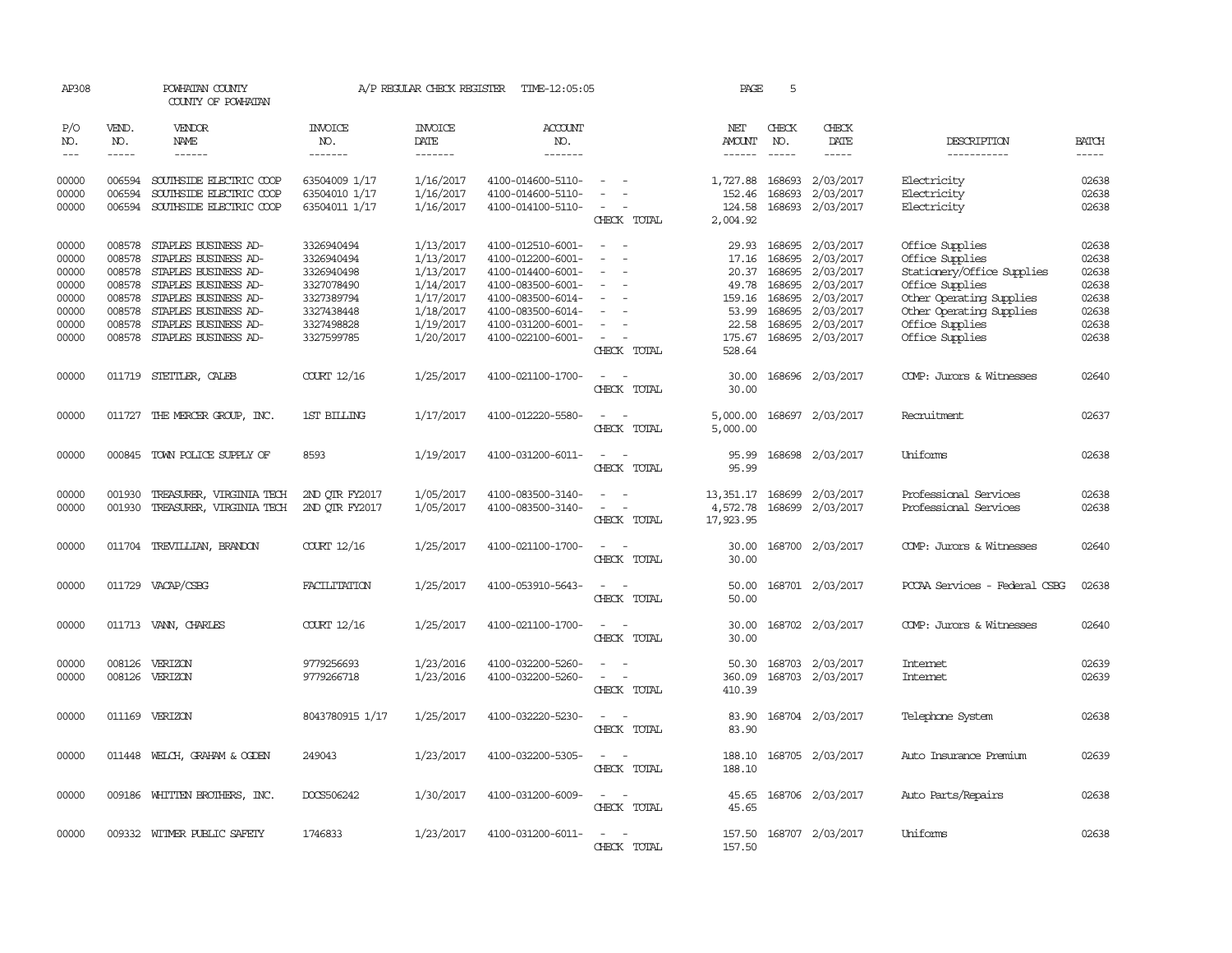| AP308               |                  | POWHATAN COUNTY<br>COUNTY OF POWHATAN               |                                | A/P REGULAR CHECK REGISTER | TIME-12:05:05                          |                                                                | PAGE                 | 5                |                        |                                    |                |
|---------------------|------------------|-----------------------------------------------------|--------------------------------|----------------------------|----------------------------------------|----------------------------------------------------------------|----------------------|------------------|------------------------|------------------------------------|----------------|
| P/O<br>NO.          | VEND.<br>NO.     | VENDOR<br>NAME                                      | <b>INVOICE</b><br>NO.          | <b>INVOICE</b><br>DATE     | <b>ACCOUNT</b><br>NO.                  |                                                                | NET<br>AMOUNT        | CHECK<br>NO.     | CHECK<br>DATE          | DESCRIPTION                        | <b>BATCH</b>   |
| $\qquad \qquad - -$ | $- - - - -$      | $- - - - - -$                                       | -------                        | -------                    | -------                                |                                                                | $- - - - - -$        | $- - - - -$      | -----                  | -----------                        | $- - - - -$    |
| 00000<br>00000      | 006594<br>006594 | SOUTHSIDE ELECTRIC COOP<br>SOUTHSIDE ELECTRIC COOP  | 63504009 1/17<br>63504010 1/17 | 1/16/2017<br>1/16/2017     | 4100-014600-5110-<br>4100-014600-5110- | $\sim$<br>$\overline{\phantom{a}}$<br>$\overline{\phantom{a}}$ | 1,727.88<br>152.46   | 168693<br>168693 | 2/03/2017<br>2/03/2017 | Electricity<br>Electricity         | 02638<br>02638 |
| 00000               | 006594           | SOUTHSIDE ELECTRIC COOP                             | 63504011 1/17                  | 1/16/2017                  | 4100-014100-5110-                      | $\sim$<br>CHECK TOTAL                                          | 124.58<br>2,004.92   | 168693           | 2/03/2017              | Electricity                        | 02638          |
|                     |                  |                                                     |                                |                            |                                        |                                                                |                      |                  |                        |                                    |                |
| 00000<br>00000      | 008578           | 008578 STAPLES BUSINESS AD-<br>STAPLES BUSINESS AD- | 3326940494<br>3326940494       | 1/13/2017<br>1/13/2017     | 4100-012510-6001-<br>4100-012200-6001- | $\sim$                                                         | 29.93<br>17.16       | 168695<br>168695 | 2/03/2017<br>2/03/2017 | Office Supplies<br>Office Supplies | 02638<br>02638 |
| 00000               | 008578           | STAPLES BUSINESS AD-                                | 3326940498                     | 1/13/2017                  | 4100-014400-6001-                      | $\sim$                                                         | 20.37                | 168695           | 2/03/2017              |                                    | 02638          |
|                     | 008578           | STAPLES BUSINESS AD-                                |                                |                            | 4100-083500-6001-                      | $\overline{\phantom{a}}$                                       |                      | 168695           |                        | Stationery/Office Supplies         | 02638          |
| 00000               |                  |                                                     | 3327078490                     | 1/14/2017                  |                                        |                                                                | 49.78                |                  | 2/03/2017              | Office Supplies                    |                |
| 00000               | 008578           | STAPLES BUSINESS AD-                                | 3327389794                     | 1/17/2017                  | 4100-083500-6014-                      |                                                                | 159.16               | 168695           | 2/03/2017              | Other Operating Supplies           | 02638          |
| 00000               | 008578           | STAPLES BUSINESS AD-                                | 3327438448                     | 1/18/2017                  | 4100-083500-6014-                      |                                                                | 53.99                | 168695           | 2/03/2017              | Other Operating Supplies           | 02638          |
| 00000               | 008578           | STAPLES BUSINESS AD-                                | 3327498828                     | 1/19/2017                  | 4100-031200-6001-                      | $\overline{\phantom{a}}$                                       | 22.58                | 168695           | 2/03/2017              | Office Supplies                    | 02638          |
| 00000               | 008578           | STAPLES BUSINESS AD-                                | 3327599785                     | 1/20/2017                  | 4100-022100-6001-                      | $\sim$                                                         | 175.67               | 168695           | 2/03/2017              | Office Supplies                    | 02638          |
|                     |                  |                                                     |                                |                            |                                        | CHECK TOTAL                                                    | 528.64               |                  |                        |                                    |                |
| 00000               |                  | 011719 STETTLER, CALEB                              | COURT 12/16                    | 1/25/2017                  | 4100-021100-1700-                      | $\sim$<br>$\sim$<br>CHECK TOTAL                                | 30.00<br>30.00       |                  | 168696 2/03/2017       | COMP: Jurors & Witnesses           | 02640          |
|                     |                  |                                                     |                                |                            |                                        |                                                                |                      |                  |                        |                                    |                |
| 00000               |                  | 011727 THE MERCER GROUP, INC.                       | 1ST BILLING                    | 1/17/2017                  | 4100-012220-5580-                      | $\overline{\phantom{a}}$<br>$\sim$<br>CHECK TOTAL              | 5,000.00<br>5,000.00 |                  | 168697 2/03/2017       | Recruitment                        | 02637          |
|                     |                  |                                                     |                                |                            |                                        |                                                                |                      |                  |                        |                                    |                |
| 00000               |                  | 000845 TOWN POLICE SUPPLY OF                        | 8593                           | 1/19/2017                  | 4100-031200-6011-                      |                                                                | 95.99                |                  | 168698 2/03/2017       | Uniforms                           | 02638          |
|                     |                  |                                                     |                                |                            |                                        | CHECK TOTAL                                                    | 95.99                |                  |                        |                                    |                |
| 00000               |                  | 001930 TREASURER, VIRGINIA TECH                     | 2ND QTR FY2017                 | 1/05/2017                  | 4100-083500-3140-                      | $\overline{\phantom{a}}$                                       | 13, 351.17 168699    |                  | 2/03/2017              | Professional Services              | 02638          |
| 00000               | 001930           | TREASURER, VIRGINIA TECH                            | 2ND QTR FY2017                 | 1/05/2017                  | 4100-083500-3140-                      | $\sim 100$ km s $^{-1}$                                        | 4,572.78             |                  | 168699 2/03/2017       | Professional Services              | 02638          |
|                     |                  |                                                     |                                |                            |                                        | CHECK TOTAL                                                    | 17,923.95            |                  |                        |                                    |                |
| 00000               |                  | 011704 TREVILLIAN, BRANDON                          | COURT 12/16                    | 1/25/2017                  | 4100-021100-1700-                      | $\overline{a}$<br>$\sim$                                       | 30.00                |                  | 168700 2/03/2017       | COMP: Jurors & Witnesses           | 02640          |
|                     |                  |                                                     |                                |                            |                                        | CHECK TOTAL                                                    | 30.00                |                  |                        |                                    |                |
|                     |                  |                                                     |                                |                            |                                        |                                                                |                      |                  |                        |                                    |                |
| 00000               |                  | 011729 VACAP/CSBG                                   | FACILITATION                   | 1/25/2017                  | 4100-053910-5643-                      | CHECK TOTAL                                                    | 50.00<br>50.00       |                  | 168701 2/03/2017       | PCCAA Services - Federal CSBG      | 02638          |
|                     |                  |                                                     |                                |                            |                                        |                                                                |                      |                  |                        |                                    |                |
| 00000               |                  | 011713 VANN, CHARLES                                | COURT 12/16                    | 1/25/2017                  | 4100-021100-1700-                      | $\sim$<br>$\sim$                                               | 30.00                |                  | 168702 2/03/2017       | COMP: Jurors & Witnesses           | 02640          |
|                     |                  |                                                     |                                |                            |                                        | CHECK TOTAL                                                    | 30.00                |                  |                        |                                    |                |
| 00000               | 008126           | VERIZON                                             | 9779256693                     | 1/23/2016                  | 4100-032200-5260-                      | $\overline{\phantom{a}}$<br>$\sim$                             | 50.30                | 168703           | 2/03/2017              | Internet                           | 02639          |
| 00000               | 008126           | VERIZON                                             | 9779266718                     | 1/23/2016                  | 4100-032200-5260-                      | $\overline{\phantom{a}}$<br>$\overline{\phantom{a}}$           | 360.09               | 168703           | 2/03/2017              | Internet                           | 02639          |
|                     |                  |                                                     |                                |                            |                                        | CHECK TOTAL                                                    | 410.39               |                  |                        |                                    |                |
|                     |                  |                                                     |                                |                            |                                        |                                                                |                      |                  |                        |                                    |                |
| 00000               |                  | 011169 VERIZON                                      | 8043780915 1/17                | 1/25/2017                  | 4100-032220-5230-                      | CHECK TOTAL                                                    | 83.90<br>83.90       |                  | 168704 2/03/2017       | Telephone System                   | 02638          |
|                     |                  |                                                     |                                |                            |                                        |                                                                |                      |                  |                        |                                    |                |
| 00000               |                  | 011448 WELCH, GRAHAM & OGDEN                        | 249043                         | 1/23/2017                  | 4100-032200-5305-                      | $\overline{\phantom{a}}$                                       | 188.10               |                  | 168705 2/03/2017       | Auto Insurance Premium             | 02639          |
|                     |                  |                                                     |                                |                            |                                        | CHECK TOTAL                                                    | 188.10               |                  |                        |                                    |                |
| 00000               |                  | 009186 WHITTEN BROTHERS, INC.                       | DOCS506242                     | 1/30/2017                  | 4100-031200-6009-                      | $\overline{\phantom{a}}$                                       | 45.65                |                  | 168706 2/03/2017       | Auto Parts/Repairs                 | 02638          |
|                     |                  |                                                     |                                |                            |                                        | CHECK TOTAL                                                    | 45.65                |                  |                        |                                    |                |
|                     |                  |                                                     |                                |                            |                                        |                                                                |                      |                  |                        |                                    |                |
| 00000               |                  | 009332 WITMER PUBLIC SAFETY                         | 1746833                        | 1/23/2017                  | 4100-031200-6011-                      | $\sim$                                                         | 157.50               |                  | 168707 2/03/2017       | Uniforms                           | 02638          |
|                     |                  |                                                     |                                |                            |                                        | CHECK TOTAL                                                    | 157.50               |                  |                        |                                    |                |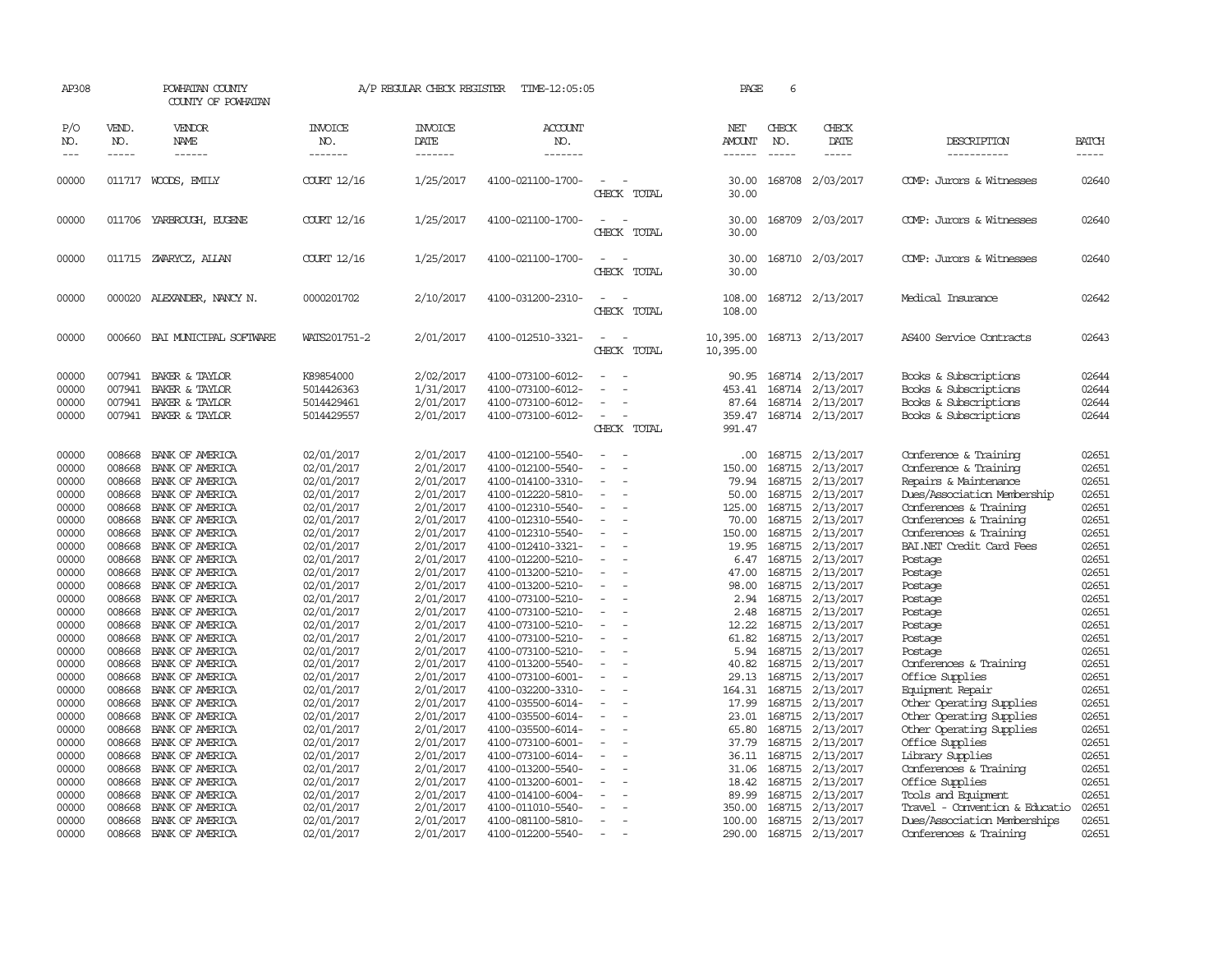| AP308                                     |                                                | POWHATAN COUNTY<br>COUNTY OF POWHATAN                                                         |                                                                    | A/P REGULAR CHECK REGISTER                                    | TIME-12:05:05                                                                                         |                                                                  | PAGE                                         | 6                                    |                                                                       |                                                                                                                                  |                                           |
|-------------------------------------------|------------------------------------------------|-----------------------------------------------------------------------------------------------|--------------------------------------------------------------------|---------------------------------------------------------------|-------------------------------------------------------------------------------------------------------|------------------------------------------------------------------|----------------------------------------------|--------------------------------------|-----------------------------------------------------------------------|----------------------------------------------------------------------------------------------------------------------------------|-------------------------------------------|
| P/O<br>NO.<br>$ -$                        | VEND.<br>NO.<br>$\frac{1}{2}$                  | VENDOR<br>NAME<br>$- - - - - -$                                                               | <b>INVOICE</b><br>NO.<br>-------                                   | <b>INVOICE</b><br>DATE<br>--------                            | <b>ACCOUNT</b><br>NO.<br>-------                                                                      |                                                                  | NET<br>AMOUNT<br>-------                     | CHECK<br>NO.<br>$\frac{1}{2}$        | CHECK<br>DATE<br>$\frac{1}{2}$                                        | DESCRIPTION<br>-----------                                                                                                       | <b>BATCH</b><br>$- - - - -$               |
| 00000                                     |                                                | 011717 WOODS, EMILY                                                                           | COURT 12/16                                                        | 1/25/2017                                                     | 4100-021100-1700-                                                                                     | $\equiv$<br>CHECK TOTAL                                          | 30.00<br>30.00                               |                                      | 168708 2/03/2017                                                      | COMP: Jurors & Witnesses                                                                                                         | 02640                                     |
| 00000                                     |                                                | 011706 YARBROUGH, EUGENE                                                                      | COURT 12/16                                                        | 1/25/2017                                                     | 4100-021100-1700-                                                                                     | $\equiv$<br>CHECK TOTAL                                          | 30.00<br>30.00                               |                                      | 168709 2/03/2017                                                      | COMP: Jurors & Witnesses                                                                                                         | 02640                                     |
| 00000                                     |                                                | 011715 ZWARYCZ, ALLAN                                                                         | COURT 12/16                                                        | 1/25/2017                                                     | 4100-021100-1700-                                                                                     | $\sim$<br>CHECK TOTAL                                            | 30.00<br>30.00                               |                                      | 168710 2/03/2017                                                      | COMP: Jurors & Witnesses                                                                                                         | 02640                                     |
| 00000                                     |                                                | 000020 ALEXANDER, NANCY N.                                                                    | 0000201702                                                         | 2/10/2017                                                     | 4100-031200-2310-                                                                                     | $\sim$<br>CHECK TOTAL                                            | 108.00<br>108.00                             |                                      | 168712 2/13/2017                                                      | Medical Insurance                                                                                                                | 02642                                     |
| 00000                                     | 000660                                         | BAI MUNICIPAL SOFTWARE                                                                        | WATS201751-2                                                       | 2/01/2017                                                     | 4100-012510-3321-                                                                                     | CHECK TOTAL                                                      | 10,395.00<br>10,395.00                       |                                      | 168713 2/13/2017                                                      | AS400 Service Contracts                                                                                                          | 02643                                     |
| 00000<br>00000<br>00000<br>00000          | 007941<br>007941                               | 007941 BAKER & TAYLOR<br>BAKER & TAYLOR<br><b>BAKER &amp; TAYLOR</b><br>007941 BAKER & TAYLOR | K89854000<br>5014426363<br>5014429461<br>5014429557                | 2/02/2017<br>1/31/2017<br>2/01/2017<br>2/01/2017              | 4100-073100-6012-<br>4100-073100-6012-<br>4100-073100-6012-<br>4100-073100-6012-                      | $\equiv$<br>$\overline{\phantom{a}}$<br>CHECK TOTAL              | 90.95<br>453.41<br>87.64<br>359.47<br>991.47 | 168714                               | 168714 2/13/2017<br>2/13/2017<br>168714 2/13/2017<br>168714 2/13/2017 | Books & Subscriptions<br>Books & Subscriptions<br>Books & Subscriptions<br>Books & Subscriptions                                 | 02644<br>02644<br>02644<br>02644          |
| 00000<br>00000<br>00000<br>00000<br>00000 | 008668<br>008668<br>008668<br>008668<br>008668 | BANK OF AMERICA<br>BANK OF AMERICA<br>BANK OF AMERICA<br>BANK OF AMERICA<br>BANK OF AMERICA   | 02/01/2017<br>02/01/2017<br>02/01/2017<br>02/01/2017<br>02/01/2017 | 2/01/2017<br>2/01/2017<br>2/01/2017<br>2/01/2017<br>2/01/2017 | 4100-012100-5540-<br>4100-012100-5540-<br>4100-014100-3310-<br>4100-012220-5810-<br>4100-012310-5540- | $\overline{\phantom{a}}$<br>$\overline{\phantom{a}}$<br>$\equiv$ | .00.<br>150.00<br>79.94<br>50.00<br>125.00   | 168715<br>168715<br>168715<br>168715 | 2/13/2017<br>2/13/2017<br>2/13/2017<br>168715 2/13/2017<br>2/13/2017  | Conference & Training<br>Conference & Training<br>Repairs & Maintenance<br>Dues/Association Membership<br>Conferences & Training | 02651<br>02651<br>02651<br>02651<br>02651 |
| 00000<br>00000<br>00000<br>00000          | 008668<br>008668<br>008668<br>008668           | BANK OF AMERICA<br>BANK OF AMERICA<br>BANK OF AMERICA<br>BANK OF AMERICA                      | 02/01/2017<br>02/01/2017<br>02/01/2017<br>02/01/2017               | 2/01/2017<br>2/01/2017<br>2/01/2017<br>2/01/2017              | 4100-012310-5540-<br>4100-012310-5540-<br>4100-012410-3321-<br>4100-012200-5210-                      | $\sim$<br>$\equiv$                                               | 70.00<br>150.00<br>19.95<br>6.47             | 168715<br>168715<br>168715           | 2/13/2017<br>2/13/2017<br>2/13/2017<br>168715 2/13/2017               | Conferences & Training<br>Conferences & Training<br>BAI.NET Credit Card Fees<br>Postage                                          | 02651<br>02651<br>02651<br>02651          |
| 00000<br>00000<br>00000<br>00000          | 008668<br>008668<br>008668<br>008668           | BANK OF AMERICA<br>BANK OF AMERICA<br>BANK OF AMERICA<br>BANK OF AMERICA                      | 02/01/2017<br>02/01/2017<br>02/01/2017<br>02/01/2017               | 2/01/2017<br>2/01/2017<br>2/01/2017<br>2/01/2017              | 4100-013200-5210-<br>4100-013200-5210-<br>4100-073100-5210-<br>4100-073100-5210-                      | $\sim$<br>$\equiv$<br>$\equiv$                                   | 47.00<br>98.00<br>2.94<br>2.48               | 168715<br>168715<br>168715<br>168715 | 2/13/2017<br>2/13/2017<br>2/13/2017<br>2/13/2017                      | Postage<br>Postage<br>Postage<br>Postage                                                                                         | 02651<br>02651<br>02651<br>02651          |
| 00000<br>00000<br>00000<br>00000          | 008668<br>008668<br>008668<br>008668           | BANK OF AMERICA<br>BANK OF AMERICA<br>BANK OF AMERICA<br>BANK OF AMERICA                      | 02/01/2017<br>02/01/2017<br>02/01/2017<br>02/01/2017               | 2/01/2017<br>2/01/2017<br>2/01/2017<br>2/01/2017              | 4100-073100-5210-<br>4100-073100-5210-<br>4100-073100-5210-<br>4100-013200-5540-                      | $\equiv$<br>$\equiv$<br>$\overline{\phantom{a}}$                 | 12.22<br>61.82<br>5.94<br>40.82              | 168715<br>168715<br>168715           | 2/13/2017<br>2/13/2017<br>168715 2/13/2017<br>2/13/2017               | Postage<br>Postage<br>Postage<br>Conferences & Training                                                                          | 02651<br>02651<br>02651<br>02651          |
| 00000<br>00000<br>00000                   | 008668<br>008668<br>008668                     | BANK OF AMERICA<br>BANK OF AMERICA<br>BANK OF AMERICA                                         | 02/01/2017<br>02/01/2017<br>02/01/2017                             | 2/01/2017<br>2/01/2017<br>2/01/2017                           | 4100-073100-6001-<br>4100-032200-3310-<br>4100-035500-6014-                                           |                                                                  | 29.13<br>164.31<br>17.99                     | 168715<br>168715<br>168715           | 2/13/2017<br>2/13/2017<br>2/13/2017                                   | Office Supplies<br>Equipment Repair<br>Other Operating Supplies                                                                  | 02651<br>02651<br>02651                   |
| 00000<br>00000<br>00000<br>00000          | 008668<br>008668<br>008668<br>008668           | BANK OF AMERICA<br>BANK OF AMERICA<br>BANK OF AMERICA<br>BANK OF AMERICA                      | 02/01/2017<br>02/01/2017<br>02/01/2017<br>02/01/2017               | 2/01/2017<br>2/01/2017<br>2/01/2017<br>2/01/2017              | 4100-035500-6014-<br>4100-035500-6014-<br>4100-073100-6001-<br>4100-073100-6014-                      | $\equiv$<br>$\overline{\phantom{a}}$                             | 23.01<br>65.80<br>37.79<br>36.11             | 168715<br>168715                     | 168715 2/13/2017<br>2/13/2017<br>2/13/2017<br>168715 2/13/2017        | Other Operating Supplies<br>Other Operating Supplies<br>Office Supplies<br>Library Supplies                                      | 02651<br>02651<br>02651<br>02651          |
| 00000<br>00000<br>00000                   | 008668<br>008668<br>008668                     | BANK OF AMERICA<br>BANK OF AMERICA<br>BANK OF AMERICA                                         | 02/01/2017<br>02/01/2017<br>02/01/2017                             | 2/01/2017<br>2/01/2017<br>2/01/2017                           | 4100-013200-5540-<br>4100-013200-6001-<br>4100-014100-6004-                                           |                                                                  | 31.06<br>18.42<br>89.99                      | 168715<br>168715<br>168715           | 2/13/2017<br>2/13/2017<br>2/13/2017                                   | Conferences & Training<br>Office Supplies<br>Tools and Equipment                                                                 | 02651<br>02651<br>02651                   |
| 00000<br>00000<br>00000                   | 008668<br>008668<br>008668                     | BANK OF AMERICA<br>BANK OF AMERICA<br>BANK OF AMERICA                                         | 02/01/2017<br>02/01/2017<br>02/01/2017                             | 2/01/2017<br>2/01/2017<br>2/01/2017                           | 4100-011010-5540-<br>4100-081100-5810-<br>4100-012200-5540-                                           | $\sim$<br>$\sim$                                                 | 350.00<br>100.00<br>290.00                   | 168715<br>168715                     | 2/13/2017<br>2/13/2017<br>168715 2/13/2017                            | Travel - Convention & Educatio<br>Dues/Association Memberships<br>Conferences & Training                                         | 02651<br>02651<br>02651                   |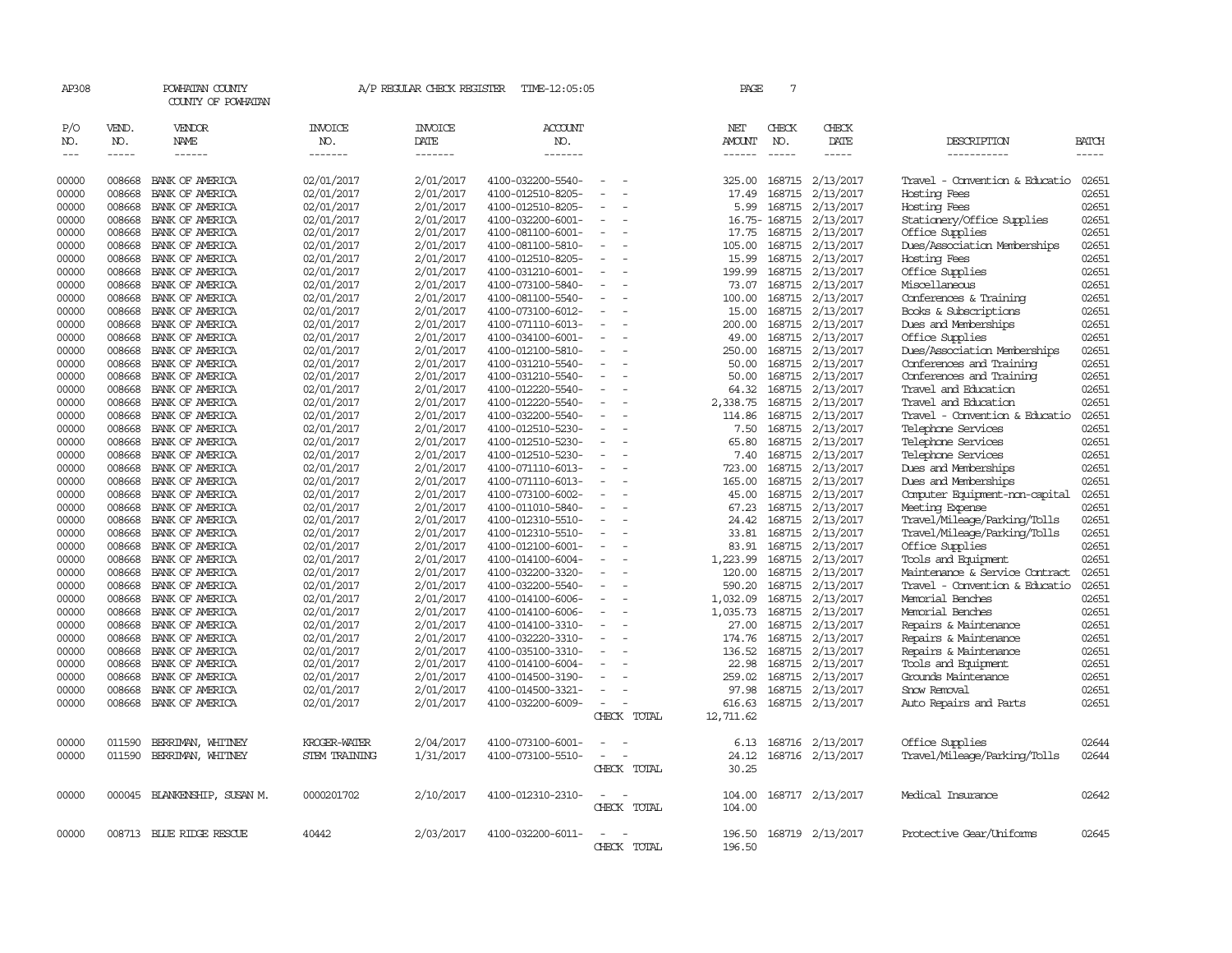| AP308             |              | POWHATAN COUNTY<br>COUNTY OF POWHATAN |                       | A/P REGULAR CHECK REGISTER | TIME-12:05:05     |                          | PAGE             | $\overline{7}$ |                  |                                |              |
|-------------------|--------------|---------------------------------------|-----------------------|----------------------------|-------------------|--------------------------|------------------|----------------|------------------|--------------------------------|--------------|
| P/O<br>NO.        | VEND.<br>NO. | VENDOR<br>NAME                        | <b>INVOICE</b><br>NO. | <b>INVOICE</b><br>DATE     | ACCOUNT<br>NO.    |                          | NET<br>AMOUNT    | CHECK<br>NO.   | CHECK<br>DATE    | DESCRIPTION                    | <b>BATCH</b> |
| $\qquad \qquad -$ | -----        | ------                                | -------               | -------                    | -------           |                          | -------          | $\frac{1}{2}$  | -----            | -----------                    | -----        |
| 00000             | 008668       | BANK OF AMERICA                       | 02/01/2017            | 2/01/2017                  | 4100-032200-5540- | $\equiv$                 | 325.00           |                | 168715 2/13/2017 | Travel - Convention & Educatio | 02651        |
| 00000             | 008668       | BANK OF AMERICA                       | 02/01/2017            | 2/01/2017                  | 4100-012510-8205- |                          | 17.49            | 168715         | 2/13/2017        | Hosting Fees                   | 02651        |
| 00000             | 008668       | BANK OF AMERICA                       | 02/01/2017            | 2/01/2017                  | 4100-012510-8205- |                          | 5.99             |                | 168715 2/13/2017 | Hosting Fees                   | 02651        |
| 00000             | 008668       | BANK OF AMERICA                       | 02/01/2017            | 2/01/2017                  | 4100-032200-6001- | $\overline{\phantom{a}}$ |                  | 16.75-168715   | 2/13/2017        | Stationery/Office Supplies     | 02651        |
| 00000             | 008668       | BANK OF AMERICA                       | 02/01/2017            | 2/01/2017                  | 4100-081100-6001- |                          | 17.75            |                | 168715 2/13/2017 | Office Supplies                | 02651        |
| 00000             | 008668       | BANK OF AMERICA                       | 02/01/2017            | 2/01/2017                  | 4100-081100-5810- | $\sim$                   | 105.00           | 168715         | 2/13/2017        | Dues/Association Memberships   | 02651        |
|                   |              |                                       |                       |                            |                   |                          |                  |                |                  |                                | 02651        |
| 00000             | 008668       | BANK OF AMERICA                       | 02/01/2017            | 2/01/2017                  | 4100-012510-8205- |                          | 15.99            |                | 168715 2/13/2017 | Hosting Fees                   |              |
| 00000             | 008668       | BANK OF AMERICA                       | 02/01/2017            | 2/01/2017                  | 4100-031210-6001- | $\sim$                   | 199.99           |                | 168715 2/13/2017 | Office Supplies                | 02651        |
| 00000             | 008668       | BANK OF AMERICA                       | 02/01/2017            | 2/01/2017                  | 4100-073100-5840- | $\sim$                   | 73.07            | 168715         | 2/13/2017        | Miscellaneous                  | 02651        |
| 00000             | 008668       | BANK OF AMERICA                       | 02/01/2017            | 2/01/2017                  | 4100-081100-5540- |                          | 100.00           |                | 168715 2/13/2017 | Conferences & Training         | 02651        |
| 00000             | 008668       | BANK OF AMERICA                       | 02/01/2017            | 2/01/2017                  | 4100-073100-6012- | $\overline{\phantom{a}}$ | 15.00            |                | 168715 2/13/2017 | Books & Subscriptions          | 02651        |
| 00000             | 008668       | BANK OF AMERICA                       | 02/01/2017            | 2/01/2017                  | 4100-071110-6013- | $\overline{\phantom{a}}$ | 200.00           |                | 168715 2/13/2017 | Dues and Memberships           | 02651        |
| 00000             | 008668       | BANK OF AMERICA                       | 02/01/2017            | 2/01/2017                  | 4100-034100-6001- | $\equiv$                 | 49.00            |                | 168715 2/13/2017 | Office Supplies                | 02651        |
| 00000             | 008668       | BANK OF AMERICA                       | 02/01/2017            | 2/01/2017                  | 4100-012100-5810- |                          | 250.00           |                | 168715 2/13/2017 | Dues/Association Memberships   | 02651        |
| 00000             | 008668       | BANK OF AMERICA                       | 02/01/2017            | 2/01/2017                  | 4100-031210-5540- | $\equiv$                 | 50.00            |                | 168715 2/13/2017 | Conferences and Training       | 02651        |
| 00000             | 008668       | BANK OF AMERICA                       | 02/01/2017            | 2/01/2017                  | 4100-031210-5540- | $\equiv$                 | 50.00            |                | 168715 2/13/2017 | Conferences and Training       | 02651        |
| 00000             | 008668       | BANK OF AMERICA                       | 02/01/2017            | 2/01/2017                  | 4100-012220-5540- | $\equiv$                 | 64.32            | 168715         | 2/13/2017        | Travel and Education           | 02651        |
| 00000             | 008668       | BANK OF AMERICA                       | 02/01/2017            | 2/01/2017                  | 4100-012220-5540- |                          | 2,338.75         |                | 168715 2/13/2017 | Travel and Education           | 02651        |
| 00000             | 008668       | BANK OF AMERICA                       | 02/01/2017            | 2/01/2017                  | 4100-032200-5540- | $\equiv$                 | 114.86           |                | 168715 2/13/2017 | Travel - Convention & Educatio | 02651        |
| 00000             | 008668       | BANK OF AMERICA                       | 02/01/2017            | 2/01/2017                  | 4100-012510-5230- | $\sim$                   | 7.50             | 168715         | 2/13/2017        | Telephone Services             | 02651        |
| 00000             | 008668       | BANK OF AMERICA                       | 02/01/2017            | 2/01/2017                  | 4100-012510-5230- | $\sim$                   | 65.80            |                | 168715 2/13/2017 | Telephone Services             | 02651        |
| 00000             | 008668       | BANK OF AMERICA                       | 02/01/2017            | 2/01/2017                  | 4100-012510-5230- | $\equiv$                 | 7.40             |                | 168715 2/13/2017 | Telephone Services             | 02651        |
| 00000             | 008668       | BANK OF AMERICA                       | 02/01/2017            | 2/01/2017                  | 4100-071110-6013- | $\overline{\phantom{a}}$ | 723.00           |                | 168715 2/13/2017 | Dues and Memberships           | 02651        |
| 00000             | 008668       | BANK OF AMERICA                       | 02/01/2017            | 2/01/2017                  | 4100-071110-6013- |                          | 165.00           | 168715         | 2/13/2017        | Dues and Memberships           | 02651        |
| 00000             | 008668       | BANK OF AMERICA                       | 02/01/2017            | 2/01/2017                  | 4100-073100-6002- |                          | 45.00            |                | 168715 2/13/2017 | Computer Equipment-non-capital | 02651        |
| 00000             | 008668       | BANK OF AMERICA                       | 02/01/2017            | 2/01/2017                  | 4100-011010-5840- | $\overline{\phantom{a}}$ | 67.23            |                | 168715 2/13/2017 | Meeting Expense                | 02651        |
| 00000             | 008668       | BANK OF AMERICA                       | 02/01/2017            | 2/01/2017                  | 4100-012310-5510- | $\sim$                   | 24.42            |                | 168715 2/13/2017 | Travel/Mileage/Parking/Tolls   | 02651        |
| 00000             | 008668       | BANK OF AMERICA                       | 02/01/2017            | 2/01/2017                  | 4100-012310-5510- | $\equiv$                 | 33.81            | 168715         | 2/13/2017        | Travel/Mileage/Parking/Tolls   | 02651        |
| 00000             | 008668       | BANK OF AMERICA                       | 02/01/2017            | 2/01/2017                  | 4100-012100-6001- |                          | 83.91            |                | 168715 2/13/2017 | Office Supplies                | 02651        |
| 00000             | 008668       | BANK OF AMERICA                       | 02/01/2017            | 2/01/2017                  | 4100-014100-6004- | $\overline{\phantom{a}}$ | 1,223.99         |                | 168715 2/13/2017 | Tools and Equipment            | 02651        |
| 00000             | 008668       | BANK OF AMERICA                       | 02/01/2017            | 2/01/2017                  | 4100-032200-3320- | $\overline{\phantom{a}}$ | 120.00           | 168715         | 2/13/2017        | Maintenance & Service Contract | 02651        |
| 00000             | 008668       | BANK OF AMERICA                       | 02/01/2017            | 2/01/2017                  | 4100-032200-5540- |                          | 590.20           | 168715         | 2/13/2017        | Travel - Convention & Educatio | 02651        |
| 00000             | 008668       | BANK OF AMERICA                       | 02/01/2017            | 2/01/2017                  | 4100-014100-6006- | $\equiv$                 | 1,032.09         | 168715         | 2/13/2017        | Memorial Benches               | 02651        |
| 00000             | 008668       | BANK OF AMERICA                       | 02/01/2017            | 2/01/2017                  | 4100-014100-6006- | $\equiv$                 | 1,035.73         |                | 168715 2/13/2017 | Memorial Benches               | 02651        |
| 00000             | 008668       | BANK OF AMERICA                       | 02/01/2017            | 2/01/2017                  | 4100-014100-3310- | $\overline{\phantom{a}}$ | 27.00            | 168715         | 2/13/2017        | Repairs & Maintenance          | 02651        |
| 00000             | 008668       | BANK OF AMERICA                       | 02/01/2017            | 2/01/2017                  | 4100-032220-3310- |                          | 174.76           |                | 168715 2/13/2017 | Repairs & Maintenance          | 02651        |
| 00000             | 008668       | BANK OF AMERICA                       | 02/01/2017            | 2/01/2017                  | 4100-035100-3310- | $\sim$                   | 136.52           |                | 168715 2/13/2017 | Repairs & Maintenance          | 02651        |
| 00000             | 008668       | BANK OF AMERICA                       | 02/01/2017            | 2/01/2017                  | 4100-014100-6004- |                          | 22.98            |                | 168715 2/13/2017 | Tools and Equipment            | 02651        |
| 00000             | 008668       | BANK OF AMERICA                       | 02/01/2017            | 2/01/2017                  | 4100-014500-3190- | $\equiv$                 | 259.02           | 168715         | 2/13/2017        | Grounds Maintenance            | 02651        |
| 00000             | 008668       | BANK OF AMERICA                       | 02/01/2017            | 2/01/2017                  | 4100-014500-3321- |                          | 97.98            |                | 168715 2/13/2017 | Snow Removal                   | 02651        |
|                   |              |                                       |                       |                            |                   | $\equiv$                 |                  |                |                  |                                | 02651        |
| 00000             | 008668       | BANK OF AMERICA                       | 02/01/2017            | 2/01/2017                  | 4100-032200-6009- |                          | 616.63           |                | 168715 2/13/2017 | Auto Repairs and Parts         |              |
|                   |              |                                       |                       |                            |                   | CHECK TOTAL              | 12,711.62        |                |                  |                                |              |
| 00000             | 011590       | BERRIMAN, WHITNEY                     | KROGER-WATER          | 2/04/2017                  | 4100-073100-6001- |                          | 6.13             |                | 168716 2/13/2017 | Office Supplies                | 02644        |
| 00000             | 011590       | BERRIMAN, WHITNEY                     | <b>STEM TRAINING</b>  | 1/31/2017                  | 4100-073100-5510- | $\equiv$                 | 24.12            |                | 168716 2/13/2017 | Travel/Mileage/Parking/Tolls   | 02644        |
|                   |              |                                       |                       |                            |                   | CHECK TOTAL              | 30.25            |                |                  |                                |              |
|                   |              |                                       |                       |                            |                   |                          |                  |                |                  |                                |              |
| 00000             |              | 000045 BLANKENSHIP, SUSAN M.          | 0000201702            | 2/10/2017                  | 4100-012310-2310- | $\equiv$<br>CHECK TOTAL  | 104.00<br>104.00 |                | 168717 2/13/2017 | Medical Insurance              | 02642        |
|                   |              |                                       |                       |                            |                   |                          |                  |                |                  |                                |              |
| 00000             |              | 008713 BLUE RIDGE RESCUE              | 40442                 | 2/03/2017                  | 4100-032200-6011- |                          | 196.50           |                | 168719 2/13/2017 | Protective Gear/Uniforms       | 02645        |
|                   |              |                                       |                       |                            |                   | CHECK TOTAL              | 196.50           |                |                  |                                |              |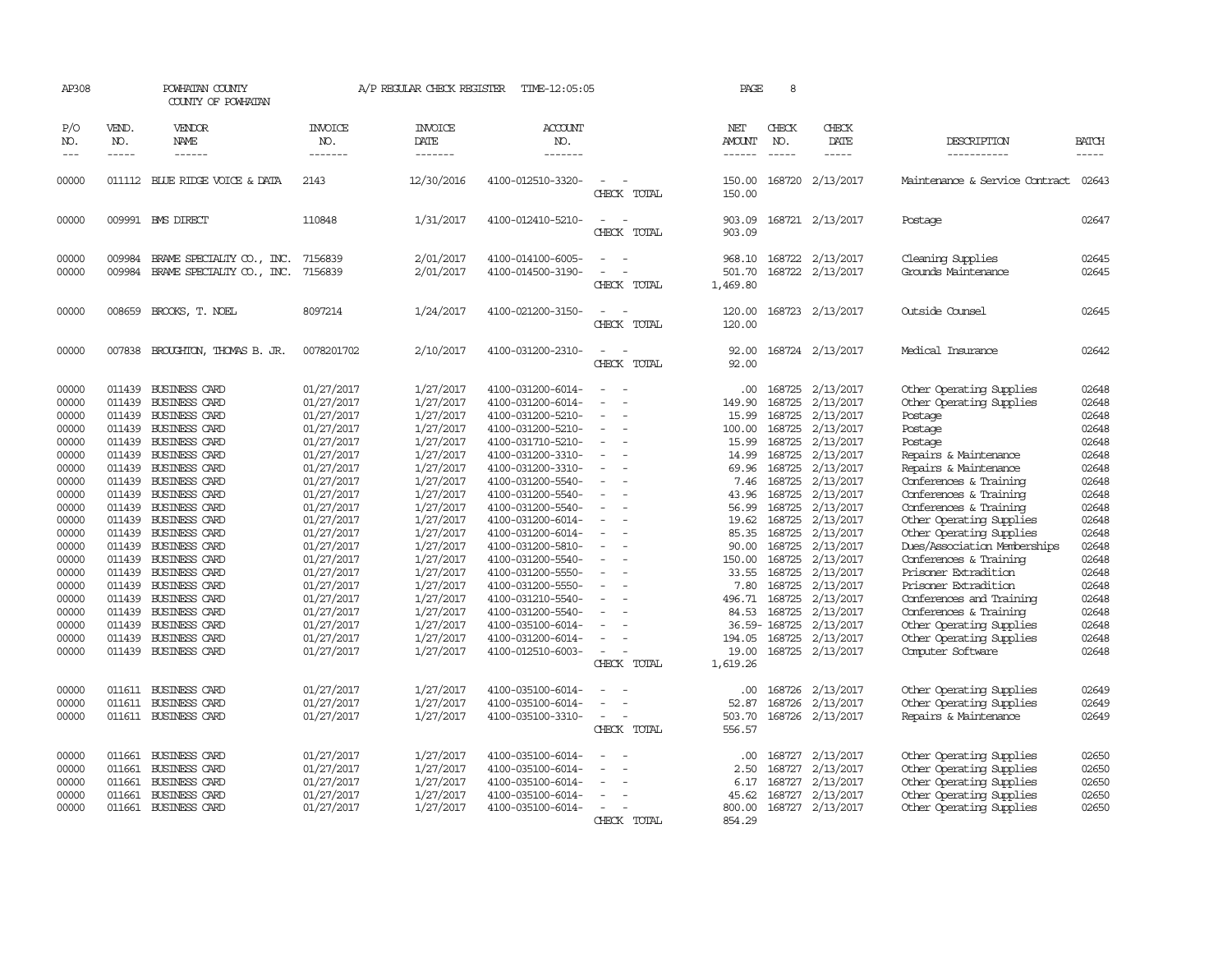| AP308                                                                                                                                                                                     |                                                          | POWHATAN COUNTY<br>COUNTY OF POWHATAN                                                                                                                                                                                                                                                                                                                                                                                                                                                                         |                                                                                                                                                                                                                                                                                                    | A/P REGULAR CHECK REGISTER                                                                                                                                                                                                                                                    | TIME-12:05:05                                                                                                                                                                                                                                                                                                                                                                                                                                         |                                                                   | PAGE                                                                                                                                                                                                          | 8                                                                                                                                                                                                          |                                                                                                                                                                                                                                                                               |                                                                                                                                                                                                                                                                                                                                                                                                                                                                                                                            |                                                                                                                                                                                           |
|-------------------------------------------------------------------------------------------------------------------------------------------------------------------------------------------|----------------------------------------------------------|---------------------------------------------------------------------------------------------------------------------------------------------------------------------------------------------------------------------------------------------------------------------------------------------------------------------------------------------------------------------------------------------------------------------------------------------------------------------------------------------------------------|----------------------------------------------------------------------------------------------------------------------------------------------------------------------------------------------------------------------------------------------------------------------------------------------------|-------------------------------------------------------------------------------------------------------------------------------------------------------------------------------------------------------------------------------------------------------------------------------|-------------------------------------------------------------------------------------------------------------------------------------------------------------------------------------------------------------------------------------------------------------------------------------------------------------------------------------------------------------------------------------------------------------------------------------------------------|-------------------------------------------------------------------|---------------------------------------------------------------------------------------------------------------------------------------------------------------------------------------------------------------|------------------------------------------------------------------------------------------------------------------------------------------------------------------------------------------------------------|-------------------------------------------------------------------------------------------------------------------------------------------------------------------------------------------------------------------------------------------------------------------------------|----------------------------------------------------------------------------------------------------------------------------------------------------------------------------------------------------------------------------------------------------------------------------------------------------------------------------------------------------------------------------------------------------------------------------------------------------------------------------------------------------------------------------|-------------------------------------------------------------------------------------------------------------------------------------------------------------------------------------------|
| P/O<br>NO.<br>$---$                                                                                                                                                                       | VEND.<br>NO.<br>$- - - - -$                              | <b>VENDOR</b><br>NAME<br>------                                                                                                                                                                                                                                                                                                                                                                                                                                                                               | <b>INVOICE</b><br>NO.<br>-------                                                                                                                                                                                                                                                                   | <b>INVOICE</b><br><b>DATE</b><br>-------                                                                                                                                                                                                                                      | <b>ACCOUNT</b><br>NO.<br>-------                                                                                                                                                                                                                                                                                                                                                                                                                      |                                                                   | NET<br>AMOUNT<br>------                                                                                                                                                                                       | CHECK<br>NO.<br>$\frac{1}{2}$                                                                                                                                                                              | CHECK<br>DATE<br>-----                                                                                                                                                                                                                                                        | DESCRIPTION<br>-----------                                                                                                                                                                                                                                                                                                                                                                                                                                                                                                 | <b>BATCH</b><br>-----                                                                                                                                                                     |
| 00000                                                                                                                                                                                     |                                                          | 011112 BLUE RIDGE VOICE & DATA                                                                                                                                                                                                                                                                                                                                                                                                                                                                                | 2143                                                                                                                                                                                                                                                                                               | 12/30/2016                                                                                                                                                                                                                                                                    | 4100-012510-3320-                                                                                                                                                                                                                                                                                                                                                                                                                                     | CHECK TOTAL                                                       | 150.00<br>150.00                                                                                                                                                                                              |                                                                                                                                                                                                            | 168720 2/13/2017                                                                                                                                                                                                                                                              | Maintenance & Service Contract 02643                                                                                                                                                                                                                                                                                                                                                                                                                                                                                       |                                                                                                                                                                                           |
| 00000                                                                                                                                                                                     |                                                          | 009991 BMS DIRECT                                                                                                                                                                                                                                                                                                                                                                                                                                                                                             | 110848                                                                                                                                                                                                                                                                                             | 1/31/2017                                                                                                                                                                                                                                                                     | 4100-012410-5210-                                                                                                                                                                                                                                                                                                                                                                                                                                     | CHECK TOTAL                                                       | 903.09<br>903.09                                                                                                                                                                                              |                                                                                                                                                                                                            | 168721 2/13/2017                                                                                                                                                                                                                                                              | Postage                                                                                                                                                                                                                                                                                                                                                                                                                                                                                                                    | 02647                                                                                                                                                                                     |
| 00000<br>00000                                                                                                                                                                            | 009984<br>009984                                         | BRAME SPECIALITY CO., INC.<br>BRAME SPECIALITY CO., INC.                                                                                                                                                                                                                                                                                                                                                                                                                                                      | 7156839<br>7156839                                                                                                                                                                                                                                                                                 | 2/01/2017<br>2/01/2017                                                                                                                                                                                                                                                        | 4100-014100-6005-<br>4100-014500-3190-                                                                                                                                                                                                                                                                                                                                                                                                                | CHECK TOTAL                                                       | 968.10<br>501.70<br>1,469.80                                                                                                                                                                                  |                                                                                                                                                                                                            | 168722 2/13/2017<br>168722 2/13/2017                                                                                                                                                                                                                                          | Cleaning Supplies<br>Grounds Maintenance                                                                                                                                                                                                                                                                                                                                                                                                                                                                                   | 02645<br>02645                                                                                                                                                                            |
| 00000                                                                                                                                                                                     | 008659                                                   | BROOKS, T. NOEL                                                                                                                                                                                                                                                                                                                                                                                                                                                                                               | 8097214                                                                                                                                                                                                                                                                                            | 1/24/2017                                                                                                                                                                                                                                                                     | 4100-021200-3150-                                                                                                                                                                                                                                                                                                                                                                                                                                     | CHECK TOTAL                                                       | 120.00<br>120.00                                                                                                                                                                                              |                                                                                                                                                                                                            | 168723 2/13/2017                                                                                                                                                                                                                                                              | Outside Counsel                                                                                                                                                                                                                                                                                                                                                                                                                                                                                                            | 02645                                                                                                                                                                                     |
| 00000                                                                                                                                                                                     | 007838                                                   | BROUGHTON, THOMAS B. JR.                                                                                                                                                                                                                                                                                                                                                                                                                                                                                      | 0078201702                                                                                                                                                                                                                                                                                         | 2/10/2017                                                                                                                                                                                                                                                                     | 4100-031200-2310-                                                                                                                                                                                                                                                                                                                                                                                                                                     | CHECK TOTAL                                                       | 92.00<br>92.00                                                                                                                                                                                                |                                                                                                                                                                                                            | 168724 2/13/2017                                                                                                                                                                                                                                                              | Medical Insurance                                                                                                                                                                                                                                                                                                                                                                                                                                                                                                          | 02642                                                                                                                                                                                     |
| 00000<br>00000<br>00000<br>00000<br>00000<br>00000<br>00000<br>00000<br>00000<br>00000<br>00000<br>00000<br>00000<br>00000<br>00000<br>00000<br>00000<br>00000<br>00000<br>00000<br>00000 | 011439<br>011439<br>011439<br>011439<br>011439<br>011439 | <b>BUSINESS CARD</b><br><b>BUSINESS CARD</b><br>011439 BUSINESS CARD<br>011439 BUSINESS CARD<br>011439 BUSINESS CARD<br>011439 BUSINESS CARD<br>011439 BUSINESS CARD<br>011439 BUSINESS CARD<br>011439 BUSINESS CARD<br><b>BUSINESS CARD</b><br>011439 BUSINESS CARD<br>011439 BUSINESS CARD<br>011439 BUSINESS CARD<br>011439 BUSINESS CARD<br><b>BUSINESS CARD</b><br>011439 BUSINESS CARD<br>011439 BUSINESS CARD<br><b>BUSINESS CARD</b><br>011439 BUSINESS CARD<br>BUSINESS CARD<br>011439 BUSINESS CARD | 01/27/2017<br>01/27/2017<br>01/27/2017<br>01/27/2017<br>01/27/2017<br>01/27/2017<br>01/27/2017<br>01/27/2017<br>01/27/2017<br>01/27/2017<br>01/27/2017<br>01/27/2017<br>01/27/2017<br>01/27/2017<br>01/27/2017<br>01/27/2017<br>01/27/2017<br>01/27/2017<br>01/27/2017<br>01/27/2017<br>01/27/2017 | 1/27/2017<br>1/27/2017<br>1/27/2017<br>1/27/2017<br>1/27/2017<br>1/27/2017<br>1/27/2017<br>1/27/2017<br>1/27/2017<br>1/27/2017<br>1/27/2017<br>1/27/2017<br>1/27/2017<br>1/27/2017<br>1/27/2017<br>1/27/2017<br>1/27/2017<br>1/27/2017<br>1/27/2017<br>1/27/2017<br>1/27/2017 | 4100-031200-6014-<br>4100-031200-6014-<br>4100-031200-5210-<br>4100-031200-5210-<br>4100-031710-5210-<br>4100-031200-3310-<br>4100-031200-3310-<br>4100-031200-5540-<br>4100-031200-5540-<br>4100-031200-5540-<br>4100-031200-6014-<br>4100-031200-6014-<br>4100-031200-5810-<br>4100-031200-5540-<br>4100-031200-5550-<br>4100-031200-5550-<br>4100-031210-5540-<br>4100-031200-5540-<br>4100-035100-6014-<br>4100-031200-6014-<br>4100-012510-6003- | $\sim$<br>$\equiv$<br>$\equiv$<br>$\sim$<br>$\sim$<br>CHECK TOTAL | $.00 \times$<br>149.90<br>15.99<br>100.00<br>15.99<br>14.99<br>69.96<br>7.46<br>43.96<br>56.99<br>19.62<br>85.35<br>90.00<br>150.00<br>33.55<br>7.80<br>496.71 168725<br>84.53<br>194.05<br>19.00<br>1,619.26 | 168725<br>168725<br>168725<br>168725<br>168725<br>168725<br>168725<br>168725<br>168725<br>168725<br>168725<br>168725<br>168725<br>168725<br>168725<br>168725<br>168725<br>36.59-168725<br>168725<br>168725 | 2/13/2017<br>2/13/2017<br>2/13/2017<br>2/13/2017<br>2/13/2017<br>2/13/2017<br>2/13/2017<br>2/13/2017<br>2/13/2017<br>2/13/2017<br>2/13/2017<br>2/13/2017<br>2/13/2017<br>2/13/2017<br>2/13/2017<br>2/13/2017<br>2/13/2017<br>2/13/2017<br>2/13/2017<br>2/13/2017<br>2/13/2017 | Other Operating Supplies<br>Other Operating Supplies<br>Postage<br>Postage<br>Postage<br>Repairs & Maintenance<br>Repairs & Maintenance<br>Conferences & Training<br>Conferences & Training<br>Conferences & Training<br>Other Operating Supplies<br>Other Operating Supplies<br>Dues/Association Memberships<br>Conferences & Training<br>Prisoner Extradition<br>Prisoner Extradition<br>Conferences and Training<br>Conferences & Training<br>Other Operating Supplies<br>Other Operating Supplies<br>Computer Software | 02648<br>02648<br>02648<br>02648<br>02648<br>02648<br>02648<br>02648<br>02648<br>02648<br>02648<br>02648<br>02648<br>02648<br>02648<br>02648<br>02648<br>02648<br>02648<br>02648<br>02648 |
| 00000<br>00000<br>00000<br>00000<br>00000<br>00000<br>00000<br>00000                                                                                                                      | 011661<br>011661<br>011661                               | 011611 BUSINESS CARD<br>011611 BUSINESS CARD<br>011611 BUSINESS CARD<br>BUSINESS CARD<br>BUSINESS CARD<br>011661 BUSINESS CARD<br><b>BUSINESS CARD</b><br>011661 BUSINESS CARD                                                                                                                                                                                                                                                                                                                                | 01/27/2017<br>01/27/2017<br>01/27/2017<br>01/27/2017<br>01/27/2017<br>01/27/2017<br>01/27/2017<br>01/27/2017                                                                                                                                                                                       | 1/27/2017<br>1/27/2017<br>1/27/2017<br>1/27/2017<br>1/27/2017<br>1/27/2017<br>1/27/2017<br>1/27/2017                                                                                                                                                                          | 4100-035100-6014-<br>4100-035100-6014-<br>4100-035100-3310-<br>4100-035100-6014-<br>4100-035100-6014-<br>4100-035100-6014-<br>4100-035100-6014-<br>4100-035100-6014-                                                                                                                                                                                                                                                                                  | $\sim$<br>CHECK TOTAL<br>CHECK TOTAL                              | .00.<br>52.87<br>503.70<br>556.57<br>.00.<br>2.50<br>6.17<br>45.62<br>800.00<br>854.29                                                                                                                        | 168726<br>168726<br>168727<br>168727<br>168727<br>168727                                                                                                                                                   | 2/13/2017<br>2/13/2017<br>168726 2/13/2017<br>2/13/2017<br>2/13/2017<br>2/13/2017<br>2/13/2017<br>168727 2/13/2017                                                                                                                                                            | Other Operating Supplies<br>Other Operating Supplies<br>Repairs & Maintenance<br>Other Operating Supplies<br>Other Operating Supplies<br>Other Operating Supplies<br>Other Operating Supplies<br>Other Operating Supplies                                                                                                                                                                                                                                                                                                  | 02649<br>02649<br>02649<br>02650<br>02650<br>02650<br>02650<br>02650                                                                                                                      |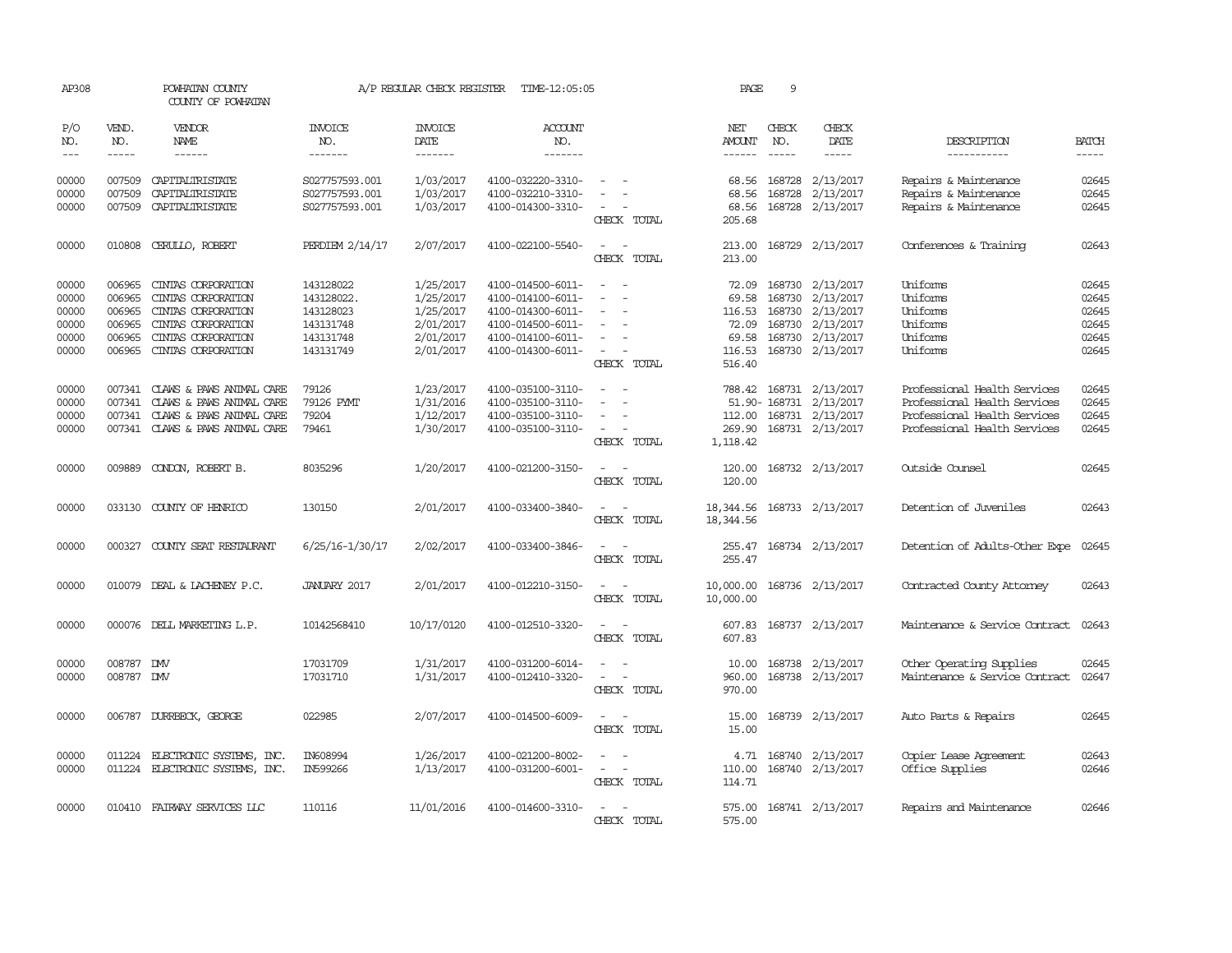| AP308                                              |                                                          | POWHATAN COUNTY<br>COUNTY OF POWHATAN                                                                                            |                                                                             | A/P REGULAR CHECK REGISTER                                                 | TIME-12:05:05                                                                                                              |                                                     | PAGE                                                           | 9                           |                                                                                                        |                                                                                                                              |                                                    |
|----------------------------------------------------|----------------------------------------------------------|----------------------------------------------------------------------------------------------------------------------------------|-----------------------------------------------------------------------------|----------------------------------------------------------------------------|----------------------------------------------------------------------------------------------------------------------------|-----------------------------------------------------|----------------------------------------------------------------|-----------------------------|--------------------------------------------------------------------------------------------------------|------------------------------------------------------------------------------------------------------------------------------|----------------------------------------------------|
| P/O<br>NO.<br>$- - -$                              | VEND.<br>NO.<br>$\frac{1}{2}$                            | VENDOR<br><b>NAME</b><br>------                                                                                                  | INVOICE<br>NO.<br>-------                                                   | <b>INVOICE</b><br>DATE<br>-------                                          | <b>ACCOUNT</b><br>NO.<br>-------                                                                                           |                                                     | NET<br>AMOUNT<br>$- - - - - -$                                 | CHECK<br>NO.<br>$- - - - -$ | CHECK<br>DATE<br>$- - - - -$                                                                           | DESCRIPTION<br>-----------                                                                                                   | <b>BATCH</b><br>-----                              |
| 00000<br>00000<br>00000                            | 007509<br>007509<br>007509                               | CAPITALIRISTATE<br>CAPITALIRISTATE<br>CAPITALIRISTATE                                                                            | S027757593.001<br>S027757593.001<br>S027757593.001                          | 1/03/2017<br>1/03/2017<br>1/03/2017                                        | 4100-032220-3310-<br>4100-032210-3310-<br>4100-014300-3310-                                                                | $\equiv$<br>CHECK TOTAL                             | 68.56<br>68.56<br>68.56<br>205.68                              | 168728<br>168728            | 2/13/2017<br>2/13/2017<br>168728 2/13/2017                                                             | Repairs & Maintenance<br>Repairs & Maintenance<br>Repairs & Maintenance                                                      | 02645<br>02645<br>02645                            |
| 00000                                              | 010808                                                   | CERULLO, ROBERT                                                                                                                  | PERDIEM 2/14/17                                                             | 2/07/2017                                                                  | 4100-022100-5540-                                                                                                          | $\overline{\phantom{a}}$<br>CHECK TOTAL             | 213.00<br>213.00                                               |                             | 168729 2/13/2017                                                                                       | Conferences & Training                                                                                                       | 02643                                              |
| 00000<br>00000<br>00000<br>00000<br>00000<br>00000 | 006965<br>006965<br>006965<br>006965<br>006965<br>006965 | CINIAS CORPORATION<br>CINIAS CORPORATION<br>CINIAS CORPORATION<br>CINIAS CORPORATION<br>CINIAS CORPORATION<br>CINIAS CORPORATION | 143128022<br>143128022.<br>143128023<br>143131748<br>143131748<br>143131749 | 1/25/2017<br>1/25/2017<br>1/25/2017<br>2/01/2017<br>2/01/2017<br>2/01/2017 | 4100-014500-6011-<br>4100-014100-6011-<br>4100-014300-6011-<br>4100-014500-6011-<br>4100-014100-6011-<br>4100-014300-6011- | $\sim$<br>$\overline{a}$<br>$\equiv$<br>CHECK TOTAL | 72.09<br>69.58<br>116.53<br>72.09<br>69.58<br>116.53<br>516.40 | 168730<br>168730            | 168730 2/13/2017<br>168730 2/13/2017<br>2/13/2017<br>2/13/2017<br>168730 2/13/2017<br>168730 2/13/2017 | Uniforms<br>Uniforms<br>Uniforms<br>Uniforms<br>Uniforms<br>Uniforms                                                         | 02645<br>02645<br>02645<br>02645<br>02645<br>02645 |
| 00000<br>00000<br>00000<br>00000                   | 007341<br>007341<br>007341                               | CLAWS & PAWS ANIMAL CARE<br>CLAWS & PAWS ANIMAL CARE<br>CLAWS & PAWS ANIMAL CARE<br>007341 CLAWS & PAWS ANIMAL CARE              | 79126<br>79126 PMT<br>79204<br>79461                                        | 1/23/2017<br>1/31/2016<br>1/12/2017<br>1/30/2017                           | 4100-035100-3110-<br>4100-035100-3110-<br>4100-035100-3110-<br>4100-035100-3110-                                           | $\overline{\phantom{a}}$<br>CHECK TOTAL             | 788.42<br>112.00<br>269.90<br>1,118.42                         |                             | 168731 2/13/2017<br>51.90-168731 2/13/2017<br>168731 2/13/2017<br>168731 2/13/2017                     | Professional Health Services<br>Professional Health Services<br>Professional Health Services<br>Professional Health Services | 02645<br>02645<br>02645<br>02645                   |
| 00000                                              | 009889                                                   | CONDON, ROBERT B.                                                                                                                | 8035296                                                                     | 1/20/2017                                                                  | 4100-021200-3150-                                                                                                          | $\sim$ 100 $\mu$<br>CHECK TOTAL                     | 120.00<br>120.00                                               |                             | 168732 2/13/2017                                                                                       | Outside Counsel                                                                                                              | 02645                                              |
| 00000                                              |                                                          | 033130 COUNTY OF HENRICO                                                                                                         | 130150                                                                      | 2/01/2017                                                                  | 4100-033400-3840-                                                                                                          | CHECK TOTAL                                         | 18,344.56<br>18,344.56                                         |                             | 168733 2/13/2017                                                                                       | Detention of Juveniles                                                                                                       | 02643                                              |
| 00000                                              | 000327                                                   | COUNTY SEAT RESTAURANT                                                                                                           | 6/25/16-1/30/17                                                             | 2/02/2017                                                                  | 4100-033400-3846-                                                                                                          | CHECK TOTAL                                         | 255.47<br>255.47                                               |                             | 168734 2/13/2017                                                                                       | Detention of Adults-Other Expe                                                                                               | 02645                                              |
| 00000                                              |                                                          | 010079 DEAL & LACHENEY P.C.                                                                                                      | JANUARY 2017                                                                | 2/01/2017                                                                  | 4100-012210-3150-                                                                                                          | CHECK TOTAL                                         | 10,000.00<br>10,000.00                                         |                             | 168736 2/13/2017                                                                                       | Contracted County Attomey                                                                                                    | 02643                                              |
| 00000                                              |                                                          | 000076 DELL MARKETING L.P.                                                                                                       | 10142568410                                                                 | 10/17/0120                                                                 | 4100-012510-3320-                                                                                                          | CHECK TOTAL                                         | 607.83<br>607.83                                               |                             | 168737 2/13/2017                                                                                       | Maintenance & Service Contract                                                                                               | 02643                                              |
| 00000<br>00000                                     | 008787<br>008787 DMV                                     | <b>DMV</b>                                                                                                                       | 17031709<br>17031710                                                        | 1/31/2017<br>1/31/2017                                                     | 4100-031200-6014-<br>4100-012410-3320-                                                                                     | $\overline{\phantom{a}}$<br>CHECK TOTAL             | 10.00<br>960.00<br>970.00                                      |                             | 168738 2/13/2017<br>168738 2/13/2017                                                                   | Other Operating Supplies<br>Maintenance & Service Contract                                                                   | 02645<br>02647                                     |
| 00000                                              |                                                          | 006787 DURRBECK, GEORGE                                                                                                          | 022985                                                                      | 2/07/2017                                                                  | 4100-014500-6009-                                                                                                          | $\sim$ $\sim$<br>CHECK TOTAL                        | 15.00<br>15.00                                                 |                             | 168739 2/13/2017                                                                                       | Auto Parts & Repairs                                                                                                         | 02645                                              |
| 00000<br>00000                                     | 011224                                                   | ELECTRONIC SYSTEMS, INC.<br>011224 ELECTRONIC SYSTEMS, INC.                                                                      | IN608994<br>IN599266                                                        | 1/26/2017<br>1/13/2017                                                     | 4100-021200-8002-<br>4100-031200-6001-                                                                                     | $\equiv$<br>CHECK TOTAL                             | 4.71<br>110.00<br>114.71                                       |                             | 168740 2/13/2017<br>168740 2/13/2017                                                                   | Copier Lease Agreement<br>Office Supplies                                                                                    | 02643<br>02646                                     |
| 00000                                              |                                                          | 010410 FAIRWAY SERVICES LLC                                                                                                      | 110116                                                                      | 11/01/2016                                                                 | 4100-014600-3310-                                                                                                          | CHECK TOTAL                                         | 575.00<br>575.00                                               |                             | 168741 2/13/2017                                                                                       | Repairs and Maintenance                                                                                                      | 02646                                              |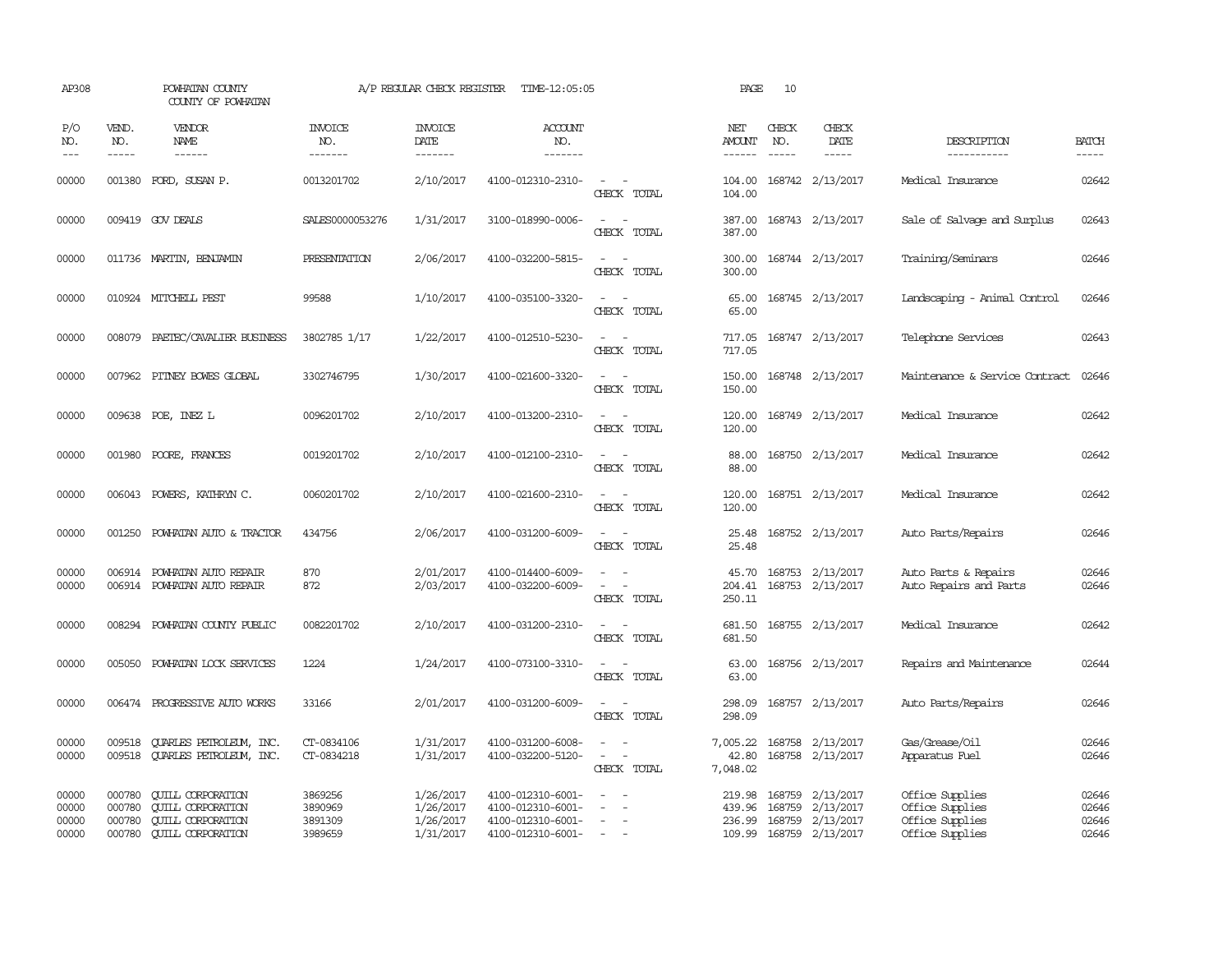| AP308                            |                                      | POWHATAN COUNTY<br>COUNTY OF POWHATAN                                                                        |                                          | A/P REGULAR CHECK REGISTER                       | TIME-12:05:05                                                                    |                                                   | PAGE                           | 10                          |                                                                |                                                                          |                                  |
|----------------------------------|--------------------------------------|--------------------------------------------------------------------------------------------------------------|------------------------------------------|--------------------------------------------------|----------------------------------------------------------------------------------|---------------------------------------------------|--------------------------------|-----------------------------|----------------------------------------------------------------|--------------------------------------------------------------------------|----------------------------------|
| P/O<br>NO.<br>$---$              | VEND.<br>NO.<br>$- - - - -$          | VENDOR<br>NAME<br>$- - - - - -$                                                                              | <b>INVOICE</b><br>NO.<br>-------         | <b>INVOICE</b><br><b>DATE</b><br>-------         | <b>ACCOUNT</b><br>NO.<br>-------                                                 |                                                   | NET<br><b>AMOUNT</b><br>------ | CHECK<br>NO.<br>$- - - - -$ | CHECK<br>DATE<br>-----                                         | DESCRIPTION<br>-----------                                               | <b>BATCH</b><br>-----            |
| 00000                            | 001380                               | FORD, SUSAN P.                                                                                               | 0013201702                               | 2/10/2017                                        | 4100-012310-2310-                                                                | $\sim$<br>$\sim$<br>CHECK TOTAL                   | 104.00<br>104.00               |                             | 168742 2/13/2017                                               | Medical Insurance                                                        | 02642                            |
| 00000                            |                                      | 009419 GOV DEALS                                                                                             | SALES0000053276                          | 1/31/2017                                        | 3100-018990-0006-                                                                | $\sim$<br>$\overline{\phantom{a}}$<br>CHECK TOTAL | 387.00<br>387.00               |                             | 168743 2/13/2017                                               | Sale of Salvage and Surplus                                              | 02643                            |
| 00000                            |                                      | 011736 MARTIN, BENJAMIN                                                                                      | PRESENTATION                             | 2/06/2017                                        | 4100-032200-5815-                                                                | CHECK TOTAL                                       | 300.00<br>300.00               |                             | 168744 2/13/2017                                               | Training/Seminars                                                        | 02646                            |
| 00000                            |                                      | 010924 MITCHELL PEST                                                                                         | 99588                                    | 1/10/2017                                        | 4100-035100-3320-                                                                | $\sim$ $\sim$<br>CHECK TOTAL                      | 65.00<br>65.00                 |                             | 168745 2/13/2017                                               | Landscaping - Animal Control                                             | 02646                            |
| 00000                            |                                      | 008079 PAETEC/CAVALIER BUSINESS                                                                              | 3802785 1/17                             | 1/22/2017                                        | 4100-012510-5230-                                                                | CHECK TOTAL                                       | 717.05<br>717.05               |                             | 168747 2/13/2017                                               | Telephone Services                                                       | 02643                            |
| 00000                            |                                      | 007962 PITNEY BOWES GLOBAL                                                                                   | 3302746795                               | 1/30/2017                                        | 4100-021600-3320-                                                                | $\sim$ 100 $\sim$<br>CHECK TOTAL                  | 150.00<br>150.00               |                             | 168748 2/13/2017                                               | Maintenance & Service Contract                                           | 02646                            |
| 00000                            |                                      | 009638 POE, INEZ L                                                                                           | 0096201702                               | 2/10/2017                                        | 4100-013200-2310-                                                                | $\sim$<br>CHECK TOTAL                             | 120.00<br>120.00               |                             | 168749 2/13/2017                                               | Medical Insurance                                                        | 02642                            |
| 00000                            | 001980                               | POORE, FRANCES                                                                                               | 0019201702                               | 2/10/2017                                        | 4100-012100-2310-                                                                | $\sim$<br>CHECK TOTAL                             | 88.00<br>88.00                 |                             | 168750 2/13/2017                                               | Medical Insurance                                                        | 02642                            |
| 00000                            |                                      | 006043 POWERS, KATHRYN C.                                                                                    | 0060201702                               | 2/10/2017                                        | 4100-021600-2310-                                                                | $\sim$<br>CHECK TOTAL                             | 120.00<br>120.00               |                             | 168751 2/13/2017                                               | Medical Insurance                                                        | 02642                            |
| 00000                            |                                      | 001250 POWHATAN AUTO & TRACTOR                                                                               | 434756                                   | 2/06/2017                                        | 4100-031200-6009-                                                                | $\sim$ $\sim$<br>CHECK TOTAL                      | 25.48<br>25.48                 |                             | 168752 2/13/2017                                               | Auto Parts/Repairs                                                       | 02646                            |
| 00000<br>00000                   | 006914                               | POWHATAN AUTO REPAIR<br>006914 POWHATAN AUTO REPAIR                                                          | 870<br>872                               | 2/01/2017<br>2/03/2017                           | 4100-014400-6009-<br>4100-032200-6009-                                           | $\sim$<br>CHECK TOTAL                             | 45.70<br>204.41<br>250.11      |                             | 168753 2/13/2017<br>168753 2/13/2017                           | Auto Parts & Repairs<br>Auto Repairs and Parts                           | 02646<br>02646                   |
| 00000                            | 008294                               | POWHATAN COUNTY PUBLIC                                                                                       | 0082201702                               | 2/10/2017                                        | 4100-031200-2310-                                                                | $\sim$<br>CHECK TOTAL                             | 681.50<br>681.50               |                             | 168755 2/13/2017                                               | Medical Insurance                                                        | 02642                            |
| 00000                            | 005050                               | POWHATAN LOCK SERVICES                                                                                       | 1224                                     | 1/24/2017                                        | 4100-073100-3310-                                                                | $\equiv$<br>$\sim$<br>CHECK TOTAL                 | 63.00<br>63.00                 |                             | 168756 2/13/2017                                               | Repairs and Maintenance                                                  | 02644                            |
| 00000                            |                                      | 006474 PROGRESSIVE AUTO WORKS                                                                                | 33166                                    | 2/01/2017                                        | 4100-031200-6009-                                                                | $\sim$ $\sim$<br>CHECK TOTAL                      | 298.09<br>298.09               |                             | 168757 2/13/2017                                               | Auto Parts/Repairs                                                       | 02646                            |
| 00000<br>00000                   | 009518<br>009518                     | <b>OUARLES PETROLEUM, INC.</b><br><b>QUARLES PETROLEUM, INC.</b>                                             | CT-0834106<br>CT-0834218                 | 1/31/2017<br>1/31/2017                           | 4100-031200-6008-<br>4100-032200-5120-                                           | $\equiv$<br>CHECK TOTAL                           | 7,005.22<br>42.80<br>7,048.02  |                             | 168758 2/13/2017<br>168758 2/13/2017                           | Gas/Grease/Oil<br>Apparatus Fuel                                         | 02646<br>02646                   |
| 00000<br>00000<br>00000<br>00000 | 000780<br>000780<br>000780<br>000780 | <b>QUILL CORPORATION</b><br><b>CUILL CORPORATION</b><br><b>CUILL CORPORATION</b><br><b>CUILL CORPORATION</b> | 3869256<br>3890969<br>3891309<br>3989659 | 1/26/2017<br>1/26/2017<br>1/26/2017<br>1/31/2017 | 4100-012310-6001-<br>4100-012310-6001-<br>4100-012310-6001-<br>4100-012310-6001- | $\equiv$<br>$\sim$<br>$\sim$ $ \sim$              | 219.98<br>439.96<br>236.99     | 168759<br>168759<br>168759  | 2/13/2017<br>2/13/2017<br>2/13/2017<br>109.99 168759 2/13/2017 | Office Supplies<br>Office Supplies<br>Office Supplies<br>Office Supplies | 02646<br>02646<br>02646<br>02646 |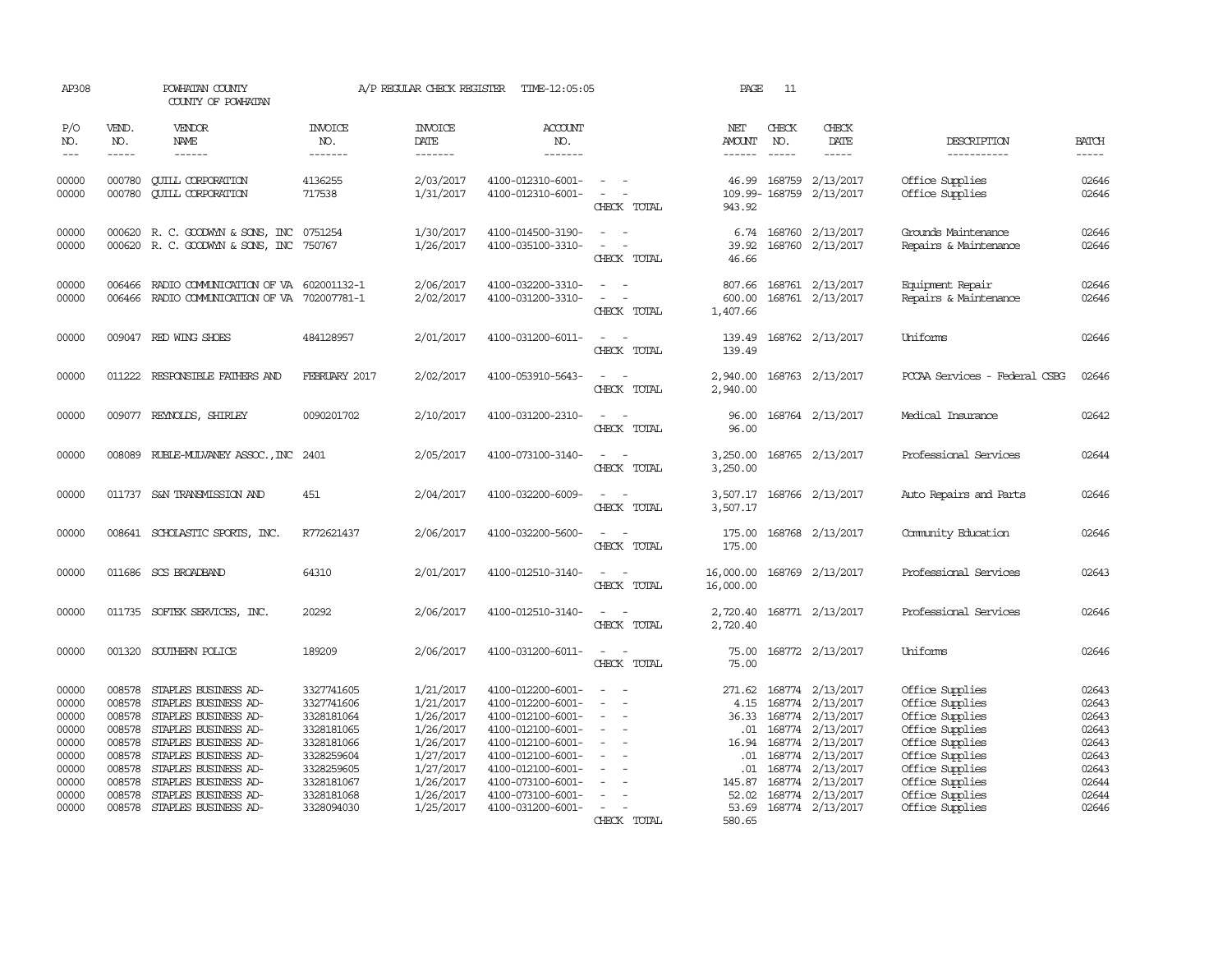| AP308                                                                         |                                                                                        | POWHATAN COUNTY<br>COUNTY OF POWHATAN                                                                                                                                                                                |                                                                                                                            | A/P REGULAR CHECK REGISTER                                                                                        | TIME-12:05:05                                                                                                                                                                             |                                                                                                                             | PAGE                                                                     | 11                            |                                                                                                                                                                           |                                                                                                                                                                         |                                                                               |
|-------------------------------------------------------------------------------|----------------------------------------------------------------------------------------|----------------------------------------------------------------------------------------------------------------------------------------------------------------------------------------------------------------------|----------------------------------------------------------------------------------------------------------------------------|-------------------------------------------------------------------------------------------------------------------|-------------------------------------------------------------------------------------------------------------------------------------------------------------------------------------------|-----------------------------------------------------------------------------------------------------------------------------|--------------------------------------------------------------------------|-------------------------------|---------------------------------------------------------------------------------------------------------------------------------------------------------------------------|-------------------------------------------------------------------------------------------------------------------------------------------------------------------------|-------------------------------------------------------------------------------|
| P/O<br>NO.<br>$---$                                                           | VEND.<br>NO.<br>-----                                                                  | <b>VENDOR</b><br>NAME<br>$- - - - - -$                                                                                                                                                                               | <b>INVOICE</b><br>NO.<br>-------                                                                                           | <b>INVOICE</b><br>DATE<br>-------                                                                                 | <b>ACCOUNT</b><br>NO.<br>-------                                                                                                                                                          |                                                                                                                             | NET<br>AMOUNT<br>$- - - - - -$                                           | CHECK<br>NO.<br>$\frac{1}{2}$ | CHECK<br>DATE<br>-----                                                                                                                                                    | DESCRIPTION<br>-----------                                                                                                                                              | <b>BATCH</b><br>$- - - - -$                                                   |
| 00000<br>00000                                                                | 000780<br>000780                                                                       | <b>CUILL CORPORATION</b><br><b>CUILL CORPORATION</b>                                                                                                                                                                 | 4136255<br>717538                                                                                                          | 2/03/2017<br>1/31/2017                                                                                            | 4100-012310-6001-<br>4100-012310-6001-                                                                                                                                                    | $\sim$ 100 $\mu$<br>$\sim$ 100 $\mu$<br>CHECK TOTAL                                                                         | 46.99<br>943.92                                                          |                               | 168759 2/13/2017<br>109.99-168759 2/13/2017                                                                                                                               | Office Supplies<br>Office Supplies                                                                                                                                      | 02646<br>02646                                                                |
| 00000<br>00000                                                                |                                                                                        | 000620 R. C. GOODWYN & SONS, INC 0751254<br>000620 R. C. GOODWYN & SONS, INC 750767                                                                                                                                  |                                                                                                                            | 1/30/2017<br>1/26/2017                                                                                            | 4100-014500-3190-<br>4100-035100-3310-                                                                                                                                                    | $\overline{\phantom{a}}$<br>CHECK TOTAL                                                                                     | 39.92<br>46.66                                                           |                               | 6.74 168760 2/13/2017<br>168760 2/13/2017                                                                                                                                 | Grounds Maintenance<br>Repairs & Maintenance                                                                                                                            | 02646<br>02646                                                                |
| 00000<br>00000                                                                | 006466                                                                                 | RADIO COMMUNICATION OF VA 602001132-1<br>006466 RADIO COMMUNICATION OF VA 702007781-1                                                                                                                                |                                                                                                                            | 2/06/2017<br>2/02/2017                                                                                            | 4100-032200-3310-<br>4100-031200-3310-                                                                                                                                                    | $\sim$<br>$\overline{a}$<br>CHECK TOTAL                                                                                     | 807.66<br>600.00<br>1,407.66                                             |                               | 168761 2/13/2017<br>168761 2/13/2017                                                                                                                                      | Equipment Repair<br>Repairs & Maintenance                                                                                                                               | 02646<br>02646                                                                |
| 00000                                                                         |                                                                                        | 009047 RED WING SHOES                                                                                                                                                                                                | 484128957                                                                                                                  | 2/01/2017                                                                                                         | 4100-031200-6011-                                                                                                                                                                         | CHECK TOTAL                                                                                                                 | 139.49<br>139.49                                                         |                               | 168762 2/13/2017                                                                                                                                                          | Uniforms                                                                                                                                                                | 02646                                                                         |
| 00000                                                                         |                                                                                        | 011222 RESPONSIBLE FAIHERS AND                                                                                                                                                                                       | FEBRUARY 2017                                                                                                              | 2/02/2017                                                                                                         | 4100-053910-5643-                                                                                                                                                                         | $\overline{\phantom{a}}$<br>CHECK TOTAL                                                                                     | 2,940.00<br>2,940.00                                                     |                               | 168763 2/13/2017                                                                                                                                                          | PCCAA Services - Federal CSBG                                                                                                                                           | 02646                                                                         |
| 00000                                                                         |                                                                                        | 009077 REYNOLDS, SHIRLEY                                                                                                                                                                                             | 0090201702                                                                                                                 | 2/10/2017                                                                                                         | 4100-031200-2310-                                                                                                                                                                         | $\sim$ $\sim$<br>CHECK TOTAL                                                                                                | 96.00<br>96.00                                                           |                               | 168764 2/13/2017                                                                                                                                                          | Medical Insurance                                                                                                                                                       | 02642                                                                         |
| 00000                                                                         |                                                                                        | 008089 RUBLE-MULVANEY ASSOC., INC 2401                                                                                                                                                                               |                                                                                                                            | 2/05/2017                                                                                                         | 4100-073100-3140-                                                                                                                                                                         | CHECK TOTAL                                                                                                                 | 3,250.00<br>3,250.00                                                     |                               | 168765 2/13/2017                                                                                                                                                          | Professional Services                                                                                                                                                   | 02644                                                                         |
| 00000                                                                         |                                                                                        | 011737 S&N TRANSMISSION AND                                                                                                                                                                                          | 451                                                                                                                        | 2/04/2017                                                                                                         | 4100-032200-6009-                                                                                                                                                                         | $\sim$ $\sim$<br>CHECK TOTAL                                                                                                | 3,507.17                                                                 |                               | 3,507.17 168766 2/13/2017                                                                                                                                                 | Auto Repairs and Parts                                                                                                                                                  | 02646                                                                         |
| 00000                                                                         |                                                                                        | 008641 SCHOLASTIC SPORTS, INC.                                                                                                                                                                                       | R772621437                                                                                                                 | 2/06/2017                                                                                                         | 4100-032200-5600-                                                                                                                                                                         | $\frac{1}{2} \left( \frac{1}{2} \right) \left( \frac{1}{2} \right) = \frac{1}{2} \left( \frac{1}{2} \right)$<br>CHECK TOTAL | 175.00<br>175.00                                                         |                               | 168768 2/13/2017                                                                                                                                                          | Community Education                                                                                                                                                     | 02646                                                                         |
| 00000                                                                         |                                                                                        | 011686 SCS BROADBAND                                                                                                                                                                                                 | 64310                                                                                                                      | 2/01/2017                                                                                                         | 4100-012510-3140-                                                                                                                                                                         | $\sim$ $\sim$<br>CHECK TOTAL                                                                                                | 16,000.00<br>16,000.00                                                   |                               | 168769 2/13/2017                                                                                                                                                          | Professional Services                                                                                                                                                   | 02643                                                                         |
| 00000                                                                         |                                                                                        | 011735 SOFTEK SERVICES, INC.                                                                                                                                                                                         | 20292                                                                                                                      | 2/06/2017                                                                                                         | 4100-012510-3140-                                                                                                                                                                         | CHECK TOTAL                                                                                                                 | 2,720.40<br>2,720.40                                                     |                               | 168771 2/13/2017                                                                                                                                                          | Professional Services                                                                                                                                                   | 02646                                                                         |
| 00000                                                                         |                                                                                        | 001320 SOUTHERN POLICE                                                                                                                                                                                               | 189209                                                                                                                     | 2/06/2017                                                                                                         | 4100-031200-6011-                                                                                                                                                                         | $\sim$<br>CHECK TOTAL                                                                                                       | 75.00<br>75.00                                                           |                               | 168772 2/13/2017                                                                                                                                                          | Uniforms                                                                                                                                                                | 02646                                                                         |
| 00000<br>00000<br>00000<br>00000<br>00000<br>00000<br>00000<br>00000<br>00000 | 008578<br>008578<br>008578<br>008578<br>008578<br>008578<br>008578<br>008578<br>008578 | STAPLES BUSINESS AD-<br>STAPLES BUSINESS AD-<br>STAPLES BUSINESS AD-<br>STAPLES BUSINESS AD-<br>STAPLES BUSINESS AD-<br>STAPLES BUSINESS AD-<br>STAPLES BUSINESS AD-<br>STAPLES BUSINESS AD-<br>STAPLES BUSINESS AD- | 3327741605<br>3327741606<br>3328181064<br>3328181065<br>3328181066<br>3328259604<br>3328259605<br>3328181067<br>3328181068 | 1/21/2017<br>1/21/2017<br>1/26/2017<br>1/26/2017<br>1/26/2017<br>1/27/2017<br>1/27/2017<br>1/26/2017<br>1/26/2017 | 4100-012200-6001-<br>4100-012200-6001-<br>4100-012100-6001-<br>4100-012100-6001-<br>4100-012100-6001-<br>4100-012100-6001-<br>4100-012100-6001-<br>4100-073100-6001-<br>4100-073100-6001- | $\overline{\phantom{a}}$<br>$\equiv$<br>$\overline{\phantom{a}}$<br>$\overline{\phantom{a}}$                                | 271.62<br>4.15<br>36.33<br>.01<br>16.94<br>.01<br>.01<br>145.87<br>52.02 | 168774                        | 168774 2/13/2017<br>168774 2/13/2017<br>168774 2/13/2017<br>168774 2/13/2017<br>168774 2/13/2017<br>168774 2/13/2017<br>168774 2/13/2017<br>2/13/2017<br>168774 2/13/2017 | Office Supplies<br>Office Supplies<br>Office Supplies<br>Office Supplies<br>Office Supplies<br>Office Supplies<br>Office Supplies<br>Office Supplies<br>Office Supplies | 02643<br>02643<br>02643<br>02643<br>02643<br>02643<br>02643<br>02644<br>02644 |
| 00000                                                                         |                                                                                        | 008578 STAPLES BUSINESS AD-                                                                                                                                                                                          | 3328094030                                                                                                                 | 1/25/2017                                                                                                         | 4100-031200-6001-                                                                                                                                                                         | $\sim$<br>CHECK TOTAL                                                                                                       | 580.65                                                                   |                               | 53.69 168774 2/13/2017                                                                                                                                                    | Office Supplies                                                                                                                                                         | 02646                                                                         |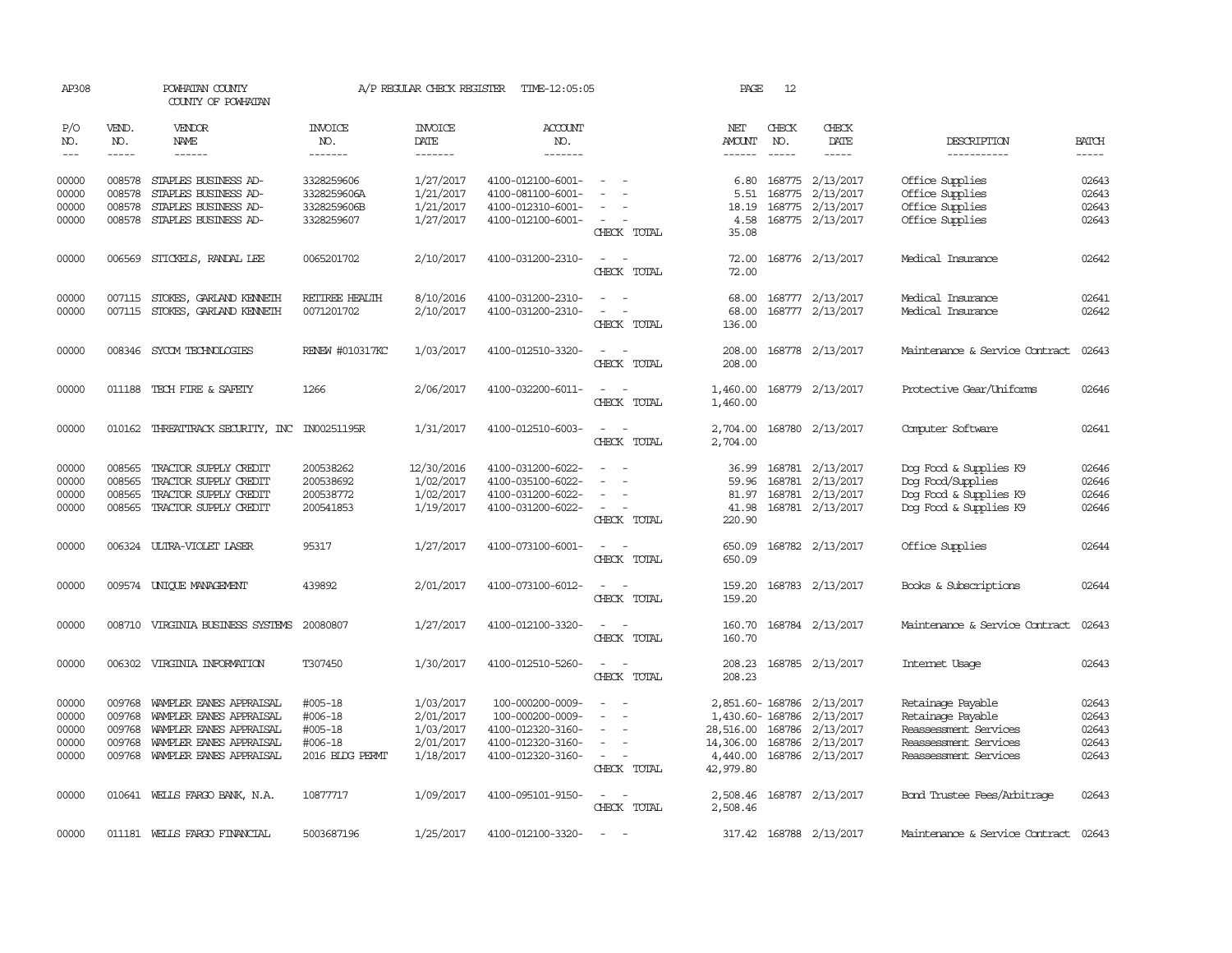| AP308                           |                                                                                                                                                                                                                                                                                                                                                                                                                                                                         | POWHATAN COUNTY<br>COUNTY OF POWHATAN        |                                  | A/P REGULAR CHECK REGISTER        | TIME-12:05:05                          |                                      | PAGE                  | 12                          |                               |                                      |                                                                                                                                                                                                                                                                                                                                                                                                                                                                         |
|---------------------------------|-------------------------------------------------------------------------------------------------------------------------------------------------------------------------------------------------------------------------------------------------------------------------------------------------------------------------------------------------------------------------------------------------------------------------------------------------------------------------|----------------------------------------------|----------------------------------|-----------------------------------|----------------------------------------|--------------------------------------|-----------------------|-----------------------------|-------------------------------|--------------------------------------|-------------------------------------------------------------------------------------------------------------------------------------------------------------------------------------------------------------------------------------------------------------------------------------------------------------------------------------------------------------------------------------------------------------------------------------------------------------------------|
| P/O<br>NO.<br>$\qquad \qquad -$ | VEND.<br>NO.<br>$\begin{tabular}{ccccc} \multicolumn{2}{c }{\multicolumn{2}{c }{\multicolumn{2}{c }{\multicolumn{2}{c}}{\hspace{-2.2cm}}}} \multicolumn{2}{c }{\multicolumn{2}{c }{\hspace{-2.2cm}}\hline} \multicolumn{2}{c }{\hspace{-2.2cm}}\hline \multicolumn{2}{c }{\hspace{-2.2cm}}\hline \multicolumn{2}{c }{\hspace{-2.2cm}}\hline \multicolumn{2}{c }{\hspace{-2.2cm}}\hline \multicolumn{2}{c }{\hspace{-2.2cm}}\hline \multicolumn{2}{c }{\hspace{-2.2cm}}$ | <b>VENDOR</b><br>NAME<br>------              | <b>INVOICE</b><br>NO.<br>------- | <b>INVOICE</b><br>DATE<br>------- | ACCOUNT<br>NO.<br>-------              |                                      | NET<br>AMOUNT         | CHECK<br>NO.<br>$- - - - -$ | CHECK<br>DATE<br>-----        | DESCRIPTION<br>-----------           | <b>BATCH</b><br>$\begin{tabular}{ccccc} \multicolumn{2}{c }{\multicolumn{2}{c }{\multicolumn{2}{c }{\multicolumn{2}{c}}{\hspace{-2.2cm}}}} \multicolumn{2}{c }{\multicolumn{2}{c }{\hspace{-2.2cm}}\hline} \multicolumn{2}{c }{\hspace{-2.2cm}}\hline \multicolumn{2}{c }{\hspace{-2.2cm}}\hline \multicolumn{2}{c }{\hspace{-2.2cm}}\hline \multicolumn{2}{c }{\hspace{-2.2cm}}\hline \multicolumn{2}{c }{\hspace{-2.2cm}}\hline \multicolumn{2}{c }{\hspace{-2.2cm}}$ |
|                                 |                                                                                                                                                                                                                                                                                                                                                                                                                                                                         |                                              |                                  |                                   |                                        |                                      |                       |                             |                               |                                      |                                                                                                                                                                                                                                                                                                                                                                                                                                                                         |
| 00000<br>00000                  | 008578<br>008578                                                                                                                                                                                                                                                                                                                                                                                                                                                        | STAPLES BUSINESS AD-<br>STAPLES BUSINESS AD- | 3328259606                       | 1/27/2017                         | 4100-012100-6001-<br>4100-081100-6001- |                                      | 6.80                  |                             | 168775 2/13/2017              | Office Supplies                      | 02643<br>02643                                                                                                                                                                                                                                                                                                                                                                                                                                                          |
| 00000                           | 008578                                                                                                                                                                                                                                                                                                                                                                                                                                                                  | STAPLES BUSINESS AD-                         | 3328259606A<br>3328259606B       | 1/21/2017<br>1/21/2017            | 4100-012310-6001-                      |                                      | 5.51<br>18.19         | 168775                      | 2/13/2017<br>168775 2/13/2017 | Office Supplies<br>Office Supplies   | 02643                                                                                                                                                                                                                                                                                                                                                                                                                                                                   |
| 00000                           |                                                                                                                                                                                                                                                                                                                                                                                                                                                                         | 008578 STAPLES BUSINESS AD-                  | 3328259607                       | 1/27/2017                         | 4100-012100-6001-                      | $\overline{\phantom{a}}$             | 4.58                  |                             | 168775 2/13/2017              | Office Supplies                      | 02643                                                                                                                                                                                                                                                                                                                                                                                                                                                                   |
|                                 |                                                                                                                                                                                                                                                                                                                                                                                                                                                                         |                                              |                                  |                                   |                                        | CHECK TOTAL                          | 35.08                 |                             |                               |                                      |                                                                                                                                                                                                                                                                                                                                                                                                                                                                         |
| 00000                           |                                                                                                                                                                                                                                                                                                                                                                                                                                                                         | 006569 STICKELS, RANDAL LEE                  | 0065201702                       | 2/10/2017                         | 4100-031200-2310-                      | $\overline{\phantom{a}}$<br>$\sim$   | 72.00                 |                             | 168776 2/13/2017              | Medical Insurance                    | 02642                                                                                                                                                                                                                                                                                                                                                                                                                                                                   |
|                                 |                                                                                                                                                                                                                                                                                                                                                                                                                                                                         |                                              |                                  |                                   |                                        | CHECK TOTAL                          | 72.00                 |                             |                               |                                      |                                                                                                                                                                                                                                                                                                                                                                                                                                                                         |
| 00000                           |                                                                                                                                                                                                                                                                                                                                                                                                                                                                         | 007115 STOKES, GARLAND KENNETH               | RETIREE HEALTH                   | 8/10/2016                         | 4100-031200-2310-                      |                                      | 68.00                 |                             | 168777 2/13/2017              | Medical Insurance                    | 02641                                                                                                                                                                                                                                                                                                                                                                                                                                                                   |
| 00000                           |                                                                                                                                                                                                                                                                                                                                                                                                                                                                         | 007115 STOKES, GARLAND KENNETH               | 0071201702                       | 2/10/2017                         | 4100-031200-2310-                      | $\equiv$<br>$\overline{\phantom{a}}$ | 68.00                 |                             | 168777 2/13/2017              | Medical Insurance                    | 02642                                                                                                                                                                                                                                                                                                                                                                                                                                                                   |
|                                 |                                                                                                                                                                                                                                                                                                                                                                                                                                                                         |                                              |                                  |                                   |                                        | CHECK TOTAL                          | 136.00                |                             |                               |                                      |                                                                                                                                                                                                                                                                                                                                                                                                                                                                         |
| 00000                           |                                                                                                                                                                                                                                                                                                                                                                                                                                                                         | 008346 SYCOM TECHNOLOGIES                    | RENEW #010317KC                  | 1/03/2017                         | 4100-012510-3320-                      |                                      | 208.00                |                             | 168778 2/13/2017              | Maintenance & Service Contract       | 02643                                                                                                                                                                                                                                                                                                                                                                                                                                                                   |
|                                 |                                                                                                                                                                                                                                                                                                                                                                                                                                                                         |                                              |                                  |                                   |                                        | CHECK TOTAL                          | 208.00                |                             |                               |                                      |                                                                                                                                                                                                                                                                                                                                                                                                                                                                         |
| 00000                           |                                                                                                                                                                                                                                                                                                                                                                                                                                                                         | 011188 TECH FIRE & SAFETY                    | 1266                             | 2/06/2017                         | 4100-032200-6011-                      | $\sim$<br>$\sim$                     | 1,460.00              |                             | 168779 2/13/2017              | Protective Gear/Uniforms             | 02646                                                                                                                                                                                                                                                                                                                                                                                                                                                                   |
|                                 |                                                                                                                                                                                                                                                                                                                                                                                                                                                                         |                                              |                                  |                                   |                                        | CHECK TOTAL                          | 1,460.00              |                             |                               |                                      |                                                                                                                                                                                                                                                                                                                                                                                                                                                                         |
| 00000                           |                                                                                                                                                                                                                                                                                                                                                                                                                                                                         | 010162 THREATTRACK SECURITY, INC             | IN00251195R                      | 1/31/2017                         | 4100-012510-6003-                      |                                      | 2,704.00              |                             | 168780 2/13/2017              | Computer Software                    | 02641                                                                                                                                                                                                                                                                                                                                                                                                                                                                   |
|                                 |                                                                                                                                                                                                                                                                                                                                                                                                                                                                         |                                              |                                  |                                   |                                        | CHECK TOTAL                          | 2,704.00              |                             |                               |                                      |                                                                                                                                                                                                                                                                                                                                                                                                                                                                         |
| 00000                           | 008565                                                                                                                                                                                                                                                                                                                                                                                                                                                                  | TRACTOR SUPPLY CREDIT                        | 200538262                        | 12/30/2016                        | 4100-031200-6022-                      |                                      | 36.99                 |                             | 168781 2/13/2017              | Dog Food & Supplies K9               | 02646                                                                                                                                                                                                                                                                                                                                                                                                                                                                   |
| 00000                           | 008565                                                                                                                                                                                                                                                                                                                                                                                                                                                                  | TRACTOR SUPPLY CREDIT                        | 200538692                        | 1/02/2017                         | 4100-035100-6022-                      |                                      | 59.96                 | 168781                      | 2/13/2017                     | Dog Food/Supplies                    | 02646                                                                                                                                                                                                                                                                                                                                                                                                                                                                   |
| 00000                           | 008565                                                                                                                                                                                                                                                                                                                                                                                                                                                                  | TRACTOR SUPPLY CREDIT                        | 200538772                        | 1/02/2017                         | 4100-031200-6022-                      |                                      | 81.97                 |                             | 168781 2/13/2017              | Dog Food & Supplies K9               | 02646                                                                                                                                                                                                                                                                                                                                                                                                                                                                   |
| 00000                           |                                                                                                                                                                                                                                                                                                                                                                                                                                                                         | 008565 TRACTOR SUPPLY CREDIT                 | 200541853                        | 1/19/2017                         | 4100-031200-6022-                      | CHECK TOTAL                          | 41.98<br>220.90       |                             | 168781 2/13/2017              | Dog Food & Supplies K9               | 02646                                                                                                                                                                                                                                                                                                                                                                                                                                                                   |
|                                 |                                                                                                                                                                                                                                                                                                                                                                                                                                                                         |                                              |                                  |                                   |                                        |                                      |                       |                             |                               |                                      |                                                                                                                                                                                                                                                                                                                                                                                                                                                                         |
| 00000                           |                                                                                                                                                                                                                                                                                                                                                                                                                                                                         | 006324 ULTRA-VIOLET LASER                    | 95317                            | 1/27/2017                         | 4100-073100-6001-                      |                                      | 650.09                |                             | 168782 2/13/2017              | Office Supplies                      | 02644                                                                                                                                                                                                                                                                                                                                                                                                                                                                   |
|                                 |                                                                                                                                                                                                                                                                                                                                                                                                                                                                         |                                              |                                  |                                   |                                        | CHECK TOTAL                          | 650.09                |                             |                               |                                      |                                                                                                                                                                                                                                                                                                                                                                                                                                                                         |
| 00000                           |                                                                                                                                                                                                                                                                                                                                                                                                                                                                         | 009574 UNIQUE MANAGEMENT                     | 439892                           | 2/01/2017                         | 4100-073100-6012-                      |                                      | 159.20                |                             | 168783 2/13/2017              | Books & Subscriptions                | 02644                                                                                                                                                                                                                                                                                                                                                                                                                                                                   |
|                                 |                                                                                                                                                                                                                                                                                                                                                                                                                                                                         |                                              |                                  |                                   |                                        | CHECK TOTAL                          | 159.20                |                             |                               |                                      |                                                                                                                                                                                                                                                                                                                                                                                                                                                                         |
| 00000                           |                                                                                                                                                                                                                                                                                                                                                                                                                                                                         | 008710 VIRGINIA BUSINESS SYSTEMS 20080807    |                                  | 1/27/2017                         | 4100-012100-3320-                      | $\sim$                               | 160.70                |                             | 168784 2/13/2017              | Maintenance & Service Contract       | 02643                                                                                                                                                                                                                                                                                                                                                                                                                                                                   |
|                                 |                                                                                                                                                                                                                                                                                                                                                                                                                                                                         |                                              |                                  |                                   |                                        | CHECK TOTAL                          | 160.70                |                             |                               |                                      |                                                                                                                                                                                                                                                                                                                                                                                                                                                                         |
| 00000                           |                                                                                                                                                                                                                                                                                                                                                                                                                                                                         | 006302 VIRGINIA INFORMATION                  | T307450                          | 1/30/2017                         | 4100-012510-5260-                      |                                      | 208.23                |                             | 168785 2/13/2017              | Internet Usage                       | 02643                                                                                                                                                                                                                                                                                                                                                                                                                                                                   |
|                                 |                                                                                                                                                                                                                                                                                                                                                                                                                                                                         |                                              |                                  |                                   |                                        | CHECK TOTAL                          | 208.23                |                             |                               |                                      |                                                                                                                                                                                                                                                                                                                                                                                                                                                                         |
| 00000                           | 009768                                                                                                                                                                                                                                                                                                                                                                                                                                                                  | WAMPLER EANES APPRAISAL                      | #005-18                          | 1/03/2017                         | 100-000200-0009-                       |                                      |                       |                             | 2,851.60-168786 2/13/2017     | Retainage Payable                    | 02643                                                                                                                                                                                                                                                                                                                                                                                                                                                                   |
| 00000                           | 009768                                                                                                                                                                                                                                                                                                                                                                                                                                                                  | WAMPLER EANES APPRAISAL                      | #006-18                          | 2/01/2017                         | 100-000200-0009-                       | $\equiv$<br>$\overline{\phantom{a}}$ | 1,430.60- 168786      |                             | 2/13/2017                     | Retainage Payable                    | 02643                                                                                                                                                                                                                                                                                                                                                                                                                                                                   |
| 00000                           | 009768                                                                                                                                                                                                                                                                                                                                                                                                                                                                  | WAMPLER EANES APPRAISAL                      | #005-18                          | 1/03/2017                         | 4100-012320-3160-                      |                                      | 28,516.00             |                             | 168786 2/13/2017              | Reassessment Services                | 02643                                                                                                                                                                                                                                                                                                                                                                                                                                                                   |
| 00000                           | 009768                                                                                                                                                                                                                                                                                                                                                                                                                                                                  | WAMPLER EANES APPRAISAL                      | #006-18                          | 2/01/2017                         | 4100-012320-3160-                      |                                      | 14,306.00             |                             | 168786 2/13/2017              | Reassessment Services                | 02643                                                                                                                                                                                                                                                                                                                                                                                                                                                                   |
| 00000                           |                                                                                                                                                                                                                                                                                                                                                                                                                                                                         | 009768 WAMPLER EANES APPRAISAL               | 2016 BIDG PERMT                  | 1/18/2017                         | 4100-012320-3160-                      | $\sim$<br>CHECK TOTAL                | 4,440.00<br>42,979.80 |                             | 168786 2/13/2017              | Reassessment Services                | 02643                                                                                                                                                                                                                                                                                                                                                                                                                                                                   |
|                                 |                                                                                                                                                                                                                                                                                                                                                                                                                                                                         |                                              |                                  |                                   |                                        |                                      |                       |                             |                               |                                      |                                                                                                                                                                                                                                                                                                                                                                                                                                                                         |
| 00000                           |                                                                                                                                                                                                                                                                                                                                                                                                                                                                         | 010641 WELLS FARGO BANK, N.A.                | 10877717                         | 1/09/2017                         | 4100-095101-9150-                      | $\sim$<br>$\sim$<br>CHECK TOTAL      | 2,508.46              |                             | 2,508.46 168787 2/13/2017     | Bond Trustee Fees/Arbitrage          | 02643                                                                                                                                                                                                                                                                                                                                                                                                                                                                   |
|                                 |                                                                                                                                                                                                                                                                                                                                                                                                                                                                         |                                              |                                  |                                   |                                        |                                      |                       |                             |                               |                                      |                                                                                                                                                                                                                                                                                                                                                                                                                                                                         |
| 00000                           |                                                                                                                                                                                                                                                                                                                                                                                                                                                                         | 011181 WELLS FARGO FINANCIAL                 | 5003687196                       | 1/25/2017                         | 4100-012100-3320-                      |                                      |                       |                             | 317.42 168788 2/13/2017       | Maintenance & Service Contract 02643 |                                                                                                                                                                                                                                                                                                                                                                                                                                                                         |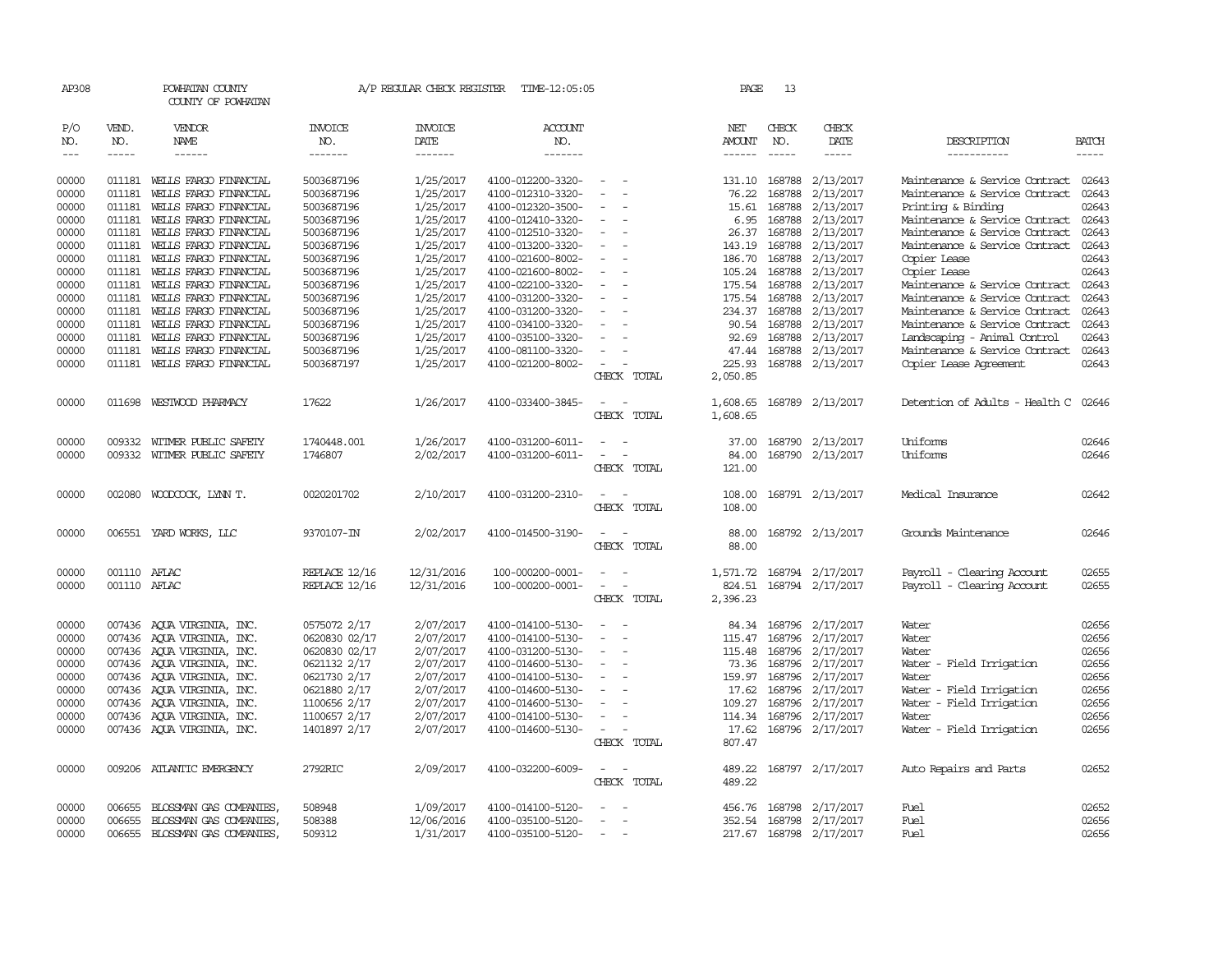| AP308               |                                                                                                                                                                                                                                                                                                                                                                                                                                                                                                     | POWHATAN COUNTY<br>COUNTY OF POWHATAN                                                                                                                                                                                                                                                                                                                                                                                                                                     |                           | A/P REGULAR CHECK REGISTER        | TIME-12:05:05                    |                                         | PAGE                    | 13                          |                         |                                |                             |
|---------------------|-----------------------------------------------------------------------------------------------------------------------------------------------------------------------------------------------------------------------------------------------------------------------------------------------------------------------------------------------------------------------------------------------------------------------------------------------------------------------------------------------------|---------------------------------------------------------------------------------------------------------------------------------------------------------------------------------------------------------------------------------------------------------------------------------------------------------------------------------------------------------------------------------------------------------------------------------------------------------------------------|---------------------------|-----------------------------------|----------------------------------|-----------------------------------------|-------------------------|-----------------------------|-------------------------|--------------------------------|-----------------------------|
| P/O<br>NO.<br>$---$ | VEND.<br>NO.<br>$\begin{tabular}{ccccc} \multicolumn{2}{c}{} & \multicolumn{2}{c}{} & \multicolumn{2}{c}{} & \multicolumn{2}{c}{} & \multicolumn{2}{c}{} & \multicolumn{2}{c}{} & \multicolumn{2}{c}{} & \multicolumn{2}{c}{} & \multicolumn{2}{c}{} & \multicolumn{2}{c}{} & \multicolumn{2}{c}{} & \multicolumn{2}{c}{} & \multicolumn{2}{c}{} & \multicolumn{2}{c}{} & \multicolumn{2}{c}{} & \multicolumn{2}{c}{} & \multicolumn{2}{c}{} & \multicolumn{2}{c}{} & \multicolumn{2}{c}{} & \mult$ | VENDOR<br>NAME<br>$\begin{tabular}{ccccc} \multicolumn{2}{c }{\multicolumn{2}{c }{\multicolumn{2}{c }{\multicolumn{2}{c}}{\hspace{-2.2cm}}}} \multicolumn{2}{c }{\multicolumn{2}{c }{\hspace{-2.2cm}}\hline} \multicolumn{2}{c }{\hspace{-2.2cm}}\hline \multicolumn{2}{c }{\hspace{-2.2cm}}\hline \multicolumn{2}{c }{\hspace{-2.2cm}}\hline \multicolumn{2}{c }{\hspace{-2.2cm}}\hline \multicolumn{2}{c }{\hspace{-2.2cm}}\hline \multicolumn{2}{c }{\hspace{-2.2cm}}$ | INVOICE<br>NO.<br>------- | <b>INVOICE</b><br>DATE<br>------- | <b>ACCOUNT</b><br>NO.<br>------- |                                         | NET<br>AMOUNT<br>------ | CHECK<br>NO.<br>$- - - - -$ | CHECK<br>DATE<br>-----  | DESCRIPTION<br>-----------     | <b>BATCH</b><br>$- - - - -$ |
| 00000               | 011181                                                                                                                                                                                                                                                                                                                                                                                                                                                                                              | WELLS FARGO FINANCIAL                                                                                                                                                                                                                                                                                                                                                                                                                                                     | 5003687196                | 1/25/2017                         | 4100-012200-3320-                | $\equiv$                                | 131.10                  | 168788                      | 2/13/2017               | Maintenance & Service Contract | 02643                       |
| 00000               | 011181                                                                                                                                                                                                                                                                                                                                                                                                                                                                                              | WELLS FARGO FINANCIAL                                                                                                                                                                                                                                                                                                                                                                                                                                                     | 5003687196                | 1/25/2017                         | 4100-012310-3320-                | $\equiv$                                | 76.22                   | 168788                      | 2/13/2017               | Maintenance & Service Contract | 02643                       |
| 00000               | 011181                                                                                                                                                                                                                                                                                                                                                                                                                                                                                              | WELLS FARGO FINANCIAL                                                                                                                                                                                                                                                                                                                                                                                                                                                     | 5003687196                | 1/25/2017                         | 4100-012320-3500-                | $\equiv$                                | 15.61                   | 168788                      | 2/13/2017               | Printing & Binding             | 02643                       |
| 00000               | 011181                                                                                                                                                                                                                                                                                                                                                                                                                                                                                              | WELLS FARGO FINANCIAL                                                                                                                                                                                                                                                                                                                                                                                                                                                     | 5003687196                | 1/25/2017                         | 4100-012410-3320-                |                                         | 6.95                    | 168788                      | 2/13/2017               | Maintenance & Service Contract | 02643                       |
| 00000               | 011181                                                                                                                                                                                                                                                                                                                                                                                                                                                                                              | WEILS FARGO FINANCIAL                                                                                                                                                                                                                                                                                                                                                                                                                                                     | 5003687196                | 1/25/2017                         | 4100-012510-3320-                | $\sim$                                  | 26.37                   |                             | 168788 2/13/2017        | Maintenance & Service Contract | 02643                       |
| 00000               | 011181                                                                                                                                                                                                                                                                                                                                                                                                                                                                                              | WEILS FARGO FINANCIAL                                                                                                                                                                                                                                                                                                                                                                                                                                                     | 5003687196                | 1/25/2017                         | 4100-013200-3320-                |                                         | 143.19                  | 168788                      | 2/13/2017               | Maintenance & Service Contract | 02643                       |
| 00000               | 011181                                                                                                                                                                                                                                                                                                                                                                                                                                                                                              | WELLS FARGO FINANCIAL                                                                                                                                                                                                                                                                                                                                                                                                                                                     | 5003687196                | 1/25/2017                         | 4100-021600-8002-                |                                         | 186.70                  | 168788                      | 2/13/2017               | Copier Lease                   | 02643                       |
| 00000               | 011181                                                                                                                                                                                                                                                                                                                                                                                                                                                                                              | WELLS FARGO FINANCIAL                                                                                                                                                                                                                                                                                                                                                                                                                                                     | 5003687196                | 1/25/2017                         | 4100-021600-8002-                | $\overline{\phantom{a}}$                | 105.24                  | 168788                      | 2/13/2017               | Copier Lease                   | 02643                       |
| 00000               | 011181                                                                                                                                                                                                                                                                                                                                                                                                                                                                                              | WELLS FARGO FINANCIAL                                                                                                                                                                                                                                                                                                                                                                                                                                                     | 5003687196                | 1/25/2017                         | 4100-022100-3320-                | $\overline{\phantom{a}}$                | 175.54 168788           |                             | 2/13/2017               | Maintenance & Service Contract | 02643                       |
| 00000               | 011181                                                                                                                                                                                                                                                                                                                                                                                                                                                                                              | WELLS FARGO FINANCIAL                                                                                                                                                                                                                                                                                                                                                                                                                                                     | 5003687196                | 1/25/2017                         | 4100-031200-3320-                |                                         | 175.54                  | 168788                      | 2/13/2017               | Maintenance & Service Contract | 02643                       |
| 00000               | 011181                                                                                                                                                                                                                                                                                                                                                                                                                                                                                              | WELLS FARGO FINANCIAL                                                                                                                                                                                                                                                                                                                                                                                                                                                     | 5003687196                | 1/25/2017                         | 4100-031200-3320-                |                                         | 234.37                  |                             | 168788 2/13/2017        | Maintenance & Service Contract | 02643                       |
| 00000               | 011181                                                                                                                                                                                                                                                                                                                                                                                                                                                                                              | WELLS FARGO FINANCIAL                                                                                                                                                                                                                                                                                                                                                                                                                                                     | 5003687196                | 1/25/2017                         | 4100-034100-3320-                |                                         | 90.54                   |                             | 168788 2/13/2017        | Maintenance & Service Contract | 02643                       |
| 00000               | 011181                                                                                                                                                                                                                                                                                                                                                                                                                                                                                              | WELLS FARGO FINANCIAL                                                                                                                                                                                                                                                                                                                                                                                                                                                     | 5003687196                | 1/25/2017                         | 4100-035100-3320-                |                                         | 92.69                   | 168788                      | 2/13/2017               | Landscaping - Animal Control   | 02643                       |
| 00000               | 011181                                                                                                                                                                                                                                                                                                                                                                                                                                                                                              | WELLS FARGO FINANCIAL                                                                                                                                                                                                                                                                                                                                                                                                                                                     | 5003687196                | 1/25/2017                         | 4100-081100-3320-                |                                         |                         |                             | 47.44 168788 2/13/2017  | Maintenance & Service Contract | 02643                       |
| 00000               | 011181                                                                                                                                                                                                                                                                                                                                                                                                                                                                                              | WEILS FARGO FINANCIAL                                                                                                                                                                                                                                                                                                                                                                                                                                                     | 5003687197                | 1/25/2017                         | 4100-021200-8002-                | CHECK TOTAL                             | 225.93<br>2,050.85      |                             | 168788 2/13/2017        | Copier Lease Agreement         | 02643                       |
|                     |                                                                                                                                                                                                                                                                                                                                                                                                                                                                                                     |                                                                                                                                                                                                                                                                                                                                                                                                                                                                           |                           |                                   |                                  |                                         |                         |                             |                         |                                |                             |
| 00000               | 011698                                                                                                                                                                                                                                                                                                                                                                                                                                                                                              | WESTWOOD PHARMACY                                                                                                                                                                                                                                                                                                                                                                                                                                                         | 17622                     | 1/26/2017                         | 4100-033400-3845-                | CHECK TOTAL                             | 1,608.65<br>1,608.65    |                             | 168789 2/13/2017        | Detention of Adults - Health C | 02646                       |
|                     |                                                                                                                                                                                                                                                                                                                                                                                                                                                                                                     |                                                                                                                                                                                                                                                                                                                                                                                                                                                                           |                           |                                   |                                  |                                         |                         |                             |                         |                                |                             |
| 00000               | 009332                                                                                                                                                                                                                                                                                                                                                                                                                                                                                              | WITMER PUBLIC SAFETY                                                                                                                                                                                                                                                                                                                                                                                                                                                      | 1740448.001               | 1/26/2017                         | 4100-031200-6011-                |                                         | 37.00                   |                             | 168790 2/13/2017        | Uniforms                       | 02646                       |
| 00000               |                                                                                                                                                                                                                                                                                                                                                                                                                                                                                                     | 009332 WITMER PUBLIC SAFETY                                                                                                                                                                                                                                                                                                                                                                                                                                               | 1746807                   | 2/02/2017                         | 4100-031200-6011-                |                                         | 84.00                   |                             | 168790 2/13/2017        | Uniforms                       | 02646                       |
|                     |                                                                                                                                                                                                                                                                                                                                                                                                                                                                                                     |                                                                                                                                                                                                                                                                                                                                                                                                                                                                           |                           |                                   |                                  | CHECK TOTAL                             | 121.00                  |                             |                         |                                |                             |
| 00000               |                                                                                                                                                                                                                                                                                                                                                                                                                                                                                                     | 002080 WOODCOCK, LYNN T.                                                                                                                                                                                                                                                                                                                                                                                                                                                  | 0020201702                | 2/10/2017                         | 4100-031200-2310-                |                                         | 108.00                  |                             | 168791 2/13/2017        | Medical Insurance              | 02642                       |
|                     |                                                                                                                                                                                                                                                                                                                                                                                                                                                                                                     |                                                                                                                                                                                                                                                                                                                                                                                                                                                                           |                           |                                   |                                  | CHECK TOTAL                             | 108.00                  |                             |                         |                                |                             |
| 00000               |                                                                                                                                                                                                                                                                                                                                                                                                                                                                                                     | 006551 YARD WORKS, LLC                                                                                                                                                                                                                                                                                                                                                                                                                                                    | 9370107-IN                | 2/02/2017                         | 4100-014500-3190-                |                                         | 88.00                   |                             | 168792 2/13/2017        | Grounds Maintenance            | 02646                       |
|                     |                                                                                                                                                                                                                                                                                                                                                                                                                                                                                                     |                                                                                                                                                                                                                                                                                                                                                                                                                                                                           |                           |                                   |                                  | CHECK TOTAL                             | 88.00                   |                             |                         |                                |                             |
| 00000               | 001110 AFLAC                                                                                                                                                                                                                                                                                                                                                                                                                                                                                        |                                                                                                                                                                                                                                                                                                                                                                                                                                                                           | REPLACE 12/16             | 12/31/2016                        | 100-000200-0001-                 | $\overline{\phantom{a}}$                | 1,571.72                |                             | 168794 2/17/2017        | Payroll - Clearing Account     | 02655                       |
| 00000               | 001110 AFLAC                                                                                                                                                                                                                                                                                                                                                                                                                                                                                        |                                                                                                                                                                                                                                                                                                                                                                                                                                                                           | REPLACE 12/16             | 12/31/2016                        | 100-000200-0001-                 | $\overline{\phantom{a}}$                | 824.51                  |                             | 168794 2/17/2017        | Payroll - Clearing Account     | 02655                       |
|                     |                                                                                                                                                                                                                                                                                                                                                                                                                                                                                                     |                                                                                                                                                                                                                                                                                                                                                                                                                                                                           |                           |                                   |                                  | CHECK TOTAL                             | 2,396.23                |                             |                         |                                |                             |
| 00000               |                                                                                                                                                                                                                                                                                                                                                                                                                                                                                                     | 007436 AQUA VIRGINIA, INC.                                                                                                                                                                                                                                                                                                                                                                                                                                                | 0575072 2/17              | 2/07/2017                         | 4100-014100-5130-                | $\overline{\phantom{a}}$                |                         | 84.34 168796                | 2/17/2017               | Water                          | 02656                       |
| 00000               |                                                                                                                                                                                                                                                                                                                                                                                                                                                                                                     | 007436 AQUA VIRGINIA, INC.                                                                                                                                                                                                                                                                                                                                                                                                                                                | 0620830 02/17             | 2/07/2017                         | 4100-014100-5130-                | $\sim$                                  | 115.47                  | 168796                      | 2/17/2017               | Water                          | 02656                       |
| 00000               |                                                                                                                                                                                                                                                                                                                                                                                                                                                                                                     | 007436 AQUA VIRGINIA, INC.                                                                                                                                                                                                                                                                                                                                                                                                                                                | 0620830 02/17             | 2/07/2017                         | 4100-031200-5130-                |                                         | 115.48                  |                             | 168796 2/17/2017        | Water                          | 02656                       |
| 00000               |                                                                                                                                                                                                                                                                                                                                                                                                                                                                                                     | 007436 AQUA VIRGINIA, INC.                                                                                                                                                                                                                                                                                                                                                                                                                                                | 0621132 2/17              | 2/07/2017                         | 4100-014600-5130-                | $\overline{\phantom{a}}$                |                         |                             | 73.36 168796 2/17/2017  | Water - Field Irrigation       | 02656                       |
| 00000               | 007436                                                                                                                                                                                                                                                                                                                                                                                                                                                                                              | AQUA VIRGINIA, INC.                                                                                                                                                                                                                                                                                                                                                                                                                                                       | 0621730 2/17              | 2/07/2017                         | 4100-014100-5130-                | $\overline{\phantom{a}}$                | 159.97                  | 168796                      | 2/17/2017               | Water                          | 02656                       |
| 00000               | 007436                                                                                                                                                                                                                                                                                                                                                                                                                                                                                              | AQUA VIRGINIA, INC.                                                                                                                                                                                                                                                                                                                                                                                                                                                       | 0621880 2/17              | 2/07/2017                         | 4100-014600-5130-                | $\overline{\phantom{a}}$                | 17.62                   | 168796                      | 2/17/2017               | Water - Field Irrigation       | 02656                       |
| 00000               | 007436                                                                                                                                                                                                                                                                                                                                                                                                                                                                                              | AQUA VIRGINIA, INC.                                                                                                                                                                                                                                                                                                                                                                                                                                                       | 1100656 2/17              | 2/07/2017                         | 4100-014600-5130-                |                                         | 109.27                  | 168796                      | 2/17/2017               | Water - Field Irrigation       | 02656                       |
| 00000               |                                                                                                                                                                                                                                                                                                                                                                                                                                                                                                     | 007436 AQUA VIRGINIA, INC.                                                                                                                                                                                                                                                                                                                                                                                                                                                | 1100657 2/17              | 2/07/2017                         | 4100-014100-5130-                | $\sim$                                  |                         |                             | 114.34 168796 2/17/2017 | Water                          | 02656                       |
| 00000               |                                                                                                                                                                                                                                                                                                                                                                                                                                                                                                     | 007436 AQUA VIRGINIA, INC.                                                                                                                                                                                                                                                                                                                                                                                                                                                | 1401897 2/17              | 2/07/2017                         | 4100-014600-5130-                | $\overline{\phantom{a}}$<br>CHECK TOTAL | 17.62<br>807.47         | 168796                      | 2/17/2017               | Water - Field Irrigation       | 02656                       |
|                     |                                                                                                                                                                                                                                                                                                                                                                                                                                                                                                     |                                                                                                                                                                                                                                                                                                                                                                                                                                                                           |                           |                                   |                                  |                                         |                         |                             |                         |                                |                             |
| 00000               |                                                                                                                                                                                                                                                                                                                                                                                                                                                                                                     | 009206 ATLANTIC EMERGENCY                                                                                                                                                                                                                                                                                                                                                                                                                                                 | 2792RIC                   | 2/09/2017                         | 4100-032200-6009-                | $\overline{\phantom{a}}$<br>CHECK TOTAL | 489.22<br>489.22        |                             | 168797 2/17/2017        | Auto Repairs and Parts         | 02652                       |
|                     |                                                                                                                                                                                                                                                                                                                                                                                                                                                                                                     |                                                                                                                                                                                                                                                                                                                                                                                                                                                                           |                           |                                   |                                  |                                         |                         |                             |                         |                                |                             |
| 00000               | 006655                                                                                                                                                                                                                                                                                                                                                                                                                                                                                              | BLOSSMAN GAS COMPANIES                                                                                                                                                                                                                                                                                                                                                                                                                                                    | 508948                    | 1/09/2017                         | 4100-014100-5120-                |                                         |                         |                             | 456.76 168798 2/17/2017 | Fuel                           | 02652                       |
| 00000               | 006655                                                                                                                                                                                                                                                                                                                                                                                                                                                                                              | BLOSSMAN GAS COMPANIES,                                                                                                                                                                                                                                                                                                                                                                                                                                                   | 508388                    | 12/06/2016                        | 4100-035100-5120-                |                                         |                         |                             | 352.54 168798 2/17/2017 | Fuel                           | 02656                       |
| 00000               | 006655                                                                                                                                                                                                                                                                                                                                                                                                                                                                                              | BLOSSMAN GAS COMPANIES                                                                                                                                                                                                                                                                                                                                                                                                                                                    | 509312                    | 1/31/2017                         | 4100-035100-5120-                | $\sim$                                  |                         |                             | 217.67 168798 2/17/2017 | <b>Fuel</b>                    | 02656                       |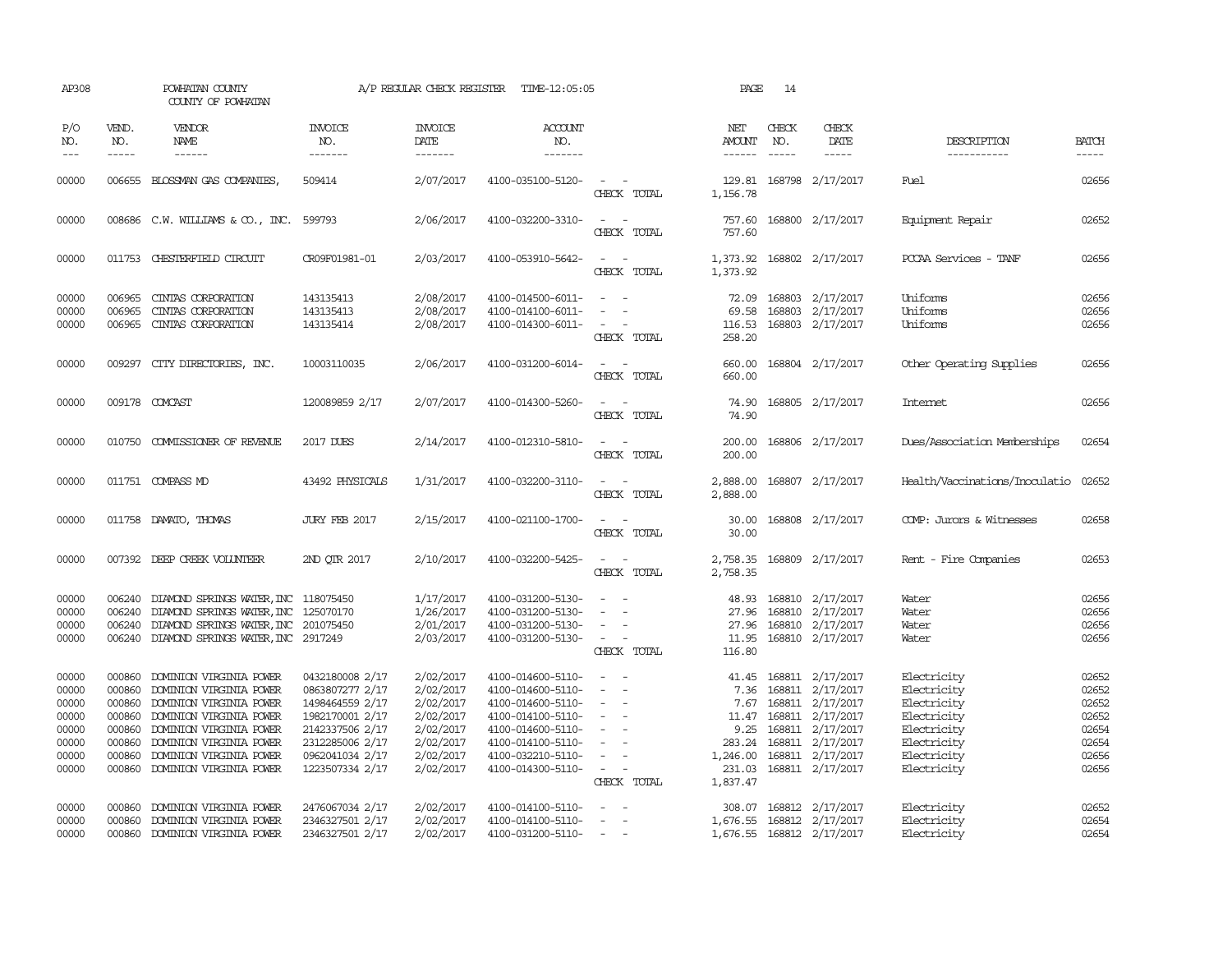| AP308                                                                |                                                                              | POWHATAN COUNTY<br>COUNTY OF POWHATAN                                                                                                                                                                                |                                                                                                                                                      | A/P REGULAR CHECK REGISTER                                                                           | TIME-12:05:05                                                                                                                                                        |                                                                                                               | PAGE                                                             | 14                          |                                                                                                                                                                   |                                                                                                                      |                                                                      |
|----------------------------------------------------------------------|------------------------------------------------------------------------------|----------------------------------------------------------------------------------------------------------------------------------------------------------------------------------------------------------------------|------------------------------------------------------------------------------------------------------------------------------------------------------|------------------------------------------------------------------------------------------------------|----------------------------------------------------------------------------------------------------------------------------------------------------------------------|---------------------------------------------------------------------------------------------------------------|------------------------------------------------------------------|-----------------------------|-------------------------------------------------------------------------------------------------------------------------------------------------------------------|----------------------------------------------------------------------------------------------------------------------|----------------------------------------------------------------------|
| P/O<br>NO.<br>$---$                                                  | VEND.<br>NO.<br>$- - - - -$                                                  | VENDOR<br>NAME                                                                                                                                                                                                       | <b>INVOICE</b><br>NO.<br>-------                                                                                                                     | <b>INVOICE</b><br><b>DATE</b><br>-------                                                             | <b>ACCOUNT</b><br>NO.<br>-------                                                                                                                                     |                                                                                                               | NET<br><b>AMOUNT</b><br>$- - - - - -$                            | CHECK<br>NO.<br>$- - - - -$ | CHECK<br>DATE<br>-----                                                                                                                                            | DESCRIPTION<br>-----------                                                                                           | <b>BATCH</b><br>$- - - - -$                                          |
| 00000                                                                |                                                                              | 006655 BLOSSMAN GAS COMPANIES,                                                                                                                                                                                       | 509414                                                                                                                                               | 2/07/2017                                                                                            | 4100-035100-5120-                                                                                                                                                    | $\sim$<br>$\sim$<br>CHECK TOTAL                                                                               | 1,156.78                                                         |                             | 129.81 168798 2/17/2017                                                                                                                                           | Fuel                                                                                                                 | 02656                                                                |
| 00000                                                                |                                                                              | 008686 C.W. WILLIAMS & CO., INC. 599793                                                                                                                                                                              |                                                                                                                                                      | 2/06/2017                                                                                            | 4100-032200-3310-                                                                                                                                                    | $\overline{\phantom{a}}$<br>$\overline{\phantom{a}}$<br>CHECK TOTAL                                           | 757.60<br>757.60                                                 |                             | 168800 2/17/2017                                                                                                                                                  | Equipment Repair                                                                                                     | 02652                                                                |
| 00000                                                                |                                                                              | 011753 CHESTERFIELD CIRCUIT                                                                                                                                                                                          | CR09F01981-01                                                                                                                                        | 2/03/2017                                                                                            | 4100-053910-5642-                                                                                                                                                    | $\overline{\phantom{a}}$<br>CHECK TOTAL                                                                       | 1,373.92                                                         |                             | 1,373.92 168802 2/17/2017                                                                                                                                         | PCCAA Services - TANF                                                                                                | 02656                                                                |
| 00000<br>00000<br>00000                                              | 006965<br>006965<br>006965                                                   | CINIAS CORPORATION<br>CINIAS CORPORATION<br>CINIAS CORPORATION                                                                                                                                                       | 143135413<br>143135413<br>143135414                                                                                                                  | 2/08/2017<br>2/08/2017<br>2/08/2017                                                                  | 4100-014500-6011-<br>4100-014100-6011-<br>4100-014300-6011-                                                                                                          | $\sim$<br>$\sim$<br>$\overline{\phantom{a}}$<br>$\overline{a}$<br>CHECK TOTAL                                 | 72.09<br>69.58<br>116.53<br>258.20                               |                             | 168803 2/17/2017<br>168803 2/17/2017<br>168803 2/17/2017                                                                                                          | Uniforms<br>Uniforms<br>Uniforms                                                                                     | 02656<br>02656<br>02656                                              |
| 00000                                                                | 009297                                                                       | CITY DIRECTORIES, INC.                                                                                                                                                                                               | 10003110035                                                                                                                                          | 2/06/2017                                                                                            | 4100-031200-6014-                                                                                                                                                    | $\overline{\phantom{a}}$<br>$\sim$<br>CHECK TOTAL                                                             | 660.00<br>660.00                                                 |                             | 168804 2/17/2017                                                                                                                                                  | Other Operating Supplies                                                                                             | 02656                                                                |
| 00000                                                                |                                                                              | 009178 COMCAST                                                                                                                                                                                                       | 120089859 2/17                                                                                                                                       | 2/07/2017                                                                                            | 4100-014300-5260-                                                                                                                                                    | CHECK TOTAL                                                                                                   | 74.90<br>74.90                                                   |                             | 168805 2/17/2017                                                                                                                                                  | <b>Internet</b>                                                                                                      | 02656                                                                |
| 00000                                                                |                                                                              | 010750 COMMISSIONER OF REVENUE                                                                                                                                                                                       | 2017 DUES                                                                                                                                            | 2/14/2017                                                                                            | 4100-012310-5810-                                                                                                                                                    | $\equiv$<br>$\sim$<br>CHECK TOTAL                                                                             | 200.00<br>200.00                                                 |                             | 168806 2/17/2017                                                                                                                                                  | Dues/Association Memberships                                                                                         | 02654                                                                |
| 00000                                                                |                                                                              | 011751 COMPASS MD                                                                                                                                                                                                    | 43492 PHYSICALS                                                                                                                                      | 1/31/2017                                                                                            | 4100-032200-3110-                                                                                                                                                    | $\sim$<br>$\sim$<br>CHECK TOTAL                                                                               | 2,888.00<br>2,888.00                                             |                             | 168807 2/17/2017                                                                                                                                                  | Health/Vaccinations/Inoculatio                                                                                       | 02652                                                                |
| 00000                                                                |                                                                              | 011758 DAMATO, THOMAS                                                                                                                                                                                                | JURY FEB 2017                                                                                                                                        | 2/15/2017                                                                                            | 4100-021100-1700-                                                                                                                                                    | CHECK TOTAL                                                                                                   | 30.00<br>30.00                                                   |                             | 168808 2/17/2017                                                                                                                                                  | COMP: Jurors & Witnesses                                                                                             | 02658                                                                |
| 00000                                                                |                                                                              | 007392 DEEP CREEK VOLUNTEER                                                                                                                                                                                          | 2ND QTR 2017                                                                                                                                         | 2/10/2017                                                                                            | 4100-032200-5425-                                                                                                                                                    | $\overline{a}$<br>$\sim$<br>CHECK TOTAL                                                                       | 2,758.35                                                         |                             | 2,758.35 168809 2/17/2017                                                                                                                                         | Rent - Fire Companies                                                                                                | 02653                                                                |
| 00000<br>00000<br>00000<br>00000                                     | 006240<br>006240<br>006240                                                   | DIAMOND SPRINGS WATER, INC 118075450<br>DIAMOND SPRINGS WATER, INC<br>DIAMOND SPRINGS WATER, INC 201075450<br>006240 DIAMOND SPRINGS WATER, INC 2917249                                                              | 125070170                                                                                                                                            | 1/17/2017<br>1/26/2017<br>2/01/2017<br>2/03/2017                                                     | 4100-031200-5130-<br>4100-031200-5130-<br>4100-031200-5130-<br>4100-031200-5130-                                                                                     | $\sim$<br>$\sim$<br>$\sim$<br>CHECK TOTAL                                                                     | 48.93<br>27.96<br>11.95<br>116.80                                |                             | 168810 2/17/2017<br>168810 2/17/2017<br>27.96 168810 2/17/2017<br>168810 2/17/2017                                                                                | Water<br>Water<br>Water<br>Water                                                                                     | 02656<br>02656<br>02656<br>02656                                     |
| 00000<br>00000<br>00000<br>00000<br>00000<br>00000<br>00000<br>00000 | 000860<br>000860<br>000860<br>000860<br>000860<br>000860<br>000860<br>000860 | DOMINION VIRGINIA POWER<br>DOMINION VIRGINIA POWER<br>DOMINION VIRGINIA POWER<br>DOMINION VIRGINIA POWER<br>DOMINION VIRGINIA POWER<br>DOMINION VIRGINIA POWER<br>DOMINION VIRGINIA POWER<br>DOMINION VIRGINIA POWER | 0432180008 2/17<br>0863807277 2/17<br>1498464559 2/17<br>1982170001 2/17<br>2142337506 2/17<br>2312285006 2/17<br>0962041034 2/17<br>1223507334 2/17 | 2/02/2017<br>2/02/2017<br>2/02/2017<br>2/02/2017<br>2/02/2017<br>2/02/2017<br>2/02/2017<br>2/02/2017 | 4100-014600-5110-<br>4100-014600-5110-<br>4100-014600-5110-<br>4100-014100-5110-<br>4100-014600-5110-<br>4100-014100-5110-<br>4100-032210-5110-<br>4100-014300-5110- | $\overline{\phantom{a}}$<br>$\equiv$<br>$\sim$<br>$\overline{\phantom{a}}$<br>$\sim$<br>$\sim$<br>CHECK TOTAL | 7.36<br>7.67<br>9.25<br>283.24<br>1,246.00<br>231.03<br>1,837.47 | 168811                      | 41.45 168811 2/17/2017<br>168811 2/17/2017<br>168811 2/17/2017<br>11.47 168811 2/17/2017<br>2/17/2017<br>168811 2/17/2017<br>168811 2/17/2017<br>168811 2/17/2017 | Electricity<br>Electricity<br>Electricity<br>Electricity<br>Electricity<br>Electricity<br>Electricity<br>Electricity | 02652<br>02652<br>02652<br>02652<br>02654<br>02654<br>02656<br>02656 |
| 00000<br>00000<br>00000                                              | 000860<br>000860<br>000860                                                   | DOMINION VIRGINIA POWER<br>DOMINION VIRGINIA POWER<br>DOMINION VIRGINIA POWER                                                                                                                                        | 2476067034 2/17<br>2346327501 2/17<br>2346327501 2/17                                                                                                | 2/02/2017<br>2/02/2017<br>2/02/2017                                                                  | 4100-014100-5110-<br>4100-014100-5110-<br>4100-031200-5110-                                                                                                          | $\overline{\phantom{a}}$<br>$\sim$                                                                            | 308.07<br>1,676.55                                               |                             | 168812 2/17/2017<br>168812 2/17/2017<br>1,676.55 168812 2/17/2017                                                                                                 | Electricity<br>Electricity<br>Electricity                                                                            | 02652<br>02654<br>02654                                              |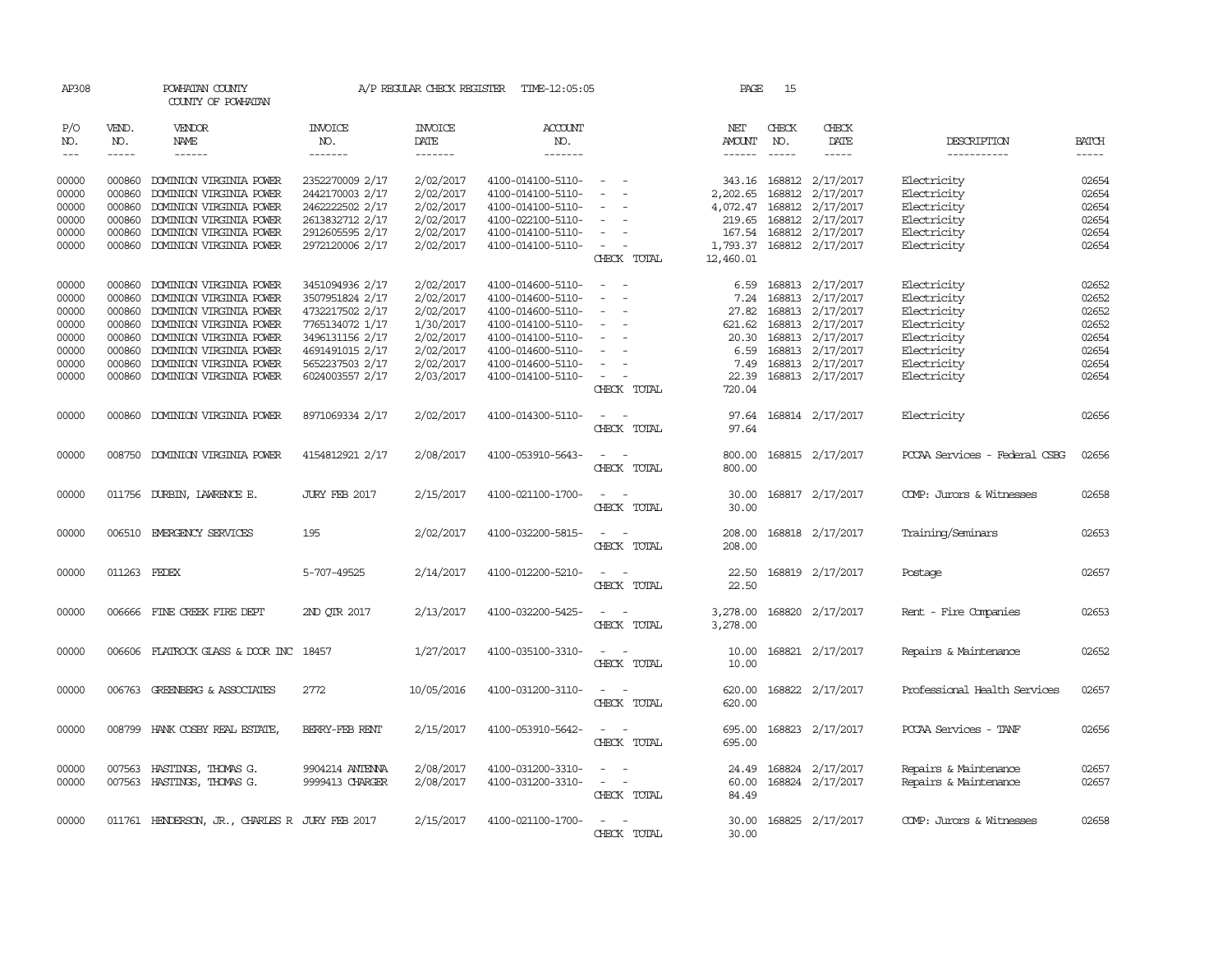| AP308                                                                |                                                                              | POWHATAN COUNTY<br>COUNTY OF POWHATAN                                                                                                                                                                                |                                                                                                                                                      | A/P REGULAR CHECK REGISTER                                                                           | TIME-12:05:05                                                                                                                                                        |                                                                                        | PAGE                                                                                     | 15                            |                                                                                                                                                              |                                                                                                                      |                                                                      |
|----------------------------------------------------------------------|------------------------------------------------------------------------------|----------------------------------------------------------------------------------------------------------------------------------------------------------------------------------------------------------------------|------------------------------------------------------------------------------------------------------------------------------------------------------|------------------------------------------------------------------------------------------------------|----------------------------------------------------------------------------------------------------------------------------------------------------------------------|----------------------------------------------------------------------------------------|------------------------------------------------------------------------------------------|-------------------------------|--------------------------------------------------------------------------------------------------------------------------------------------------------------|----------------------------------------------------------------------------------------------------------------------|----------------------------------------------------------------------|
| P/O<br>NO.<br>$\frac{1}{2}$                                          | VEND.<br>NO.<br>$- - - - -$                                                  | <b>VENDOR</b><br>NAME<br>------                                                                                                                                                                                      | <b>INVOICE</b><br>NO.<br>-------                                                                                                                     | <b>INVOICE</b><br>DATE<br>$- - - - - - -$                                                            | ACCOUNT<br>NO.<br>$- - - - - - -$                                                                                                                                    |                                                                                        | NET<br>AMOUNT                                                                            | CHECK<br>NO.<br>$\frac{1}{2}$ | CHECK<br>DATE<br>-----                                                                                                                                       | DESCRIPTION<br>-----------                                                                                           | <b>BATCH</b><br>$- - - - -$                                          |
| 00000<br>00000<br>00000<br>00000<br>00000<br>00000                   | 000860<br>000860<br>000860<br>000860<br>000860<br>000860                     | DOMINION VIRGINIA POWER<br>DOMINION VIRGINIA POWER<br>DOMINION VIRGINIA POWER<br>DOMINION VIRGINIA POWER<br>DOMINION VIRGINIA POWER<br>DOMINION VIRGINIA POWER                                                       | 2352270009 2/17<br>2442170003 2/17<br>2462222502 2/17<br>2613832712 2/17<br>2912605595 2/17<br>2972120006 2/17                                       | 2/02/2017<br>2/02/2017<br>2/02/2017<br>2/02/2017<br>2/02/2017<br>2/02/2017                           | 4100-014100-5110-<br>4100-014100-5110-<br>4100-014100-5110-<br>4100-022100-5110-<br>4100-014100-5110-<br>4100-014100-5110-                                           | $\overline{\phantom{a}}$                                                               | 343.16<br>2,202.65<br>4,072.47<br>219.65<br>167.54<br>1,793.37                           | 168812<br>168812              | 168812 2/17/2017<br>2/17/2017<br>2/17/2017<br>168812 2/17/2017<br>168812 2/17/2017<br>168812 2/17/2017                                                       | Electricity<br>Electricity<br>Electricity<br>Electricity<br>Electricity<br>Electricity                               | 02654<br>02654<br>02654<br>02654<br>02654<br>02654                   |
| 00000<br>00000<br>00000<br>00000<br>00000<br>00000<br>00000<br>00000 | 000860<br>000860<br>000860<br>000860<br>000860<br>000860<br>000860<br>000860 | DOMINION VIRGINIA POWER<br>DOMINION VIRGINIA POWER<br>DOMINION VIRGINIA POWER<br>DOMINION VIRGINIA POWER<br>DOMINION VIRGINIA POWER<br>DOMINION VIRGINIA POWER<br>DOMINION VIRGINIA POWER<br>DOMINION VIRGINIA POWER | 3451094936 2/17<br>3507951824 2/17<br>4732217502 2/17<br>7765134072 1/17<br>3496131156 2/17<br>4691491015 2/17<br>5652237503 2/17<br>6024003557 2/17 | 2/02/2017<br>2/02/2017<br>2/02/2017<br>1/30/2017<br>2/02/2017<br>2/02/2017<br>2/02/2017<br>2/03/2017 | 4100-014600-5110-<br>4100-014600-5110-<br>4100-014600-5110-<br>4100-014100-5110-<br>4100-014100-5110-<br>4100-014600-5110-<br>4100-014600-5110-<br>4100-014100-5110- | CHECK TOTAL<br>$\sim$<br>$\overline{\phantom{a}}$<br>$\equiv$<br>$\sim$<br>CHECK TOTAL | 12,460.01<br>6.59<br>7.24<br>27.82<br>621.62<br>20.30<br>6.59<br>7.49<br>22.39<br>720.04 |                               | 168813 2/17/2017<br>168813 2/17/2017<br>168813 2/17/2017<br>168813 2/17/2017<br>168813 2/17/2017<br>168813 2/17/2017<br>168813 2/17/2017<br>168813 2/17/2017 | Electricity<br>Electricity<br>Electricity<br>Electricity<br>Electricity<br>Electricity<br>Electricity<br>Electricity | 02652<br>02652<br>02652<br>02652<br>02654<br>02654<br>02654<br>02654 |
| 00000                                                                | 000860                                                                       | DOMINION VIRGINIA POWER                                                                                                                                                                                              | 8971069334 2/17                                                                                                                                      | 2/02/2017                                                                                            | 4100-014300-5110-                                                                                                                                                    | $\overline{\phantom{a}}$<br>CHECK TOTAL                                                | 97.64<br>97.64                                                                           |                               | 168814 2/17/2017                                                                                                                                             | Electricity                                                                                                          | 02656                                                                |
| 00000                                                                | 008750                                                                       | DOMINION VIRGINIA POWER                                                                                                                                                                                              | 4154812921 2/17                                                                                                                                      | 2/08/2017                                                                                            | 4100-053910-5643-                                                                                                                                                    | CHECK TOTAL                                                                            | 800.00<br>800.00                                                                         |                               | 168815 2/17/2017                                                                                                                                             | PCCAA Services - Federal CSBG                                                                                        | 02656                                                                |
| 00000                                                                |                                                                              | 011756 DURBIN, LAWRENCE E.                                                                                                                                                                                           | JURY FEB 2017                                                                                                                                        | 2/15/2017                                                                                            | 4100-021100-1700-                                                                                                                                                    | $\sim$<br>CHECK TOTAL                                                                  | 30.00<br>30.00                                                                           |                               | 168817 2/17/2017                                                                                                                                             | COMP: Jurors & Witnesses                                                                                             | 02658                                                                |
| 00000                                                                |                                                                              | 006510 EMERGENCY SERVICES                                                                                                                                                                                            | 195                                                                                                                                                  | 2/02/2017                                                                                            | 4100-032200-5815-                                                                                                                                                    | CHECK TOTAL                                                                            | 208.00<br>208.00                                                                         |                               | 168818 2/17/2017                                                                                                                                             | Training/Seminars                                                                                                    | 02653                                                                |
| 00000                                                                | 011263 FEDEX                                                                 |                                                                                                                                                                                                                      | 5-707-49525                                                                                                                                          | 2/14/2017                                                                                            | 4100-012200-5210-                                                                                                                                                    | CHECK TOTAL                                                                            | 22.50<br>22.50                                                                           |                               | 168819 2/17/2017                                                                                                                                             | Postage                                                                                                              | 02657                                                                |
| 00000                                                                | 006666                                                                       | FINE CREEK FIRE DEPT                                                                                                                                                                                                 | 2ND OTR 2017                                                                                                                                         | 2/13/2017                                                                                            | 4100-032200-5425-                                                                                                                                                    | CHECK TOTAL                                                                            | 3,278.00<br>3,278.00                                                                     |                               | 168820 2/17/2017                                                                                                                                             | Rent - Fire Companies                                                                                                | 02653                                                                |
| 00000                                                                |                                                                              | 006606 FLATROCK GLASS & DOOR INC                                                                                                                                                                                     | 18457                                                                                                                                                | 1/27/2017                                                                                            | 4100-035100-3310-                                                                                                                                                    | CHECK TOTAL                                                                            | 10.00<br>10.00                                                                           |                               | 168821 2/17/2017                                                                                                                                             | Repairs & Maintenance                                                                                                | 02652                                                                |
| 00000                                                                |                                                                              | 006763 GREENBERG & ASSOCIATES                                                                                                                                                                                        | 2772                                                                                                                                                 | 10/05/2016                                                                                           | 4100-031200-3110-                                                                                                                                                    | CHECK TOTAL                                                                            | 620.00<br>620.00                                                                         |                               | 168822 2/17/2017                                                                                                                                             | Professional Health Services                                                                                         | 02657                                                                |
| 00000                                                                |                                                                              | 008799 HANK COSBY REAL ESTATE,                                                                                                                                                                                       | BERRY-FEB RENT                                                                                                                                       | 2/15/2017                                                                                            | 4100-053910-5642-                                                                                                                                                    | $\equiv$<br>CHECK TOTAL                                                                | 695.00<br>695.00                                                                         |                               | 168823 2/17/2017                                                                                                                                             | PCCAA Services - TANF                                                                                                | 02656                                                                |
| 00000<br>00000                                                       |                                                                              | 007563 HASTINGS, THOMAS G.<br>007563 HASTINGS, THOMAS G.                                                                                                                                                             | 9904214 ANTENNA<br>9999413 CHARGER                                                                                                                   | 2/08/2017<br>2/08/2017                                                                               | 4100-031200-3310-<br>4100-031200-3310-                                                                                                                               | $\sim$<br>$\overline{\phantom{a}}$<br>$\overline{\phantom{a}}$<br>CHECK TOTAL          | 24.49<br>60.00<br>84.49                                                                  |                               | 168824 2/17/2017<br>168824 2/17/2017                                                                                                                         | Repairs & Maintenance<br>Repairs & Maintenance                                                                       | 02657<br>02657                                                       |
| 00000                                                                |                                                                              | 011761 HENDERSON, JR., CHARLES R JURY FEB 2017                                                                                                                                                                       |                                                                                                                                                      | 2/15/2017                                                                                            | 4100-021100-1700-                                                                                                                                                    | $\sim$ 100 $\sim$ 100 $\sim$<br>CHECK TOTAL                                            | 30.00<br>30.00                                                                           |                               | 168825 2/17/2017                                                                                                                                             | COMP: Jurors & Witnesses                                                                                             | 02658                                                                |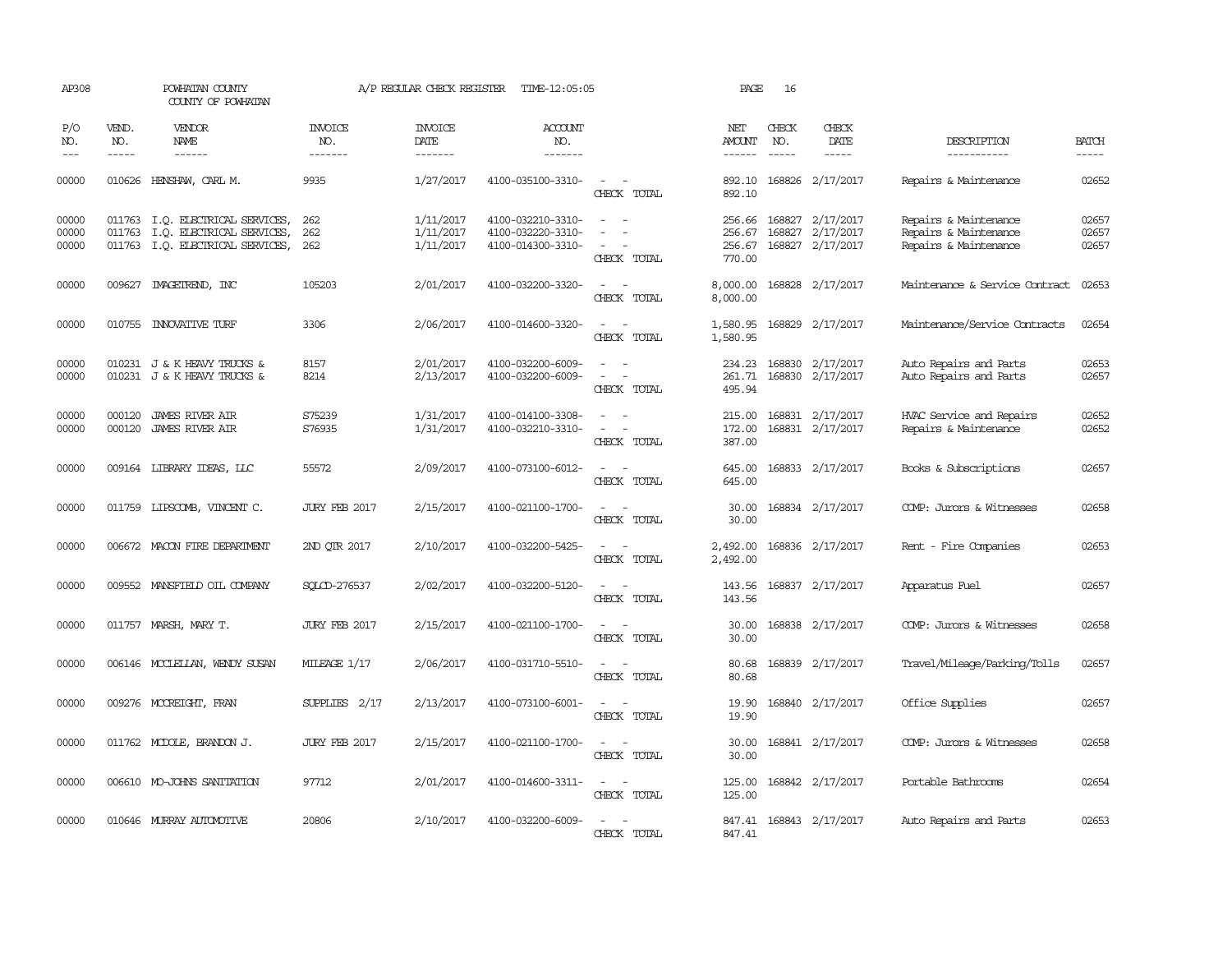| AP308                   |                             | POWHATAN COUNTY<br>COUNTY OF POWHATAN                                                             |                                  | A/P REGULAR CHECK REGISTER          | TIME-12:05:05                                               |                                                                                                           | PAGE                                 | 16                          |                                                          |                                                                         |                             |
|-------------------------|-----------------------------|---------------------------------------------------------------------------------------------------|----------------------------------|-------------------------------------|-------------------------------------------------------------|-----------------------------------------------------------------------------------------------------------|--------------------------------------|-----------------------------|----------------------------------------------------------|-------------------------------------------------------------------------|-----------------------------|
| P/O<br>NO.<br>$---$     | VEND.<br>NO.<br>$- - - - -$ | VENDOR<br><b>NAME</b><br>$- - - - - -$                                                            | <b>INVOICE</b><br>NO.<br>------- | <b>INVOICE</b><br>DATE<br>-------   | ACCOUNT<br>NO.<br>-------                                   |                                                                                                           | NET<br>AMOUNT                        | CHECK<br>NO.<br>$- - - - -$ | CHECK<br>DATE<br>-----                                   | DESCRIPTION<br>-----------                                              | <b>BATCH</b><br>$- - - - -$ |
| 00000                   |                             | 010626 HENSHAW, CARL M.                                                                           | 9935                             | 1/27/2017                           | 4100-035100-3310-                                           | $\omega_{\rm{max}}$ and $\omega_{\rm{max}}$<br>CHECK TOTAL                                                | 892.10                               |                             | 892.10 168826 2/17/2017                                  | Repairs & Maintenance                                                   | 02652                       |
| 00000<br>00000<br>00000 | 011763                      | 011763 I.O. ELECTRICAL SERVICES,<br>I.Q. ELECTRICAL SERVICES,<br>011763 I.Q. ELECTRICAL SERVICES, | 262<br>262<br>262                | 1/11/2017<br>1/11/2017<br>1/11/2017 | 4100-032210-3310-<br>4100-032220-3310-<br>4100-014300-3310- | $\sim$<br>$\overline{\phantom{a}}$<br>$\equiv$<br>$\sim$<br>$\overline{\phantom{a}}$<br>CHECK TOTAL       | 256.66<br>256.67<br>256.67<br>770.00 |                             | 168827 2/17/2017<br>168827 2/17/2017<br>168827 2/17/2017 | Repairs & Maintenance<br>Repairs & Maintenance<br>Repairs & Maintenance | 02657<br>02657<br>02657     |
| 00000                   |                             | 009627 IMAGEIREND, INC                                                                            | 105203                           | 2/01/2017                           | 4100-032200-3320-                                           | CHECK TOTAL                                                                                               | 8,000.00<br>8,000.00                 |                             | 168828 2/17/2017                                         | Maintenance & Service Contract                                          | 02653                       |
| 00000                   |                             | 010755 INNOVATIVE TURF                                                                            | 3306                             | 2/06/2017                           | 4100-014600-3320-                                           | $\overline{\phantom{a}}$<br>$\overline{\phantom{a}}$<br>CHECK TOTAL                                       | 1,580.95<br>1,580.95                 |                             | 168829 2/17/2017                                         | Maintenance/Service Contracts                                           | 02654                       |
| 00000<br>00000          |                             | 010231 J & K HEAVY TRUCKS &<br>010231 J & K HEAVY TRUCKS &                                        | 8157<br>8214                     | 2/01/2017<br>2/13/2017              | 4100-032200-6009-<br>4100-032200-6009-                      | $\overline{\phantom{a}}$<br>$\overline{a}$<br>$\sim$<br>CHECK TOTAL                                       | 234.23<br>261.71<br>495.94           | 168830                      | 168830 2/17/2017<br>2/17/2017                            | Auto Repairs and Parts<br>Auto Repairs and Parts                        | 02653<br>02657              |
| 00000<br>00000          | 000120<br>000120            | <b>JAMES RIVER AIR</b><br><b>JAMES RIVER AIR</b>                                                  | S75239<br>S76935                 | 1/31/2017<br>1/31/2017              | 4100-014100-3308-<br>4100-032210-3310-                      | $\overline{\phantom{a}}$<br>$\sim$<br>$\overline{\phantom{a}}$<br>$\overline{\phantom{a}}$<br>CHECK TOTAL | 215.00<br>172.00<br>387.00           |                             | 168831 2/17/2017<br>168831 2/17/2017                     | HVAC Service and Repairs<br>Repairs & Maintenance                       | 02652<br>02652              |
| 00000                   |                             | 009164 LIBRARY IDEAS, LLC                                                                         | 55572                            | 2/09/2017                           | 4100-073100-6012-                                           | $\equiv$<br>$\sim$<br>CHECK TOTAL                                                                         | 645.00<br>645.00                     |                             | 168833 2/17/2017                                         | Books & Subscriptions                                                   | 02657                       |
| 00000                   |                             | 011759 LIPSCOMB, VINCENT C.                                                                       | <b>JURY FEB 2017</b>             | 2/15/2017                           | 4100-021100-1700-                                           | $\equiv$<br>$\sim$<br>CHECK TOTAL                                                                         | 30.00<br>30.00                       |                             | 168834 2/17/2017                                         | COMP: Jurors & Witnesses                                                | 02658                       |
| 00000                   |                             | 006672 MACON FIRE DEPARIMENT                                                                      | 2ND OTR 2017                     | 2/10/2017                           | 4100-032200-5425-                                           | $\sim$<br>CHECK TOTAL                                                                                     | 2,492.00<br>2,492.00                 |                             | 168836 2/17/2017                                         | Rent - Fire Companies                                                   | 02653                       |
| 00000                   |                             | 009552 MANSFIELD OIL COMPANY                                                                      | SOLCD-276537                     | 2/02/2017                           | 4100-032200-5120-                                           | $\overline{\phantom{a}}$<br>$\sim$<br>CHECK TOTAL                                                         | 143.56<br>143.56                     |                             | 168837 2/17/2017                                         | Apparatus Fuel                                                          | 02657                       |
| 00000                   |                             | 011757 MARSH, MARY T.                                                                             | <b>JURY FEB 2017</b>             | 2/15/2017                           | 4100-021100-1700-                                           | $\sim$<br>$\sim$<br>CHECK TOTAL                                                                           | 30.00<br>30.00                       |                             | 168838 2/17/2017                                         | COMP: Jurors & Witnesses                                                | 02658                       |
| 00000                   |                             | 006146 MCCLELLAN, WENDY SUSAN                                                                     | MILEAGE 1/17                     | 2/06/2017                           | 4100-031710-5510-                                           | $\overline{\phantom{a}}$<br>$\sim$<br>CHECK TOTAL                                                         | 80.68<br>80.68                       |                             | 168839 2/17/2017                                         | Travel/Mileage/Parking/Tolls                                            | 02657                       |
| 00000                   |                             | 009276 MCCREIGHT, FRAN                                                                            | $SUPPLIES$ $2/17$                | 2/13/2017                           | 4100-073100-6001-                                           | $\overline{\phantom{a}}$<br>$\sim$<br>CHECK TOTAL                                                         | 19.90<br>19.90                       |                             | 168840 2/17/2017                                         | Office Supplies                                                         | 02657                       |
| 00000                   |                             | 011762 MCDOLE, BRANDON J.                                                                         | <b>JURY FEB 2017</b>             | 2/15/2017                           | 4100-021100-1700-                                           | $\sim$<br>$\sim$<br>CHECK TOTAL                                                                           | 30.00<br>30.00                       |                             | 168841 2/17/2017                                         | COMP: Jurors & Witnesses                                                | 02658                       |
| 00000                   |                             | 006610 MO-JOHNS SANITATION                                                                        | 97712                            | 2/01/2017                           | 4100-014600-3311-                                           | $\sim$ $ \sim$<br>CHECK TOTAL                                                                             | 125.00<br>125.00                     |                             | 168842 2/17/2017                                         | Portable Bathrooms                                                      | 02654                       |
| 00000                   |                             | 010646 MURRAY AUTOMOTIVE                                                                          | 20806                            | 2/10/2017                           | 4100-032200-6009-                                           | $\overline{\phantom{a}}$<br>CHECK TOTAL                                                                   | 847.41<br>847.41                     |                             | 168843 2/17/2017                                         | Auto Repairs and Parts                                                  | 02653                       |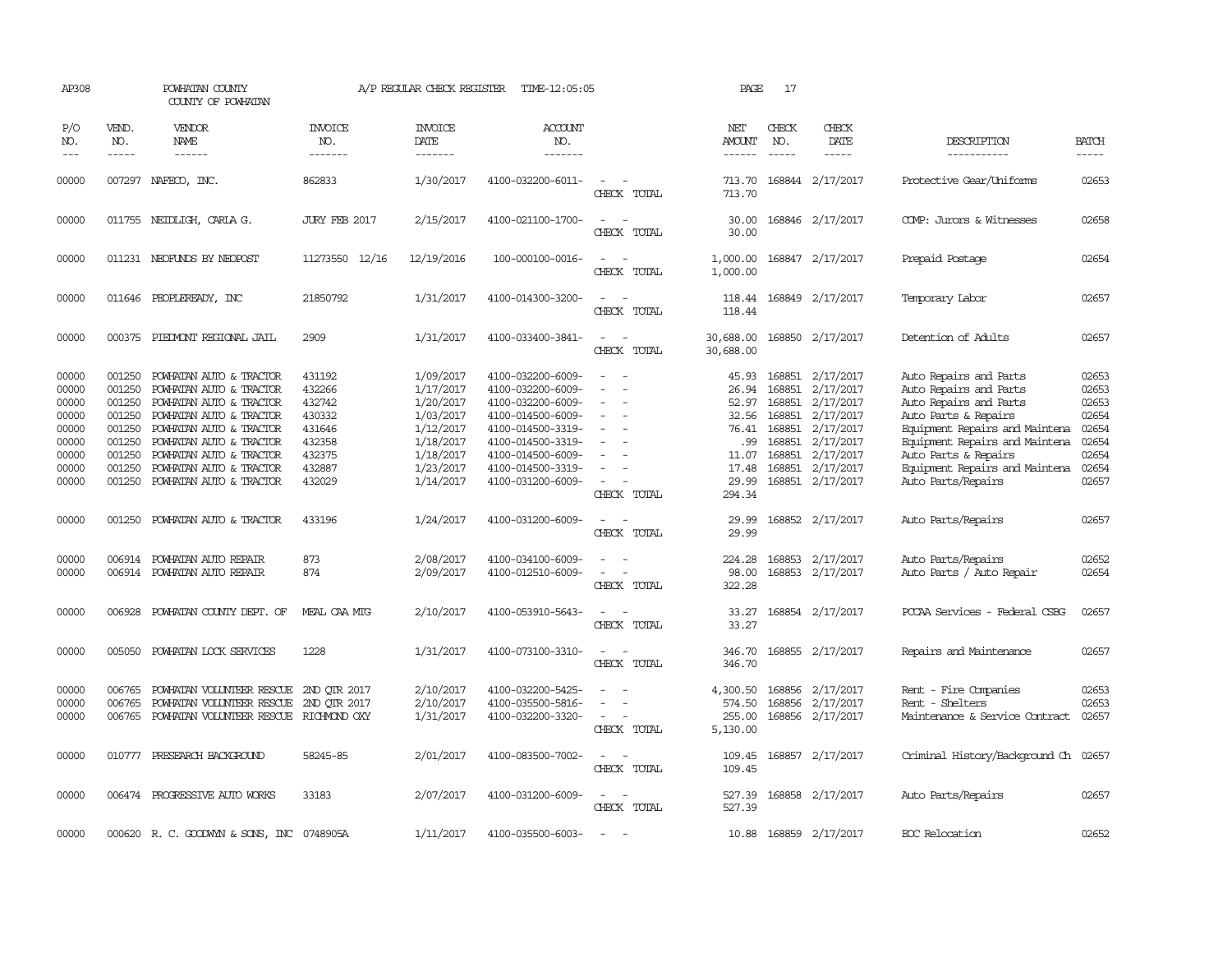| AP308                                                                         |                                                                                        | POWHATAN COUNTY<br>COUNTY OF POWHATAN                                                                                                                                                                                                           |                                                                                        | A/P REGULAR CHECK REGISTER                                                                                        | TIME-12:05:05                                                                                                                                                                             |                                                                                                                             | PAGE                                                                                  | 17                                                                           |                                                                                                                          |                                                                                                                                                                                                                                                        |                                                                               |
|-------------------------------------------------------------------------------|----------------------------------------------------------------------------------------|-------------------------------------------------------------------------------------------------------------------------------------------------------------------------------------------------------------------------------------------------|----------------------------------------------------------------------------------------|-------------------------------------------------------------------------------------------------------------------|-------------------------------------------------------------------------------------------------------------------------------------------------------------------------------------------|-----------------------------------------------------------------------------------------------------------------------------|---------------------------------------------------------------------------------------|------------------------------------------------------------------------------|--------------------------------------------------------------------------------------------------------------------------|--------------------------------------------------------------------------------------------------------------------------------------------------------------------------------------------------------------------------------------------------------|-------------------------------------------------------------------------------|
| P/O<br>NO.                                                                    | VEND.<br>NO.<br>$- - - - -$                                                            | VENDOR<br>NAME<br>------                                                                                                                                                                                                                        | <b>INVOICE</b><br>NO.<br>-------                                                       | <b>INVOICE</b><br>DATE<br>-------                                                                                 | ACCOUNT<br>NO.<br>-------                                                                                                                                                                 |                                                                                                                             | NET<br>AMOUNT<br>------                                                               | CHECK<br>NO.                                                                 | CHECK<br>DATE                                                                                                            | DESCRIPTION<br>-----------                                                                                                                                                                                                                             | <b>BATCH</b><br>-----                                                         |
| 00000                                                                         |                                                                                        | 007297 NAFECO, INC.                                                                                                                                                                                                                             | 862833                                                                                 | 1/30/2017                                                                                                         | 4100-032200-6011-                                                                                                                                                                         | $\overline{\phantom{a}}$<br>CHECK TOTAL                                                                                     | 713.70<br>713.70                                                                      |                                                                              | 168844 2/17/2017                                                                                                         | Protective Gear/Uniforms                                                                                                                                                                                                                               | 02653                                                                         |
| 00000                                                                         |                                                                                        | 011755 NEIDLIGH, CARLA G.                                                                                                                                                                                                                       | JURY FEB 2017                                                                          | 2/15/2017                                                                                                         | 4100-021100-1700-                                                                                                                                                                         | $\overline{\phantom{a}}$<br>CHECK TOTAL                                                                                     | 30.00<br>30.00                                                                        |                                                                              | 168846 2/17/2017                                                                                                         | COMP: Jurors & Witnesses                                                                                                                                                                                                                               | 02658                                                                         |
| 00000                                                                         |                                                                                        | 011231 NEOFUNDS BY NEOPOST                                                                                                                                                                                                                      | 11273550 12/16                                                                         | 12/19/2016                                                                                                        | 100-000100-0016-                                                                                                                                                                          | $\sim$<br>CHECK TOTAL                                                                                                       | 1,000.00<br>1,000.00                                                                  |                                                                              | 168847 2/17/2017                                                                                                         | Prepaid Postage                                                                                                                                                                                                                                        | 02654                                                                         |
| 00000                                                                         |                                                                                        | 011646 PEOPLEREADY, INC                                                                                                                                                                                                                         | 21850792                                                                               | 1/31/2017                                                                                                         | 4100-014300-3200-                                                                                                                                                                         | $\sim$<br>CHECK TOTAL                                                                                                       | 118.44<br>118.44                                                                      |                                                                              | 168849 2/17/2017                                                                                                         | Temporary Labor                                                                                                                                                                                                                                        | 02657                                                                         |
| 00000                                                                         |                                                                                        | 000375 PIEDMONT REGIONAL JAIL                                                                                                                                                                                                                   | 2909                                                                                   | 1/31/2017                                                                                                         | 4100-033400-3841-                                                                                                                                                                         | $\frac{1}{2} \left( \frac{1}{2} \right) \left( \frac{1}{2} \right) = \frac{1}{2} \left( \frac{1}{2} \right)$<br>CHECK TOTAL | 30,688.00<br>30,688.00                                                                |                                                                              | 168850 2/17/2017                                                                                                         | Detention of Adults                                                                                                                                                                                                                                    | 02657                                                                         |
| 00000<br>00000<br>00000<br>00000<br>00000<br>00000<br>00000<br>00000<br>00000 | 001250<br>001250<br>001250<br>001250<br>001250<br>001250<br>001250<br>001250<br>001250 | POWHATAN AUTO & TRACTOR<br>POWHATAN AUTO & TRACTOR<br>POWHATAN AUTO & TRACTOR<br>POWHATAN AUTO & TRACTOR<br>POWHATAN AUTO & TRACTOR<br>POWHATAN AUTO & TRACTOR<br>POWHATAN AUTO & TRACTOR<br>POWHATAN AUTO & TRACTOR<br>POWHATAN AUTO & TRACTOR | 431192<br>432266<br>432742<br>430332<br>431646<br>432358<br>432375<br>432887<br>432029 | 1/09/2017<br>1/17/2017<br>1/20/2017<br>1/03/2017<br>1/12/2017<br>1/18/2017<br>1/18/2017<br>1/23/2017<br>1/14/2017 | 4100-032200-6009-<br>4100-032200-6009-<br>4100-032200-6009-<br>4100-014500-6009-<br>4100-014500-3319-<br>4100-014500-3319-<br>4100-014500-6009-<br>4100-014500-3319-<br>4100-031200-6009- | $\equiv$<br>$\overline{\phantom{a}}$<br>CHECK TOTAL                                                                         | 45.93<br>26.94<br>52.97<br>32.56<br>76.41<br>.99<br>11.07<br>17.48<br>29.99<br>294.34 | 168851<br>168851<br>168851<br>168851<br>168851<br>168851<br>168851<br>168851 | 2/17/2017<br>2/17/2017<br>2/17/2017<br>2/17/2017<br>2/17/2017<br>2/17/2017<br>2/17/2017<br>2/17/2017<br>168851 2/17/2017 | Auto Repairs and Parts<br>Auto Repairs and Parts<br>Auto Repairs and Parts<br>Auto Parts & Repairs<br>Equipment Repairs and Maintena<br>Equipment Repairs and Maintena<br>Auto Parts & Repairs<br>Equipment Repairs and Maintena<br>Auto Parts/Repairs | 02653<br>02653<br>02653<br>02654<br>02654<br>02654<br>02654<br>02654<br>02657 |
| 00000                                                                         |                                                                                        | 001250 POWHATAN AUTO & TRACTOR                                                                                                                                                                                                                  | 433196                                                                                 | 1/24/2017                                                                                                         | 4100-031200-6009-                                                                                                                                                                         | $\sim$ $\sim$<br>CHECK TOTAL                                                                                                | 29.99<br>29.99                                                                        |                                                                              | 168852 2/17/2017                                                                                                         | Auto Parts/Repairs                                                                                                                                                                                                                                     | 02657                                                                         |
| 00000<br>00000                                                                |                                                                                        | 006914 POWHATAN AUTO REPAIR<br>006914 POWHATAN AUTO REPAIR                                                                                                                                                                                      | 873<br>874                                                                             | 2/08/2017<br>2/09/2017                                                                                            | 4100-034100-6009-<br>4100-012510-6009-                                                                                                                                                    | CHECK TOTAL                                                                                                                 | 224.28<br>98.00<br>322.28                                                             |                                                                              | 168853 2/17/2017<br>168853 2/17/2017                                                                                     | Auto Parts/Repairs<br>Auto Parts / Auto Repair                                                                                                                                                                                                         | 02652<br>02654                                                                |
| 00000                                                                         | 006928                                                                                 | POWHATAN COUNTY DEPT. OF                                                                                                                                                                                                                        | MEAL CAA MTG                                                                           | 2/10/2017                                                                                                         | 4100-053910-5643-                                                                                                                                                                         | CHECK TOTAL                                                                                                                 | 33.27<br>33.27                                                                        |                                                                              | 168854 2/17/2017                                                                                                         | PCCAA Services - Federal CSBG                                                                                                                                                                                                                          | 02657                                                                         |
| 00000                                                                         | 005050                                                                                 | POWHATAN LOCK SERVICES                                                                                                                                                                                                                          | 1228                                                                                   | 1/31/2017                                                                                                         | 4100-073100-3310-                                                                                                                                                                         | $\overline{\phantom{a}}$<br>CHECK TOTAL                                                                                     | 346.70<br>346.70                                                                      |                                                                              | 168855 2/17/2017                                                                                                         | Repairs and Maintenance                                                                                                                                                                                                                                | 02657                                                                         |
| 00000<br>00000<br>00000                                                       | 006765<br>006765<br>006765                                                             | POWHATAN VOLUNTEER RESCUE<br>POWHATAN VOLUNTEER RESCUE<br>POWHATAN VOLUNTEER RESCUE RICHMOND OXY                                                                                                                                                | 2ND QTR 2017<br>2ND OTR 2017                                                           | 2/10/2017<br>2/10/2017<br>1/31/2017                                                                               | 4100-032200-5425-<br>4100-035500-5816-<br>4100-032200-3320-                                                                                                                               | $\overline{\phantom{a}}$<br>CHECK TOTAL                                                                                     | 4,300.50<br>574.50<br>255.00<br>5,130.00                                              | 168856<br>168856                                                             | 2/17/2017<br>2/17/2017<br>168856 2/17/2017                                                                               | Rent - Fire Companies<br>Rent - Shelters<br>Maintenance & Service Contract                                                                                                                                                                             | 02653<br>02653<br>02657                                                       |
| 00000                                                                         |                                                                                        | 010777 PRESEARCH BACKGROUND                                                                                                                                                                                                                     | 58245-85                                                                               | 2/01/2017                                                                                                         | 4100-083500-7002-                                                                                                                                                                         | $\sim$<br>CHECK TOTAL                                                                                                       | 109.45<br>109.45                                                                      |                                                                              | 168857 2/17/2017                                                                                                         | Criminal History/Background Ch 02657                                                                                                                                                                                                                   |                                                                               |
| 00000                                                                         |                                                                                        | 006474 PROGRESSIVE AUTO WORKS                                                                                                                                                                                                                   | 33183                                                                                  | 2/07/2017                                                                                                         | 4100-031200-6009-                                                                                                                                                                         | $\sim$<br>CHECK TOTAL                                                                                                       | 527.39<br>527.39                                                                      |                                                                              | 168858 2/17/2017                                                                                                         | Auto Parts/Repairs                                                                                                                                                                                                                                     | 02657                                                                         |
| 00000                                                                         |                                                                                        | 000620 R.C. GOODWYN & SONS, INC 0748905A                                                                                                                                                                                                        |                                                                                        | 1/11/2017                                                                                                         | 4100-035500-6003-                                                                                                                                                                         | $\equiv$                                                                                                                    | 10.88                                                                                 |                                                                              | 168859 2/17/2017                                                                                                         | EOC Relocation                                                                                                                                                                                                                                         | 02652                                                                         |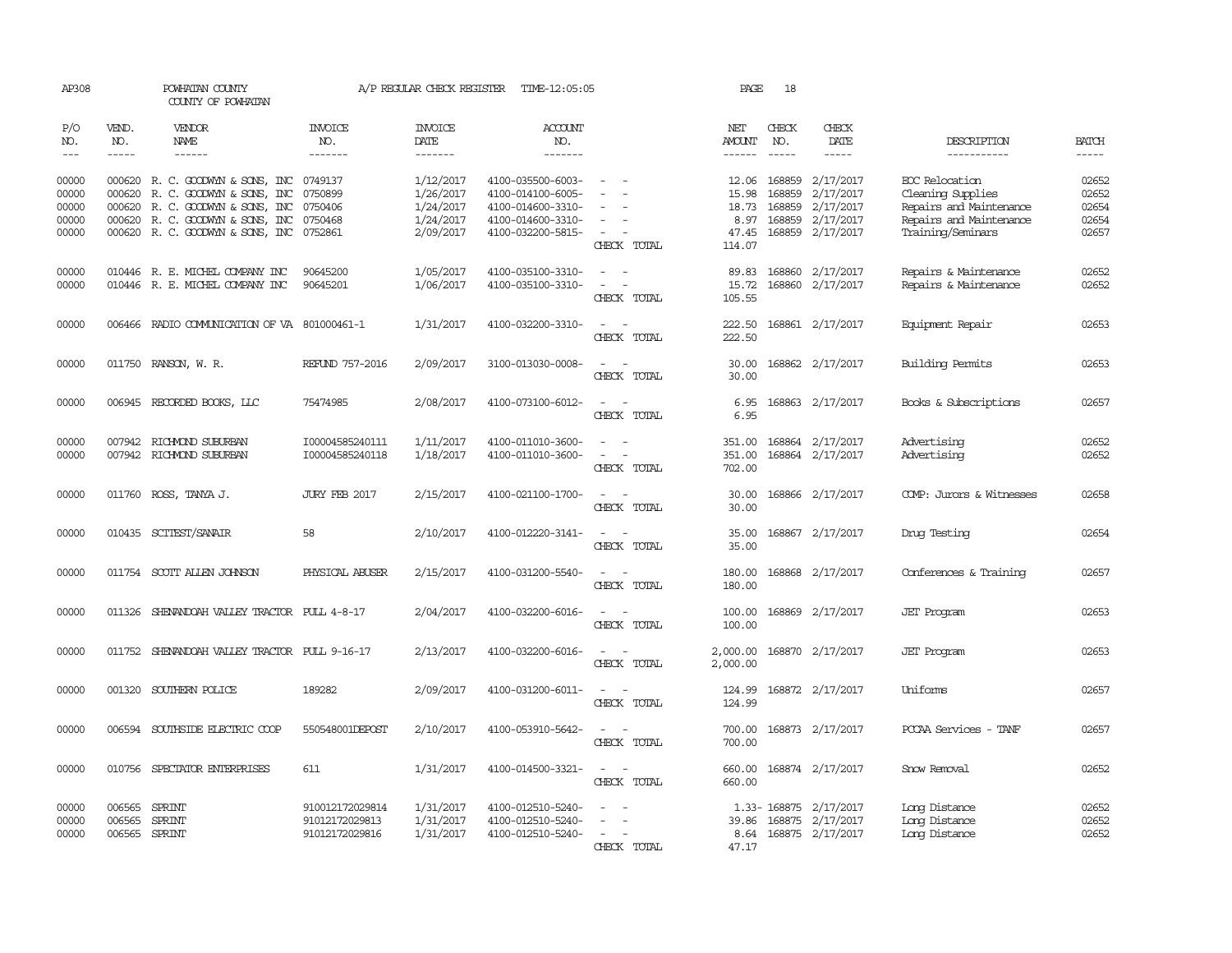| AP308                   |                                   | POWHATAN COUNTY<br>COUNTY OF POWHATAN                                                                            |                                                     | A/P REGULAR CHECK REGISTER          | TIME-12:05:05                                               |                                                                                           | PAGE                             | 18                         |                                                                                                                                                                                                                                                                                                                                                                                                                                                                                     |                                                                         |                         |
|-------------------------|-----------------------------------|------------------------------------------------------------------------------------------------------------------|-----------------------------------------------------|-------------------------------------|-------------------------------------------------------------|-------------------------------------------------------------------------------------------|----------------------------------|----------------------------|-------------------------------------------------------------------------------------------------------------------------------------------------------------------------------------------------------------------------------------------------------------------------------------------------------------------------------------------------------------------------------------------------------------------------------------------------------------------------------------|-------------------------------------------------------------------------|-------------------------|
| P/O<br>NO.              | VEND.<br>NO.                      | VENDOR<br>NAME                                                                                                   | INVOICE<br>NO.                                      | <b>INVOICE</b><br><b>DATE</b>       | <b>ACCOUNT</b><br>NO.                                       |                                                                                           | NET<br>AMOUNT                    | CHECK<br>NO.               | CHECK<br>DATE                                                                                                                                                                                                                                                                                                                                                                                                                                                                       | DESCRIPTION                                                             | <b>BATCH</b>            |
| $---$                   | $\frac{1}{2}$                     | ------                                                                                                           | -------                                             | -------                             | -------                                                     |                                                                                           | $- - - - - -$                    | $- - - - -$                | $\begin{tabular}{ccccc} \multicolumn{2}{c}{} & \multicolumn{2}{c}{} & \multicolumn{2}{c}{} & \multicolumn{2}{c}{} & \multicolumn{2}{c}{} & \multicolumn{2}{c}{} & \multicolumn{2}{c}{} & \multicolumn{2}{c}{} & \multicolumn{2}{c}{} & \multicolumn{2}{c}{} & \multicolumn{2}{c}{} & \multicolumn{2}{c}{} & \multicolumn{2}{c}{} & \multicolumn{2}{c}{} & \multicolumn{2}{c}{} & \multicolumn{2}{c}{} & \multicolumn{2}{c}{} & \multicolumn{2}{c}{} & \multicolumn{2}{c}{} & \mult$ | -----------                                                             | $- - - - -$             |
| 00000<br>00000          | 000620                            | 000620 R. C. GOODWYN & SONS, INC<br>R. C. GOODWYN & SONS, INC                                                    | 0749137<br>0750899                                  | 1/12/2017<br>1/26/2017              | 4100-035500-6003-<br>4100-014100-6005-                      |                                                                                           | 12.06<br>15.98                   | 168859<br>168859           | 2/17/2017<br>2/17/2017                                                                                                                                                                                                                                                                                                                                                                                                                                                              | EOC Relocation<br>Cleaning Supplies                                     | 02652<br>02652          |
| 00000<br>00000<br>00000 |                                   | 000620 R. C. GOODWYN & SONS, INC<br>000620 R. C. GOODWYN & SONS, INC<br>000620 R. C. GOODWYN & SONS, INC 0752861 | 0750406<br>0750468                                  | 1/24/2017<br>1/24/2017<br>2/09/2017 | 4100-014600-3310-<br>4100-014600-3310-<br>4100-032200-5815- | $\sim$<br>CHECK TOTAL                                                                     | 18.73<br>8.97<br>47.45<br>114.07 | 168859<br>168859<br>168859 | 2/17/2017<br>2/17/2017<br>2/17/2017                                                                                                                                                                                                                                                                                                                                                                                                                                                 | Repairs and Maintenance<br>Repairs and Maintenance<br>Training/Seminars | 02654<br>02654<br>02657 |
| 00000<br>00000          |                                   | 010446 R. E. MICHEL COMPANY INC<br>010446 R. E. MICHEL COMPANY INC                                               | 90645200<br>90645201                                | 1/05/2017<br>1/06/2017              | 4100-035100-3310-<br>4100-035100-3310-                      | $\equiv$<br>$\sim$<br>$\overline{\phantom{a}}$<br>$\overline{\phantom{a}}$<br>CHECK TOTAL | 89.83<br>15.72<br>105.55         | 168860<br>168860           | 2/17/2017<br>2/17/2017                                                                                                                                                                                                                                                                                                                                                                                                                                                              | Repairs & Maintenance<br>Repairs & Maintenance                          | 02652<br>02652          |
| 00000                   |                                   | 006466 RADIO COMMUNICATION OF VA 801000461-1                                                                     |                                                     | 1/31/2017                           | 4100-032200-3310-                                           | $\equiv$<br>$\sim$<br>CHECK TOTAL                                                         | 222.50<br>222.50                 |                            | 168861 2/17/2017                                                                                                                                                                                                                                                                                                                                                                                                                                                                    | Equipment Repair                                                        | 02653                   |
| 00000                   |                                   | 011750 RANSON, W. R.                                                                                             | REFUND 757-2016                                     | 2/09/2017                           | 3100-013030-0008-                                           | $\sim$<br>$\sim$<br>CHECK TOTAL                                                           | 30.00<br>30.00                   |                            | 168862 2/17/2017                                                                                                                                                                                                                                                                                                                                                                                                                                                                    | Building Permits                                                        | 02653                   |
| 00000                   |                                   | 006945 RECORDED BOOKS, LLC                                                                                       | 75474985                                            | 2/08/2017                           | 4100-073100-6012-                                           | $\sim$<br>$\sim$<br>CHECK TOTAL                                                           | 6.95<br>6.95                     |                            | 168863 2/17/2017                                                                                                                                                                                                                                                                                                                                                                                                                                                                    | Books & Subscriptions                                                   | 02657                   |
| 00000<br>00000          | 007942                            | RICHMOND SUBURBAN<br>007942 RICHMOND SUBURBAN                                                                    | I00004585240111<br>I00004585240118                  | 1/11/2017<br>1/18/2017              | 4100-011010-3600-<br>4100-011010-3600-                      | CHECK TOTAL                                                                               | 351.00<br>351.00<br>702.00       | 168864                     | 2/17/2017<br>168864 2/17/2017                                                                                                                                                                                                                                                                                                                                                                                                                                                       | Advertising<br>Advertising                                              | 02652<br>02652          |
| 00000                   | 011760                            | ROSS, TANYA J.                                                                                                   | JURY FEB 2017                                       | 2/15/2017                           | 4100-021100-1700-                                           | $\overline{\phantom{a}}$<br>CHECK TOTAL                                                   | 30.00<br>30.00                   | 168866                     | 2/17/2017                                                                                                                                                                                                                                                                                                                                                                                                                                                                           | COMP: Jurors & Witnesses                                                | 02658                   |
| 00000                   | 010435                            | SCITEST/SANAIR                                                                                                   | 58                                                  | 2/10/2017                           | 4100-012220-3141-                                           | CHECK TOTAL                                                                               | 35.00<br>35.00                   | 168867                     | 2/17/2017                                                                                                                                                                                                                                                                                                                                                                                                                                                                           | Drug Testing                                                            | 02654                   |
| 00000                   |                                   | 011754 SCOTT ALLEN JOHNSON                                                                                       | PHYSICAL ABUSER                                     | 2/15/2017                           | 4100-031200-5540-                                           | $\sim$<br>CHECK TOTAL                                                                     | 180.00<br>180.00                 | 168868                     | 2/17/2017                                                                                                                                                                                                                                                                                                                                                                                                                                                                           | Conferences & Training                                                  | 02657                   |
| 00000                   |                                   | 011326 SHENANDOAH VALLEY TRACTOR PULL 4-8-17                                                                     |                                                     | 2/04/2017                           | 4100-032200-6016-                                           | $\sim$<br>$\sim$<br>CHECK TOTAL                                                           | 100.00<br>100.00                 |                            | 168869 2/17/2017                                                                                                                                                                                                                                                                                                                                                                                                                                                                    | <b>JET</b> Program                                                      | 02653                   |
| 00000                   |                                   | 011752 SHENANDOAH VALLEY TRACTOR PULL 9-16-17                                                                    |                                                     | 2/13/2017                           | 4100-032200-6016-                                           | $\sim$<br>$\sim$<br>CHECK TOTAL                                                           | 2,000.00<br>2,000.00             |                            | 168870 2/17/2017                                                                                                                                                                                                                                                                                                                                                                                                                                                                    | <b>JET</b> Program                                                      | 02653                   |
| 00000                   |                                   | 001320 SOUTHERN POLICE                                                                                           | 189282                                              | 2/09/2017                           | 4100-031200-6011-                                           | $\sim$<br>$\sim$<br>CHECK TOTAL                                                           | 124.99<br>124.99                 |                            | 168872 2/17/2017                                                                                                                                                                                                                                                                                                                                                                                                                                                                    | Uniforms                                                                | 02657                   |
| 00000                   |                                   | 006594 SOUTHSIDE ELECTRIC COOP                                                                                   | 550548001DEPOST                                     | 2/10/2017                           | 4100-053910-5642-                                           | CHECK TOTAL                                                                               | 700.00                           |                            | 700.00 168873 2/17/2017                                                                                                                                                                                                                                                                                                                                                                                                                                                             | PCCAA Services - TANF                                                   | 02657                   |
| 00000                   | 010756                            | SPECIATOR ENTERPRISES                                                                                            | 611                                                 | 1/31/2017                           | 4100-014500-3321-                                           | $\overline{a}$<br>$\sim$<br>CHECK TOTAL                                                   | 660.00<br>660.00                 |                            | 168874 2/17/2017                                                                                                                                                                                                                                                                                                                                                                                                                                                                    | Snow Removal                                                            | 02652                   |
| 00000<br>00000<br>00000 | 006565<br>006565<br>006565 SPRINT | SPRINT<br>SPRINT                                                                                                 | 910012172029814<br>91012172029813<br>91012172029816 | 1/31/2017<br>1/31/2017<br>1/31/2017 | 4100-012510-5240-<br>4100-012510-5240-<br>4100-012510-5240- | $\sim$<br>CHECK TOTAL                                                                     | 39.86<br>8.64<br>47.17           | 1.33-168875<br>168875      | 2/17/2017<br>2/17/2017<br>168875 2/17/2017                                                                                                                                                                                                                                                                                                                                                                                                                                          | Long Distance<br>Long Distance<br>Long Distance                         | 02652<br>02652<br>02652 |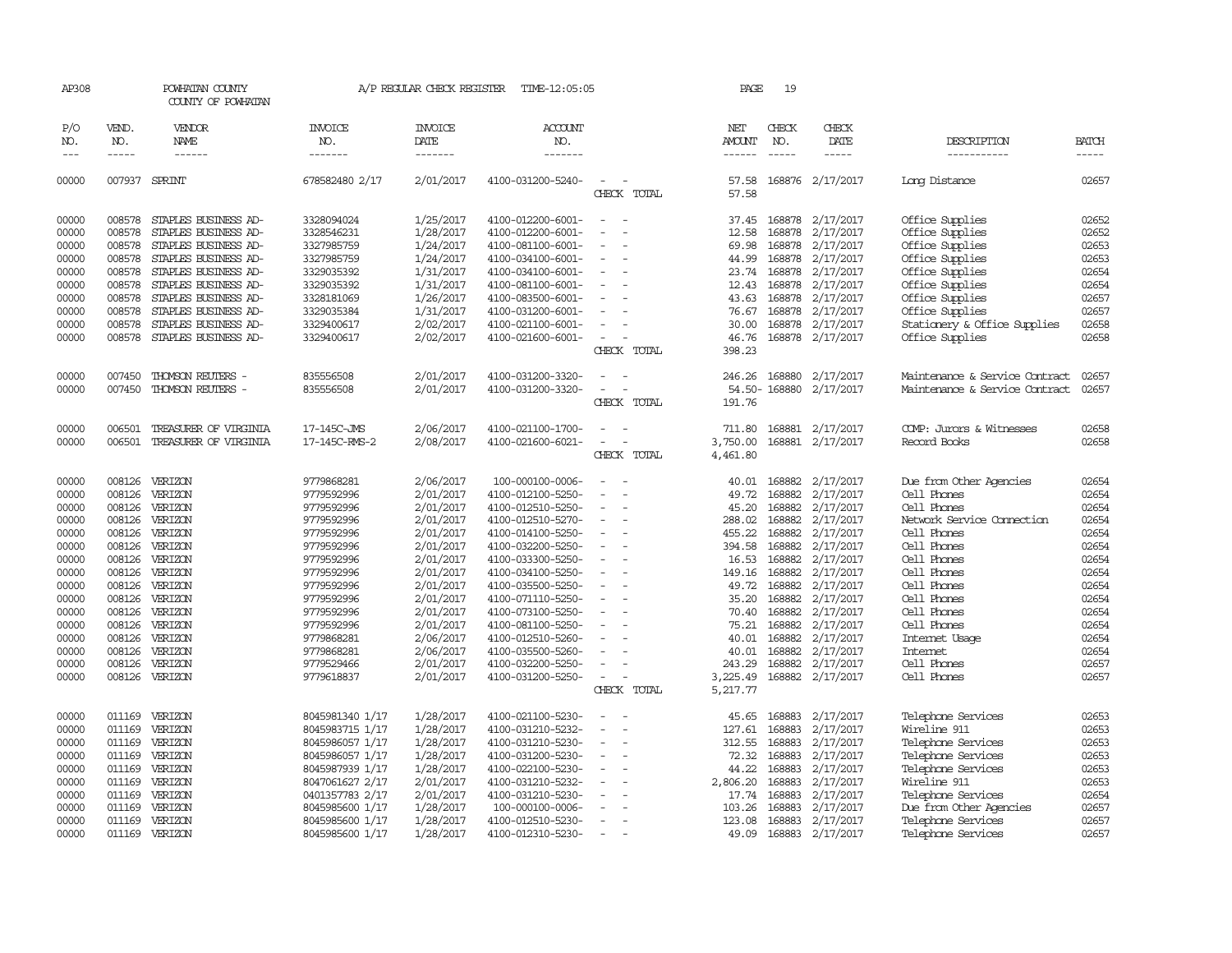| AP308                                                                                                                                                                                                                                                                                                                                                                                        |                                      | POWHATAN COUNTY<br>COUNTY OF POWHATAN                                                        |                                                      | A/P REGULAR CHECK REGISTER                       | TIME-12:05:05                                                                    |                                      | PAGE                             | 19                                   |                                                  |                                                                          |                                  |
|----------------------------------------------------------------------------------------------------------------------------------------------------------------------------------------------------------------------------------------------------------------------------------------------------------------------------------------------------------------------------------------------|--------------------------------------|----------------------------------------------------------------------------------------------|------------------------------------------------------|--------------------------------------------------|----------------------------------------------------------------------------------|--------------------------------------|----------------------------------|--------------------------------------|--------------------------------------------------|--------------------------------------------------------------------------|----------------------------------|
| P/O<br>NO.                                                                                                                                                                                                                                                                                                                                                                                   | VEND.<br>NO.                         | VENDOR<br>NAME                                                                               | <b>INVOICE</b><br>NO.                                | <b>INVOICE</b><br>DATE                           | <b>ACCOUNT</b><br>NO.                                                            |                                      | NET<br>AMOUNT                    | CHECK<br>NO.                         | CHECK<br>DATE                                    | DESCRIPTION                                                              | <b>BATCH</b>                     |
| $\frac{1}{2} \frac{1}{2} \frac{1}{2} \frac{1}{2} \frac{1}{2} \frac{1}{2} \frac{1}{2} \frac{1}{2} \frac{1}{2} \frac{1}{2} \frac{1}{2} \frac{1}{2} \frac{1}{2} \frac{1}{2} \frac{1}{2} \frac{1}{2} \frac{1}{2} \frac{1}{2} \frac{1}{2} \frac{1}{2} \frac{1}{2} \frac{1}{2} \frac{1}{2} \frac{1}{2} \frac{1}{2} \frac{1}{2} \frac{1}{2} \frac{1}{2} \frac{1}{2} \frac{1}{2} \frac{1}{2} \frac{$ | $- - - - -$                          | ------                                                                                       | -------                                              | -------                                          | -------                                                                          |                                      |                                  | $\frac{1}{2}$                        | -----                                            | -----------                                                              |                                  |
| 00000                                                                                                                                                                                                                                                                                                                                                                                        |                                      | 007937 SPRINT                                                                                | 678582480 2/17                                       | 2/01/2017                                        | 4100-031200-5240-                                                                | $\equiv$<br>CHECK TOTAL              | 57.58<br>57.58                   |                                      | 168876 2/17/2017                                 | Long Distance                                                            | 02657                            |
| 00000<br>00000<br>00000<br>00000                                                                                                                                                                                                                                                                                                                                                             | 008578<br>008578<br>008578<br>008578 | STAPLES BUSINESS AD-<br>STAPLES BUSINESS AD-<br>STAPLES BUSINESS AD-<br>STAPLES BUSINESS AD- | 3328094024<br>3328546231<br>3327985759<br>3327985759 | 1/25/2017<br>1/28/2017<br>1/24/2017<br>1/24/2017 | 4100-012200-6001-<br>4100-012200-6001-<br>4100-081100-6001-<br>4100-034100-6001- | $\equiv$<br>$\overline{\phantom{a}}$ | 37.45<br>12.58<br>69.98<br>44.99 | 168878<br>168878<br>168878<br>168878 | 2/17/2017<br>2/17/2017<br>2/17/2017<br>2/17/2017 | Office Supplies<br>Office Supplies<br>Office Supplies<br>Office Supplies | 02652<br>02652<br>02653<br>02653 |
| 00000<br>00000<br>00000<br>00000                                                                                                                                                                                                                                                                                                                                                             | 008578<br>008578<br>008578<br>008578 | STAPLES BUSINESS AD-<br>STAPLES BUSINESS AD-<br>STAPLES BUSINESS AD-<br>STAPLES BUSINESS AD- | 3329035392<br>3329035392<br>3328181069<br>3329035384 | 1/31/2017<br>1/31/2017<br>1/26/2017<br>1/31/2017 | 4100-034100-6001-<br>4100-081100-6001-<br>4100-083500-6001-<br>4100-031200-6001- | $\equiv$                             | 23.74<br>12.43<br>43.63<br>76.67 | 168878<br>168878<br>168878<br>168878 | 2/17/2017<br>2/17/2017<br>2/17/2017<br>2/17/2017 | Office Supplies<br>Office Supplies<br>Office Supplies<br>Office Supplies | 02654<br>02654<br>02657<br>02657 |
| 00000<br>00000                                                                                                                                                                                                                                                                                                                                                                               | 008578<br>008578                     | STAPLES BUSINESS AD-<br>STAPLES BUSINESS AD-                                                 | 3329400617<br>3329400617                             | 2/02/2017<br>2/02/2017                           | 4100-021100-6001-<br>4100-021600-6001-                                           | $\equiv$<br>CHECK TOTAL              | 30.00<br>46.76<br>398.23         | 168878                               | 2/17/2017<br>168878 2/17/2017                    | Stationery & Office Supplies<br>Office Supplies                          | 02658<br>02658                   |
| 00000<br>00000                                                                                                                                                                                                                                                                                                                                                                               | 007450<br>007450                     | THOMSON REUTERS -<br>THOMSON REUTERS -                                                       | 835556508<br>835556508                               | 2/01/2017<br>2/01/2017                           | 4100-031200-3320-<br>4100-031200-3320-                                           | CHECK TOTAL                          | 246.26<br>191.76                 | 168880                               | 2/17/2017<br>54.50-168880 2/17/2017              | Maintenance & Service Contract<br>Maintenance & Service Contract         | 02657<br>02657                   |
| 00000                                                                                                                                                                                                                                                                                                                                                                                        | 006501                               | TREASURER OF VIRGINIA                                                                        | 17-145C-JMS                                          | 2/06/2017                                        | 4100-021100-1700-                                                                |                                      | 711.80                           |                                      | 168881 2/17/2017                                 | COMP: Jurors & Witnesses                                                 | 02658                            |
| 00000                                                                                                                                                                                                                                                                                                                                                                                        | 006501                               | TREASURER OF VIRGINIA                                                                        | 17-145C-RMS-2                                        | 2/08/2017                                        | 4100-021600-6021-                                                                | $\equiv$<br>CHECK TOTAL              | 3,750.00<br>4,461.80             |                                      | 168881 2/17/2017                                 | Record Books                                                             | 02658                            |
| 00000                                                                                                                                                                                                                                                                                                                                                                                        | 008126                               | VERIZON                                                                                      | 9779868281                                           | 2/06/2017                                        | 100-000100-0006-                                                                 | $\sim$                               | 40.01                            | 168882                               | 2/17/2017                                        | Due from Other Agencies                                                  | 02654                            |
| 00000<br>00000                                                                                                                                                                                                                                                                                                                                                                               | 008126<br>008126                     | VERIZON<br>VERIZON                                                                           | 9779592996<br>9779592996                             | 2/01/2017<br>2/01/2017                           | 4100-012100-5250-<br>4100-012510-5250-                                           |                                      | 49.72<br>45.20                   | 168882<br>168882<br>168882           | 2/17/2017<br>2/17/2017                           | Cell Phones<br>Cell Phones<br>Network Service Connection                 | 02654<br>02654<br>02654          |
| 00000<br>00000                                                                                                                                                                                                                                                                                                                                                                               | 008126<br>008126                     | VERIZON<br>VERIZON                                                                           | 9779592996<br>9779592996                             | 2/01/2017<br>2/01/2017                           | 4100-012510-5270-<br>4100-014100-5250-                                           | $\equiv$                             | 288.02<br>455.22                 | 168882                               | 2/17/2017<br>2/17/2017                           | Cell Phones                                                              | 02654                            |
| 00000                                                                                                                                                                                                                                                                                                                                                                                        | 008126                               | VERIZON                                                                                      | 9779592996                                           | 2/01/2017                                        | 4100-032200-5250-                                                                |                                      | 394.58                           | 168882                               | 2/17/2017                                        | Cell Phones                                                              | 02654<br>02654                   |
| 00000<br>00000                                                                                                                                                                                                                                                                                                                                                                               | 008126<br>008126                     | VERIZON<br>VERIZON                                                                           | 9779592996<br>9779592996                             | 2/01/2017<br>2/01/2017                           | 4100-033300-5250-<br>4100-034100-5250-                                           |                                      | 16.53<br>149.16                  | 168882<br>168882                     | 2/17/2017<br>2/17/2017                           | Cell Phones<br>Cell Phones                                               | 02654                            |
| 00000                                                                                                                                                                                                                                                                                                                                                                                        | 008126                               | VERIZON                                                                                      | 9779592996                                           | 2/01/2017                                        | 4100-035500-5250-                                                                | $\overline{a}$                       | 49.72                            | 168882                               | 2/17/2017                                        | Cell Phones                                                              | 02654                            |
| 00000                                                                                                                                                                                                                                                                                                                                                                                        | 008126                               | VERIZON                                                                                      | 9779592996                                           | 2/01/2017                                        | 4100-071110-5250-                                                                |                                      | 35.20                            | 168882                               | 2/17/2017                                        | Cell Phones                                                              | 02654                            |
| 00000                                                                                                                                                                                                                                                                                                                                                                                        | 008126                               | VERIZON                                                                                      | 9779592996                                           | 2/01/2017                                        | 4100-073100-5250-                                                                |                                      | 70.40                            | 168882                               | 2/17/2017                                        | Cell Phones                                                              | 02654                            |
| 00000                                                                                                                                                                                                                                                                                                                                                                                        | 008126                               | VERIZON                                                                                      | 9779592996                                           | 2/01/2017                                        | 4100-081100-5250-                                                                | $\equiv$                             | 75.21                            | 168882                               | 2/17/2017                                        | Cell Phones                                                              | 02654                            |
| 00000                                                                                                                                                                                                                                                                                                                                                                                        | 008126                               | VERIZON                                                                                      | 9779868281                                           | 2/06/2017                                        | 4100-012510-5260-                                                                |                                      | 40.01                            | 168882                               | 2/17/2017                                        | Internet Usage                                                           | 02654                            |
| 00000                                                                                                                                                                                                                                                                                                                                                                                        | 008126                               | VERIZON                                                                                      | 9779868281                                           | 2/06/2017                                        | 4100-035500-5260-                                                                |                                      | 40.01                            | 168882                               | 2/17/2017                                        | Internet                                                                 | 02654                            |
| 00000                                                                                                                                                                                                                                                                                                                                                                                        | 008126                               | VERIZON                                                                                      | 9779529466                                           | 2/01/2017                                        | 4100-032200-5250-                                                                |                                      | 243.29                           | 168882                               | 2/17/2017                                        | Cell Phones                                                              | 02657                            |
| 00000                                                                                                                                                                                                                                                                                                                                                                                        | 008126                               | VERIZON                                                                                      | 9779618837                                           | 2/01/2017                                        | 4100-031200-5250-                                                                | CHECK TOTAL                          | 3,225.49<br>5,217.77             | 168882                               | 2/17/2017                                        | Cell Phones                                                              | 02657                            |
| 00000                                                                                                                                                                                                                                                                                                                                                                                        |                                      | 011169 VERIZON                                                                               | 8045981340 1/17                                      | 1/28/2017                                        | 4100-021100-5230-                                                                |                                      | 45.65                            | 168883                               | 2/17/2017                                        | Telephone Services                                                       | 02653                            |
| 00000                                                                                                                                                                                                                                                                                                                                                                                        | 011169                               | VERIZON                                                                                      | 8045983715 1/17                                      | 1/28/2017                                        | 4100-031210-5232-                                                                | $\overline{a}$                       | 127.61                           | 168883                               | 2/17/2017                                        | Wireline 911                                                             | 02653                            |
| 00000                                                                                                                                                                                                                                                                                                                                                                                        | 011169                               | VERIZON                                                                                      | 8045986057 1/17                                      | 1/28/2017                                        | 4100-031210-5230-                                                                |                                      | 312.55                           | 168883                               | 2/17/2017                                        | Telephone Services                                                       | 02653                            |
| 00000                                                                                                                                                                                                                                                                                                                                                                                        |                                      | 011169 VERIZON                                                                               | 8045986057 1/17                                      | 1/28/2017                                        | 4100-031200-5230-                                                                | $\equiv$                             | 72.32                            | 168883                               | 2/17/2017                                        | Telephone Services                                                       | 02653                            |
| 00000                                                                                                                                                                                                                                                                                                                                                                                        | 011169                               | VERIZON                                                                                      | 8045987939 1/17                                      | 1/28/2017                                        | 4100-022100-5230-                                                                |                                      | 44.22                            | 168883                               | 2/17/2017                                        | Telephone Services                                                       | 02653                            |
| 00000                                                                                                                                                                                                                                                                                                                                                                                        | 011169                               | VERIZON                                                                                      | 8047061627 2/17                                      | 2/01/2017                                        | 4100-031210-5232-                                                                |                                      | 2,806.20                         | 168883                               | 2/17/2017                                        | Wireline 911                                                             | 02653                            |
| 00000                                                                                                                                                                                                                                                                                                                                                                                        | 011169                               | VERIZON                                                                                      | 0401357783 2/17                                      | 2/01/2017                                        | 4100-031210-5230-                                                                |                                      | 17.74                            | 168883                               | 2/17/2017                                        | Telephone Services                                                       | 02654                            |
| 00000                                                                                                                                                                                                                                                                                                                                                                                        | 011169                               | VERIZON                                                                                      | 8045985600 1/17                                      | 1/28/2017                                        | 100-000100-0006-                                                                 |                                      | 103.26                           | 168883                               | 2/17/2017                                        | Due from Other Agencies                                                  | 02657                            |
| 00000                                                                                                                                                                                                                                                                                                                                                                                        | 011169                               | VERIZON                                                                                      | 8045985600 1/17                                      | 1/28/2017                                        | 4100-012510-5230-                                                                | $\sim$                               | 123.08                           | 168883                               | 2/17/2017                                        | Telephone Services                                                       | 02657                            |
| 00000                                                                                                                                                                                                                                                                                                                                                                                        | 011169                               | VERIZON                                                                                      | 8045985600 1/17                                      | 1/28/2017                                        | 4100-012310-5230-                                                                |                                      | 49.09                            |                                      | 168883 2/17/2017                                 | Telephone Services                                                       | 02657                            |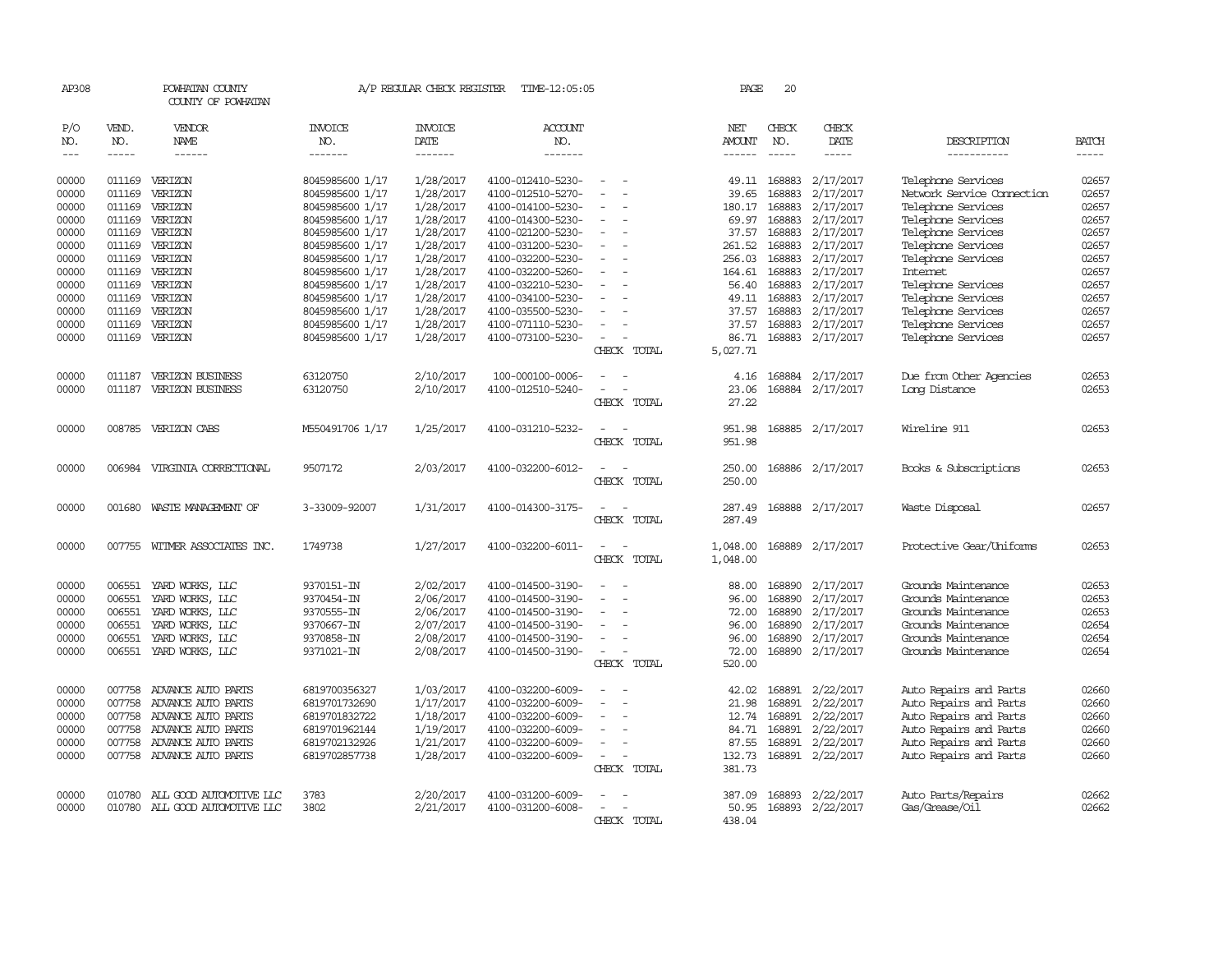| AP308                                              |                                                          | POWHATAN COUNTY<br>COUNTY OF POWHATAN                                                                                                   |                                                                                                                | A/P REGULAR CHECK REGISTER                                                 | TIME-12:05:05                                                                                                              |                         | PAGE                                                          | 20                                                       |                                                                                   |                                                                                                                                                          |                                                    |
|----------------------------------------------------|----------------------------------------------------------|-----------------------------------------------------------------------------------------------------------------------------------------|----------------------------------------------------------------------------------------------------------------|----------------------------------------------------------------------------|----------------------------------------------------------------------------------------------------------------------------|-------------------------|---------------------------------------------------------------|----------------------------------------------------------|-----------------------------------------------------------------------------------|----------------------------------------------------------------------------------------------------------------------------------------------------------|----------------------------------------------------|
| P/O<br>NO.<br>$---$                                | VEND.<br>NO.<br>$- - - - -$                              | VENDOR<br><b>NAME</b><br>$- - - - - -$                                                                                                  | <b>INVOICE</b><br>NO.<br>-------                                                                               | <b>INVOICE</b><br>DATE<br>-------                                          | <b>ACCOUNT</b><br>NO.<br>-------                                                                                           |                         | NET<br>AMOUNT<br>$- - - - - -$                                | CHECK<br>NO.<br>$\frac{1}{2}$                            | CHECK<br>DATE<br>-----                                                            | DESCRIPTION<br>-----------                                                                                                                               | <b>BATCH</b><br>$- - - - -$                        |
| 00000<br>00000<br>00000<br>00000<br>00000          | 011169<br>011169<br>011169<br>011169<br>011169           | VERIZON<br>VERIZON<br>VERIZON<br>VERIZON                                                                                                | 8045985600 1/17<br>8045985600 1/17<br>8045985600 1/17<br>8045985600 1/17                                       | 1/28/2017<br>1/28/2017<br>1/28/2017<br>1/28/2017<br>1/28/2017              | 4100-012410-5230-<br>4100-012510-5270-<br>4100-014100-5230-<br>4100-014300-5230-                                           |                         | 49.11<br>39.65<br>180.17<br>69.97                             | 168883<br>168883<br>168883<br>168883                     | 2/17/2017<br>2/17/2017<br>2/17/2017<br>2/17/2017                                  | Telephone Services<br>Network Service Connection<br>Telephone Services<br>Telephone Services                                                             | 02657<br>02657<br>02657<br>02657<br>02657          |
| 00000<br>00000<br>00000<br>00000<br>00000          | 011169<br>011169<br>011169<br>011169<br>011169           | VERIZON<br>VERIZON<br>VERIZON<br>VERIZON<br>VERIZON<br>VERIZON                                                                          | 8045985600 1/17<br>8045985600 1/17<br>8045985600 1/17<br>8045985600 1/17<br>8045985600 1/17<br>8045985600 1/17 | 1/28/2017<br>1/28/2017<br>1/28/2017<br>1/28/2017<br>1/28/2017              | 4100-021200-5230-<br>4100-031200-5230-<br>4100-032200-5230-<br>4100-032200-5260-<br>4100-032210-5230-<br>4100-034100-5230- |                         | 37.57<br>261.52<br>256.03<br>164.61<br>56.40<br>49.11         | 168883<br>168883<br>168883<br>168883<br>168883<br>168883 | 2/17/2017<br>2/17/2017<br>2/17/2017<br>2/17/2017<br>2/17/2017<br>2/17/2017        | Telephone Services<br>Telephone Services<br>Telephone Services<br><b>Internet</b><br>Telephone Services<br>Telephone Services                            | 02657<br>02657<br>02657<br>02657<br>02657          |
| 00000<br>00000<br>00000<br>00000                   | 011169<br>011169<br>011169<br>011187                     | VERIZON<br>VERIZON<br>VERIZON<br>VERIZON BUSINESS                                                                                       | 8045985600 1/17<br>8045985600 1/17<br>8045985600 1/17<br>63120750                                              | 1/28/2017<br>1/28/2017<br>1/28/2017<br>2/10/2017                           | 4100-035500-5230-<br>4100-071110-5230-<br>4100-073100-5230-<br>100-000100-0006-                                            | CHECK TOTAL             | 37.57<br>37.57<br>86.71<br>5,027.71<br>4.16                   | 168883<br>168883<br>168884                               | 2/17/2017<br>2/17/2017<br>168883 2/17/2017<br>2/17/2017                           | Telephone Services<br>Telephone Services<br>Telephone Services<br>Due from Other Agencies                                                                | 02657<br>02657<br>02657<br>02653                   |
| 00000                                              | 011187                                                   | VERIZON BUSINESS                                                                                                                        | 63120750                                                                                                       | 2/10/2017                                                                  | 4100-012510-5240-                                                                                                          | CHECK TOTAL             | 23.06<br>27.22                                                |                                                          | 168884 2/17/2017                                                                  | Long Distance                                                                                                                                            | 02653                                              |
| 00000                                              |                                                          | 008785 VERIZON CABS                                                                                                                     | M550491706 1/17                                                                                                | 1/25/2017                                                                  | 4100-031210-5232-                                                                                                          | CHECK TOTAL             | 951.98<br>951.98                                              |                                                          | 168885 2/17/2017                                                                  | Wireline 911                                                                                                                                             | 02653                                              |
| 00000                                              | 006984                                                   | VIRGINIA CORRECTIONAL                                                                                                                   | 9507172                                                                                                        | 2/03/2017                                                                  | 4100-032200-6012-                                                                                                          | CHECK TOTAL             | 250.00<br>250.00                                              |                                                          | 168886 2/17/2017                                                                  | Books & Subscriptions                                                                                                                                    | 02653                                              |
| 00000                                              | 001680                                                   | WASTE MANAGEMENT OF                                                                                                                     | 3-33009-92007                                                                                                  | 1/31/2017                                                                  | 4100-014300-3175-                                                                                                          | CHECK TOTAL             | 287.49<br>287.49                                              |                                                          | 168888 2/17/2017                                                                  | Waste Disposal                                                                                                                                           | 02657                                              |
| 00000                                              | 007755                                                   | WITMER ASSOCIATES INC.                                                                                                                  | 1749738                                                                                                        | 1/27/2017                                                                  | 4100-032200-6011-                                                                                                          | CHECK TOTAL             | 1,048.00<br>1,048.00                                          |                                                          | 168889 2/17/2017                                                                  | Protective Gear/Uniforms                                                                                                                                 | 02653                                              |
| 00000<br>00000<br>00000<br>00000<br>00000<br>00000 | 006551<br>006551<br>006551<br>006551<br>006551<br>006551 | YARD WORKS, LLC<br>YARD WORKS, LLC<br>YARD WORKS, LLC<br>YARD WORKS, LLC<br>YARD WORKS, LLC<br>YARD WORKS, LLC                          | 9370151-IN<br>9370454-IN<br>9370555-IN<br>9370667-IN<br>9370858-IN<br>9371021-IN                               | 2/02/2017<br>2/06/2017<br>2/06/2017<br>2/07/2017<br>2/08/2017<br>2/08/2017 | 4100-014500-3190-<br>4100-014500-3190-<br>4100-014500-3190-<br>4100-014500-3190-<br>4100-014500-3190-<br>4100-014500-3190- | $\equiv$<br>CHECK TOTAL | 88.00<br>96.00<br>72.00<br>96.00<br>96.00<br>72.00<br>520.00  | 168890<br>168890<br>168890<br>168890<br>168890<br>168890 | 2/17/2017<br>2/17/2017<br>2/17/2017<br>2/17/2017<br>2/17/2017<br>2/17/2017        | Grounds Maintenance<br>Grounds Maintenance<br>Grounds Maintenance<br>Grounds Maintenance<br>Grounds Maintenance<br>Grounds Maintenance                   | 02653<br>02653<br>02653<br>02654<br>02654<br>02654 |
| 00000<br>00000<br>00000<br>00000<br>00000<br>00000 | 007758<br>007758<br>007758<br>007758<br>007758           | ADVANCE AUTO PARTS<br>ADVANCE AUTO PARTS<br>ADVANCE AUTO PARTS<br>ADVANCE AUTO PARTS<br>ADVANCE AUTO PARTS<br>007758 ADVANCE AUTO PARTS | 6819700356327<br>6819701732690<br>6819701832722<br>6819701962144<br>6819702132926<br>6819702857738             | 1/03/2017<br>1/17/2017<br>1/18/2017<br>1/19/2017<br>1/21/2017<br>1/28/2017 | 4100-032200-6009-<br>4100-032200-6009-<br>4100-032200-6009-<br>4100-032200-6009-<br>4100-032200-6009-<br>4100-032200-6009- | $\equiv$<br>CHECK TOTAL | 42.02<br>21.98<br>12.74<br>84.71<br>87.55<br>132.73<br>381.73 | 168891<br>168891<br>168891<br>168891<br>168891           | 2/22/2017<br>2/22/2017<br>2/22/2017<br>2/22/2017<br>2/22/2017<br>168891 2/22/2017 | Auto Repairs and Parts<br>Auto Repairs and Parts<br>Auto Repairs and Parts<br>Auto Repairs and Parts<br>Auto Repairs and Parts<br>Auto Repairs and Parts | 02660<br>02660<br>02660<br>02660<br>02660<br>02660 |
| 00000<br>00000                                     | 010780<br>010780                                         | ALL GOOD AUTOMOTIVE LLC<br>ALL GOOD AUTOMOTIVE LLC                                                                                      | 3783<br>3802                                                                                                   | 2/20/2017<br>2/21/2017                                                     | 4100-031200-6009-<br>4100-031200-6008-                                                                                     | CHECK TOTAL             | 387.09<br>50.95<br>438.04                                     | 168893                                                   | 2/22/2017<br>168893 2/22/2017                                                     | Auto Parts/Repairs<br>Gas/Grease/Oil                                                                                                                     | 02662<br>02662                                     |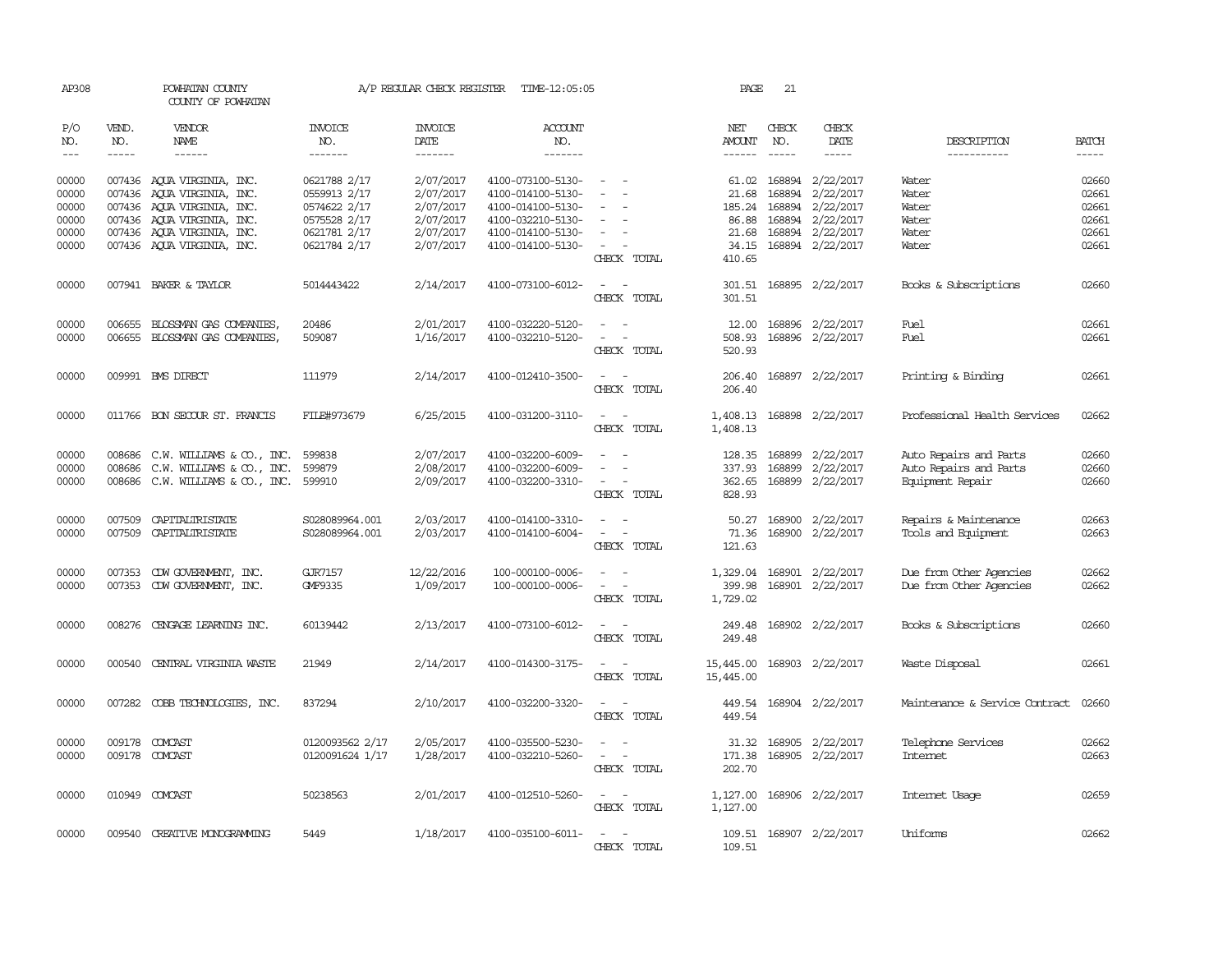| AP308          |              | POWHATAN COUNTY<br>COUNTY OF POWHATAN                    |                              | A/P REGULAR CHECK REGISTER | TIME-12:05:05                          |                                                   | PAGE                   | 21           |                                     |                                |                |
|----------------|--------------|----------------------------------------------------------|------------------------------|----------------------------|----------------------------------------|---------------------------------------------------|------------------------|--------------|-------------------------------------|--------------------------------|----------------|
| P/O<br>NO.     | VEND.<br>NO. | <b>VENDOR</b><br>NAME                                    | INVOICE<br>NO.               | <b>INVOICE</b><br>DATE     | <b>ACCOUNT</b><br>NO.                  |                                                   | NET<br>AMOUNT          | CHECK<br>NO. | CHECK<br>DATE                       | DESCRIPTION                    | <b>BATCH</b>   |
| $\frac{1}{2}$  | $- - - - -$  | ------                                                   | -------                      | -------                    | -------                                |                                                   | ------                 | $- - - - -$  | -----                               | -----------                    | $- - - - -$    |
| 00000<br>00000 |              | 007436 AQUA VIRGINIA, INC.<br>007436 AQUA VIRGINIA, INC. | 0621788 2/17<br>0559913 2/17 | 2/07/2017<br>2/07/2017     | 4100-073100-5130-<br>4100-014100-5130- | $\sim$                                            | 21.68                  | 168894       | 61.02 168894 2/22/2017<br>2/22/2017 | Water<br>Water                 | 02660<br>02661 |
| 00000          |              | 007436 AQUA VIRGINIA, INC.                               | 0574622 2/17                 | 2/07/2017                  | 4100-014100-5130-                      |                                                   | 185.24                 | 168894       | 2/22/2017                           | Water                          | 02661          |
| 00000          |              | 007436 AQUA VIRGINIA, INC.                               | 0575528 2/17                 | 2/07/2017                  | 4100-032210-5130-                      |                                                   | 86.88                  | 168894       | 2/22/2017                           | Water                          | 02661          |
| 00000          |              | 007436 AQUA VIRGINIA, INC.                               | 0621781 2/17                 | 2/07/2017                  | 4100-014100-5130-                      | $\overline{\phantom{a}}$                          | 21.68                  |              | 168894 2/22/2017                    | Water                          | 02661          |
| 00000          |              | 007436 AQUA VIRGINIA, INC.                               | 0621784 2/17                 | 2/07/2017                  | 4100-014100-5130-                      | $\overline{\phantom{a}}$<br>CHECK TOTAL           | 34.15<br>410.65        |              | 168894 2/22/2017                    | Water                          | 02661          |
| 00000          |              | 007941 BAKER & TAYLOR                                    | 5014443422                   | 2/14/2017                  | 4100-073100-6012-                      | $\sim$<br>$\sim$<br>CHECK TOTAL                   | 301.51<br>301.51       |              | 168895 2/22/2017                    | Books & Subscriptions          | 02660          |
| 00000          |              | 006655 BLOSSMAN GAS COMPANIES,                           | 20486                        | 2/01/2017                  | 4100-032220-5120-                      | $\sim$<br>$\sim$                                  |                        |              | 12.00 168896 2/22/2017              | <b>Fuel</b>                    | 02661          |
| 00000          |              | 006655 BLOSSMAN GAS COMPANIES,                           | 509087                       | 1/16/2017                  | 4100-032210-5120-                      | $\sim$<br>$\sim$                                  | 508.93                 |              | 168896 2/22/2017                    | <b>Fuel</b>                    | 02661          |
|                |              |                                                          |                              |                            |                                        | CHECK TOTAL                                       | 520.93                 |              |                                     |                                |                |
| 00000          |              | 009991 BMS DIRECT                                        | 111979                       | 2/14/2017                  | 4100-012410-3500-                      | $\overline{\phantom{a}}$<br>- -<br>CHECK TOTAL    | 206.40<br>206.40       |              | 168897 2/22/2017                    | Printing & Binding             | 02661          |
| 00000          |              | 011766 BON SECOUR ST. FRANCIS                            | FILE#973679                  | 6/25/2015                  | 4100-031200-3110-                      | $\sim$<br>$\sim$<br>CHECK TOTAL                   | 1,408.13               |              | 1,408.13 168898 2/22/2017           | Professional Health Services   | 02662          |
| 00000          | 008686       | C.W. WILLIAMS & CO., INC.                                | 599838                       | 2/07/2017                  | 4100-032200-6009-                      |                                                   | 128.35                 | 168899       | 2/22/2017                           | Auto Repairs and Parts         | 02660          |
| 00000          | 008686       | C.W. WILLIAMS & CO., INC.                                | 599879                       | 2/08/2017                  | 4100-032200-6009-                      | $\overline{\phantom{a}}$<br>$\overline{a}$        | 337.93                 | 168899       | 2/22/2017                           | Auto Repairs and Parts         | 02660          |
| 00000          |              | 008686 C.W. WILLIAMS & CO., INC.                         | 599910                       | 2/09/2017                  | 4100-032200-3310-                      | $\sim$<br>CHECK TOTAL                             | 362.65<br>828.93       | 168899       | 2/22/2017                           | Equipment Repair               | 02660          |
| 00000          | 007509       | CAPITALIRISTATE                                          | S028089964.001               | 2/03/2017                  | 4100-014100-3310-                      | $\overline{\phantom{a}}$                          | 50.27                  | 168900       | 2/22/2017                           | Repairs & Maintenance          | 02663          |
| 00000          | 007509       | CAPITALIRISTATE                                          | S028089964.001               | 2/03/2017                  | 4100-014100-6004-                      |                                                   | 71.36                  | 168900       | 2/22/2017                           | Tools and Equipment            | 02663          |
|                |              |                                                          |                              |                            |                                        | CHECK TOTAL                                       | 121.63                 |              |                                     |                                |                |
| 00000          |              | 007353 CDW GOVERNMENT, INC.                              | GJR7157                      | 12/22/2016                 | 100-000100-0006-                       | $\sim$<br>$\sim$                                  | 1,329.04               |              | 168901 2/22/2017                    | Due from Other Agencies        | 02662          |
| 00000          |              | 007353 CDW GOVERNMENT, INC.                              | GMF9335                      | 1/09/2017                  | 100-000100-0006-                       | $\sim$<br>$\sim$<br>CHECK TOTAL                   | 399.98<br>1,729.02     |              | 168901 2/22/2017                    | Due from Other Agencies        | 02662          |
|                |              |                                                          |                              |                            |                                        | $\sim$                                            |                        |              |                                     |                                |                |
| 00000          | 008276       | CENGAGE LEARNING INC.                                    | 60139442                     | 2/13/2017                  | 4100-073100-6012-                      | $\sim$<br>CHECK TOTAL                             | 249.48<br>249.48       |              | 168902 2/22/2017                    | Books & Subscriptions          | 02660          |
| 00000          | 000540       | CENTRAL VIRGINIA WASTE                                   | 21949                        | 2/14/2017                  | 4100-014300-3175-                      | $\overline{\phantom{a}}$<br>$\sim$<br>CHECK TOTAL | 15,445.00<br>15,445.00 |              | 168903 2/22/2017                    | Waste Disposal                 | 02661          |
| 00000          |              | 007282 COBB TECHNOLOGIES, INC.                           | 837294                       | 2/10/2017                  | 4100-032200-3320-                      | $\sim$ 100 $\sim$ 100 $\sim$<br>CHECK TOTAL       | 449.54<br>449.54       |              | 168904 2/22/2017                    | Maintenance & Service Contract | 02660          |
| 00000          | 009178       | COMCAST                                                  | 0120093562 2/17              | 2/05/2017                  | 4100-035500-5230-                      | $\sim$<br>$\sim$                                  | 31.32                  |              | 168905 2/22/2017                    | Telephone Services             | 02662          |
| 00000          |              | 009178 COMCAST                                           | 0120091624 1/17              | 1/28/2017                  | 4100-032210-5260-                      | $\sim$<br>$\sim$                                  | 171.38                 |              | 168905 2/22/2017                    | <b>Internet</b>                | 02663          |
|                |              |                                                          |                              |                            |                                        | CHECK TOTAL                                       | 202.70                 |              |                                     |                                |                |
| 00000          |              | 010949 COMCAST                                           | 50238563                     | 2/01/2017                  | 4100-012510-5260-                      | $\overline{\phantom{a}}$                          | 1,127.00               |              | 168906 2/22/2017                    | Internet Usage                 | 02659          |
|                |              |                                                          |                              |                            |                                        | CHECK TOTAL                                       | 1,127.00               |              |                                     |                                |                |
| 00000          |              | 009540 CREATTVE MONOGRAMMING                             | 5449                         | 1/18/2017                  | 4100-035100-6011-                      |                                                   |                        |              | 109.51 168907 2/22/2017             | Uniforms                       | 02662          |
|                |              |                                                          |                              |                            |                                        | CHECK TOTAL                                       | 109.51                 |              |                                     |                                |                |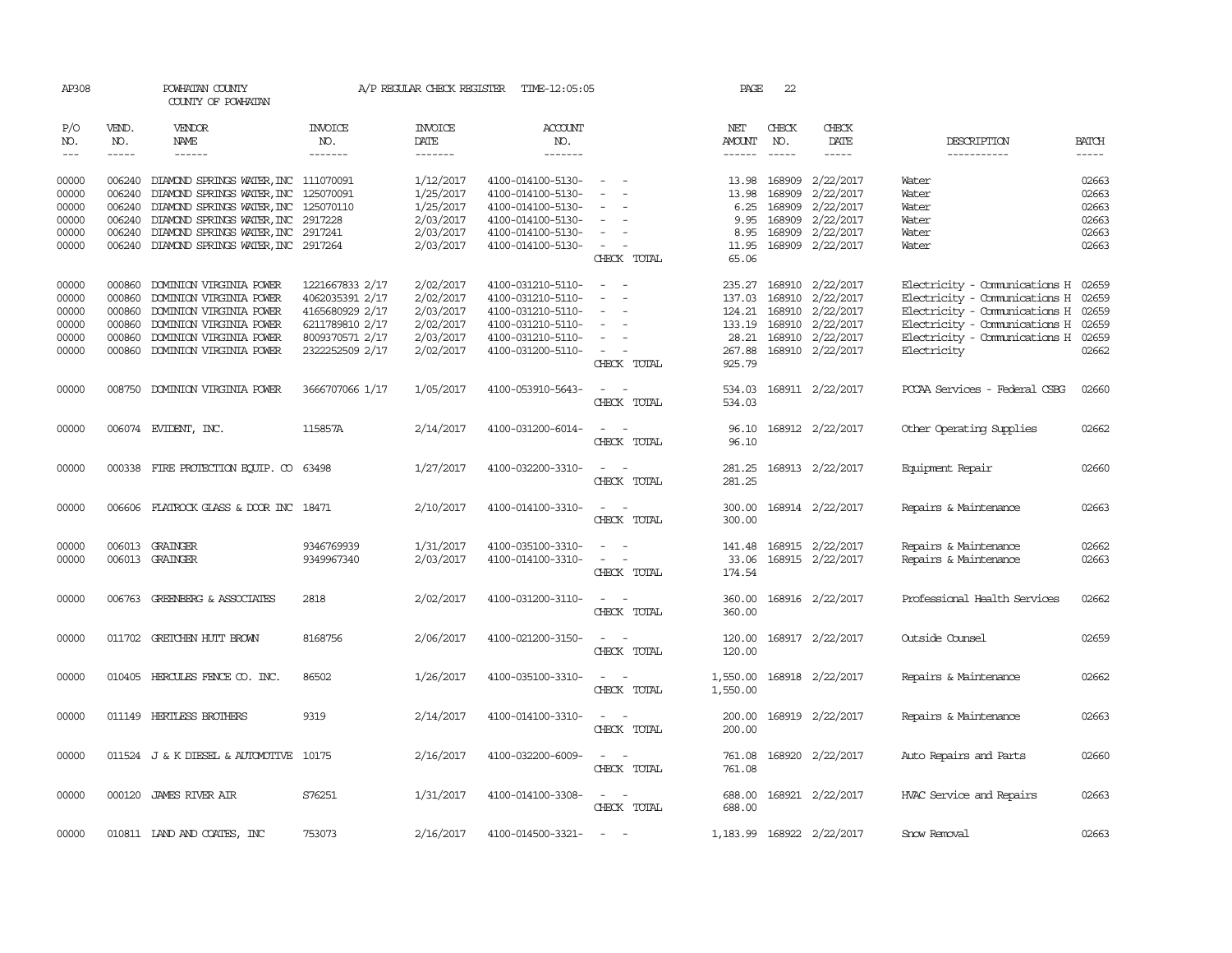| AP308                          |                        | POWHATAN COUNTY<br>COUNTY OF POWHATAN                                                                                                                                                                                                                                                                                                                                                                                                                   |                 | A/P REGULAR CHECK REGISTER | TIME-12:05:05     |                                             | PAGE                 | 22            |                                                                                                                                                                                                                                                                                                                                                                                                                                                                                     |                                     |              |
|--------------------------------|------------------------|---------------------------------------------------------------------------------------------------------------------------------------------------------------------------------------------------------------------------------------------------------------------------------------------------------------------------------------------------------------------------------------------------------------------------------------------------------|-----------------|----------------------------|-------------------|---------------------------------------------|----------------------|---------------|-------------------------------------------------------------------------------------------------------------------------------------------------------------------------------------------------------------------------------------------------------------------------------------------------------------------------------------------------------------------------------------------------------------------------------------------------------------------------------------|-------------------------------------|--------------|
| P/O<br>NO.                     | VEND.<br>NO.           | VENDOR<br>NAME                                                                                                                                                                                                                                                                                                                                                                                                                                          | INVOICE<br>NO.  | INVOICE<br>DATE            | ACCOUNT<br>NO.    |                                             | NET<br>AMOUNT        | CHECK<br>NO.  | CHECK<br>DATE                                                                                                                                                                                                                                                                                                                                                                                                                                                                       | DESCRIPTION                         | <b>BATCH</b> |
| $\!\!\!\!\!-\!-\!$ $\!\!\!-\!$ | $\cdots \cdots \cdots$ | $\begin{tabular}{ccccc} \multicolumn{2}{c }{\multicolumn{2}{c }{\multicolumn{2}{c }{\multicolumn{2}{c}}{\hspace{-2.2cm}}}} \multicolumn{2}{c }{\multicolumn{2}{c }{\hspace{-2.2cm}}\hline} \multicolumn{2}{c }{\hspace{-2.2cm}}\hline \multicolumn{2}{c }{\hspace{-2.2cm}}\hline \multicolumn{2}{c }{\hspace{-2.2cm}}\hline \multicolumn{2}{c }{\hspace{-2.2cm}}\hline \multicolumn{2}{c }{\hspace{-2.2cm}}\hline \multicolumn{2}{c }{\hspace{-2.2cm}}$ | -------         | -------                    | -------           |                                             |                      | $- - - - -$   | $\begin{tabular}{ccccc} \multicolumn{2}{c}{} & \multicolumn{2}{c}{} & \multicolumn{2}{c}{} & \multicolumn{2}{c}{} & \multicolumn{2}{c}{} & \multicolumn{2}{c}{} & \multicolumn{2}{c}{} & \multicolumn{2}{c}{} & \multicolumn{2}{c}{} & \multicolumn{2}{c}{} & \multicolumn{2}{c}{} & \multicolumn{2}{c}{} & \multicolumn{2}{c}{} & \multicolumn{2}{c}{} & \multicolumn{2}{c}{} & \multicolumn{2}{c}{} & \multicolumn{2}{c}{} & \multicolumn{2}{c}{} & \multicolumn{2}{c}{} & \mult$ | -----------                         | $- - - - -$  |
| 00000                          |                        | 006240 DIAMOND SPRINGS WATER, INC 111070091                                                                                                                                                                                                                                                                                                                                                                                                             |                 | 1/12/2017                  | 4100-014100-5130- | $\sim$                                      |                      | 13.98 168909  | 2/22/2017                                                                                                                                                                                                                                                                                                                                                                                                                                                                           | Water                               | 02663        |
| 00000                          | 006240                 | DIAMOND SPRINGS WATER, INC                                                                                                                                                                                                                                                                                                                                                                                                                              | 125070091       | 1/25/2017                  | 4100-014100-5130- | $\sim$                                      | 13.98                | 168909        | 2/22/2017                                                                                                                                                                                                                                                                                                                                                                                                                                                                           | Water                               | 02663        |
| 00000                          | 006240                 | DIAMOND SPRINGS WATER, INC                                                                                                                                                                                                                                                                                                                                                                                                                              | 125070110       | 1/25/2017                  | 4100-014100-5130- |                                             | 6.25                 | 168909        | 2/22/2017                                                                                                                                                                                                                                                                                                                                                                                                                                                                           | Water                               | 02663        |
| 00000                          | 006240                 | DIAMOND SPRINGS WATER, INC                                                                                                                                                                                                                                                                                                                                                                                                                              | 2917228         | 2/03/2017                  | 4100-014100-5130- | $\overline{\phantom{0}}$                    | 9.95                 | 168909        | 2/22/2017                                                                                                                                                                                                                                                                                                                                                                                                                                                                           | Water                               | 02663        |
| 00000                          | 006240                 | DIAMOND SPRINGS WATER, INC 2917241                                                                                                                                                                                                                                                                                                                                                                                                                      |                 | 2/03/2017                  | 4100-014100-5130- | $\overline{\phantom{a}}$                    | 8.95                 | 168909        | 2/22/2017                                                                                                                                                                                                                                                                                                                                                                                                                                                                           | Water                               | 02663        |
| 00000                          |                        | 006240 DIAMOND SPRINGS WATER, INC 2917264                                                                                                                                                                                                                                                                                                                                                                                                               |                 | 2/03/2017                  | 4100-014100-5130- | $\sim$<br>$\overline{\phantom{a}}$          | 11.95                | 168909        | 2/22/2017                                                                                                                                                                                                                                                                                                                                                                                                                                                                           | Water                               | 02663        |
|                                |                        |                                                                                                                                                                                                                                                                                                                                                                                                                                                         |                 |                            |                   | CHECK TOTAL                                 | 65.06                |               |                                                                                                                                                                                                                                                                                                                                                                                                                                                                                     |                                     |              |
|                                |                        |                                                                                                                                                                                                                                                                                                                                                                                                                                                         |                 |                            |                   |                                             |                      |               |                                                                                                                                                                                                                                                                                                                                                                                                                                                                                     |                                     |              |
| 00000                          | 000860                 | DOMINION VIRGINIA POWER                                                                                                                                                                                                                                                                                                                                                                                                                                 | 1221667833 2/17 | 2/02/2017                  | 4100-031210-5110- | $\overline{\phantom{a}}$<br>$\sim$          | 235.27               | 168910        | 2/22/2017                                                                                                                                                                                                                                                                                                                                                                                                                                                                           | Electricity - Comunications H       | 02659        |
| 00000                          | 000860                 | DOMINION VIRGINIA POWER                                                                                                                                                                                                                                                                                                                                                                                                                                 | 4062035391 2/17 | 2/02/2017                  | 4100-031210-5110- |                                             | 137.03               | 168910        | 2/22/2017                                                                                                                                                                                                                                                                                                                                                                                                                                                                           | Electricity - Comunications H       | 02659        |
| 00000                          | 000860                 | DOMINION VIRGINIA POWER                                                                                                                                                                                                                                                                                                                                                                                                                                 | 4165680929 2/17 | 2/03/2017                  | 4100-031210-5110- | $\sim$<br>$\overline{\phantom{a}}$          | 124.21               | 168910        | 2/22/2017                                                                                                                                                                                                                                                                                                                                                                                                                                                                           | Electricity - Comunications H 02659 |              |
| 00000                          | 000860                 | DOMINION VIRGINIA POWER                                                                                                                                                                                                                                                                                                                                                                                                                                 | 6211789810 2/17 | 2/02/2017                  | 4100-031210-5110- | $\equiv$                                    |                      | 133.19 168910 | 2/22/2017                                                                                                                                                                                                                                                                                                                                                                                                                                                                           | Electricity - Comunications H 02659 |              |
| 00000                          |                        | 000860 DOMINION VIRGINIA POWER                                                                                                                                                                                                                                                                                                                                                                                                                          | 8009370571 2/17 | 2/03/2017                  | 4100-031210-5110- |                                             |                      |               | 28.21 168910 2/22/2017                                                                                                                                                                                                                                                                                                                                                                                                                                                              | Electricity - Comunications H 02659 |              |
| 00000                          |                        | 000860 DOMINION VIRGINIA POWER                                                                                                                                                                                                                                                                                                                                                                                                                          | 2322252509 2/17 | 2/02/2017                  | 4100-031200-5110- | $\sim$                                      |                      |               | 267.88 168910 2/22/2017                                                                                                                                                                                                                                                                                                                                                                                                                                                             | Electricity                         | 02662        |
|                                |                        |                                                                                                                                                                                                                                                                                                                                                                                                                                                         |                 |                            |                   | CHECK TOTAL                                 | 925.79               |               |                                                                                                                                                                                                                                                                                                                                                                                                                                                                                     |                                     |              |
|                                |                        |                                                                                                                                                                                                                                                                                                                                                                                                                                                         |                 |                            |                   |                                             |                      |               |                                                                                                                                                                                                                                                                                                                                                                                                                                                                                     |                                     |              |
| 00000                          |                        | 008750 DOMINION VIRGINIA POWER                                                                                                                                                                                                                                                                                                                                                                                                                          | 3666707066 1/17 | 1/05/2017                  | 4100-053910-5643- |                                             | 534.03               |               | 168911 2/22/2017                                                                                                                                                                                                                                                                                                                                                                                                                                                                    | PCCAA Services - Federal CSBG       | 02660        |
|                                |                        |                                                                                                                                                                                                                                                                                                                                                                                                                                                         |                 |                            |                   | CHECK TOTAL                                 | 534.03               |               |                                                                                                                                                                                                                                                                                                                                                                                                                                                                                     |                                     |              |
|                                |                        |                                                                                                                                                                                                                                                                                                                                                                                                                                                         |                 |                            |                   |                                             |                      |               |                                                                                                                                                                                                                                                                                                                                                                                                                                                                                     |                                     |              |
| 00000                          |                        | 006074 EVIDENT, INC.                                                                                                                                                                                                                                                                                                                                                                                                                                    | 115857A         | 2/14/2017                  | 4100-031200-6014- | $\sim$                                      |                      |               | 96.10 168912 2/22/2017                                                                                                                                                                                                                                                                                                                                                                                                                                                              | Other Operating Supplies            | 02662        |
|                                |                        |                                                                                                                                                                                                                                                                                                                                                                                                                                                         |                 |                            |                   | CHECK TOTAL                                 | 96.10                |               |                                                                                                                                                                                                                                                                                                                                                                                                                                                                                     |                                     |              |
| 00000                          |                        | 000338 FIRE PROTECTION EQUIP. CO 63498                                                                                                                                                                                                                                                                                                                                                                                                                  |                 | 1/27/2017                  | 4100-032200-3310- | $\overline{\phantom{a}}$                    |                      |               | 281.25 168913 2/22/2017                                                                                                                                                                                                                                                                                                                                                                                                                                                             | Equipment Repair                    | 02660        |
|                                |                        |                                                                                                                                                                                                                                                                                                                                                                                                                                                         |                 |                            |                   | CHECK TOTAL                                 | 281.25               |               |                                                                                                                                                                                                                                                                                                                                                                                                                                                                                     |                                     |              |
|                                |                        |                                                                                                                                                                                                                                                                                                                                                                                                                                                         |                 |                            |                   |                                             |                      |               |                                                                                                                                                                                                                                                                                                                                                                                                                                                                                     |                                     |              |
| 00000                          | 006606                 | FLATROCK GLASS & DOOR INC 18471                                                                                                                                                                                                                                                                                                                                                                                                                         |                 | 2/10/2017                  | 4100-014100-3310- | $\overline{\phantom{a}}$<br>$\sim$          | 300.00               |               | 168914 2/22/2017                                                                                                                                                                                                                                                                                                                                                                                                                                                                    | Repairs & Maintenance               | 02663        |
|                                |                        |                                                                                                                                                                                                                                                                                                                                                                                                                                                         |                 |                            |                   | CHECK TOTAL                                 | 300.00               |               |                                                                                                                                                                                                                                                                                                                                                                                                                                                                                     |                                     |              |
|                                |                        |                                                                                                                                                                                                                                                                                                                                                                                                                                                         |                 |                            |                   |                                             |                      |               |                                                                                                                                                                                                                                                                                                                                                                                                                                                                                     |                                     |              |
| 00000                          |                        | 006013 GRAINGER                                                                                                                                                                                                                                                                                                                                                                                                                                         | 9346769939      | 1/31/2017                  | 4100-035100-3310- | $\omega_{\rm{max}}$ and $\omega_{\rm{max}}$ | 141.48               |               | 168915 2/22/2017                                                                                                                                                                                                                                                                                                                                                                                                                                                                    | Repairs & Maintenance               | 02662        |
| 00000                          |                        | 006013 GRAINGER                                                                                                                                                                                                                                                                                                                                                                                                                                         | 9349967340      | 2/03/2017                  | 4100-014100-3310- | $\sim$ $ -$                                 |                      |               | 33.06 168915 2/22/2017                                                                                                                                                                                                                                                                                                                                                                                                                                                              | Repairs & Maintenance               | 02663        |
|                                |                        |                                                                                                                                                                                                                                                                                                                                                                                                                                                         |                 |                            |                   | CHECK TOTAL                                 | 174.54               |               |                                                                                                                                                                                                                                                                                                                                                                                                                                                                                     |                                     |              |
|                                |                        |                                                                                                                                                                                                                                                                                                                                                                                                                                                         |                 |                            |                   |                                             |                      |               |                                                                                                                                                                                                                                                                                                                                                                                                                                                                                     |                                     |              |
| 00000                          |                        | 006763 GREENBERG & ASSOCIATES                                                                                                                                                                                                                                                                                                                                                                                                                           | 2818            | 2/02/2017                  | 4100-031200-3110- | $\sim$                                      | 360.00               |               | 168916 2/22/2017                                                                                                                                                                                                                                                                                                                                                                                                                                                                    | Professional Health Services        | 02662        |
|                                |                        |                                                                                                                                                                                                                                                                                                                                                                                                                                                         |                 |                            |                   | CHECK TOTAL                                 | 360.00               |               |                                                                                                                                                                                                                                                                                                                                                                                                                                                                                     |                                     |              |
|                                |                        |                                                                                                                                                                                                                                                                                                                                                                                                                                                         |                 |                            |                   |                                             |                      |               |                                                                                                                                                                                                                                                                                                                                                                                                                                                                                     |                                     |              |
| 00000                          |                        | 011702 GRETCHEN HUTT BROWN                                                                                                                                                                                                                                                                                                                                                                                                                              | 8168756         | 2/06/2017                  | 4100-021200-3150- | $\overline{a}$<br>$\sim$                    | 120.00               |               | 168917 2/22/2017                                                                                                                                                                                                                                                                                                                                                                                                                                                                    | Outside Counsel                     | 02659        |
|                                |                        |                                                                                                                                                                                                                                                                                                                                                                                                                                                         |                 |                            |                   | CHECK TOTAL                                 | 120.00               |               |                                                                                                                                                                                                                                                                                                                                                                                                                                                                                     |                                     |              |
| 00000                          |                        | 010405 HERCULES FENCE CO. INC.                                                                                                                                                                                                                                                                                                                                                                                                                          | 86502           |                            | 4100-035100-3310- | $\sim$<br>$\sim$                            |                      |               |                                                                                                                                                                                                                                                                                                                                                                                                                                                                                     |                                     | 02662        |
|                                |                        |                                                                                                                                                                                                                                                                                                                                                                                                                                                         |                 | 1/26/2017                  |                   | CHECK TOTAL                                 | 1,550.00<br>1,550.00 |               | 168918 2/22/2017                                                                                                                                                                                                                                                                                                                                                                                                                                                                    | Repairs & Maintenance               |              |
|                                |                        |                                                                                                                                                                                                                                                                                                                                                                                                                                                         |                 |                            |                   |                                             |                      |               |                                                                                                                                                                                                                                                                                                                                                                                                                                                                                     |                                     |              |
| 00000                          |                        | 011149 HERTLESS BROTHERS                                                                                                                                                                                                                                                                                                                                                                                                                                | 9319            | 2/14/2017                  | 4100-014100-3310- | $\sim$ $ \sim$                              |                      |               | 200.00 168919 2/22/2017                                                                                                                                                                                                                                                                                                                                                                                                                                                             | Repairs & Maintenance               | 02663        |
|                                |                        |                                                                                                                                                                                                                                                                                                                                                                                                                                                         |                 |                            |                   | CHECK TOTAL                                 | 200.00               |               |                                                                                                                                                                                                                                                                                                                                                                                                                                                                                     |                                     |              |
|                                |                        |                                                                                                                                                                                                                                                                                                                                                                                                                                                         |                 |                            |                   |                                             |                      |               |                                                                                                                                                                                                                                                                                                                                                                                                                                                                                     |                                     |              |
| 00000                          |                        | 011524 J & K DIESEL & AUTOMOTIVE 10175                                                                                                                                                                                                                                                                                                                                                                                                                  |                 | 2/16/2017                  | 4100-032200-6009- | $\sim$                                      | 761.08               |               | 168920 2/22/2017                                                                                                                                                                                                                                                                                                                                                                                                                                                                    | Auto Repairs and Parts              | 02660        |
|                                |                        |                                                                                                                                                                                                                                                                                                                                                                                                                                                         |                 |                            |                   | CHECK TOTAL                                 | 761.08               |               |                                                                                                                                                                                                                                                                                                                                                                                                                                                                                     |                                     |              |
|                                |                        |                                                                                                                                                                                                                                                                                                                                                                                                                                                         |                 |                            |                   |                                             |                      |               |                                                                                                                                                                                                                                                                                                                                                                                                                                                                                     |                                     |              |
| 00000                          |                        | 000120 JAMES RIVER AIR                                                                                                                                                                                                                                                                                                                                                                                                                                  | S76251          | 1/31/2017                  | 4100-014100-3308- | $\sim$ $ \sim$                              |                      |               | 688.00 168921 2/22/2017                                                                                                                                                                                                                                                                                                                                                                                                                                                             | HVAC Service and Repairs            | 02663        |
|                                |                        |                                                                                                                                                                                                                                                                                                                                                                                                                                                         |                 |                            |                   | CHECK TOTAL                                 | 688.00               |               |                                                                                                                                                                                                                                                                                                                                                                                                                                                                                     |                                     |              |
|                                |                        |                                                                                                                                                                                                                                                                                                                                                                                                                                                         |                 |                            |                   |                                             |                      |               |                                                                                                                                                                                                                                                                                                                                                                                                                                                                                     |                                     |              |
| 00000                          |                        | 010811 IAND AND COATES, INC                                                                                                                                                                                                                                                                                                                                                                                                                             | 753073          | 2/16/2017                  | 4100-014500-3321- | $\sim$ $-$<br>$\sim$                        |                      |               | 1,183.99 168922 2/22/2017                                                                                                                                                                                                                                                                                                                                                                                                                                                           | Snow Removal                        | 02663        |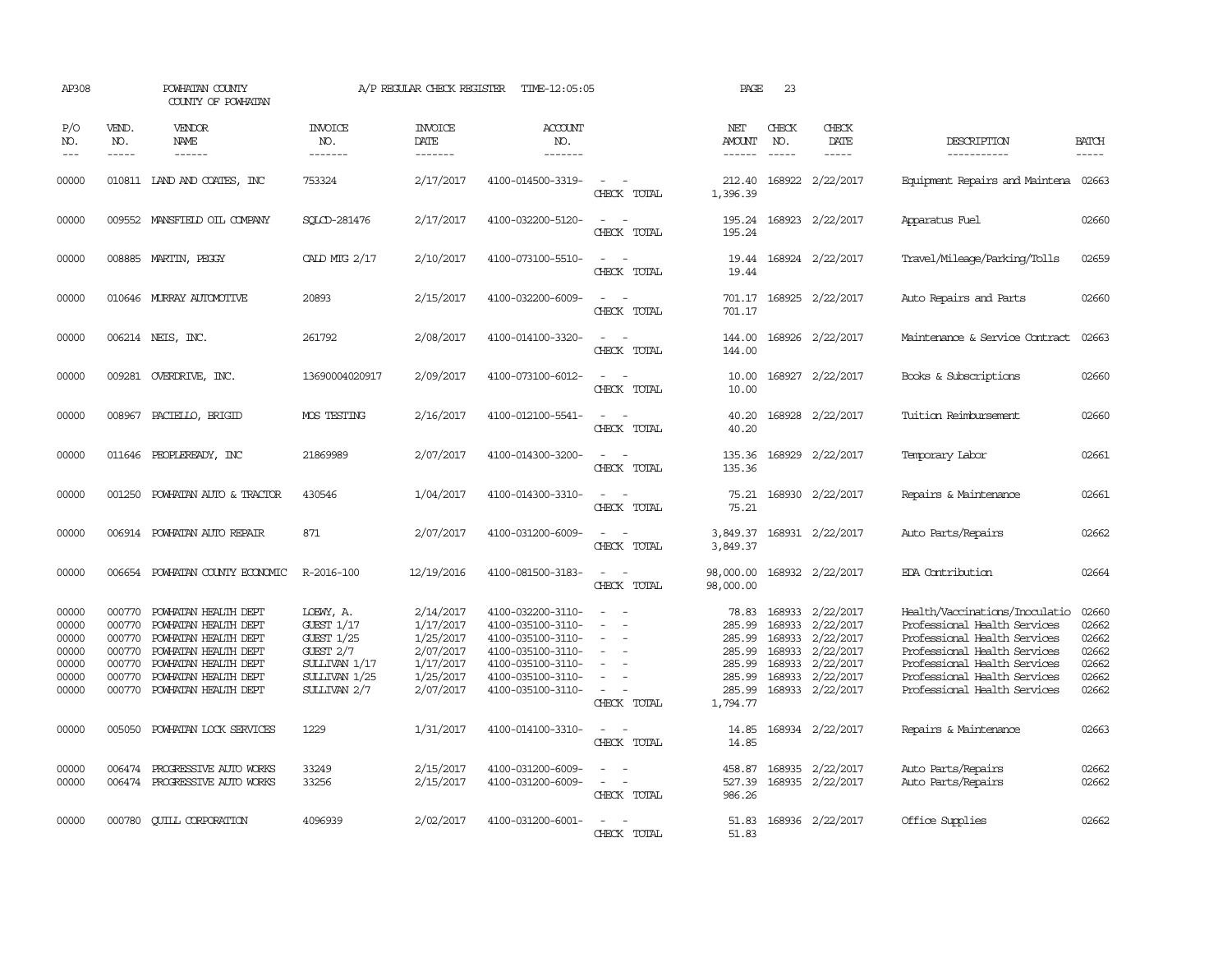| AP308                                                       |                                                          | POWHATAN COUNTY<br>COUNTY OF POWHATAN                                                                                                                                       |                                                                                                                         | A/P REGULAR CHECK REGISTER                                                              | TIME-12:05:05                                                                                                                                   |                                         | PAGE                                                                          | 23                                                       |                                                                                                |                                                                                                                                                                                                                                |                                                             |
|-------------------------------------------------------------|----------------------------------------------------------|-----------------------------------------------------------------------------------------------------------------------------------------------------------------------------|-------------------------------------------------------------------------------------------------------------------------|-----------------------------------------------------------------------------------------|-------------------------------------------------------------------------------------------------------------------------------------------------|-----------------------------------------|-------------------------------------------------------------------------------|----------------------------------------------------------|------------------------------------------------------------------------------------------------|--------------------------------------------------------------------------------------------------------------------------------------------------------------------------------------------------------------------------------|-------------------------------------------------------------|
| P/O<br>NO.<br>$---$                                         | VEND.<br>NO.<br>$\frac{1}{2}$                            | VENDOR<br>NAME                                                                                                                                                              | <b>INVOICE</b><br>NO.<br>-------                                                                                        | <b>INVOICE</b><br>DATE<br>-------                                                       | <b>ACCOUNT</b><br>NO.<br>-------                                                                                                                |                                         | NET<br>AMOUNT<br>$- - - - - -$                                                | CHECK<br>NO.<br>$\frac{1}{2}$                            | CHECK<br>DATE<br>$- - - - -$                                                                   | DESCRIPTION<br>-----------                                                                                                                                                                                                     | <b>BATCH</b><br>-----                                       |
| 00000                                                       |                                                          | 010811 IAND AND COATES, INC                                                                                                                                                 | 753324                                                                                                                  | 2/17/2017                                                                               | 4100-014500-3319-                                                                                                                               | $\sim$<br>CHECK TOTAL                   | 212.40<br>1,396.39                                                            |                                                          | 168922 2/22/2017                                                                               | Equipment Repairs and Maintena 02663                                                                                                                                                                                           |                                                             |
| 00000                                                       |                                                          | 009552 MANSFIELD OIL COMPANY                                                                                                                                                | SOLCD-281476                                                                                                            | 2/17/2017                                                                               | 4100-032200-5120-                                                                                                                               | CHECK TOTAL                             | 195.24<br>195.24                                                              |                                                          | 168923 2/22/2017                                                                               | Apparatus Fuel                                                                                                                                                                                                                 | 02660                                                       |
| 00000                                                       |                                                          | 008885 MARTIN, PEGGY                                                                                                                                                        | CALD MIG 2/17                                                                                                           | 2/10/2017                                                                               | 4100-073100-5510-                                                                                                                               | $\sim$ $\sim$<br>CHECK TOTAL            | 19.44<br>19.44                                                                |                                                          | 168924 2/22/2017                                                                               | Travel/Mileage/Parking/Tolls                                                                                                                                                                                                   | 02659                                                       |
| 00000                                                       |                                                          | 010646 MURRAY AUTOMOTTVE                                                                                                                                                    | 20893                                                                                                                   | 2/15/2017                                                                               | 4100-032200-6009-                                                                                                                               | $\sim$<br>$\overline{a}$<br>CHECK TOTAL | 701.17<br>701.17                                                              |                                                          | 168925 2/22/2017                                                                               | Auto Repairs and Parts                                                                                                                                                                                                         | 02660                                                       |
| 00000                                                       |                                                          | 006214 NEIS, INC.                                                                                                                                                           | 261792                                                                                                                  | 2/08/2017                                                                               | 4100-014100-3320-                                                                                                                               | $\equiv$<br>CHECK TOTAL                 | 144.00<br>144.00                                                              |                                                          | 168926 2/22/2017                                                                               | Maintenance & Service Contract                                                                                                                                                                                                 | 02663                                                       |
| 00000                                                       |                                                          | 009281 OVERDRIVE, INC.                                                                                                                                                      | 13690004020917                                                                                                          | 2/09/2017                                                                               | 4100-073100-6012-                                                                                                                               | $\sim$<br>CHECK TOTAL                   | 10.00<br>10.00                                                                |                                                          | 168927 2/22/2017                                                                               | Books & Subscriptions                                                                                                                                                                                                          | 02660                                                       |
| 00000                                                       | 008967                                                   | PACIELLO, BRIGID                                                                                                                                                            | MOS TESTING                                                                                                             | 2/16/2017                                                                               | 4100-012100-5541-                                                                                                                               | $\overline{\phantom{a}}$<br>CHECK TOTAL | 40.20<br>40.20                                                                |                                                          | 168928 2/22/2017                                                                               | Tuition Reimbursement                                                                                                                                                                                                          | 02660                                                       |
| 00000                                                       |                                                          | 011646 PEOPLEREADY, INC                                                                                                                                                     | 21869989                                                                                                                | 2/07/2017                                                                               | 4100-014300-3200-                                                                                                                               | CHECK TOTAL                             | 135.36<br>135.36                                                              |                                                          | 168929 2/22/2017                                                                               | Temporary Labor                                                                                                                                                                                                                | 02661                                                       |
| 00000                                                       | 001250                                                   | POWHATAN AUTO & TRACTOR                                                                                                                                                     | 430546                                                                                                                  | 1/04/2017                                                                               | 4100-014300-3310-                                                                                                                               | $\sim$<br>CHECK TOTAL                   | 75.21<br>75.21                                                                |                                                          | 168930 2/22/2017                                                                               | Repairs & Maintenance                                                                                                                                                                                                          | 02661                                                       |
| 00000                                                       |                                                          | 006914 POWHATAN AUTO REPAIR                                                                                                                                                 | 871                                                                                                                     | 2/07/2017                                                                               | 4100-031200-6009-                                                                                                                               | CHECK TOTAL                             | 3,849.37<br>3,849.37                                                          |                                                          | 168931 2/22/2017                                                                               | Auto Parts/Repairs                                                                                                                                                                                                             | 02662                                                       |
| 00000                                                       |                                                          | 006654 POWHATAN COUNTY ECONOMIC                                                                                                                                             | R-2016-100                                                                                                              | 12/19/2016                                                                              | 4100-081500-3183-                                                                                                                               | $\sim$<br>CHECK TOTAL                   | 98,000.00<br>98,000.00                                                        |                                                          | 168932 2/22/2017                                                                               | EDA Contribution                                                                                                                                                                                                               | 02664                                                       |
| 00000<br>00000<br>00000<br>00000<br>00000<br>00000<br>00000 | 000770<br>000770<br>000770<br>000770<br>000770<br>000770 | POWHATAN HEALTH DEPT<br>POWHATAN HEALTH DEPT<br>POWHATAN HEALTH DEPT<br>POWHATAN HEALTH DEPT<br>POWHATAN HEALTH DEPT<br>POWHATAN HEALTH DEPT<br>000770 POWHATAN HEALTH DEPT | LOEWY, A.<br><b>GUEST 1/17</b><br><b>GUEST 1/25</b><br>GUEST $2/7$<br>SULLIVAN 1/17<br>$SUMIVAN$ $1/25$<br>SULLIVAN 2/7 | 2/14/2017<br>1/17/2017<br>1/25/2017<br>2/07/2017<br>1/17/2017<br>1/25/2017<br>2/07/2017 | 4100-032200-3110-<br>4100-035100-3110-<br>4100-035100-3110-<br>4100-035100-3110-<br>4100-035100-3110-<br>4100-035100-3110-<br>4100-035100-3110- | $\equiv$<br>CHECK TOTAL                 | 78.83<br>285.99<br>285.99<br>285.99<br>285.99<br>285.99<br>285.99<br>1,794.77 | 168933<br>168933<br>168933<br>168933<br>168933<br>168933 | 2/22/2017<br>2/22/2017<br>2/22/2017<br>2/22/2017<br>2/22/2017<br>2/22/2017<br>168933 2/22/2017 | Health/Vaccinations/Inoculatio<br>Professional Health Services<br>Professional Health Services<br>Professional Health Services<br>Professional Health Services<br>Professional Health Services<br>Professional Health Services | 02660<br>02662<br>02662<br>02662<br>02662<br>02662<br>02662 |
| 00000                                                       | 005050                                                   | POWHATAN LOCK SERVICES                                                                                                                                                      | 1229                                                                                                                    | 1/31/2017                                                                               | 4100-014100-3310-                                                                                                                               | $\overline{\phantom{a}}$<br>CHECK TOTAL | 14.85<br>14.85                                                                |                                                          | 168934 2/22/2017                                                                               | Repairs & Maintenance                                                                                                                                                                                                          | 02663                                                       |
| 00000<br>00000                                              | 006474                                                   | PROGRESSIVE AUTO WORKS<br>006474 PROGRESSIVE AUTO WORKS                                                                                                                     | 33249<br>33256                                                                                                          | 2/15/2017<br>2/15/2017                                                                  | 4100-031200-6009-<br>4100-031200-6009-                                                                                                          | $\sim$<br>CHECK TOTAL                   | 458.87<br>527.39<br>986.26                                                    |                                                          | 168935 2/22/2017<br>168935 2/22/2017                                                           | Auto Parts/Repairs<br>Auto Parts/Repairs                                                                                                                                                                                       | 02662<br>02662                                              |
| 00000                                                       | 000780                                                   | <b>CUILL CORPORATION</b>                                                                                                                                                    | 4096939                                                                                                                 | 2/02/2017                                                                               | 4100-031200-6001-                                                                                                                               | $\overline{\phantom{a}}$<br>CHECK TOTAL | 51.83<br>51.83                                                                |                                                          | 168936 2/22/2017                                                                               | Office Supplies                                                                                                                                                                                                                | 02662                                                       |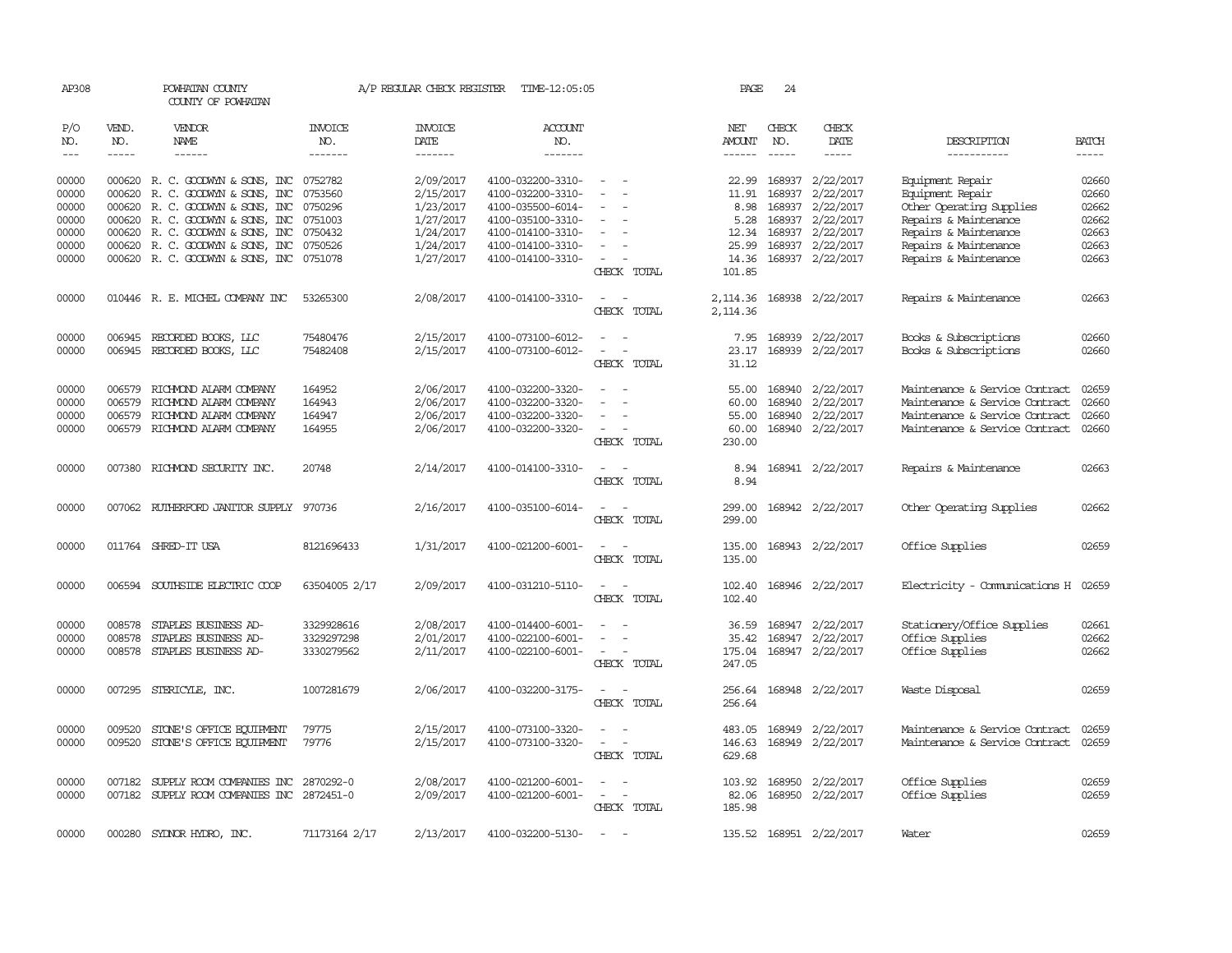| AP308          |                  | POWHATAN COUNTY<br>COUNTY OF POWHATAN            |                  | A/P REGULAR CHECK REGISTER | TIME-12:05:05                          |                                                      | PAGE           | 24               |                            |                                     |              |
|----------------|------------------|--------------------------------------------------|------------------|----------------------------|----------------------------------------|------------------------------------------------------|----------------|------------------|----------------------------|-------------------------------------|--------------|
| P/O<br>NO.     | VEND.<br>NO.     | VENDOR<br>NAME                                   | INVOICE<br>NO.   | <b>INVOICE</b><br>DATE     | <b>ACCOUNT</b><br>NO.                  |                                                      | NET<br>AMOUNT  | CHECK<br>NO.     | CHECK<br>DATE              | DESCRIPTION                         | <b>BATCH</b> |
| $---$          | $- - - - -$      | $- - - - - -$                                    | -------          | -------                    | -------                                |                                                      | $- - - - - -$  | $- - - - -$      | -----                      | -----------                         | $- - - - -$  |
| 00000          |                  | 000620 R.C. GOODWYN & SONS, INC 0752782          |                  | 2/09/2017                  | 4100-032200-3310-                      | $\overline{\phantom{0}}$                             | 22.99          |                  | 168937 2/22/2017           | Equipment Repair                    | 02660        |
| 00000          | 000620           | R. C. GOODWYN & SONS, INC                        | 0753560          | 2/15/2017                  | 4100-032200-3310-                      |                                                      | 11.91          | 168937           | 2/22/2017                  | Equipment Repair                    | 02660        |
| 00000          |                  | 000620 R. C. GOODWYN & SONS, INC                 | 0750296          | 1/23/2017                  | 4100-035500-6014-                      |                                                      | 8.98           |                  | 168937 2/22/2017           | Other Operating Supplies            | 02662        |
| 00000          |                  | 000620 R. C. GOODWYN & SONS, INC                 | 0751003          | 1/27/2017                  | 4100-035100-3310-                      | $\overline{\phantom{a}}$                             | 5.28           |                  | 168937 2/22/2017           | Repairs & Maintenance               | 02662        |
| 00000          |                  | 000620 R. C. GOODWYN & SONS, INC                 | 0750432          | 1/24/2017                  | 4100-014100-3310-                      |                                                      | 12.34          | 168937           | 2/22/2017                  | Repairs & Maintenance               | 02663        |
| 00000          |                  | 000620 R. C. GOODWYN & SONS, INC                 | 0750526          | 1/24/2017                  | 4100-014100-3310-                      | $\overline{\phantom{a}}$                             | 25.99          |                  | 168937 2/22/2017           | Repairs & Maintenance               | 02663        |
| 00000          |                  | 000620 R. C. GOODWYN & SONS, INC 0751078         |                  | 1/27/2017                  | 4100-014100-3310-                      | $\sim$                                               | 14.36          |                  | 168937 2/22/2017           | Repairs & Maintenance               | 02663        |
|                |                  |                                                  |                  |                            |                                        | CHECK TOTAL                                          | 101.85         |                  |                            |                                     |              |
| 00000          |                  | 010446 R. E. MICHEL COMPANY INC                  | 53265300         | 2/08/2017                  | 4100-014100-3310-                      | $\sim$<br>$\sim$                                     |                |                  | 2, 114.36 168938 2/22/2017 | Repairs & Maintenance               | 02663        |
|                |                  |                                                  |                  |                            |                                        | CHECK TOTAL                                          | 2,114.36       |                  |                            |                                     |              |
| 00000          |                  | 006945 RECORDED BOOKS, LLC                       | 75480476         | 2/15/2017                  | 4100-073100-6012-                      |                                                      | 7.95           |                  | 168939 2/22/2017           | Books & Subscriptions               | 02660        |
| 00000          |                  | 006945 RECORDED BOOKS, LLC                       | 75482408         | 2/15/2017                  | 4100-073100-6012-                      | $\overline{\phantom{a}}$<br>$\overline{\phantom{a}}$ | 23.17          |                  | 168939 2/22/2017           | Books & Subscriptions               | 02660        |
|                |                  |                                                  |                  |                            |                                        | CHECK TOTAL                                          | 31.12          |                  |                            |                                     |              |
|                | 006579           | RICHMOND ALARM COMPANY                           |                  |                            | 4100-032200-3320-                      |                                                      |                |                  |                            | Maintenance & Service Contract      | 02659        |
| 00000          |                  |                                                  | 164952           | 2/06/2017                  |                                        | $\sim$<br>$\overline{a}$                             | 55.00          | 168940           | 2/22/2017                  | Maintenance & Service Contract      | 02660        |
| 00000<br>00000 | 006579<br>006579 | RICHMOND ALARM COMPANY<br>RICHMOND ALARM COMPANY | 164943<br>164947 | 2/06/2017<br>2/06/2017     | 4100-032200-3320-<br>4100-032200-3320- |                                                      | 60.00<br>55.00 | 168940<br>168940 | 2/22/2017<br>2/22/2017     | Maintenance & Service Contract      | 02660        |
| 00000          | 006579           | RICHMOND ALARM COMPANY                           | 164955           | 2/06/2017                  | 4100-032200-3320-                      | $\overline{\phantom{a}}$                             | 60.00          |                  | 168940 2/22/2017           | Maintenance & Service Contract      | 02660        |
|                |                  |                                                  |                  |                            |                                        | CHECK TOTAL                                          | 230.00         |                  |                            |                                     |              |
|                |                  |                                                  |                  |                            |                                        |                                                      |                |                  |                            |                                     | 02663        |
| 00000          | 007380           | RICHMOND SECURITY INC.                           | 20748            | 2/14/2017                  | 4100-014100-3310-                      | CHECK TOTAL                                          | 8.94<br>8.94   |                  | 168941 2/22/2017           | Repairs & Maintenance               |              |
|                |                  |                                                  |                  |                            |                                        |                                                      |                |                  |                            |                                     |              |
| 00000          | 007062           | RUTHERFORD JANITOR SUPPLY                        | 970736           | 2/16/2017                  | 4100-035100-6014-                      |                                                      | 299.00         |                  | 168942 2/22/2017           | Other Operating Supplies            | 02662        |
|                |                  |                                                  |                  |                            |                                        | CHECK TOTAL                                          | 299.00         |                  |                            |                                     |              |
| 00000          |                  | 011764 SHRED-IT USA                              | 8121696433       | 1/31/2017                  | 4100-021200-6001-                      |                                                      | 135.00         |                  | 168943 2/22/2017           | Office Supplies                     | 02659        |
|                |                  |                                                  |                  |                            |                                        | CHECK TOTAL                                          | 135.00         |                  |                            |                                     |              |
| 00000          |                  | 006594 SOUTHSIDE ELECTRIC COOP                   | 63504005 2/17    | 2/09/2017                  | 4100-031210-5110-                      | $\overline{\phantom{a}}$<br>$\overline{\phantom{a}}$ | 102.40         |                  | 168946 2/22/2017           | Electricity - Comunications H 02659 |              |
|                |                  |                                                  |                  |                            |                                        | CHECK TOTAL                                          | 102.40         |                  |                            |                                     |              |
|                |                  |                                                  |                  |                            |                                        |                                                      |                |                  |                            |                                     |              |
| 00000          | 008578           | STAPLES BUSINESS AD-                             | 3329928616       | 2/08/2017                  | 4100-014400-6001-                      | $\overline{\phantom{a}}$<br>$\overline{\phantom{a}}$ | 36.59          |                  | 168947 2/22/2017           | Stationery/Office Supplies          | 02661        |
| 00000          | 008578           | STAPLES BUSINESS AD-                             | 3329297298       | 2/01/2017                  | 4100-022100-6001-                      |                                                      | 35.42          | 168947           | 2/22/2017                  | Office Supplies                     | 02662        |
| 00000          | 008578           | STAPLES BUSINESS AD-                             | 3330279562       | 2/11/2017                  | 4100-022100-6001-                      | $\overline{\phantom{a}}$                             | 175.04         |                  | 168947 2/22/2017           | Office Supplies                     | 02662        |
|                |                  |                                                  |                  |                            |                                        | CHECK TOTAL                                          | 247.05         |                  |                            |                                     |              |
| 00000          |                  | 007295 STERICYLE, INC.                           | 1007281679       | 2/06/2017                  | 4100-032200-3175-                      |                                                      | 256.64         |                  | 168948 2/22/2017           | Waste Disposal                      | 02659        |
|                |                  |                                                  |                  |                            |                                        | CHECK TOTAL                                          | 256.64         |                  |                            |                                     |              |
| 00000          | 009520           | STONE'S OFFICE EQUIPMENT                         | 79775            | 2/15/2017                  | 4100-073100-3320-                      |                                                      | 483.05         | 168949           | 2/22/2017                  | Maintenance & Service Contract      | 02659        |
| 00000          |                  | 009520 STONE'S OFFICE EQUIPMENT                  | 79776            | 2/15/2017                  | 4100-073100-3320-                      | $\overline{\phantom{a}}$<br>$\sim$                   | 146.63         |                  | 168949 2/22/2017           | Maintenance & Service Contract      | 02659        |
|                |                  |                                                  |                  |                            |                                        | CHECK TOTAL                                          | 629.68         |                  |                            |                                     |              |
| 00000          |                  | 007182 SUPPLY ROOM COMPANIES INC 2870292-0       |                  | 2/08/2017                  | 4100-021200-6001-                      | $\sim$                                               |                |                  | 103.92 168950 2/22/2017    | Office Supplies                     | 02659        |
| 00000          |                  | 007182 SUPPLY ROOM COMPANIES INC 2872451-0       |                  | 2/09/2017                  | 4100-021200-6001-                      | $\sim$<br>$\overline{\phantom{a}}$                   | 82.06          |                  | 168950 2/22/2017           | Office Supplies                     | 02659        |
|                |                  |                                                  |                  |                            |                                        | CHECK TOTAL                                          | 185.98         |                  |                            |                                     |              |
|                |                  |                                                  |                  |                            |                                        |                                                      |                |                  |                            |                                     |              |
| 00000          | 000280           | SYDNOR HYDRO, INC.                               | 71173164 2/17    | 2/13/2017                  | 4100-032200-5130-                      |                                                      |                |                  | 135.52 168951 2/22/2017    | Water                               | 02659        |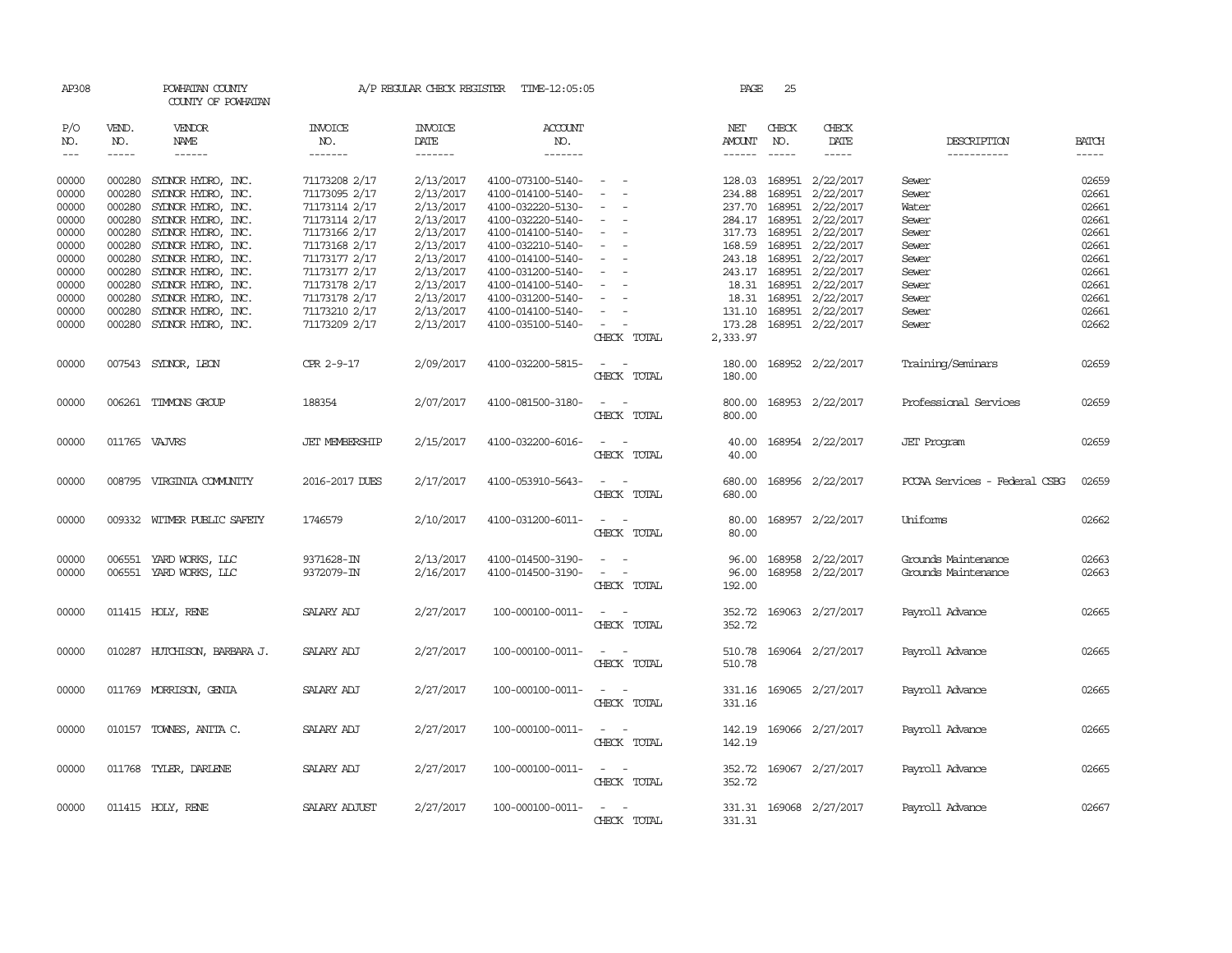| AP308          |                                                                                                                                                                                                                                                                                                                                                                                                                                                         | POWHATAN COUNTY<br>COUNTY OF POWHATAN    |                                | A/P REGULAR CHECK REGISTER | TIME-12:05:05                          |                                                                                                                             | PAGE             | 25                      |                                            |                               |                |
|----------------|---------------------------------------------------------------------------------------------------------------------------------------------------------------------------------------------------------------------------------------------------------------------------------------------------------------------------------------------------------------------------------------------------------------------------------------------------------|------------------------------------------|--------------------------------|----------------------------|----------------------------------------|-----------------------------------------------------------------------------------------------------------------------------|------------------|-------------------------|--------------------------------------------|-------------------------------|----------------|
| P/O<br>NO.     | VEND.<br>NO.                                                                                                                                                                                                                                                                                                                                                                                                                                            | <b>VENDOR</b><br>NAME                    | <b>INVOICE</b><br>NO.          | <b>INVOICE</b><br>DATE     | <b>ACCOUNT</b><br>NO.                  |                                                                                                                             | NET<br>AMOUNT    | CHECK<br>NO.            | CHECK<br>DATE                              | DESCRIPTION                   | <b>BATCH</b>   |
| $---$          | $\begin{tabular}{ccccc} \multicolumn{2}{c }{\multicolumn{2}{c }{\multicolumn{2}{c }{\multicolumn{2}{c}}{\hspace{-2.2cm}}}} \multicolumn{2}{c }{\multicolumn{2}{c }{\hspace{-2.2cm}}\hline} \multicolumn{2}{c }{\hspace{-2.2cm}}\hline \multicolumn{2}{c }{\hspace{-2.2cm}}\hline \multicolumn{2}{c }{\hspace{-2.2cm}}\hline \multicolumn{2}{c }{\hspace{-2.2cm}}\hline \multicolumn{2}{c }{\hspace{-2.2cm}}\hline \multicolumn{2}{c }{\hspace{-2.2cm}}$ | ------                                   | -------                        | -------                    | -------                                |                                                                                                                             |                  | $\cdots \cdots \cdots$  |                                            | -----------                   |                |
| 00000<br>00000 | 000280<br>000280                                                                                                                                                                                                                                                                                                                                                                                                                                        | SYDNOR HYDRO, INC.<br>SYLNOR HYDRO, INC. | 71173208 2/17<br>71173095 2/17 | 2/13/2017<br>2/13/2017     | 4100-073100-5140-<br>4100-014100-5140- | $\sim$                                                                                                                      | 128.03           | 168951<br>234.88 168951 | 2/22/2017<br>2/22/2017                     | Sewer<br>Sewer                | 02659<br>02661 |
| 00000          | 000280                                                                                                                                                                                                                                                                                                                                                                                                                                                  | SYLNOR HYDRO, INC.                       | 71173114 2/17                  | 2/13/2017                  | 4100-032220-5130-                      |                                                                                                                             |                  |                         | 237.70 168951 2/22/2017                    | Water                         | 02661          |
| 00000          | 000280                                                                                                                                                                                                                                                                                                                                                                                                                                                  | SYLNOR HYDRO, INC.                       | 71173114 2/17                  | 2/13/2017                  | 4100-032220-5140-                      | $\equiv$                                                                                                                    |                  |                         | 284.17 168951 2/22/2017                    | Sewer                         | 02661          |
| 00000          | 000280                                                                                                                                                                                                                                                                                                                                                                                                                                                  | SYDNOR HYDRO, INC.                       | 71173166 2/17                  | 2/13/2017                  | 4100-014100-5140-                      | $\sim$                                                                                                                      |                  |                         | 317.73 168951 2/22/2017                    | Sewer                         | 02661          |
| 00000          | 000280                                                                                                                                                                                                                                                                                                                                                                                                                                                  | SYDNOR HYDRO, INC.                       | 71173168 2/17                  | 2/13/2017                  | 4100-032210-5140-                      | $\overline{\phantom{a}}$                                                                                                    | 168.59           |                         | 168951 2/22/2017                           | Sewer                         | 02661          |
| 00000          | 000280                                                                                                                                                                                                                                                                                                                                                                                                                                                  | SYDNOR HYDRO, INC.                       | 71173177 2/17                  | 2/13/2017                  | 4100-014100-5140-                      | $\equiv$                                                                                                                    |                  | 243.18 168951           | 2/22/2017                                  | Sewer                         | 02661          |
| 00000          |                                                                                                                                                                                                                                                                                                                                                                                                                                                         | 000280 SYDNOR HYDRO, INC.                | 71173177 2/17                  | 2/13/2017                  | 4100-031200-5140-                      |                                                                                                                             |                  |                         | 243.17 168951 2/22/2017                    | Sewer                         | 02661          |
| 00000<br>00000 | 000280                                                                                                                                                                                                                                                                                                                                                                                                                                                  | SYDNOR HYDRO, INC.                       | 71173178 2/17                  | 2/13/2017<br>2/13/2017     | 4100-014100-5140-                      | $\overline{\phantom{a}}$<br>$\sim$                                                                                          | 18.31            |                         | 168951 2/22/2017<br>18.31 168951 2/22/2017 | Sewer<br>Sewer                | 02661<br>02661 |
| 00000          | 000280<br>000280                                                                                                                                                                                                                                                                                                                                                                                                                                        | SYDNOR HYDRO, INC.<br>SYLNOR HYDRO, INC. | 71173178 2/17<br>71173210 2/17 | 2/13/2017                  | 4100-031200-5140-<br>4100-014100-5140- |                                                                                                                             |                  |                         | 131.10 168951 2/22/2017                    | Sewer                         | 02661          |
| 00000          | 000280                                                                                                                                                                                                                                                                                                                                                                                                                                                  | SYLNOR HYDRO, INC.                       | 71173209 2/17                  | 2/13/2017                  | 4100-035100-5140-                      | $\sim$                                                                                                                      | 173.28           |                         | 168951 2/22/2017                           | Sewer                         | 02662          |
|                |                                                                                                                                                                                                                                                                                                                                                                                                                                                         |                                          |                                |                            |                                        | CHECK TOTAL                                                                                                                 | 2,333.97         |                         |                                            |                               |                |
| 00000          |                                                                                                                                                                                                                                                                                                                                                                                                                                                         | 007543 SYDNOR, LEON                      | CPR 2-9-17                     | 2/09/2017                  | 4100-032200-5815-                      |                                                                                                                             | 180.00           |                         | 168952 2/22/2017                           | Training/Seminars             | 02659          |
|                |                                                                                                                                                                                                                                                                                                                                                                                                                                                         |                                          |                                |                            |                                        | CHECK TOTAL                                                                                                                 | 180.00           |                         |                                            |                               |                |
| 00000          |                                                                                                                                                                                                                                                                                                                                                                                                                                                         | 006261 TIMMONS GROUP                     | 188354                         | 2/07/2017                  | 4100-081500-3180-                      | $\frac{1}{2} \left( \frac{1}{2} \right) \left( \frac{1}{2} \right) = \frac{1}{2} \left( \frac{1}{2} \right)$<br>CHECK TOTAL | 800.00<br>800.00 |                         | 168953 2/22/2017                           | Professional Services         | 02659          |
|                |                                                                                                                                                                                                                                                                                                                                                                                                                                                         |                                          |                                |                            |                                        |                                                                                                                             |                  |                         |                                            |                               |                |
| 00000          |                                                                                                                                                                                                                                                                                                                                                                                                                                                         | 011765 VAJVRS                            | <b>JET MEMBERSHIP</b>          | 2/15/2017                  | 4100-032200-6016-                      | CHECK TOTAL                                                                                                                 | 40.00<br>40.00   |                         | 168954 2/22/2017                           | <b>JET Program</b>            | 02659          |
| 00000          |                                                                                                                                                                                                                                                                                                                                                                                                                                                         | 008795 VIRGINIA COMUNITY                 | 2016-2017 DUES                 | 2/17/2017                  | 4100-053910-5643-                      |                                                                                                                             | 680.00           |                         | 168956 2/22/2017                           | PCCAA Services - Federal CSBG | 02659          |
|                |                                                                                                                                                                                                                                                                                                                                                                                                                                                         |                                          |                                |                            |                                        | CHECK TOTAL                                                                                                                 | 680.00           |                         |                                            |                               |                |
| 00000          |                                                                                                                                                                                                                                                                                                                                                                                                                                                         | 009332 WITMER PUBLIC SAFETY              | 1746579                        | 2/10/2017                  | 4100-031200-6011-                      |                                                                                                                             | 80.00            |                         | 168957 2/22/2017                           | Uniforms                      | 02662          |
|                |                                                                                                                                                                                                                                                                                                                                                                                                                                                         |                                          |                                |                            |                                        | CHECK TOTAL                                                                                                                 | 80.00            |                         |                                            |                               |                |
| 00000          |                                                                                                                                                                                                                                                                                                                                                                                                                                                         | 006551 YARD WORKS, LLC                   | 9371628-IN                     | 2/13/2017                  | 4100-014500-3190-                      |                                                                                                                             |                  |                         | 96.00 168958 2/22/2017                     | Grounds Maintenance           | 02663          |
| 00000          |                                                                                                                                                                                                                                                                                                                                                                                                                                                         | 006551 YARD WORKS, LLC                   | 9372079-IN                     | 2/16/2017                  | 4100-014500-3190-                      | $\sim$<br>CHECK TOTAL                                                                                                       | 96.00<br>192.00  |                         | 168958 2/22/2017                           | Grounds Maintenance           | 02663          |
|                |                                                                                                                                                                                                                                                                                                                                                                                                                                                         |                                          |                                |                            |                                        |                                                                                                                             |                  |                         |                                            |                               |                |
| 00000          |                                                                                                                                                                                                                                                                                                                                                                                                                                                         | 011415 HOLY, RENE                        | SALARY ADJ                     | 2/27/2017                  | 100-000100-0011-                       | $\sim$<br>$\sim$<br>CHECK TOTAL                                                                                             | 352.72           |                         | 352.72 169063 2/27/2017                    | Payroll Advance               | 02665          |
| 00000          |                                                                                                                                                                                                                                                                                                                                                                                                                                                         | 010287 HUTCHISON, BARBARA J.             | SALARY ADJ                     | 2/27/2017                  | 100-000100-0011-                       | $\sim$<br>$\sim$                                                                                                            |                  |                         | 510.78 169064 2/27/2017                    | Payroll Advance               | 02665          |
|                |                                                                                                                                                                                                                                                                                                                                                                                                                                                         |                                          |                                |                            |                                        | CHECK TOTAL                                                                                                                 | 510.78           |                         |                                            |                               |                |
| 00000          |                                                                                                                                                                                                                                                                                                                                                                                                                                                         | 011769 MORRISON, GENIA                   | SALARY ADJ                     | 2/27/2017                  | 100-000100-0011-                       | $\omega_{\rm{max}}$ and $\omega_{\rm{max}}$                                                                                 | 331.16           |                         | 169065 2/27/2017                           | Payroll Advance               | 02665          |
|                |                                                                                                                                                                                                                                                                                                                                                                                                                                                         |                                          |                                |                            |                                        | CHECK TOTAL                                                                                                                 | 331.16           |                         |                                            |                               |                |
| 00000          |                                                                                                                                                                                                                                                                                                                                                                                                                                                         | 010157 TOWNES, ANITA C.                  | SALARY ADJ                     | 2/27/2017                  | 100-000100-0011-                       | $\sim$ $ \sim$                                                                                                              | 142.19           |                         | 169066 2/27/2017                           | Payroll Advance               | 02665          |
|                |                                                                                                                                                                                                                                                                                                                                                                                                                                                         |                                          |                                |                            |                                        | CHECK TOTAL                                                                                                                 | 142.19           |                         |                                            |                               |                |
| 00000          |                                                                                                                                                                                                                                                                                                                                                                                                                                                         | 011768 TYLER, DARLENE                    | SALARY ADJ                     | 2/27/2017                  | 100-000100-0011-                       | $\sim$ 100 $\sim$                                                                                                           |                  |                         | 352.72 169067 2/27/2017                    | Payroll Advance               | 02665          |
|                |                                                                                                                                                                                                                                                                                                                                                                                                                                                         |                                          |                                |                            |                                        | CHECK TOTAL                                                                                                                 | 352.72           |                         |                                            |                               |                |
| 00000          |                                                                                                                                                                                                                                                                                                                                                                                                                                                         | 011415 HOLY, RENE                        | SALARY ADJUST                  | 2/27/2017                  | 100-000100-0011-                       |                                                                                                                             |                  |                         | 331.31 169068 2/27/2017                    | Payroll Advance               | 02667          |
|                |                                                                                                                                                                                                                                                                                                                                                                                                                                                         |                                          |                                |                            |                                        | CHECK TOTAL                                                                                                                 | 331.31           |                         |                                            |                               |                |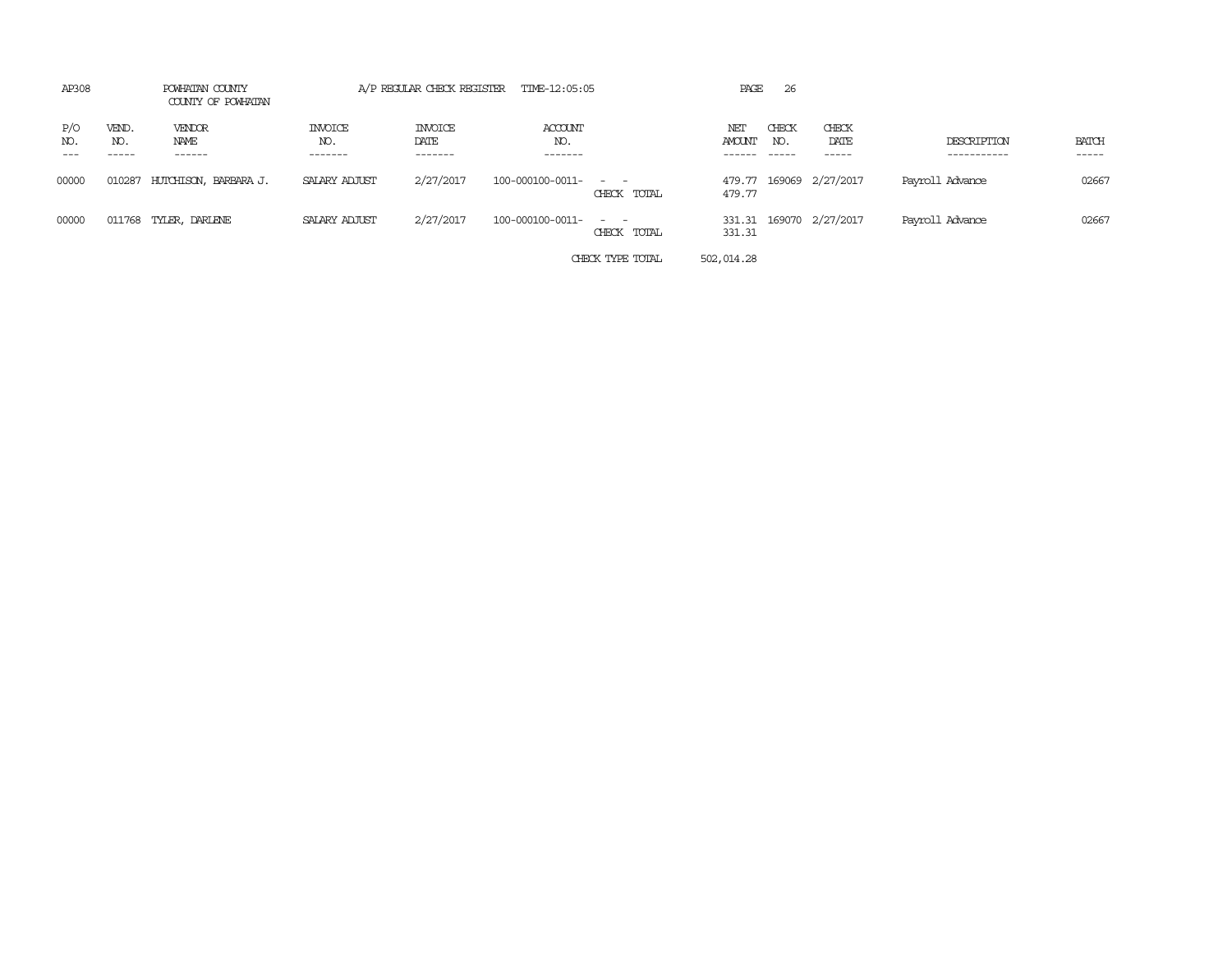| AP308      | POWHATAN COUNTY<br>COUNTY OF POWHATAN |                                 | A/P REGULAR CHECK REGISTER TIME-12:05:05 |                                   |                             |                                             | PAGE          | -26                         |                         |                            |                       |
|------------|---------------------------------------|---------------------------------|------------------------------------------|-----------------------------------|-----------------------------|---------------------------------------------|---------------|-----------------------------|-------------------------|----------------------------|-----------------------|
| P/O<br>NO. | VEND.<br>NO.<br>-----                 | <b>VENDOR</b><br>NAME<br>------ | <b>INVOICE</b><br>NO.<br>-------         | <b>INVOICE</b><br>DATE<br>------- | ACCOUNT<br>NO.<br>-------   |                                             | NET<br>AMOUNT | CHECK<br>NO.<br>$- - - - -$ | CHECK<br>DATE<br>-----  | DESCRIPTION<br>----------- | <b>BATCH</b><br>----- |
| 00000      | 010287                                | HUTCHISON, BARBARA J.           | SALARY ADJUST                            | 2/27/2017                         | $100 - 000100 - 0011 - - -$ | CHECK TOTAL                                 | 479.77        |                             | 479.77 169069 2/27/2017 | Payroll Advance            | 02667                 |
| 00000      |                                       | 011768 TYLER, DARLENE           | SALARY ADJUST                            | 2/27/2017                         | 100-000100-0011-            | $\sim$ 100 $\sim$ 100 $\sim$<br>CHECK TOTAL | 331.31        |                             | 331.31 169070 2/27/2017 | Payroll Advance            | 02667                 |
|            |                                       |                                 |                                          |                                   |                             | CHECK TYPE TOTAL                            | 502,014.28    |                             |                         |                            |                       |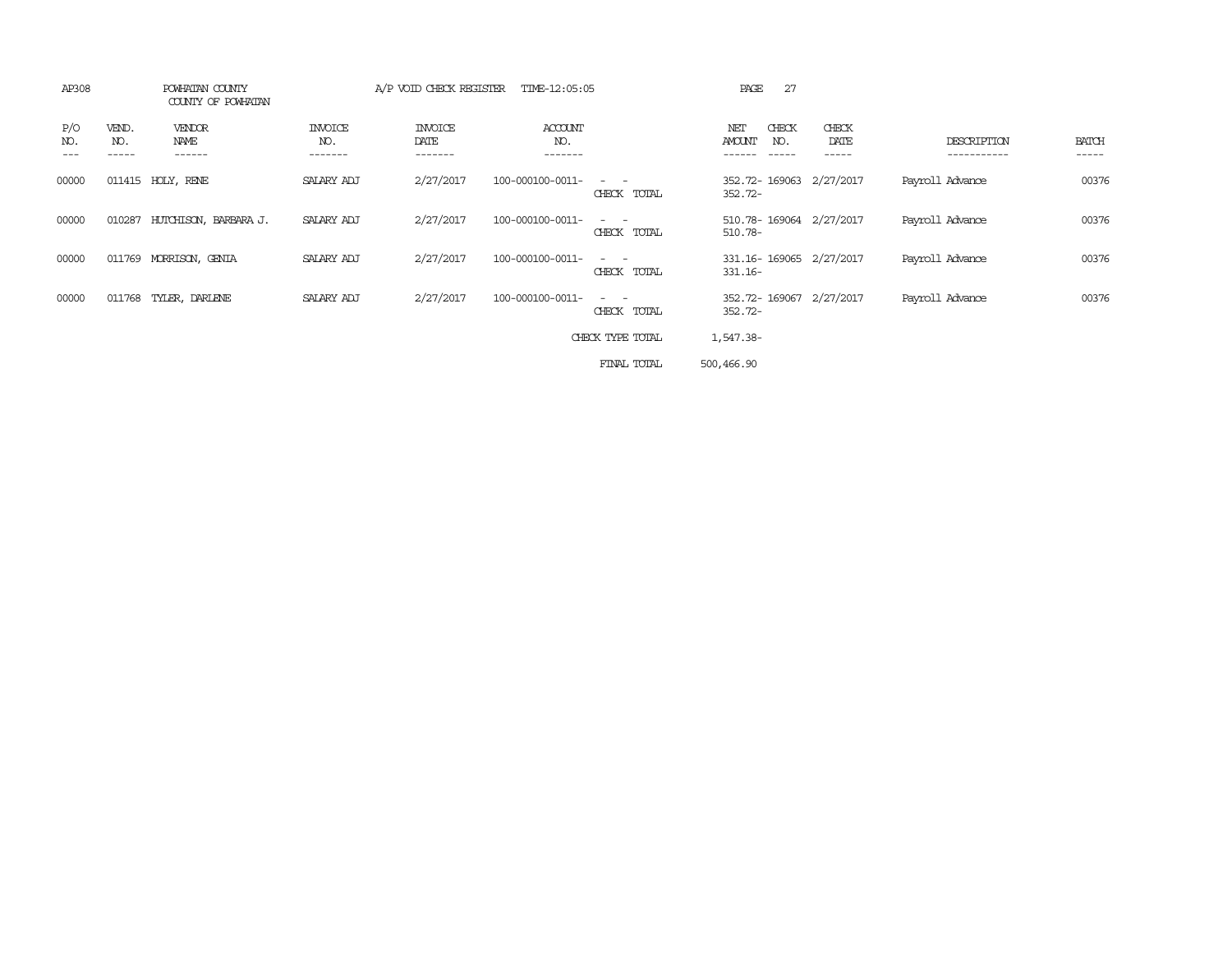| AP308      |              | POWHATAN COUNTY<br>COUNTY OF POWHATAN |                                  | A/P VOID CHECK REGISTER           | TIME-12:05:05                    |                                                                                                                                          | 27<br>PAGE                            |                        |                 |                        |
|------------|--------------|---------------------------------------|----------------------------------|-----------------------------------|----------------------------------|------------------------------------------------------------------------------------------------------------------------------------------|---------------------------------------|------------------------|-----------------|------------------------|
| P/O<br>NO. | VEND.<br>NO. | <b>VENDOR</b><br>NAME                 | <b>INVOICE</b><br>NO.<br>------- | <b>INVOICE</b><br>DATE<br>------- | <b>ACCOUNT</b><br>NO.<br>------- |                                                                                                                                          | CHECK<br>NET<br><b>AMOUNT</b><br>NO.  | CHECK<br>DATE<br>----- | DESCRIPTION     | <b>BATCH</b><br>------ |
| 00000      |              | 011415 HOLY, RENE                     | SALARY ADJ                       | 2/27/2017                         | 100-000100-0011-                 | $\frac{1}{2} \left( \frac{1}{2} \right) \left( \frac{1}{2} \right) \left( \frac{1}{2} \right) \left( \frac{1}{2} \right)$<br>CHECK TOTAL | 352.72-169063 2/27/2017<br>$352.72 -$ |                        | Payroll Advance | 00376                  |
| 00000      | 010287       | HUTCHISON, BARBARA J.                 | SALARY ADJ                       | 2/27/2017                         | 100-000100-0011-                 | $\sim$ 100 $\sim$ 100 $\sim$<br>CHECK TOTAL                                                                                              | 510.78-169064 2/27/2017<br>510.78-    |                        | Payroll Advance | 00376                  |
| 00000      |              | 011769 MORRISON, GENIA                | SALARY ADJ                       | 2/27/2017                         | 100-000100-0011-                 | $\frac{1}{2} \left( \frac{1}{2} \right) \left( \frac{1}{2} \right) = \frac{1}{2} \left( \frac{1}{2} \right)$<br>CHECK TOTAL              | 331.16-169065 2/27/2017<br>$331.16-$  |                        | Payroll Advance | 00376                  |
| 00000      |              | 011768 TYLER, DARLENE                 | SALARY ADJ                       | 2/27/2017                         | 100-000100-0011-                 | $\sim$ $\sim$<br>CHECK TOTAL                                                                                                             | 352.72-169067 2/27/2017<br>$352.72 -$ |                        | Payroll Advance | 00376                  |
|            |              |                                       |                                  |                                   |                                  | CHECK TYPE TOTAL                                                                                                                         | 1,547.38-                             |                        |                 |                        |
|            |              |                                       |                                  |                                   |                                  | FINAL TOTAL                                                                                                                              | 500,466.90                            |                        |                 |                        |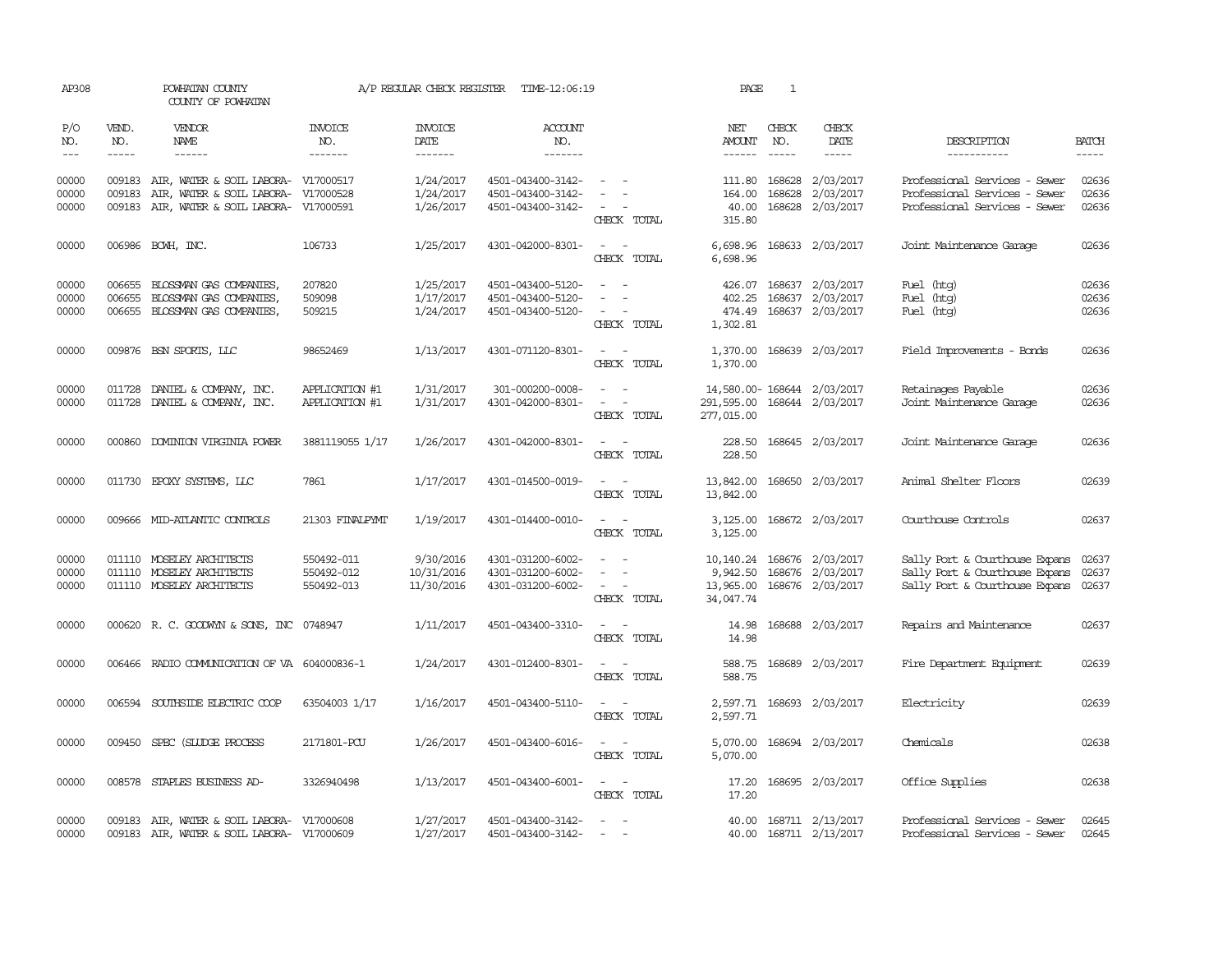| AP308                   |                  | POWHATAN COUNTY<br>COUNTY OF POWHATAN                                                                          |                                        | A/P REGULAR CHECK REGISTER            | TIME-12:06:19                                               |                                                                                                                             | PAGE                                            | 1                       |                                                          |                                                                                                    |                         |
|-------------------------|------------------|----------------------------------------------------------------------------------------------------------------|----------------------------------------|---------------------------------------|-------------------------------------------------------------|-----------------------------------------------------------------------------------------------------------------------------|-------------------------------------------------|-------------------------|----------------------------------------------------------|----------------------------------------------------------------------------------------------------|-------------------------|
| P/O<br>NO.              | VEND.<br>NO.     | VENDOR<br>NAME                                                                                                 | <b>INVOICE</b><br>NO.                  | <b>INVOICE</b><br>DATE                | <b>ACCOUNT</b><br>NO.                                       |                                                                                                                             | NET<br>AMOUNT                                   | CHECK<br>NO.            | CHECK<br>DATE                                            | DESCRIPTION                                                                                        | <b>BATCH</b>            |
| $---$                   | $\frac{1}{2}$    | $- - - - - -$                                                                                                  | -------                                | $- - - - - - -$                       | -------                                                     |                                                                                                                             | $- - - - - -$                                   | $\frac{1}{2}$           | $- - - - -$                                              | -----------                                                                                        | -----                   |
| 00000<br>00000<br>00000 | 009183<br>009183 | 009183 AIR, WATER & SOIL LABORA- V17000517<br>AIR, WATER & SOIL LABORA-<br>AIR, WATER & SOIL LABORA- V17000591 | V17000528                              | 1/24/2017<br>1/24/2017<br>1/26/2017   | 4501-043400-3142-<br>4501-043400-3142-<br>4501-043400-3142- | $\sim$ $ \sim$<br>CHECK TOTAL                                                                                               | 164.00<br>40.00<br>315.80                       | 111.80 168628<br>168628 | 2/03/2017<br>2/03/2017<br>168628 2/03/2017               | Professional Services - Sewer<br>Professional Services - Sewer<br>Professional Services - Sewer    | 02636<br>02636<br>02636 |
| 00000                   |                  | 006986 BCWH, INC.                                                                                              | 106733                                 | 1/25/2017                             | 4301-042000-8301-                                           | $\frac{1}{2} \left( \frac{1}{2} \right) \left( \frac{1}{2} \right) = \frac{1}{2} \left( \frac{1}{2} \right)$<br>CHECK TOTAL | 6,698.96                                        |                         | 6,698.96 168633 2/03/2017                                | Joint Maintenance Garage                                                                           | 02636                   |
| 00000<br>00000<br>00000 | 006655<br>006655 | BLOSSMAN GAS COMPANIES,<br>BLOSSMAN GAS COMPANIES,<br>006655 BLOSSMAN GAS COMPANIES,                           | 207820<br>509098<br>509215             | 1/25/2017<br>1/17/2017<br>1/24/2017   | 4501-043400-5120-<br>4501-043400-5120-<br>4501-043400-5120- | $\sim$<br>CHECK TOTAL                                                                                                       | 426.07<br>402.25<br>474.49<br>1,302.81          |                         | 168637 2/03/2017<br>168637 2/03/2017<br>168637 2/03/2017 | Fuel (htg)<br>Fuel (htg)<br>Fuel (htg)                                                             | 02636<br>02636<br>02636 |
| 00000                   |                  | 009876 BSN SPORTS, LLC                                                                                         | 98652469                               | 1/13/2017                             | 4301-071120-8301-                                           | $\sim$ $ \sim$<br>CHECK TOTAL                                                                                               | 1,370.00<br>1,370.00                            |                         | 168639 2/03/2017                                         | Field Improvements - Bonds                                                                         | 02636                   |
| 00000<br>00000          | 011728           | DANIEL & COMPANY, INC.<br>011728 DANIEL & COMPANY, INC.                                                        | APPLICATION #1<br>APPLICATION #1       | 1/31/2017<br>1/31/2017                | 301-000200-0008-<br>4301-042000-8301-                       | $\sim$<br>$\overline{\phantom{a}}$<br>CHECK TOTAL                                                                           | 291,595.00<br>277,015.00                        |                         | 14,580.00-168644 2/03/2017<br>168644 2/03/2017           | Retainages Payable<br>Joint Maintenance Garage                                                     | 02636<br>02636          |
| 00000                   |                  | 000860 DOMINION VIRGINIA POWER                                                                                 | 3881119055 1/17                        | 1/26/2017                             | 4301-042000-8301-                                           | CHECK TOTAL                                                                                                                 | 228.50                                          |                         | 228.50 168645 2/03/2017                                  | Joint Maintenance Garage                                                                           | 02636                   |
| 00000                   |                  | 011730 EPOXY SYSTEMS, LLC                                                                                      | 7861                                   | 1/17/2017                             | 4301-014500-0019-                                           | $\sim$ $ \sim$<br>CHECK TOTAL                                                                                               | 13,842.00<br>13,842.00                          |                         | 168650 2/03/2017                                         | Animal Shelter Floors                                                                              | 02639                   |
| 00000                   |                  | 009666 MID-ATLANTIC CONTROLS                                                                                   | 21303 FINALPYMT                        | 1/19/2017                             | 4301-014400-0010-                                           | $\sim$ $\sim$<br>CHECK TOTAL                                                                                                | 3,125.00<br>3,125.00                            |                         | 168672 2/03/2017                                         | Courthouse Controls                                                                                | 02637                   |
| 00000<br>00000<br>00000 |                  | 011110 MOSELEY ARCHITECTS<br>011110 MOSELEY ARCHITECTS<br>011110 MOSELEY ARCHITECTS                            | 550492-011<br>550492-012<br>550492-013 | 9/30/2016<br>10/31/2016<br>11/30/2016 | 4301-031200-6002-<br>4301-031200-6002-<br>4301-031200-6002- | CHECK TOTAL                                                                                                                 | 10,140.24<br>9,942.50<br>13,965.00<br>34,047.74 |                         | 168676 2/03/2017<br>168676 2/03/2017<br>168676 2/03/2017 | Sally Port & Courthouse Expans<br>Sally Port & Courthouse Expans<br>Sally Port & Courthouse Expans | 02637<br>02637<br>02637 |
| 00000                   |                  | 000620 R. C. GOODWYN & SONS, INC 0748947                                                                       |                                        | 1/11/2017                             | 4501-043400-3310-                                           | $\frac{1}{2} \left( \frac{1}{2} \right) \left( \frac{1}{2} \right) = \frac{1}{2} \left( \frac{1}{2} \right)$<br>CHECK TOTAL | 14.98<br>14.98                                  |                         | 168688 2/03/2017                                         | Repairs and Maintenance                                                                            | 02637                   |
| 00000                   |                  | 006466 RADIO COMMUNICATION OF VA 604000836-1                                                                   |                                        | 1/24/2017                             | 4301-012400-8301-                                           | CHECK TOTAL                                                                                                                 | 588.75                                          |                         | 588.75 168689 2/03/2017                                  | Fire Department Equipment                                                                          | 02639                   |
| 00000                   |                  | 006594 SOUTHSIDE ELECTRIC COOP                                                                                 | 63504003 1/17                          | 1/16/2017                             | 4501-043400-5110-                                           | $\frac{1}{2} \left( \frac{1}{2} \right) \left( \frac{1}{2} \right) = \frac{1}{2} \left( \frac{1}{2} \right)$<br>CHECK TOTAL | 2,597.71<br>2,597.71                            |                         | 168693 2/03/2017                                         | Electricity                                                                                        | 02639                   |
| 00000                   |                  | 009450 SPEC (SILIDGE PROCESS                                                                                   | 2171801-PCU                            | 1/26/2017                             | 4501-043400-6016-                                           | CHECK TOTAL                                                                                                                 | 5,070.00<br>5,070.00                            |                         | 168694 2/03/2017                                         | Chemicals                                                                                          | 02638                   |
| 00000                   |                  | 008578 STAPLES BUSINESS AD-                                                                                    | 3326940498                             | 1/13/2017                             | 4501-043400-6001-                                           | $\frac{1}{2} \left( \frac{1}{2} \right) \left( \frac{1}{2} \right) = \frac{1}{2} \left( \frac{1}{2} \right)$<br>CHECK TOTAL | 17.20<br>17.20                                  |                         | 168695 2/03/2017                                         | Office Supplies                                                                                    | 02638                   |
| 00000<br>00000          |                  | 009183 AIR, WATER & SOIL LABORA- V17000608<br>009183 AIR, WATER & SOIL LABORA- V17000609                       |                                        | 1/27/2017<br>1/27/2017                | 4501-043400-3142-<br>4501-043400-3142-                      | $\sim$<br>$\sim$                                                                                                            |                                                 |                         | 40.00 168711 2/13/2017<br>40.00 168711 2/13/2017         | Professional Services - Sewer<br>Professional Services - Sewer                                     | 02645<br>02645          |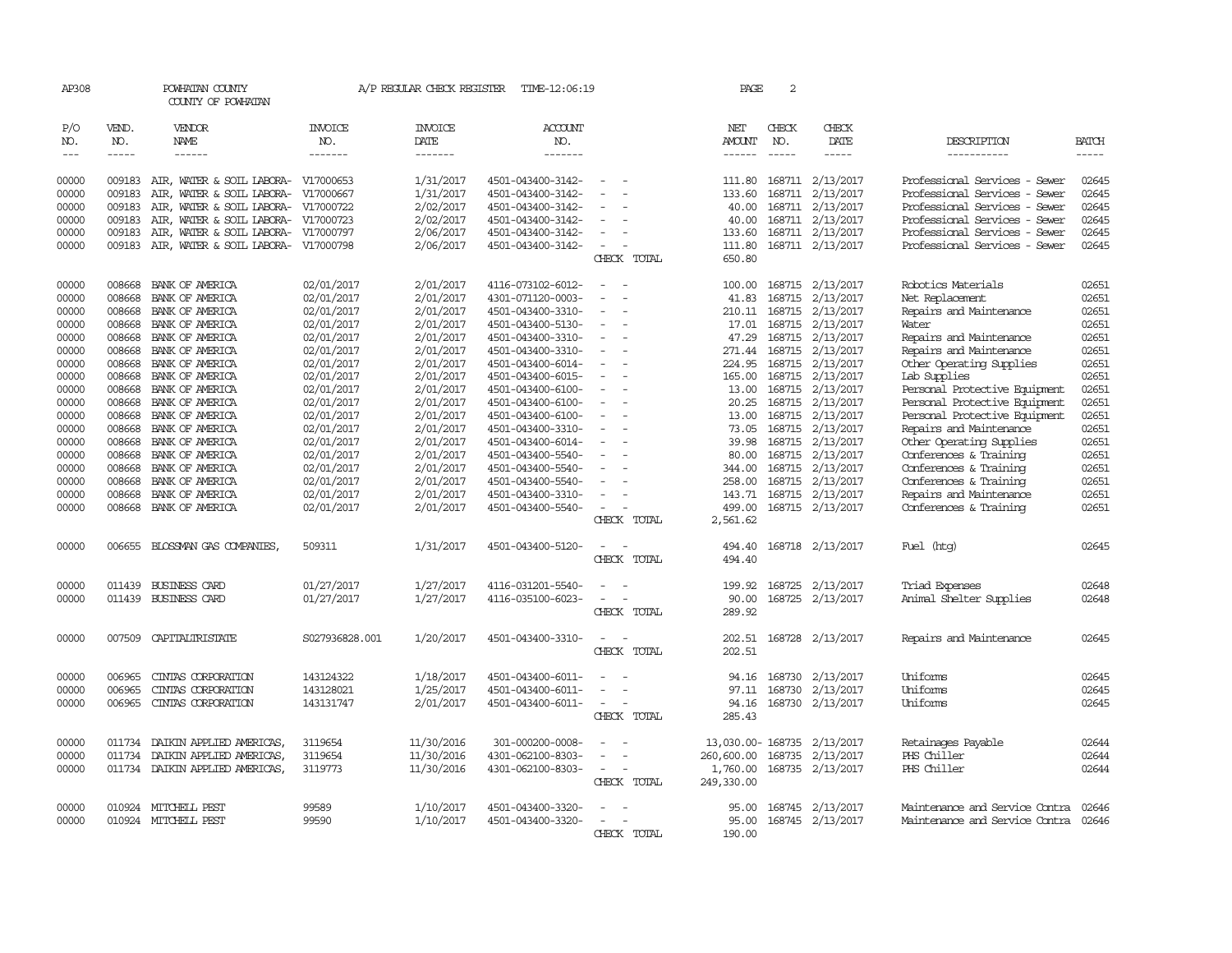| AP308      |                                                                                                                                                                                                                                                                                                                                                                                                                                                                                     | POWHATAN COUNTY<br>COUNTY OF POWHATAN |                | A/P REGULAR CHECK REGISTER                                                                                                                                                                                                                                                                                                                                                                                                                                                                            | TIME-12:06:19         |                                                                                                              |             | PAGE                 | 2             |                                                                                                                                                                                                                                                                                                                                                                                                                                                         |                                      |                                                                                                                                                                                                                                                                                                                                                                                                                                                                               |
|------------|-------------------------------------------------------------------------------------------------------------------------------------------------------------------------------------------------------------------------------------------------------------------------------------------------------------------------------------------------------------------------------------------------------------------------------------------------------------------------------------|---------------------------------------|----------------|-------------------------------------------------------------------------------------------------------------------------------------------------------------------------------------------------------------------------------------------------------------------------------------------------------------------------------------------------------------------------------------------------------------------------------------------------------------------------------------------------------|-----------------------|--------------------------------------------------------------------------------------------------------------|-------------|----------------------|---------------|---------------------------------------------------------------------------------------------------------------------------------------------------------------------------------------------------------------------------------------------------------------------------------------------------------------------------------------------------------------------------------------------------------------------------------------------------------|--------------------------------------|-------------------------------------------------------------------------------------------------------------------------------------------------------------------------------------------------------------------------------------------------------------------------------------------------------------------------------------------------------------------------------------------------------------------------------------------------------------------------------|
| P/O<br>NO. | VEND.<br>NO.                                                                                                                                                                                                                                                                                                                                                                                                                                                                        | VENDOR<br>NAME                        | INVOICE<br>NO. | INVOICE<br>DATE                                                                                                                                                                                                                                                                                                                                                                                                                                                                                       | <b>ACCOUNT</b><br>NO. |                                                                                                              |             | NET<br><b>AMOUNT</b> | CHECK<br>NO.  | CHECK<br>DATE                                                                                                                                                                                                                                                                                                                                                                                                                                           | DESCRIPTION                          | <b>BATCH</b>                                                                                                                                                                                                                                                                                                                                                                                                                                                                  |
| $---$      | $\begin{tabular}{ccccc} \multicolumn{2}{c}{} & \multicolumn{2}{c}{} & \multicolumn{2}{c}{} & \multicolumn{2}{c}{} & \multicolumn{2}{c}{} & \multicolumn{2}{c}{} & \multicolumn{2}{c}{} & \multicolumn{2}{c}{} & \multicolumn{2}{c}{} & \multicolumn{2}{c}{} & \multicolumn{2}{c}{} & \multicolumn{2}{c}{} & \multicolumn{2}{c}{} & \multicolumn{2}{c}{} & \multicolumn{2}{c}{} & \multicolumn{2}{c}{} & \multicolumn{2}{c}{} & \multicolumn{2}{c}{} & \multicolumn{2}{c}{} & \mult$ | $- - - - - -$                         | -------        | $\begin{tabular}{ccccc} \multicolumn{2}{c }{\multicolumn{2}{c }{\multicolumn{2}{c }{\multicolumn{2}{c}}}{\multicolumn{2}{c}}{\multicolumn{2}{c}}{\multicolumn{2}{c}}{\multicolumn{2}{c}}{\multicolumn{2}{c}}{\multicolumn{2}{c}}{\multicolumn{2}{c}}{\multicolumn{2}{c}}{\multicolumn{2}{c}}{\multicolumn{2}{c}}{\multicolumn{2}{c}}{\multicolumn{2}{c}}{\multicolumn{2}{c}}{\multicolumn{2}{c}}{\multicolumn{2}{c}}{\multicolumn{2}{c}}{\multicolumn{2}{c}}{\multicolumn{2}{c}}{\multicolumn{2}{c}}$ | $- - - - - - -$       |                                                                                                              |             | ------               | $\frac{1}{2}$ | $\begin{tabular}{ccccc} \multicolumn{2}{c }{\multicolumn{2}{c }{\multicolumn{2}{c }{\multicolumn{2}{c}}{\hspace{-2.2cm}}}} \multicolumn{2}{c }{\multicolumn{2}{c }{\hspace{-2.2cm}}\hline} \multicolumn{2}{c }{\hspace{-2.2cm}}\hline \multicolumn{2}{c }{\hspace{-2.2cm}}\hline \multicolumn{2}{c }{\hspace{-2.2cm}}\hline \multicolumn{2}{c }{\hspace{-2.2cm}}\hline \multicolumn{2}{c }{\hspace{-2.2cm}}\hline \multicolumn{2}{c }{\hspace{-2.2cm}}$ | -----------                          | $\begin{tabular}{ccccc} \multicolumn{2}{c }{\multicolumn{2}{c }{\multicolumn{2}{c }{\multicolumn{2}{c}}}{\multicolumn{2}{c }{\multicolumn{2}{c}}}\end{tabular} \end{tabular} \begin{tabular}{c c }{\multicolumn{2}{c }{\multicolumn{2}{c }{\multicolumn{2}{c}}}{\multicolumn{2}{c }{\multicolumn{2}{c}}}{\multicolumn{2}{c }{\multicolumn{2}{c}}}{\multicolumn{2}{c }{\multicolumn{2}{c}}}{\end{tabular} \begin{tabular}{c c }{\multicolumn{2}{c }{\multicolumn{2}{c }{\mult$ |
| 00000      | 009183                                                                                                                                                                                                                                                                                                                                                                                                                                                                              | AIR, WATER & SOIL LABORA- V17000653   |                | 1/31/2017                                                                                                                                                                                                                                                                                                                                                                                                                                                                                             | 4501-043400-3142-     | $\sim$                                                                                                       |             | 111.80               |               | 168711 2/13/2017                                                                                                                                                                                                                                                                                                                                                                                                                                        | Professional Services - Sewer        | 02645                                                                                                                                                                                                                                                                                                                                                                                                                                                                         |
| 00000      | 009183                                                                                                                                                                                                                                                                                                                                                                                                                                                                              | AIR, WATER & SOIL LABORA-             | V17000667      | 1/31/2017                                                                                                                                                                                                                                                                                                                                                                                                                                                                                             | 4501-043400-3142-     |                                                                                                              |             | 133.60               |               | 168711 2/13/2017                                                                                                                                                                                                                                                                                                                                                                                                                                        | Professional Services - Sewer        | 02645                                                                                                                                                                                                                                                                                                                                                                                                                                                                         |
| 00000      | 009183                                                                                                                                                                                                                                                                                                                                                                                                                                                                              | AIR, WATER & SOIL LABORA- V17000722   |                | 2/02/2017                                                                                                                                                                                                                                                                                                                                                                                                                                                                                             | 4501-043400-3142-     | $\equiv$                                                                                                     |             | 40.00                |               | 168711 2/13/2017                                                                                                                                                                                                                                                                                                                                                                                                                                        | Professional Services - Sewer        | 02645                                                                                                                                                                                                                                                                                                                                                                                                                                                                         |
| 00000      | 009183                                                                                                                                                                                                                                                                                                                                                                                                                                                                              | AIR, WATER & SOIL LABORA- V17000723   |                | 2/02/2017                                                                                                                                                                                                                                                                                                                                                                                                                                                                                             | 4501-043400-3142-     |                                                                                                              |             | 40.00                |               | 168711 2/13/2017                                                                                                                                                                                                                                                                                                                                                                                                                                        | Professional Services - Sewer        | 02645                                                                                                                                                                                                                                                                                                                                                                                                                                                                         |
| 00000      | 009183                                                                                                                                                                                                                                                                                                                                                                                                                                                                              |                                       |                | 2/06/2017                                                                                                                                                                                                                                                                                                                                                                                                                                                                                             |                       |                                                                                                              |             | 133.60               |               | 168711 2/13/2017                                                                                                                                                                                                                                                                                                                                                                                                                                        | Professional Services - Sewer        | 02645                                                                                                                                                                                                                                                                                                                                                                                                                                                                         |
| 00000      |                                                                                                                                                                                                                                                                                                                                                                                                                                                                                     | AIR, WATER & SOIL LABORA- V17000797   |                |                                                                                                                                                                                                                                                                                                                                                                                                                                                                                                       | 4501-043400-3142-     |                                                                                                              |             |                      |               |                                                                                                                                                                                                                                                                                                                                                                                                                                                         | Professional Services - Sewer        | 02645                                                                                                                                                                                                                                                                                                                                                                                                                                                                         |
|            | 009183                                                                                                                                                                                                                                                                                                                                                                                                                                                                              | AIR, WATER & SOIL LABORA-             | V17000798      | 2/06/2017                                                                                                                                                                                                                                                                                                                                                                                                                                                                                             | 4501-043400-3142-     | $\overline{\phantom{a}}$                                                                                     | CHECK TOTAL | 111.80<br>650.80     |               | 168711 2/13/2017                                                                                                                                                                                                                                                                                                                                                                                                                                        |                                      |                                                                                                                                                                                                                                                                                                                                                                                                                                                                               |
|            |                                                                                                                                                                                                                                                                                                                                                                                                                                                                                     |                                       |                |                                                                                                                                                                                                                                                                                                                                                                                                                                                                                                       |                       |                                                                                                              |             |                      |               |                                                                                                                                                                                                                                                                                                                                                                                                                                                         |                                      |                                                                                                                                                                                                                                                                                                                                                                                                                                                                               |
| 00000      | 008668                                                                                                                                                                                                                                                                                                                                                                                                                                                                              | BANK OF AMERICA                       | 02/01/2017     | 2/01/2017                                                                                                                                                                                                                                                                                                                                                                                                                                                                                             | 4116-073102-6012-     |                                                                                                              |             | 100.00               |               | 168715 2/13/2017                                                                                                                                                                                                                                                                                                                                                                                                                                        | Robotics Materials                   | 02651                                                                                                                                                                                                                                                                                                                                                                                                                                                                         |
| 00000      | 008668                                                                                                                                                                                                                                                                                                                                                                                                                                                                              | BANK OF AMERICA                       | 02/01/2017     | 2/01/2017                                                                                                                                                                                                                                                                                                                                                                                                                                                                                             | 4301-071120-0003-     | $\sim$                                                                                                       |             | 41.83                |               | 168715 2/13/2017                                                                                                                                                                                                                                                                                                                                                                                                                                        | Net Replacement                      | 02651                                                                                                                                                                                                                                                                                                                                                                                                                                                                         |
| 00000      | 008668                                                                                                                                                                                                                                                                                                                                                                                                                                                                              | BANK OF AMERICA                       | 02/01/2017     | 2/01/2017                                                                                                                                                                                                                                                                                                                                                                                                                                                                                             | 4501-043400-3310-     | $\sim$                                                                                                       |             | 210.11               |               | 168715 2/13/2017                                                                                                                                                                                                                                                                                                                                                                                                                                        | Repairs and Maintenance              | 02651                                                                                                                                                                                                                                                                                                                                                                                                                                                                         |
| 00000      | 008668                                                                                                                                                                                                                                                                                                                                                                                                                                                                              | BANK OF AMERICA                       | 02/01/2017     | 2/01/2017                                                                                                                                                                                                                                                                                                                                                                                                                                                                                             | 4501-043400-5130-     |                                                                                                              |             | 17.01                |               | 168715 2/13/2017                                                                                                                                                                                                                                                                                                                                                                                                                                        | Water                                | 02651                                                                                                                                                                                                                                                                                                                                                                                                                                                                         |
| 00000      | 008668                                                                                                                                                                                                                                                                                                                                                                                                                                                                              | BANK OF AMERICA                       | 02/01/2017     | 2/01/2017                                                                                                                                                                                                                                                                                                                                                                                                                                                                                             | 4501-043400-3310-     | $\overline{\phantom{a}}$                                                                                     |             | 47.29                |               | 168715 2/13/2017                                                                                                                                                                                                                                                                                                                                                                                                                                        | Repairs and Maintenance              | 02651                                                                                                                                                                                                                                                                                                                                                                                                                                                                         |
| 00000      | 008668                                                                                                                                                                                                                                                                                                                                                                                                                                                                              | BANK OF AMERICA                       | 02/01/2017     | 2/01/2017                                                                                                                                                                                                                                                                                                                                                                                                                                                                                             | 4501-043400-3310-     | $\overline{\phantom{a}}$                                                                                     |             | 271.44               |               | 168715 2/13/2017                                                                                                                                                                                                                                                                                                                                                                                                                                        | Repairs and Maintenance              | 02651                                                                                                                                                                                                                                                                                                                                                                                                                                                                         |
| 00000      | 008668                                                                                                                                                                                                                                                                                                                                                                                                                                                                              | BANK OF AMERICA                       | 02/01/2017     | 2/01/2017                                                                                                                                                                                                                                                                                                                                                                                                                                                                                             | 4501-043400-6014-     | $\equiv$                                                                                                     |             | 224.95               |               | 168715 2/13/2017                                                                                                                                                                                                                                                                                                                                                                                                                                        | Other Operating Supplies             | 02651                                                                                                                                                                                                                                                                                                                                                                                                                                                                         |
| 00000      | 008668                                                                                                                                                                                                                                                                                                                                                                                                                                                                              | BANK OF AMERICA                       | 02/01/2017     | 2/01/2017                                                                                                                                                                                                                                                                                                                                                                                                                                                                                             | 4501-043400-6015-     |                                                                                                              |             | 165.00               |               | 168715 2/13/2017                                                                                                                                                                                                                                                                                                                                                                                                                                        | Lab Supplies                         | 02651                                                                                                                                                                                                                                                                                                                                                                                                                                                                         |
| 00000      | 008668                                                                                                                                                                                                                                                                                                                                                                                                                                                                              | BANK OF AMERICA                       | 02/01/2017     | 2/01/2017                                                                                                                                                                                                                                                                                                                                                                                                                                                                                             | 4501-043400-6100-     | $\overline{\phantom{a}}$                                                                                     |             | 13.00                |               | 168715 2/13/2017                                                                                                                                                                                                                                                                                                                                                                                                                                        | Personal Protective Equipment        | 02651                                                                                                                                                                                                                                                                                                                                                                                                                                                                         |
| 00000      | 008668                                                                                                                                                                                                                                                                                                                                                                                                                                                                              | BANK OF AMERICA                       | 02/01/2017     | 2/01/2017                                                                                                                                                                                                                                                                                                                                                                                                                                                                                             | 4501-043400-6100-     | $\overline{\phantom{a}}$                                                                                     |             | 20.25                |               | 168715 2/13/2017                                                                                                                                                                                                                                                                                                                                                                                                                                        | Personal Protective Equipment        | 02651                                                                                                                                                                                                                                                                                                                                                                                                                                                                         |
| 00000      | 008668                                                                                                                                                                                                                                                                                                                                                                                                                                                                              | BANK OF AMERICA                       | 02/01/2017     | 2/01/2017                                                                                                                                                                                                                                                                                                                                                                                                                                                                                             | 4501-043400-6100-     |                                                                                                              |             | 13.00                |               | 168715 2/13/2017                                                                                                                                                                                                                                                                                                                                                                                                                                        | Personal Protective Equipment        | 02651                                                                                                                                                                                                                                                                                                                                                                                                                                                                         |
| 00000      | 008668                                                                                                                                                                                                                                                                                                                                                                                                                                                                              | BANK OF AMERICA                       | 02/01/2017     | 2/01/2017                                                                                                                                                                                                                                                                                                                                                                                                                                                                                             | 4501-043400-3310-     | $\overline{\phantom{a}}$                                                                                     |             | 73.05                |               | 168715 2/13/2017                                                                                                                                                                                                                                                                                                                                                                                                                                        | Repairs and Maintenance              | 02651                                                                                                                                                                                                                                                                                                                                                                                                                                                                         |
| 00000      | 008668                                                                                                                                                                                                                                                                                                                                                                                                                                                                              | BANK OF AMERICA                       | 02/01/2017     | 2/01/2017                                                                                                                                                                                                                                                                                                                                                                                                                                                                                             | 4501-043400-6014-     | $\overline{\phantom{a}}$                                                                                     |             | 39.98                |               | 168715 2/13/2017                                                                                                                                                                                                                                                                                                                                                                                                                                        | Other Operating Supplies             | 02651                                                                                                                                                                                                                                                                                                                                                                                                                                                                         |
| 00000      | 008668                                                                                                                                                                                                                                                                                                                                                                                                                                                                              | BANK OF AMERICA                       | 02/01/2017     | 2/01/2017                                                                                                                                                                                                                                                                                                                                                                                                                                                                                             | 4501-043400-5540-     |                                                                                                              |             | 80.00                |               | 168715 2/13/2017                                                                                                                                                                                                                                                                                                                                                                                                                                        | Conferences & Training               | 02651                                                                                                                                                                                                                                                                                                                                                                                                                                                                         |
| 00000      | 008668                                                                                                                                                                                                                                                                                                                                                                                                                                                                              | BANK OF AMERICA                       | 02/01/2017     | 2/01/2017                                                                                                                                                                                                                                                                                                                                                                                                                                                                                             | 4501-043400-5540-     |                                                                                                              |             | 344.00               |               | 168715 2/13/2017                                                                                                                                                                                                                                                                                                                                                                                                                                        | Conferences & Training               | 02651                                                                                                                                                                                                                                                                                                                                                                                                                                                                         |
| 00000      | 008668                                                                                                                                                                                                                                                                                                                                                                                                                                                                              | BANK OF AMERICA                       | 02/01/2017     | 2/01/2017                                                                                                                                                                                                                                                                                                                                                                                                                                                                                             | 4501-043400-5540-     | $\overline{\phantom{a}}$                                                                                     |             | 258.00               |               | 168715 2/13/2017                                                                                                                                                                                                                                                                                                                                                                                                                                        | Conferences & Training               | 02651                                                                                                                                                                                                                                                                                                                                                                                                                                                                         |
| 00000      | 008668                                                                                                                                                                                                                                                                                                                                                                                                                                                                              | BANK OF AMERICA                       | 02/01/2017     | 2/01/2017                                                                                                                                                                                                                                                                                                                                                                                                                                                                                             | 4501-043400-3310-     |                                                                                                              |             | 143.71               |               | 168715 2/13/2017                                                                                                                                                                                                                                                                                                                                                                                                                                        | Repairs and Maintenance              | 02651                                                                                                                                                                                                                                                                                                                                                                                                                                                                         |
| 00000      | 008668                                                                                                                                                                                                                                                                                                                                                                                                                                                                              | BANK OF AMERICA                       | 02/01/2017     | 2/01/2017                                                                                                                                                                                                                                                                                                                                                                                                                                                                                             | 4501-043400-5540-     |                                                                                                              |             | 499.00               |               | 168715 2/13/2017                                                                                                                                                                                                                                                                                                                                                                                                                                        | Conferences & Training               | 02651                                                                                                                                                                                                                                                                                                                                                                                                                                                                         |
|            |                                                                                                                                                                                                                                                                                                                                                                                                                                                                                     |                                       |                |                                                                                                                                                                                                                                                                                                                                                                                                                                                                                                       |                       |                                                                                                              | CHECK TOTAL | 2,561.62             |               |                                                                                                                                                                                                                                                                                                                                                                                                                                                         |                                      |                                                                                                                                                                                                                                                                                                                                                                                                                                                                               |
|            |                                                                                                                                                                                                                                                                                                                                                                                                                                                                                     |                                       |                |                                                                                                                                                                                                                                                                                                                                                                                                                                                                                                       |                       |                                                                                                              |             |                      |               |                                                                                                                                                                                                                                                                                                                                                                                                                                                         |                                      |                                                                                                                                                                                                                                                                                                                                                                                                                                                                               |
| 00000      |                                                                                                                                                                                                                                                                                                                                                                                                                                                                                     | 006655 BLOSSMAN GAS COMPANIES,        | 509311         | 1/31/2017                                                                                                                                                                                                                                                                                                                                                                                                                                                                                             | 4501-043400-5120-     |                                                                                                              |             | 494.40               |               | 168718 2/13/2017                                                                                                                                                                                                                                                                                                                                                                                                                                        | Fuel (htg)                           | 02645                                                                                                                                                                                                                                                                                                                                                                                                                                                                         |
|            |                                                                                                                                                                                                                                                                                                                                                                                                                                                                                     |                                       |                |                                                                                                                                                                                                                                                                                                                                                                                                                                                                                                       |                       |                                                                                                              | CHECK TOTAL | 494.40               |               |                                                                                                                                                                                                                                                                                                                                                                                                                                                         |                                      |                                                                                                                                                                                                                                                                                                                                                                                                                                                                               |
| 00000      | 011439                                                                                                                                                                                                                                                                                                                                                                                                                                                                              | <b>BUSINESS CARD</b>                  | 01/27/2017     | 1/27/2017                                                                                                                                                                                                                                                                                                                                                                                                                                                                                             | 4116-031201-5540-     |                                                                                                              |             | 199.92               |               | 168725 2/13/2017                                                                                                                                                                                                                                                                                                                                                                                                                                        | Triad Expenses                       | 02648                                                                                                                                                                                                                                                                                                                                                                                                                                                                         |
| 00000      |                                                                                                                                                                                                                                                                                                                                                                                                                                                                                     | 011439 BUSINESS CARD                  | 01/27/2017     | 1/27/2017                                                                                                                                                                                                                                                                                                                                                                                                                                                                                             | 4116-035100-6023-     | $\sim$                                                                                                       |             | 90.00                |               | 168725 2/13/2017                                                                                                                                                                                                                                                                                                                                                                                                                                        | Animal Shelter Supplies              | 02648                                                                                                                                                                                                                                                                                                                                                                                                                                                                         |
|            |                                                                                                                                                                                                                                                                                                                                                                                                                                                                                     |                                       |                |                                                                                                                                                                                                                                                                                                                                                                                                                                                                                                       |                       |                                                                                                              | CHECK TOTAL | 289.92               |               |                                                                                                                                                                                                                                                                                                                                                                                                                                                         |                                      |                                                                                                                                                                                                                                                                                                                                                                                                                                                                               |
|            |                                                                                                                                                                                                                                                                                                                                                                                                                                                                                     |                                       |                |                                                                                                                                                                                                                                                                                                                                                                                                                                                                                                       |                       |                                                                                                              |             |                      |               |                                                                                                                                                                                                                                                                                                                                                                                                                                                         |                                      |                                                                                                                                                                                                                                                                                                                                                                                                                                                                               |
| 00000      |                                                                                                                                                                                                                                                                                                                                                                                                                                                                                     | 007509 CAPITALIRISTATE                | S027936828.001 | 1/20/2017                                                                                                                                                                                                                                                                                                                                                                                                                                                                                             | 4501-043400-3310-     | $\frac{1}{2} \left( \frac{1}{2} \right) \left( \frac{1}{2} \right) = \frac{1}{2} \left( \frac{1}{2} \right)$ |             |                      |               | 202.51 168728 2/13/2017                                                                                                                                                                                                                                                                                                                                                                                                                                 | Repairs and Maintenance              | 02645                                                                                                                                                                                                                                                                                                                                                                                                                                                                         |
|            |                                                                                                                                                                                                                                                                                                                                                                                                                                                                                     |                                       |                |                                                                                                                                                                                                                                                                                                                                                                                                                                                                                                       |                       |                                                                                                              | CHECK TOTAL | 202.51               |               |                                                                                                                                                                                                                                                                                                                                                                                                                                                         |                                      |                                                                                                                                                                                                                                                                                                                                                                                                                                                                               |
| 00000      | 006965                                                                                                                                                                                                                                                                                                                                                                                                                                                                              | CINTAS CORPORATION                    | 143124322      | 1/18/2017                                                                                                                                                                                                                                                                                                                                                                                                                                                                                             | 4501-043400-6011-     |                                                                                                              |             |                      |               | 94.16 168730 2/13/2017                                                                                                                                                                                                                                                                                                                                                                                                                                  | Uniforms                             | 02645                                                                                                                                                                                                                                                                                                                                                                                                                                                                         |
| 00000      | 006965                                                                                                                                                                                                                                                                                                                                                                                                                                                                              | CINIAS CORPORATION                    | 143128021      | 1/25/2017                                                                                                                                                                                                                                                                                                                                                                                                                                                                                             | 4501-043400-6011-     |                                                                                                              |             | 97.11                |               | 168730 2/13/2017                                                                                                                                                                                                                                                                                                                                                                                                                                        | Uniforms                             | 02645                                                                                                                                                                                                                                                                                                                                                                                                                                                                         |
| 00000      | 006965                                                                                                                                                                                                                                                                                                                                                                                                                                                                              | CINIAS CORPORATION                    | 143131747      | 2/01/2017                                                                                                                                                                                                                                                                                                                                                                                                                                                                                             | 4501-043400-6011-     | $\equiv$                                                                                                     |             |                      |               | 94.16 168730 2/13/2017                                                                                                                                                                                                                                                                                                                                                                                                                                  | Uniforms                             | 02645                                                                                                                                                                                                                                                                                                                                                                                                                                                                         |
|            |                                                                                                                                                                                                                                                                                                                                                                                                                                                                                     |                                       |                |                                                                                                                                                                                                                                                                                                                                                                                                                                                                                                       |                       |                                                                                                              | CHECK TOTAL | 285.43               |               |                                                                                                                                                                                                                                                                                                                                                                                                                                                         |                                      |                                                                                                                                                                                                                                                                                                                                                                                                                                                                               |
| 00000      | 011734                                                                                                                                                                                                                                                                                                                                                                                                                                                                              | DAIKIN APPLIED AMERICAS,              | 3119654        | 11/30/2016                                                                                                                                                                                                                                                                                                                                                                                                                                                                                            | 301-000200-0008-      |                                                                                                              |             |                      |               | 13,030.00-168735 2/13/2017                                                                                                                                                                                                                                                                                                                                                                                                                              | Retainages Payable                   | 02644                                                                                                                                                                                                                                                                                                                                                                                                                                                                         |
| 00000      | 011734                                                                                                                                                                                                                                                                                                                                                                                                                                                                              | DAIKIN APPLIED AMERICAS,              | 3119654        | 11/30/2016                                                                                                                                                                                                                                                                                                                                                                                                                                                                                            | 4301-062100-8303-     |                                                                                                              |             | 260,600.00           |               | 168735 2/13/2017                                                                                                                                                                                                                                                                                                                                                                                                                                        | PHS Chiller                          | 02644                                                                                                                                                                                                                                                                                                                                                                                                                                                                         |
| 00000      | 011734                                                                                                                                                                                                                                                                                                                                                                                                                                                                              | DAIKIN APPLIED AMERICAS,              | 3119773        | 11/30/2016                                                                                                                                                                                                                                                                                                                                                                                                                                                                                            | 4301-062100-8303-     | $\sim$                                                                                                       |             | 1,760.00             |               | 168735 2/13/2017                                                                                                                                                                                                                                                                                                                                                                                                                                        | PHS Chiller                          | 02644                                                                                                                                                                                                                                                                                                                                                                                                                                                                         |
|            |                                                                                                                                                                                                                                                                                                                                                                                                                                                                                     |                                       |                |                                                                                                                                                                                                                                                                                                                                                                                                                                                                                                       |                       |                                                                                                              | CHECK TOTAL | 249,330.00           |               |                                                                                                                                                                                                                                                                                                                                                                                                                                                         |                                      |                                                                                                                                                                                                                                                                                                                                                                                                                                                                               |
|            |                                                                                                                                                                                                                                                                                                                                                                                                                                                                                     |                                       |                |                                                                                                                                                                                                                                                                                                                                                                                                                                                                                                       |                       |                                                                                                              |             |                      |               |                                                                                                                                                                                                                                                                                                                                                                                                                                                         |                                      |                                                                                                                                                                                                                                                                                                                                                                                                                                                                               |
| 00000      |                                                                                                                                                                                                                                                                                                                                                                                                                                                                                     | 010924 MITCHELL PEST                  | 99589          | 1/10/2017                                                                                                                                                                                                                                                                                                                                                                                                                                                                                             | 4501-043400-3320-     |                                                                                                              |             | 95.00                |               | 168745 2/13/2017                                                                                                                                                                                                                                                                                                                                                                                                                                        | Maintenance and Service Contra       | 02646                                                                                                                                                                                                                                                                                                                                                                                                                                                                         |
| 00000      |                                                                                                                                                                                                                                                                                                                                                                                                                                                                                     | 010924 MITCHELL PEST                  | 99590          | 1/10/2017                                                                                                                                                                                                                                                                                                                                                                                                                                                                                             | 4501-043400-3320-     | $\sim$                                                                                                       |             | 95.00                |               | 168745 2/13/2017                                                                                                                                                                                                                                                                                                                                                                                                                                        | Maintenance and Service Contra 02646 |                                                                                                                                                                                                                                                                                                                                                                                                                                                                               |
|            |                                                                                                                                                                                                                                                                                                                                                                                                                                                                                     |                                       |                |                                                                                                                                                                                                                                                                                                                                                                                                                                                                                                       |                       |                                                                                                              | CHECK TOTAL | 190.00               |               |                                                                                                                                                                                                                                                                                                                                                                                                                                                         |                                      |                                                                                                                                                                                                                                                                                                                                                                                                                                                                               |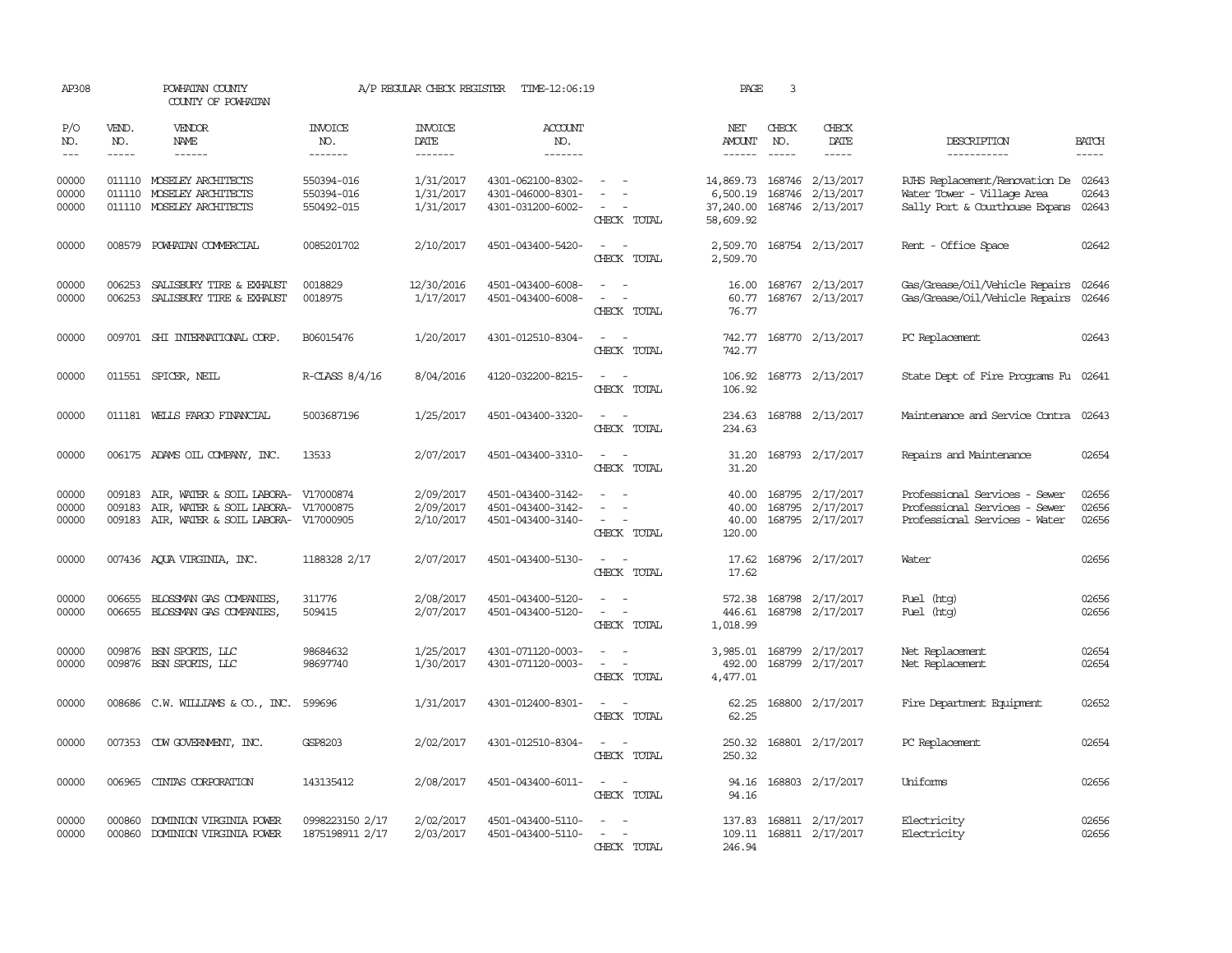| AP308                       |                             | POWHATAN COUNTY<br>COUNTY OF POWHATAN                                                                                    |                                        | A/P REGULAR CHECK REGISTER               | TIME-12:06:19                                               |                                                                                                                                                 | PAGE                               | 3                           |                                                                    |                                                                                                      |                          |
|-----------------------------|-----------------------------|--------------------------------------------------------------------------------------------------------------------------|----------------------------------------|------------------------------------------|-------------------------------------------------------------|-------------------------------------------------------------------------------------------------------------------------------------------------|------------------------------------|-----------------------------|--------------------------------------------------------------------|------------------------------------------------------------------------------------------------------|--------------------------|
| P/O<br>NO.<br>$\frac{1}{2}$ | VEND.<br>NO.<br>$- - - - -$ | VENDOR<br><b>NAME</b><br>$- - - - - -$                                                                                   | <b>INVOICE</b><br>NO.<br>-------       | <b>INVOICE</b><br><b>DATE</b><br>------- | <b>ACCOUNT</b><br>NO.<br>-------                            |                                                                                                                                                 | NET<br>AMOUNT<br>$- - - - - -$     | CHECK<br>NO.<br>$- - - - -$ | CHECK<br><b>DATE</b><br>-----                                      | DESCRIPTION<br>-----------                                                                           | <b>BATCH</b><br>$\cdots$ |
| 00000<br>00000<br>00000     | 011110                      | 011110 MOSELEY ARCHITECTS<br>MOSELEY ARCHITECTS<br>011110 MOSELEY ARCHITECTS                                             | 550394-016<br>550394-016<br>550492-015 | 1/31/2017<br>1/31/2017<br>1/31/2017      | 4301-062100-8302-<br>4301-046000-8301-<br>4301-031200-6002- | $\sim$<br>$\sim$<br>CHECK TOTAL                                                                                                                 | 6,500.19<br>37,240.00<br>58,609.92 |                             | 14,869.73 168746 2/13/2017<br>168746 2/13/2017<br>168746 2/13/2017 | RJHS Replacement/Renovation De 02643<br>Water Tower - Village Area<br>Sally Port & Courthouse Expans | 02643<br>02643           |
| 00000                       | 008579                      | POWHATAN COMMERCIAL                                                                                                      | 0085201702                             | 2/10/2017                                | 4501-043400-5420-                                           | $\sim$<br>$\sim$<br>CHECK TOTAL                                                                                                                 | 2,509.70<br>2,509.70               |                             | 168754 2/13/2017                                                   | Rent - Office Space                                                                                  | 02642                    |
| 00000<br>00000              | 006253<br>006253            | SALISBURY TIRE & EXHAUST<br>SALISBURY TIRE & EXHAUST                                                                     | 0018829<br>0018975                     | 12/30/2016<br>1/17/2017                  | 4501-043400-6008-<br>4501-043400-6008-                      | $ -$<br>$\sim$ 100 $\sim$<br>CHECK TOTAL                                                                                                        | 60.77<br>76.77                     |                             | 16.00 168767 2/13/2017<br>168767 2/13/2017                         | Gas/Grease/Oil/Vehicle Repairs<br>Gas/Grease/Oil/Vehicle Repairs                                     | 02646<br>02646           |
| 00000                       |                             | 009701 SHI INTERNATIONAL CORP.                                                                                           | B06015476                              | 1/20/2017                                | 4301-012510-8304-                                           | $\sim$ $ \sim$<br>CHECK TOTAL                                                                                                                   | 742.77<br>742.77                   |                             | 168770 2/13/2017                                                   | PC Replacement                                                                                       | 02643                    |
| 00000                       |                             | 011551 SPICER, NEIL                                                                                                      | R-CLASS 8/4/16                         | 8/04/2016                                | 4120-032200-8215-                                           | $\sim$ $ \sim$<br>CHECK TOTAL                                                                                                                   | 106.92<br>106.92                   |                             | 168773 2/13/2017                                                   | State Dept of Fire Programs Fu 02641                                                                 |                          |
| 00000                       |                             | 011181 WELLS FARGO FINANCIAL                                                                                             | 5003687196                             | 1/25/2017                                | 4501-043400-3320-                                           | $ -$<br>CHECK TOTAL                                                                                                                             | 234.63<br>234.63                   |                             | 168788 2/13/2017                                                   | Maintenance and Service Contra                                                                       | 02643                    |
| 00000                       |                             | 006175 ADAMS OIL COMPANY, INC.                                                                                           | 13533                                  | 2/07/2017                                | 4501-043400-3310-                                           | $\sim$<br>$\sim$<br>CHECK TOTAL                                                                                                                 | 31.20<br>31.20                     |                             | 168793 2/17/2017                                                   | Repairs and Maintenance                                                                              | 02654                    |
| 00000<br>00000<br>00000     | 009183<br>009183            | AIR, WATER & SOIL LABORA- V17000874<br>AIR, WATER & SOIL LABORA- V17000875<br>009183 AIR, WATER & SOIL LABORA- V17000905 |                                        | 2/09/2017<br>2/09/2017<br>2/10/2017      | 4501-043400-3142-<br>4501-043400-3142-<br>4501-043400-3140- | $\sim$ $-$<br>CHECK TOTAL                                                                                                                       | 40.00<br>40.00<br>40.00<br>120.00  |                             | 168795 2/17/2017<br>168795 2/17/2017<br>168795 2/17/2017           | Professional Services - Sewer<br>Professional Services - Sewer<br>Professional Services - Water      | 02656<br>02656<br>02656  |
| 00000                       |                             | 007436 AQUA VIRGINIA, INC.                                                                                               | 1188328 2/17                           | 2/07/2017                                | 4501-043400-5130-                                           | CHECK TOTAL                                                                                                                                     | 17.62                              |                             | 17.62 168796 2/17/2017                                             | Water                                                                                                | 02656                    |
| 00000<br>00000              |                             | 006655 BLOSSMAN GAS COMPANIES,<br>006655 BLOSSMAN GAS COMPANIES,                                                         | 311776<br>509415                       | 2/08/2017<br>2/07/2017                   | 4501-043400-5120-<br>4501-043400-5120-                      | $\sim$<br>$\sim$<br>$\frac{1}{2} \left( \frac{1}{2} \right) \left( \frac{1}{2} \right) = \frac{1}{2} \left( \frac{1}{2} \right)$<br>CHECK TOTAL | 572.38<br>446.61<br>1,018.99       |                             | 168798 2/17/2017<br>168798 2/17/2017                               | Fuel (htg)<br>Fuel (htg)                                                                             | 02656<br>02656           |
| 00000<br>00000              |                             | 009876 BSN SPORTS, LLC<br>009876 BSN SPORTS, LLC                                                                         | 98684632<br>98697740                   | 1/25/2017<br>1/30/2017                   | 4301-071120-0003-<br>4301-071120-0003-                      | $\overline{\phantom{a}}$<br>CHECK TOTAL                                                                                                         | 3,985.01<br>492.00<br>4,477.01     |                             | 168799 2/17/2017<br>168799 2/17/2017                               | Net Replacement<br>Net Replacement                                                                   | 02654<br>02654           |
| 00000                       |                             | 008686 C.W. WILLIAMS & CO., INC.                                                                                         | 599696                                 | 1/31/2017                                | 4301-012400-8301-                                           | CHECK TOTAL                                                                                                                                     | 62.25<br>62.25                     |                             | 168800 2/17/2017                                                   | Fire Department Equipment                                                                            | 02652                    |
| 00000                       |                             | 007353 CDW GOVERNMENT, INC.                                                                                              | GSP8203                                | 2/02/2017                                | 4301-012510-8304-                                           | $\overline{\phantom{a}}$<br>$\overline{\phantom{a}}$<br>CHECK TOTAL                                                                             | 250.32<br>250.32                   |                             | 168801 2/17/2017                                                   | PC Replacement                                                                                       | 02654                    |
| 00000                       | 006965                      | CINIAS CORPORATION                                                                                                       | 143135412                              | 2/08/2017                                | 4501-043400-6011-                                           | $\sim$<br>$\sim$<br>CHECK TOTAL                                                                                                                 | 94.16<br>94.16                     |                             | 168803 2/17/2017                                                   | Uniforms                                                                                             | 02656                    |
| 00000<br>00000              | 000860                      | DOMINION VIRGINIA POWER<br>000860 DOMINION VIRGINIA POWER                                                                | 0998223150 2/17<br>1875198911 2/17     | 2/02/2017<br>2/03/2017                   | 4501-043400-5110-<br>4501-043400-5110-                      | $\equiv$<br>$\sim$<br>$\sim$ $\sim$<br>CHECK TOTAL                                                                                              | 137.83<br>246.94                   |                             | 168811 2/17/2017<br>109.11 168811 2/17/2017                        | Electricity<br>Electricity                                                                           | 02656<br>02656           |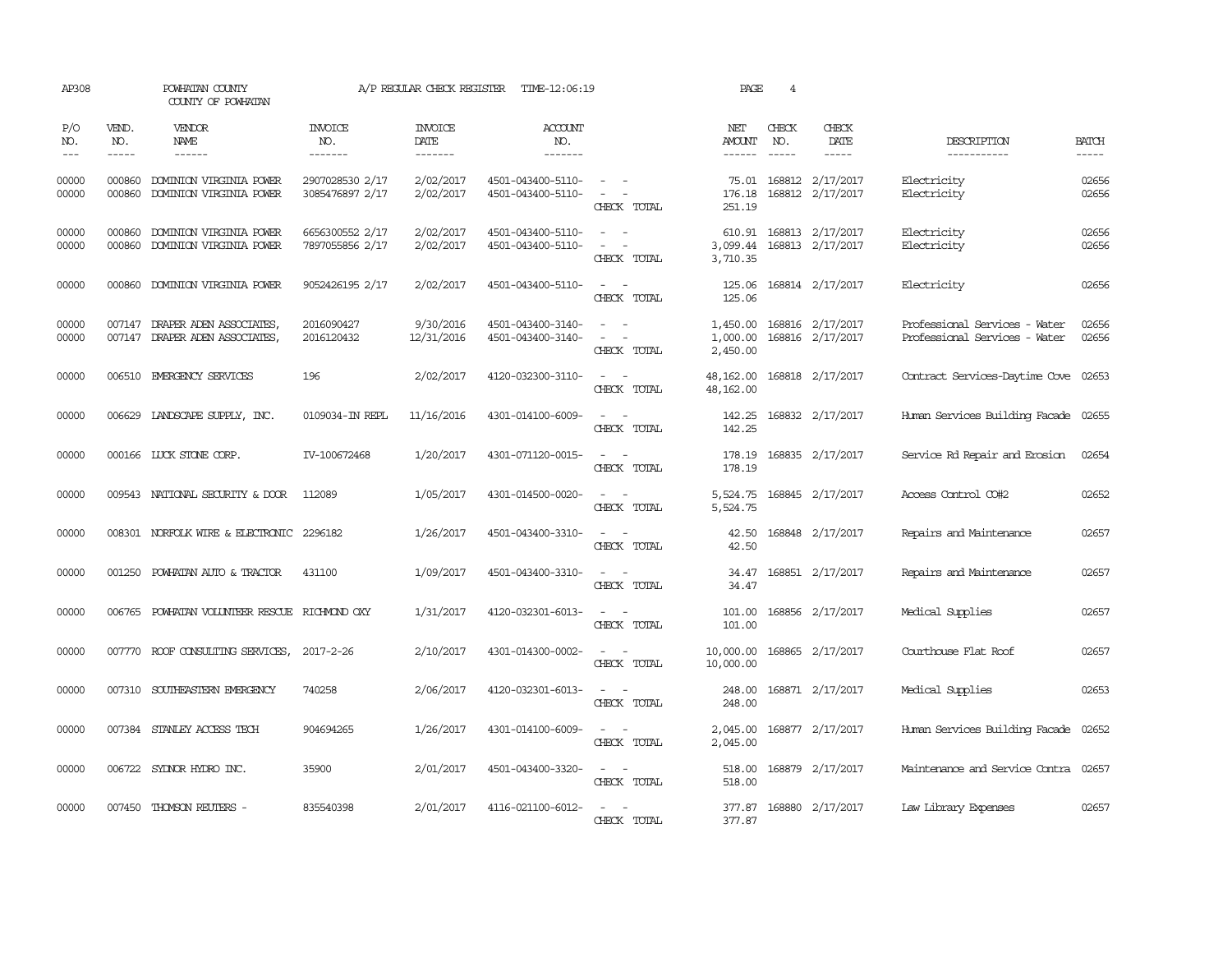| AP308                       |                             | POWHATAN COUNTY<br>COUNTY OF POWHATAN                     |                                    | A/P REGULAR CHECK REGISTER        | TIME-12:06:19                          |                                                                                                                                       | PAGE                             | 4                             |                                      |                                                                |                       |
|-----------------------------|-----------------------------|-----------------------------------------------------------|------------------------------------|-----------------------------------|----------------------------------------|---------------------------------------------------------------------------------------------------------------------------------------|----------------------------------|-------------------------------|--------------------------------------|----------------------------------------------------------------|-----------------------|
| P/O<br>NO.<br>$\frac{1}{2}$ | VEND.<br>NO.<br>$- - - - -$ | <b>VENDOR</b><br>NAME<br>$- - - - - -$                    | <b>INVOICE</b><br>NO.<br>-------   | <b>INVOICE</b><br>DATE<br>------- | <b>ACCOUNT</b><br>NO.<br>-------       |                                                                                                                                       | NET<br>AMOUNT<br>------          | CHECK<br>NO.<br>$\frac{1}{2}$ | CHECK<br>DATE<br>-----               | DESCRIPTION<br>-----------                                     | <b>BATCH</b><br>----- |
| 00000<br>00000              | 000860<br>000860            | DOMINION VIRGINIA POWER<br>DOMINION VIRGINIA POWER        | 2907028530 2/17<br>3085476897 2/17 | 2/02/2017<br>2/02/2017            | 4501-043400-5110-<br>4501-043400-5110- | $\frac{1}{2} \left( \frac{1}{2} \right) \left( \frac{1}{2} \right) = \frac{1}{2} \left( \frac{1}{2} \right)$<br>$\sim$<br>CHECK TOTAL | 75.01<br>176.18<br>251.19        |                               | 168812 2/17/2017<br>168812 2/17/2017 | Electricity<br>Electricity                                     | 02656<br>02656        |
| 00000<br>00000              | 000860<br>000860            | DOMINION VIRGINIA POWER<br>DOMINION VIRGINIA POWER        | 6656300552 2/17<br>7897055856 2/17 | 2/02/2017<br>2/02/2017            | 4501-043400-5110-<br>4501-043400-5110- | CHECK TOTAL                                                                                                                           | 610.91<br>3,099.44<br>3,710.35   |                               | 168813 2/17/2017<br>168813 2/17/2017 | Electricity<br>Electricity                                     | 02656<br>02656        |
| 00000                       | 000860                      | DOMINION VIRGINIA POWER                                   | 9052426195 2/17                    | 2/02/2017                         | 4501-043400-5110-                      | CHECK TOTAL                                                                                                                           | 125.06<br>125.06                 |                               | 168814 2/17/2017                     | Electricity                                                    | 02656                 |
| 00000<br>00000              | 007147                      | DRAPER ADEN ASSOCIATES,<br>007147 DRAPER ADEN ASSOCIATES, | 2016090427<br>2016120432           | 9/30/2016<br>12/31/2016           | 4501-043400-3140-<br>4501-043400-3140- | $\equiv$<br>$\sim$<br>CHECK TOTAL                                                                                                     | 1,450.00<br>1,000.00<br>2,450.00 |                               | 168816 2/17/2017<br>168816 2/17/2017 | Professional Services - Water<br>Professional Services - Water | 02656<br>02656        |
| 00000                       |                             | 006510 EMERGENCY SERVICES                                 | 196                                | 2/02/2017                         | 4120-032300-3110-                      | $\sim$ $ \sim$<br>CHECK TOTAL                                                                                                         | 48,162.00<br>48,162.00           |                               | 168818 2/17/2017                     | Contract Services-Daytime Cove 02653                           |                       |
| 00000                       |                             | 006629 LANDSCAPE SUPPLY, INC.                             | 0109034-IN REPL                    | 11/16/2016                        | 4301-014100-6009-                      | $\sim$ $\sim$<br>CHECK TOTAL                                                                                                          | 142.25<br>142.25                 |                               | 168832 2/17/2017                     | Human Services Building Facade 02655                           |                       |
| 00000                       |                             | 000166 LUCK STONE CORP.                                   | IV-100672468                       | 1/20/2017                         | 4301-071120-0015-                      | $\sim$ $ \sim$<br>CHECK TOTAL                                                                                                         | 178.19<br>178.19                 |                               | 168835 2/17/2017                     | Service Rd Repair and Erosion                                  | 02654                 |
| 00000                       |                             | 009543 NATIONAL SECURITY & DOOR                           | 112089                             | 1/05/2017                         | 4301-014500-0020-                      | $\sim$ $\sim$<br>CHECK TOTAL                                                                                                          | 5,524.75<br>5,524.75             |                               | 168845 2/17/2017                     | Access Control CO#2                                            | 02652                 |
| 00000                       |                             | 008301 NORFOLK WIRE & ELECTRONIC 2296182                  |                                    | 1/26/2017                         | 4501-043400-3310-                      | $\sim$ $\sim$<br>CHECK TOTAL                                                                                                          | 42.50<br>42.50                   |                               | 168848 2/17/2017                     | Repairs and Maintenance                                        | 02657                 |
| 00000                       | 001250                      | POWHATAN AUTO & TRACTOR                                   | 431100                             | 1/09/2017                         | 4501-043400-3310-                      | CHECK TOTAL                                                                                                                           | 34.47<br>34.47                   |                               | 168851 2/17/2017                     | Repairs and Maintenance                                        | 02657                 |
| 00000                       | 006765                      | POWHATAN VOLUNTEER RESCUE RICHMOND OXY                    |                                    | 1/31/2017                         | 4120-032301-6013-                      | $\overline{\phantom{a}}$<br>- -<br>CHECK TOTAL                                                                                        | 101.00<br>101.00                 |                               | 168856 2/17/2017                     | Medical Supplies                                               | 02657                 |
| 00000                       |                             | 007770 ROOF CONSULTING SERVICES,                          | 2017-2-26                          | 2/10/2017                         | 4301-014300-0002-                      | $\sim$<br>$\sim$<br>CHECK TOTAL                                                                                                       | 10,000.00<br>10,000.00           |                               | 168865 2/17/2017                     | Courthouse Flat Roof                                           | 02657                 |
| 00000                       |                             | 007310 SOUTHEASTERN EMERGENCY                             | 740258                             | 2/06/2017                         | 4120-032301-6013-                      | $\overline{\phantom{a}}$<br>$\sim$<br>CHECK TOTAL                                                                                     | 248.00<br>248.00                 |                               | 168871 2/17/2017                     | Medical Supplies                                               | 02653                 |
| 00000                       |                             | 007384 STANLEY ACCESS TECH                                | 904694265                          | 1/26/2017                         | 4301-014100-6009-                      | $\frac{1}{2} \left( \frac{1}{2} \right) \left( \frac{1}{2} \right) = \frac{1}{2} \left( \frac{1}{2} \right)$<br>CHECK TOTAL           | 2,045.00<br>2,045.00             |                               | 168877 2/17/2017                     | Human Services Building Facade                                 | 02652                 |
| 00000                       |                             | 006722 SYDNOR HYDRO INC.                                  | 35900                              | 2/01/2017                         | 4501-043400-3320-                      | $\frac{1}{2} \left( \frac{1}{2} \right) \left( \frac{1}{2} \right) = \frac{1}{2} \left( \frac{1}{2} \right)$<br>CHECK TOTAL           | 518.00<br>518.00                 |                               | 168879 2/17/2017                     | Maintenance and Service Contra 02657                           |                       |
| 00000                       |                             | 007450 THOMSON REUTERS -                                  | 835540398                          | 2/01/2017                         | 4116-021100-6012-                      | $\sim$<br>CHECK TOTAL                                                                                                                 | 377.87<br>377.87                 |                               | 168880 2/17/2017                     | Law Library Expenses                                           | 02657                 |